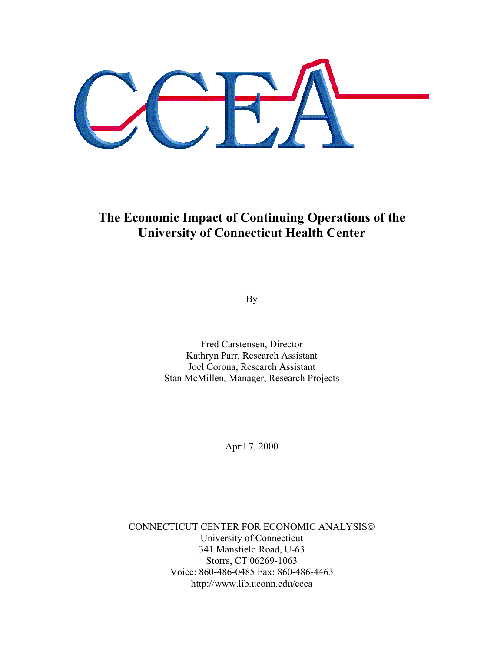**The Economic Impact of Continuing Operations of the University of Connecticut Health Center** 

By

Fred Carstensen, Director Kathryn Parr, Research Assistant Joel Corona, Research Assistant Stan McMillen, Manager, Research Projects

April 7, 2000

CONNECTICUT CENTER FOR ECONOMIC ANALYSIS University of Connecticut 341 Mansfield Road, U-63 Storrs, CT 06269-1063 Voice: 860-486-0485 Fax: 860-486-4463 http://www.lib.uconn.edu/ccea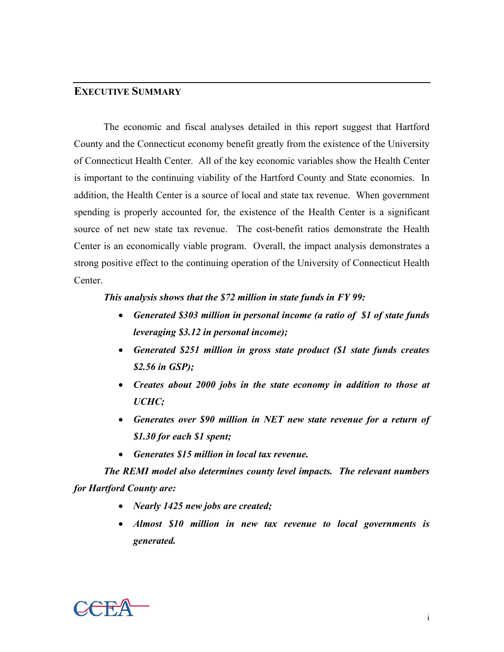## **EXECUTIVE SUMMARY**

The economic and fiscal analyses detailed in this report suggest that Hartford County and the Connecticut economy benefit greatly from the existence of the University of Connecticut Health Center. All of the key economic variables show the Health Center is important to the continuing viability of the Hartford County and State economies. In addition, the Health Center is a source of local and state tax revenue. When government spending is properly accounted for, the existence of the Health Center is a significant source of net new state tax revenue. The cost-benefit ratios demonstrate the Health Center is an economically viable program. Overall, the impact analysis demonstrates a strong positive effect to the continuing operation of the University of Connecticut Health Center.

## *This analysis shows that the \$72 million in state funds in FY 99:*

- *Generated \$303 million in personal income (a ratio of \$1 of state funds leveraging \$3.12 in personal income);*
- *Generated \$251 million in gross state product (\$1 state funds creates \$2.56 in GSP);*
- *Creates about 2000 jobs in the state economy in addition to those at UCHC;*
- *Generates over \$90 million in NET new state revenue for a return of \$1.30 for each \$1 spent;*
- *Generates \$15 million in local tax revenue.*

*The REMI model also determines county level impacts. The relevant numbers for Hartford County are:* 

- *Nearly 1425 new jobs are created;*
- *Almost \$10 million in new tax revenue to local governments is generated.*

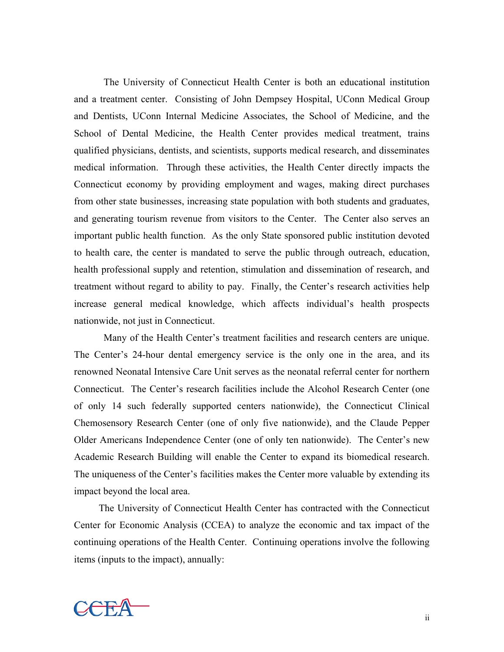The University of Connecticut Health Center is both an educational institution and a treatment center. Consisting of John Dempsey Hospital, UConn Medical Group and Dentists, UConn Internal Medicine Associates, the School of Medicine, and the School of Dental Medicine, the Health Center provides medical treatment, trains qualified physicians, dentists, and scientists, supports medical research, and disseminates medical information. Through these activities, the Health Center directly impacts the Connecticut economy by providing employment and wages, making direct purchases from other state businesses, increasing state population with both students and graduates, and generating tourism revenue from visitors to the Center. The Center also serves an important public health function. As the only State sponsored public institution devoted to health care, the center is mandated to serve the public through outreach, education, health professional supply and retention, stimulation and dissemination of research, and treatment without regard to ability to pay. Finally, the Center's research activities help increase general medical knowledge, which affects individual's health prospects nationwide, not just in Connecticut.

 Many of the Health Center's treatment facilities and research centers are unique. The Center's 24-hour dental emergency service is the only one in the area, and its renowned Neonatal Intensive Care Unit serves as the neonatal referral center for northern Connecticut. The Center's research facilities include the Alcohol Research Center (one of only 14 such federally supported centers nationwide), the Connecticut Clinical Chemosensory Research Center (one of only five nationwide), and the Claude Pepper Older Americans Independence Center (one of only ten nationwide). The Center's new Academic Research Building will enable the Center to expand its biomedical research. The uniqueness of the Center's facilities makes the Center more valuable by extending its impact beyond the local area.

 The University of Connecticut Health Center has contracted with the Connecticut Center for Economic Analysis (CCEA) to analyze the economic and tax impact of the continuing operations of the Health Center. Continuing operations involve the following items (inputs to the impact), annually:

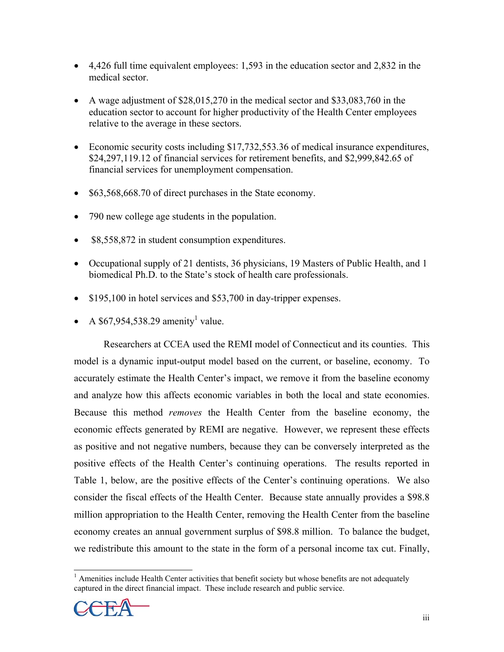- 4,426 full time equivalent employees: 1,593 in the education sector and 2,832 in the medical sector.
- A wage adjustment of \$28,015,270 in the medical sector and \$33,083,760 in the education sector to account for higher productivity of the Health Center employees relative to the average in these sectors.
- Economic security costs including \$17,732,553.36 of medical insurance expenditures, \$24,297,119.12 of financial services for retirement benefits, and \$2,999,842.65 of financial services for unemployment compensation.
- \$63,568,668.70 of direct purchases in the State economy.
- 790 new college age students in the population.
- \$8,558,872 in student consumption expenditures.
- Occupational supply of 21 dentists, 36 physicians, 19 Masters of Public Health, and 1 biomedical Ph.D. to the State's stock of health care professionals.
- \$195,100 in hotel services and \$53,700 in day-tripper expenses.
- A \$67,954,538.29 amenity<sup>1</sup> value.

Researchers at CCEA used the REMI model of Connecticut and its counties. This model is a dynamic input-output model based on the current, or baseline, economy. To accurately estimate the Health Center's impact, we remove it from the baseline economy and analyze how this affects economic variables in both the local and state economies. Because this method *removes* the Health Center from the baseline economy, the economic effects generated by REMI are negative. However, we represent these effects as positive and not negative numbers, because they can be conversely interpreted as the positive effects of the Health Center's continuing operations. The results reported in Table 1, below, are the positive effects of the Center's continuing operations. We also consider the fiscal effects of the Health Center. Because state annually provides a \$98.8 million appropriation to the Health Center, removing the Health Center from the baseline economy creates an annual government surplus of \$98.8 million. To balance the budget, we redistribute this amount to the state in the form of a personal income tax cut. Finally,

<sup>&</sup>lt;sup>1</sup> Amenities include Health Center activities that benefit society but whose benefits are not adequately captured in the direct financial impact. These include research and public service.

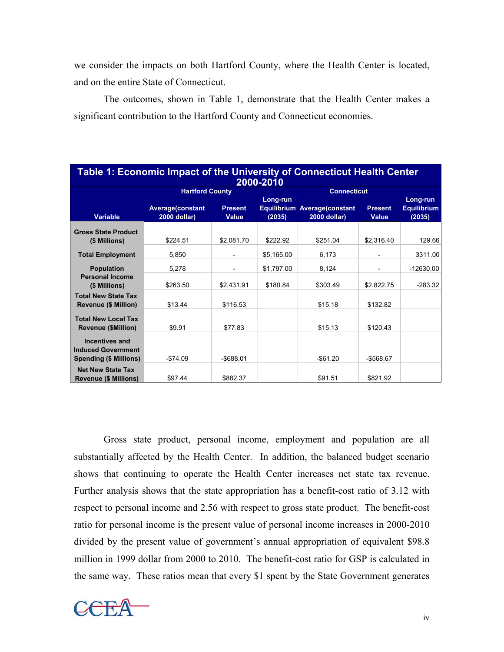we consider the impacts on both Hartford County, where the Health Center is located, and on the entire State of Connecticut.

 The outcomes, shown in Table 1, demonstrate that the Health Center makes a significant contribution to the Hartford County and Connecticut economies.

| Table 1: Economic Impact of the University of Connecticut Health Center<br>2000-2010 |                                         |                         |                    |                                              |                                |                                          |  |
|--------------------------------------------------------------------------------------|-----------------------------------------|-------------------------|--------------------|----------------------------------------------|--------------------------------|------------------------------------------|--|
|                                                                                      | <b>Hartford County</b>                  |                         |                    | <b>Connecticut</b>                           |                                |                                          |  |
| <b>Variable</b>                                                                      | <b>Average(constant</b><br>2000 dollar) | <b>Present</b><br>Value | Long-run<br>(2035) | Equilibrium Average(constant<br>2000 dollar) | <b>Present</b><br><b>Value</b> | Long-run<br><b>Equilibrium</b><br>(2035) |  |
| <b>Gross State Product</b><br>(\$ Millions)                                          | \$224.51                                | \$2,081.70              | \$222.92           | \$251.04                                     | \$2,316.40                     | 129.66                                   |  |
| <b>Total Employment</b>                                                              | 5,850                                   |                         | \$5,165.00         | 6,173                                        |                                | 3311.00                                  |  |
| <b>Population</b><br><b>Personal Income</b>                                          | 5.278                                   |                         | \$1,797.00         | 8,124                                        |                                | $-12630.00$                              |  |
| (\$ Millions)<br><b>Total New State Tax</b><br><b>Revenue (\$ Million)</b>           | \$263.50<br>\$13.44                     | \$2.431.91<br>\$116.53  | \$180.84           | \$303.49<br>\$15.18                          | \$2,822.75<br>\$132.82         | $-283.32$                                |  |
| <b>Total New Local Tax</b><br><b>Revenue (\$Million)</b>                             | \$9.91                                  | \$77.83                 |                    | \$15.13                                      | \$120.43                       |                                          |  |
| <b>Incentives and</b><br><b>Induced Government</b><br><b>Spending (\$ Millions)</b>  | $-$74.09$                               | $-$ \$688.01            |                    | $-$61.20$                                    | $-$568.67$                     |                                          |  |
| <b>Net New State Tax</b><br><b>Revenue (\$ Millions)</b>                             | \$97.44                                 | \$882.37                |                    | \$91.51                                      | \$821.92                       |                                          |  |

Gross state product, personal income, employment and population are all substantially affected by the Health Center. In addition, the balanced budget scenario shows that continuing to operate the Health Center increases net state tax revenue. Further analysis shows that the state appropriation has a benefit-cost ratio of 3.12 with respect to personal income and 2.56 with respect to gross state product. The benefit-cost ratio for personal income is the present value of personal income increases in 2000-2010 divided by the present value of government's annual appropriation of equivalent \$98.8 million in 1999 dollar from 2000 to 2010. The benefit-cost ratio for GSP is calculated in the same way. These ratios mean that every \$1 spent by the State Government generates

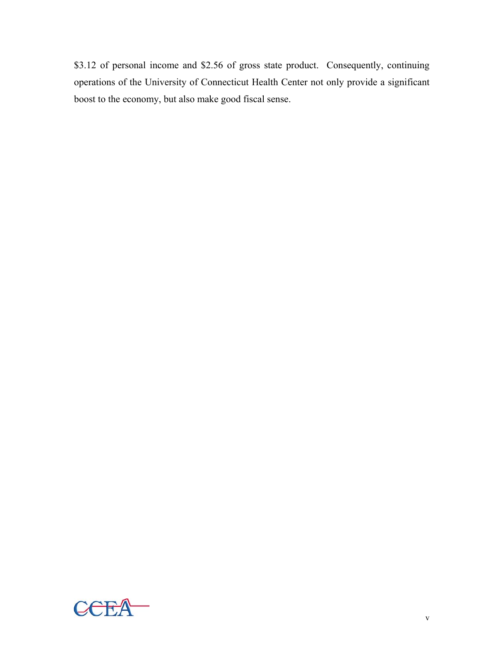\$3.12 of personal income and \$2.56 of gross state product. Consequently, continuing operations of the University of Connecticut Health Center not only provide a significant boost to the economy, but also make good fiscal sense.

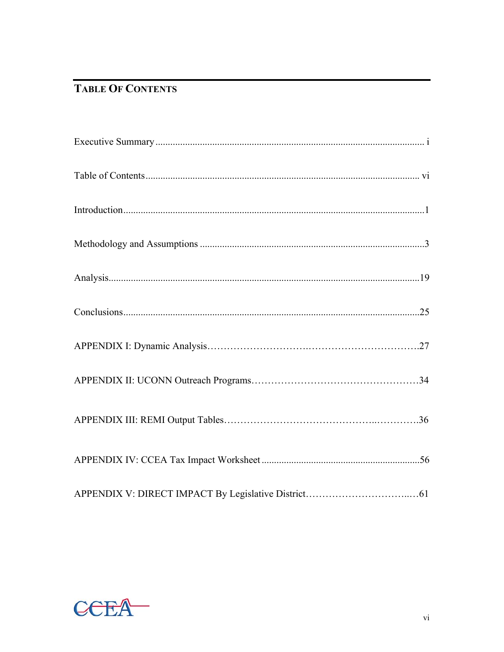# **TABLE OF CONTENTS**

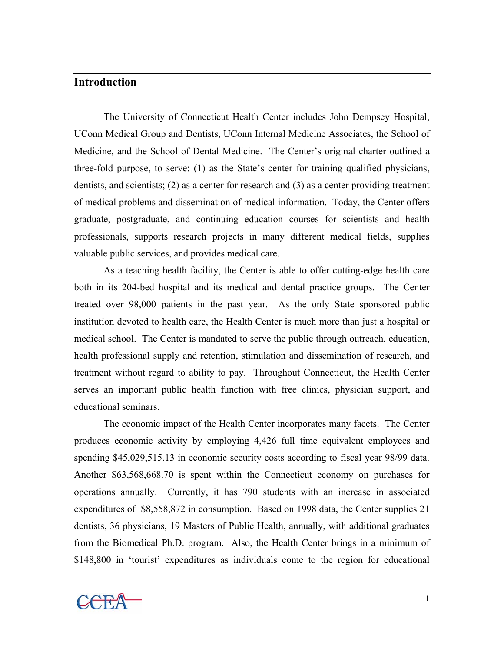## **Introduction**

 The University of Connecticut Health Center includes John Dempsey Hospital, UConn Medical Group and Dentists, UConn Internal Medicine Associates, the School of Medicine, and the School of Dental Medicine. The Center's original charter outlined a three-fold purpose, to serve: (1) as the State's center for training qualified physicians, dentists, and scientists; (2) as a center for research and (3) as a center providing treatment of medical problems and dissemination of medical information. Today, the Center offers graduate, postgraduate, and continuing education courses for scientists and health professionals, supports research projects in many different medical fields, supplies valuable public services, and provides medical care.

As a teaching health facility, the Center is able to offer cutting-edge health care both in its 204-bed hospital and its medical and dental practice groups. The Center treated over 98,000 patients in the past year. As the only State sponsored public institution devoted to health care, the Health Center is much more than just a hospital or medical school. The Center is mandated to serve the public through outreach, education, health professional supply and retention, stimulation and dissemination of research, and treatment without regard to ability to pay. Throughout Connecticut, the Health Center serves an important public health function with free clinics, physician support, and educational seminars.

The economic impact of the Health Center incorporates many facets. The Center produces economic activity by employing 4,426 full time equivalent employees and spending \$45,029,515.13 in economic security costs according to fiscal year 98/99 data. Another \$63,568,668.70 is spent within the Connecticut economy on purchases for operations annually. Currently, it has 790 students with an increase in associated expenditures of \$8,558,872 in consumption. Based on 1998 data, the Center supplies 21 dentists, 36 physicians, 19 Masters of Public Health, annually, with additional graduates from the Biomedical Ph.D. program. Also, the Health Center brings in a minimum of \$148,800 in 'tourist' expenditures as individuals come to the region for educational

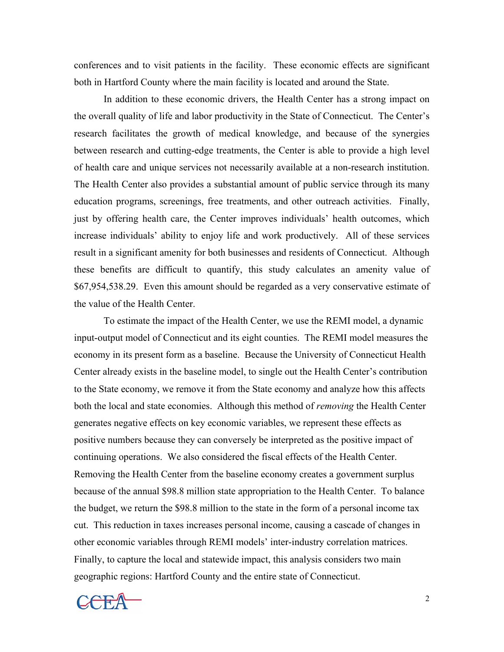conferences and to visit patients in the facility. These economic effects are significant both in Hartford County where the main facility is located and around the State.

In addition to these economic drivers, the Health Center has a strong impact on the overall quality of life and labor productivity in the State of Connecticut. The Center's research facilitates the growth of medical knowledge, and because of the synergies between research and cutting-edge treatments, the Center is able to provide a high level of health care and unique services not necessarily available at a non-research institution. The Health Center also provides a substantial amount of public service through its many education programs, screenings, free treatments, and other outreach activities. Finally, just by offering health care, the Center improves individuals' health outcomes, which increase individuals' ability to enjoy life and work productively. All of these services result in a significant amenity for both businesses and residents of Connecticut. Although these benefits are difficult to quantify, this study calculates an amenity value of \$67,954,538.29. Even this amount should be regarded as a very conservative estimate of the value of the Health Center.

 To estimate the impact of the Health Center, we use the REMI model, a dynamic input-output model of Connecticut and its eight counties. The REMI model measures the economy in its present form as a baseline. Because the University of Connecticut Health Center already exists in the baseline model, to single out the Health Center's contribution to the State economy, we remove it from the State economy and analyze how this affects both the local and state economies. Although this method of *removing* the Health Center generates negative effects on key economic variables, we represent these effects as positive numbers because they can conversely be interpreted as the positive impact of continuing operations. We also considered the fiscal effects of the Health Center. Removing the Health Center from the baseline economy creates a government surplus because of the annual \$98.8 million state appropriation to the Health Center. To balance the budget, we return the \$98.8 million to the state in the form of a personal income tax cut. This reduction in taxes increases personal income, causing a cascade of changes in other economic variables through REMI models' inter-industry correlation matrices. Finally, to capture the local and statewide impact, this analysis considers two main geographic regions: Hartford County and the entire state of Connecticut.

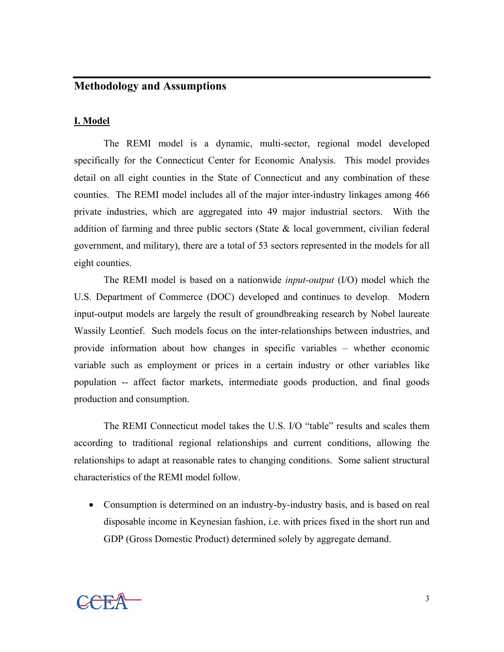## **Methodology and Assumptions**

#### **I. Model**

The REMI model is a dynamic, multi-sector, regional model developed specifically for the Connecticut Center for Economic Analysis. This model provides detail on all eight counties in the State of Connecticut and any combination of these counties. The REMI model includes all of the major inter-industry linkages among 466 private industries, which are aggregated into 49 major industrial sectors. With the addition of farming and three public sectors (State & local government, civilian federal government, and military), there are a total of 53 sectors represented in the models for all eight counties.

The REMI model is based on a nationwide *input-output* (I/O) model which the U.S. Department of Commerce (DOC) developed and continues to develop. Modern input-output models are largely the result of groundbreaking research by Nobel laureate Wassily Leontief. Such models focus on the inter-relationships between industries, and provide information about how changes in specific variables – whether economic variable such as employment or prices in a certain industry or other variables like population -- affect factor markets, intermediate goods production, and final goods production and consumption.

The REMI Connecticut model takes the U.S. I/O "table" results and scales them according to traditional regional relationships and current conditions, allowing the relationships to adapt at reasonable rates to changing conditions. Some salient structural characteristics of the REMI model follow.

• Consumption is determined on an industry-by-industry basis, and is based on real disposable income in Keynesian fashion, i.e. with prices fixed in the short run and GDP (Gross Domestic Product) determined solely by aggregate demand.

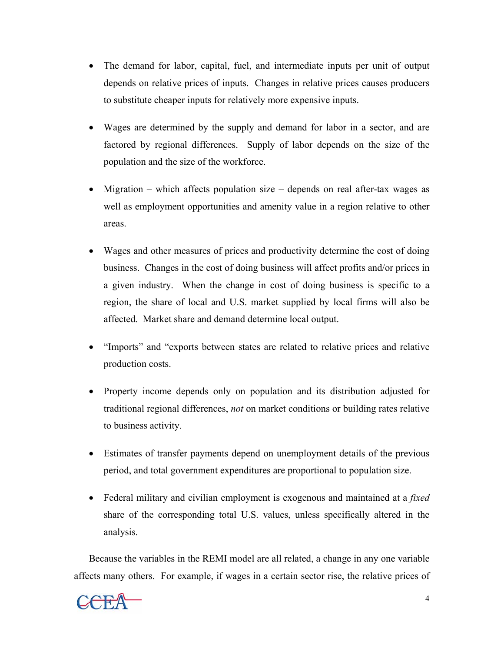- The demand for labor, capital, fuel, and intermediate inputs per unit of output depends on relative prices of inputs. Changes in relative prices causes producers to substitute cheaper inputs for relatively more expensive inputs.
- Wages are determined by the supply and demand for labor in a sector, and are factored by regional differences. Supply of labor depends on the size of the population and the size of the workforce.
- Migration which affects population size depends on real after-tax wages as well as employment opportunities and amenity value in a region relative to other areas.
- Wages and other measures of prices and productivity determine the cost of doing business. Changes in the cost of doing business will affect profits and/or prices in a given industry. When the change in cost of doing business is specific to a region, the share of local and U.S. market supplied by local firms will also be affected. Market share and demand determine local output.
- "Imports" and "exports between states are related to relative prices and relative production costs.
- Property income depends only on population and its distribution adjusted for traditional regional differences, *not* on market conditions or building rates relative to business activity.
- Estimates of transfer payments depend on unemployment details of the previous period, and total government expenditures are proportional to population size.
- Federal military and civilian employment is exogenous and maintained at a *fixed* share of the corresponding total U.S. values, unless specifically altered in the analysis.

Because the variables in the REMI model are all related, a change in any one variable affects many others. For example, if wages in a certain sector rise, the relative prices of

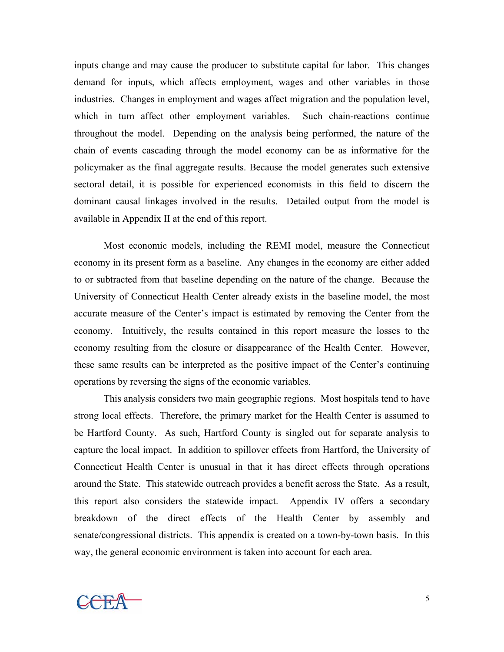inputs change and may cause the producer to substitute capital for labor. This changes demand for inputs, which affects employment, wages and other variables in those industries. Changes in employment and wages affect migration and the population level, which in turn affect other employment variables. Such chain-reactions continue throughout the model. Depending on the analysis being performed, the nature of the chain of events cascading through the model economy can be as informative for the policymaker as the final aggregate results. Because the model generates such extensive sectoral detail, it is possible for experienced economists in this field to discern the dominant causal linkages involved in the results. Detailed output from the model is available in Appendix II at the end of this report.

 Most economic models, including the REMI model, measure the Connecticut economy in its present form as a baseline. Any changes in the economy are either added to or subtracted from that baseline depending on the nature of the change. Because the University of Connecticut Health Center already exists in the baseline model, the most accurate measure of the Center's impact is estimated by removing the Center from the economy. Intuitively, the results contained in this report measure the losses to the economy resulting from the closure or disappearance of the Health Center. However, these same results can be interpreted as the positive impact of the Center's continuing operations by reversing the signs of the economic variables.

This analysis considers two main geographic regions. Most hospitals tend to have strong local effects. Therefore, the primary market for the Health Center is assumed to be Hartford County. As such, Hartford County is singled out for separate analysis to capture the local impact. In addition to spillover effects from Hartford, the University of Connecticut Health Center is unusual in that it has direct effects through operations around the State. This statewide outreach provides a benefit across the State. As a result, this report also considers the statewide impact. Appendix IV offers a secondary breakdown of the direct effects of the Health Center by assembly and senate/congressional districts. This appendix is created on a town-by-town basis. In this way, the general economic environment is taken into account for each area.

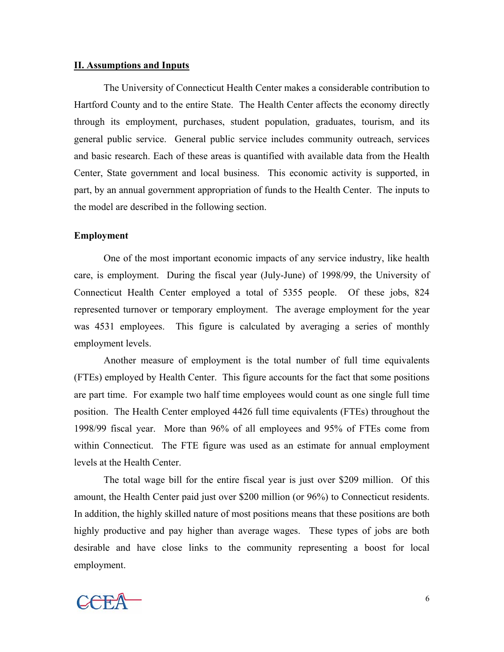#### **II. Assumptions and Inputs**

The University of Connecticut Health Center makes a considerable contribution to Hartford County and to the entire State. The Health Center affects the economy directly through its employment, purchases, student population, graduates, tourism, and its general public service. General public service includes community outreach, services and basic research. Each of these areas is quantified with available data from the Health Center, State government and local business. This economic activity is supported, in part, by an annual government appropriation of funds to the Health Center. The inputs to the model are described in the following section.

#### **Employment**

One of the most important economic impacts of any service industry, like health care, is employment. During the fiscal year (July-June) of 1998/99, the University of Connecticut Health Center employed a total of 5355 people. Of these jobs, 824 represented turnover or temporary employment. The average employment for the year was 4531 employees. This figure is calculated by averaging a series of monthly employment levels.

Another measure of employment is the total number of full time equivalents (FTEs) employed by Health Center. This figure accounts for the fact that some positions are part time. For example two half time employees would count as one single full time position. The Health Center employed 4426 full time equivalents (FTEs) throughout the 1998/99 fiscal year. More than 96% of all employees and 95% of FTEs come from within Connecticut. The FTE figure was used as an estimate for annual employment levels at the Health Center.

The total wage bill for the entire fiscal year is just over \$209 million. Of this amount, the Health Center paid just over \$200 million (or 96%) to Connecticut residents. In addition, the highly skilled nature of most positions means that these positions are both highly productive and pay higher than average wages. These types of jobs are both desirable and have close links to the community representing a boost for local employment.

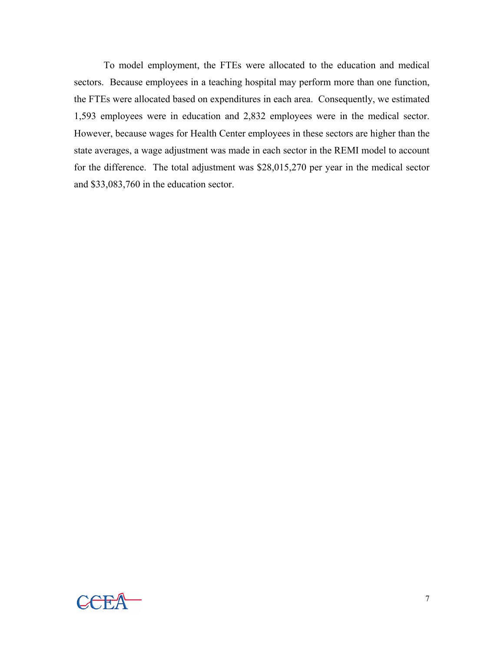To model employment, the FTEs were allocated to the education and medical sectors. Because employees in a teaching hospital may perform more than one function, the FTEs were allocated based on expenditures in each area. Consequently, we estimated 1,593 employees were in education and 2,832 employees were in the medical sector. However, because wages for Health Center employees in these sectors are higher than the state averages, a wage adjustment was made in each sector in the REMI model to account for the difference. The total adjustment was \$28,015,270 per year in the medical sector and \$33,083,760 in the education sector.

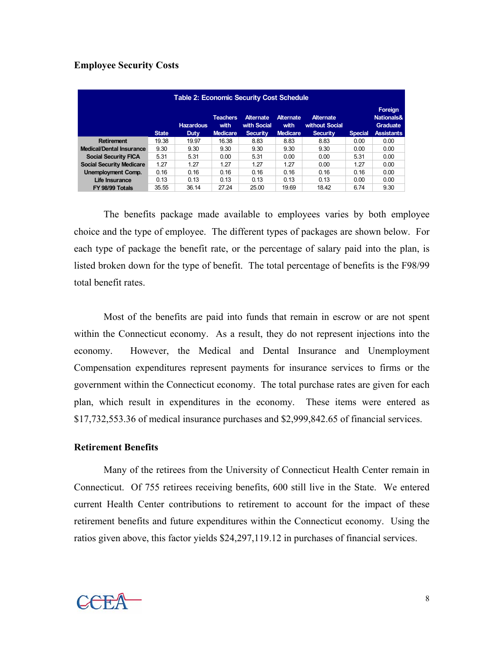## **Employee Security Costs**

| Table 2: Economic Security Cost Schedule |              |                          |                                            |                                                    |                                             |                                                       |                |                                                                          |
|------------------------------------------|--------------|--------------------------|--------------------------------------------|----------------------------------------------------|---------------------------------------------|-------------------------------------------------------|----------------|--------------------------------------------------------------------------|
|                                          | <b>State</b> | <b>Hazardous</b><br>Duty | <b>Teachers</b><br>with<br><b>Medicare</b> | <b>Alternate</b><br>with Social<br><b>Security</b> | <b>Alternate</b><br>with<br><b>Medicare</b> | <b>Alternate</b><br>without Social<br><b>Security</b> | <b>Special</b> | Foreign<br><b>Nationals&amp;</b><br><b>Graduate</b><br><b>Assistants</b> |
| <b>Retirement</b>                        | 19.38        | 19.97                    | 16.38                                      | 8.83                                               | 8.83                                        | 8.83                                                  | 0.00           | 0.00                                                                     |
| <b>Medical/Dental Insurance</b>          | 9.30         | 9.30                     | 9.30                                       | 9.30                                               | 9.30                                        | 9.30                                                  | 0.00           | 0.00                                                                     |
| <b>Social Security FICA</b>              | 5.31         | 5.31                     | 0.00                                       | 5.31                                               | 0.00                                        | 0.00                                                  | 5.31           | 0.00                                                                     |
| <b>Social Security Medicare</b>          | 1.27         | 1.27                     | 1.27                                       | 1.27                                               | 1.27                                        | 0.00                                                  | 1.27           | 0.00                                                                     |
| <b>Unemployment Comp.</b>                | 0.16         | 0.16                     | 0.16                                       | 0.16                                               | 0.16                                        | 0.16                                                  | 0.16           | 0.00                                                                     |
| Life Insurance                           | 0.13         | 0.13                     | 0.13                                       | 0.13                                               | 0.13                                        | 0.13                                                  | 0.00           | 0.00                                                                     |
| FY 98/99 Totals                          | 35.55        | 36.14                    | 27.24                                      | 25.00                                              | 19.69                                       | 18.42                                                 | 6.74           | 9.30                                                                     |

The benefits package made available to employees varies by both employee choice and the type of employee. The different types of packages are shown below. For each type of package the benefit rate, or the percentage of salary paid into the plan, is listed broken down for the type of benefit. The total percentage of benefits is the F98/99 total benefit rates.

Most of the benefits are paid into funds that remain in escrow or are not spent within the Connecticut economy. As a result, they do not represent injections into the economy. However, the Medical and Dental Insurance and Unemployment Compensation expenditures represent payments for insurance services to firms or the government within the Connecticut economy. The total purchase rates are given for each plan, which result in expenditures in the economy. These items were entered as \$17,732,553.36 of medical insurance purchases and \$2,999,842.65 of financial services.

#### **Retirement Benefits**

 Many of the retirees from the University of Connecticut Health Center remain in Connecticut. Of 755 retirees receiving benefits, 600 still live in the State. We entered current Health Center contributions to retirement to account for the impact of these retirement benefits and future expenditures within the Connecticut economy. Using the ratios given above, this factor yields \$24,297,119.12 in purchases of financial services.

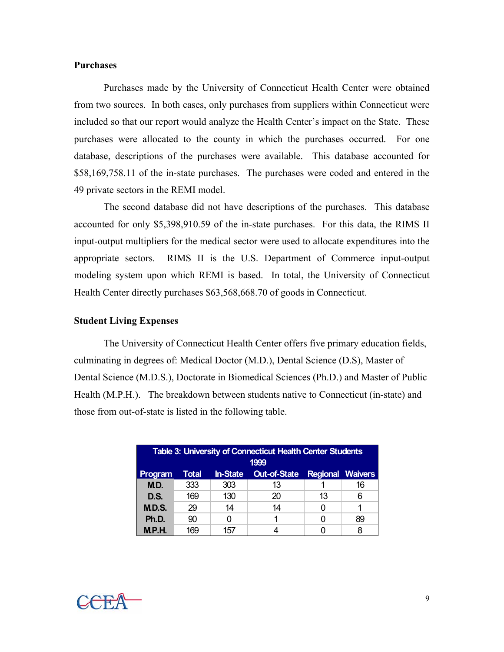#### **Purchases**

 Purchases made by the University of Connecticut Health Center were obtained from two sources. In both cases, only purchases from suppliers within Connecticut were included so that our report would analyze the Health Center's impact on the State. These purchases were allocated to the county in which the purchases occurred. For one database, descriptions of the purchases were available. This database accounted for \$58,169,758.11 of the in-state purchases. The purchases were coded and entered in the 49 private sectors in the REMI model.

The second database did not have descriptions of the purchases. This database accounted for only \$5,398,910.59 of the in-state purchases. For this data, the RIMS II input-output multipliers for the medical sector were used to allocate expenditures into the appropriate sectors. RIMS II is the U.S. Department of Commerce input-output modeling system upon which REMI is based. In total, the University of Connecticut Health Center directly purchases \$63,568,668.70 of goods in Connecticut.

#### **Student Living Expenses**

The University of Connecticut Health Center offers five primary education fields, culminating in degrees of: Medical Doctor (M.D.), Dental Science (D.S), Master of Dental Science (M.D.S.), Doctorate in Biomedical Sciences (Ph.D.) and Master of Public Health (M.P.H.). The breakdown between students native to Connecticut (in-state) and those from out-of-state is listed in the following table.

| <b>Table 3: University of Connecticut Health Center Students</b><br>1999 |              |                 |                                      |    |    |  |  |
|--------------------------------------------------------------------------|--------------|-----------------|--------------------------------------|----|----|--|--|
| Program                                                                  | <b>Total</b> | <b>In-State</b> | <b>Out-of-State Regional Waivers</b> |    |    |  |  |
| M.D.                                                                     | 333          | 303             | 13                                   |    | 16 |  |  |
| D.S.                                                                     | 169          | 130             | 20                                   | 13 | հ  |  |  |
| M.D.S.                                                                   | 29           | 14              | 14                                   |    |    |  |  |
| Ph.D.                                                                    | 90           |                 |                                      |    | 89 |  |  |
| M.P.H.                                                                   |              | ، جر            |                                      |    |    |  |  |

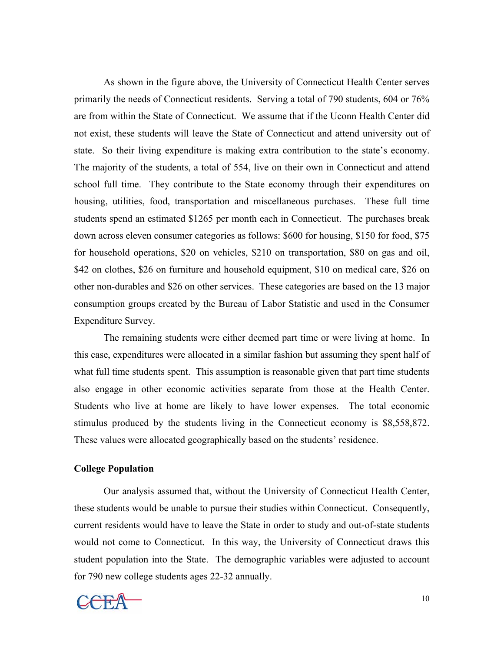As shown in the figure above, the University of Connecticut Health Center serves primarily the needs of Connecticut residents. Serving a total of 790 students, 604 or 76% are from within the State of Connecticut. We assume that if the Uconn Health Center did not exist, these students will leave the State of Connecticut and attend university out of state. So their living expenditure is making extra contribution to the state's economy. The majority of the students, a total of 554, live on their own in Connecticut and attend school full time. They contribute to the State economy through their expenditures on housing, utilities, food, transportation and miscellaneous purchases. These full time students spend an estimated \$1265 per month each in Connecticut. The purchases break down across eleven consumer categories as follows: \$600 for housing, \$150 for food, \$75 for household operations, \$20 on vehicles, \$210 on transportation, \$80 on gas and oil, \$42 on clothes, \$26 on furniture and household equipment, \$10 on medical care, \$26 on other non-durables and \$26 on other services. These categories are based on the 13 major consumption groups created by the Bureau of Labor Statistic and used in the Consumer Expenditure Survey.

The remaining students were either deemed part time or were living at home. In this case, expenditures were allocated in a similar fashion but assuming they spent half of what full time students spent. This assumption is reasonable given that part time students also engage in other economic activities separate from those at the Health Center. Students who live at home are likely to have lower expenses. The total economic stimulus produced by the students living in the Connecticut economy is \$8,558,872. These values were allocated geographically based on the students' residence.

#### **College Population**

 Our analysis assumed that, without the University of Connecticut Health Center, these students would be unable to pursue their studies within Connecticut. Consequently, current residents would have to leave the State in order to study and out-of-state students would not come to Connecticut. In this way, the University of Connecticut draws this student population into the State. The demographic variables were adjusted to account for 790 new college students ages 22-32 annually.

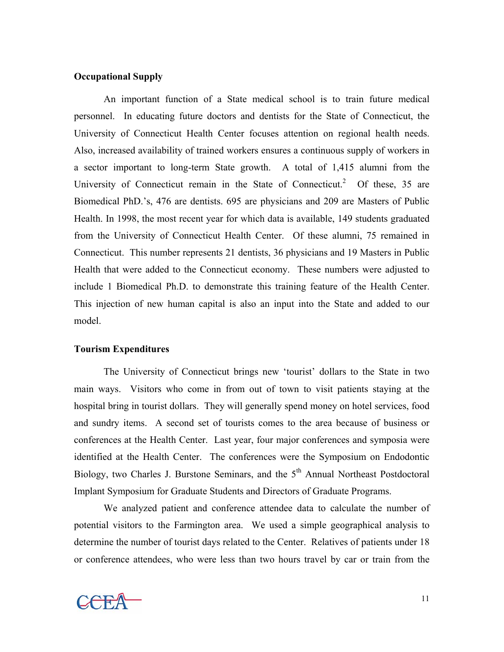#### **Occupational Supply**

An important function of a State medical school is to train future medical personnel. In educating future doctors and dentists for the State of Connecticut, the University of Connecticut Health Center focuses attention on regional health needs. Also, increased availability of trained workers ensures a continuous supply of workers in a sector important to long-term State growth. A total of 1,415 alumni from the University of Connecticut remain in the State of Connecticut.<sup>2</sup> Of these, 35 are Biomedical PhD.'s, 476 are dentists. 695 are physicians and 209 are Masters of Public Health. In 1998, the most recent year for which data is available, 149 students graduated from the University of Connecticut Health Center. Of these alumni, 75 remained in Connecticut. This number represents 21 dentists, 36 physicians and 19 Masters in Public Health that were added to the Connecticut economy. These numbers were adjusted to include 1 Biomedical Ph.D. to demonstrate this training feature of the Health Center. This injection of new human capital is also an input into the State and added to our model.

#### **Tourism Expenditures**

 The University of Connecticut brings new 'tourist' dollars to the State in two main ways. Visitors who come in from out of town to visit patients staying at the hospital bring in tourist dollars. They will generally spend money on hotel services, food and sundry items. A second set of tourists comes to the area because of business or conferences at the Health Center. Last year, four major conferences and symposia were identified at the Health Center. The conferences were the Symposium on Endodontic Biology, two Charles J. Burstone Seminars, and the 5<sup>th</sup> Annual Northeast Postdoctoral Implant Symposium for Graduate Students and Directors of Graduate Programs.

We analyzed patient and conference attendee data to calculate the number of potential visitors to the Farmington area. We used a simple geographical analysis to determine the number of tourist days related to the Center. Relatives of patients under 18 or conference attendees, who were less than two hours travel by car or train from the

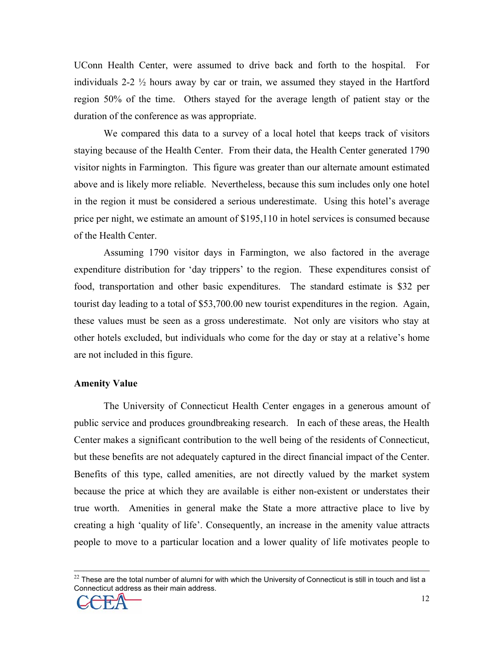UConn Health Center, were assumed to drive back and forth to the hospital. For individuals 2-2  $\frac{1}{2}$  hours away by car or train, we assumed they stayed in the Hartford region 50% of the time. Others stayed for the average length of patient stay or the duration of the conference as was appropriate.

We compared this data to a survey of a local hotel that keeps track of visitors staying because of the Health Center. From their data, the Health Center generated 1790 visitor nights in Farmington. This figure was greater than our alternate amount estimated above and is likely more reliable. Nevertheless, because this sum includes only one hotel in the region it must be considered a serious underestimate. Using this hotel's average price per night, we estimate an amount of \$195,110 in hotel services is consumed because of the Health Center.

Assuming 1790 visitor days in Farmington, we also factored in the average expenditure distribution for 'day trippers' to the region. These expenditures consist of food, transportation and other basic expenditures. The standard estimate is \$32 per tourist day leading to a total of \$53,700.00 new tourist expenditures in the region. Again, these values must be seen as a gross underestimate. Not only are visitors who stay at other hotels excluded, but individuals who come for the day or stay at a relative's home are not included in this figure.

#### **Amenity Value**

The University of Connecticut Health Center engages in a generous amount of public service and produces groundbreaking research. In each of these areas, the Health Center makes a significant contribution to the well being of the residents of Connecticut, but these benefits are not adequately captured in the direct financial impact of the Center. Benefits of this type, called amenities, are not directly valued by the market system because the price at which they are available is either non-existent or understates their true worth. Amenities in general make the State a more attractive place to live by creating a high 'quality of life'. Consequently, an increase in the amenity value attracts people to move to a particular location and a lower quality of life motivates people to

 $22$  These are the total number of alumni for with which the University of Connecticut is still in touch and list a Connecticut address as their main address.

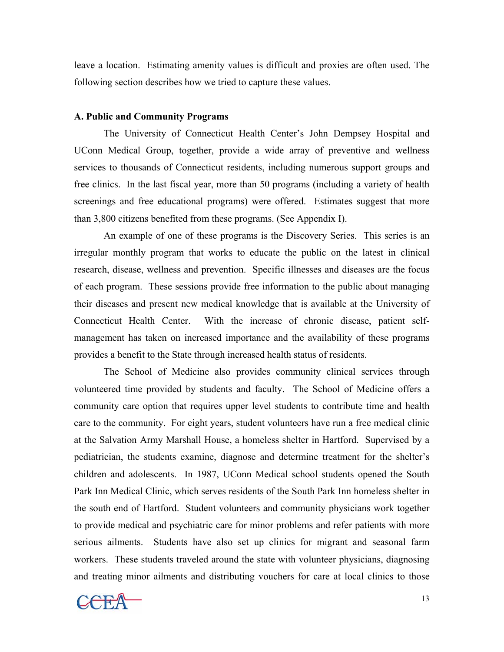leave a location. Estimating amenity values is difficult and proxies are often used. The following section describes how we tried to capture these values.

#### **A. Public and Community Programs**

The University of Connecticut Health Center's John Dempsey Hospital and UConn Medical Group, together, provide a wide array of preventive and wellness services to thousands of Connecticut residents, including numerous support groups and free clinics. In the last fiscal year, more than 50 programs (including a variety of health screenings and free educational programs) were offered. Estimates suggest that more than 3,800 citizens benefited from these programs. (See Appendix I).

An example of one of these programs is the Discovery Series. This series is an irregular monthly program that works to educate the public on the latest in clinical research, disease, wellness and prevention. Specific illnesses and diseases are the focus of each program. These sessions provide free information to the public about managing their diseases and present new medical knowledge that is available at the University of Connecticut Health Center. With the increase of chronic disease, patient selfmanagement has taken on increased importance and the availability of these programs provides a benefit to the State through increased health status of residents.

 The School of Medicine also provides community clinical services through volunteered time provided by students and faculty. The School of Medicine offers a community care option that requires upper level students to contribute time and health care to the community. For eight years, student volunteers have run a free medical clinic at the Salvation Army Marshall House, a homeless shelter in Hartford. Supervised by a pediatrician, the students examine, diagnose and determine treatment for the shelter's children and adolescents. In 1987, UConn Medical school students opened the South Park Inn Medical Clinic, which serves residents of the South Park Inn homeless shelter in the south end of Hartford. Student volunteers and community physicians work together to provide medical and psychiatric care for minor problems and refer patients with more serious ailments. Students have also set up clinics for migrant and seasonal farm workers. These students traveled around the state with volunteer physicians, diagnosing and treating minor ailments and distributing vouchers for care at local clinics to those

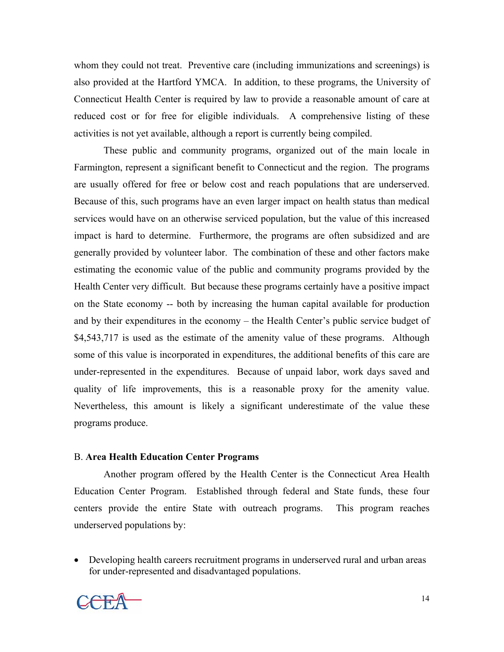whom they could not treat. Preventive care (including immunizations and screenings) is also provided at the Hartford YMCA. In addition, to these programs, the University of Connecticut Health Center is required by law to provide a reasonable amount of care at reduced cost or for free for eligible individuals. A comprehensive listing of these activities is not yet available, although a report is currently being compiled.

These public and community programs, organized out of the main locale in Farmington, represent a significant benefit to Connecticut and the region. The programs are usually offered for free or below cost and reach populations that are underserved. Because of this, such programs have an even larger impact on health status than medical services would have on an otherwise serviced population, but the value of this increased impact is hard to determine. Furthermore, the programs are often subsidized and are generally provided by volunteer labor. The combination of these and other factors make estimating the economic value of the public and community programs provided by the Health Center very difficult. But because these programs certainly have a positive impact on the State economy -- both by increasing the human capital available for production and by their expenditures in the economy – the Health Center's public service budget of \$4,543,717 is used as the estimate of the amenity value of these programs. Although some of this value is incorporated in expenditures, the additional benefits of this care are under-represented in the expenditures. Because of unpaid labor, work days saved and quality of life improvements, this is a reasonable proxy for the amenity value. Nevertheless, this amount is likely a significant underestimate of the value these programs produce.

#### B. **Area Health Education Center Programs**

Another program offered by the Health Center is the Connecticut Area Health Education Center Program. Established through federal and State funds, these four centers provide the entire State with outreach programs. This program reaches underserved populations by:

• Developing health careers recruitment programs in underserved rural and urban areas for under-represented and disadvantaged populations.

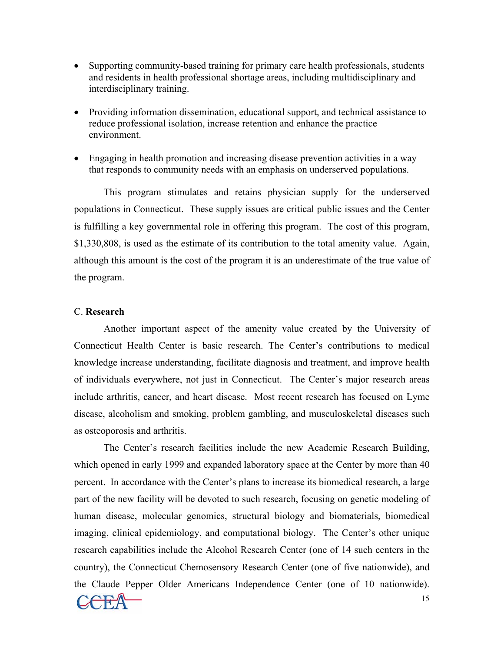- Supporting community-based training for primary care health professionals, students and residents in health professional shortage areas, including multidisciplinary and interdisciplinary training.
- Providing information dissemination, educational support, and technical assistance to reduce professional isolation, increase retention and enhance the practice environment.
- Engaging in health promotion and increasing disease prevention activities in a way that responds to community needs with an emphasis on underserved populations.

 This program stimulates and retains physician supply for the underserved populations in Connecticut. These supply issues are critical public issues and the Center is fulfilling a key governmental role in offering this program. The cost of this program, \$1,330,808, is used as the estimate of its contribution to the total amenity value. Again, although this amount is the cost of the program it is an underestimate of the true value of the program.

#### C. **Research**

 Another important aspect of the amenity value created by the University of Connecticut Health Center is basic research. The Center's contributions to medical knowledge increase understanding, facilitate diagnosis and treatment, and improve health of individuals everywhere, not just in Connecticut. The Center's major research areas include arthritis, cancer, and heart disease. Most recent research has focused on Lyme disease, alcoholism and smoking, problem gambling, and musculoskeletal diseases such as osteoporosis and arthritis.

 The Center's research facilities include the new Academic Research Building, which opened in early 1999 and expanded laboratory space at the Center by more than 40 percent. In accordance with the Center's plans to increase its biomedical research, a large part of the new facility will be devoted to such research, focusing on genetic modeling of human disease, molecular genomics, structural biology and biomaterials, biomedical imaging, clinical epidemiology, and computational biology. The Center's other unique research capabilities include the Alcohol Research Center (one of 14 such centers in the country), the Connecticut Chemosensory Research Center (one of five nationwide), and the Claude Pepper Older Americans Independence Center (one of 10 nationwide).

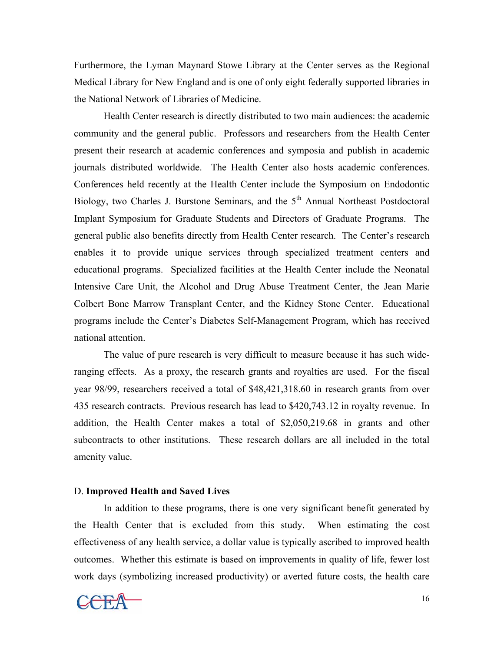Furthermore, the Lyman Maynard Stowe Library at the Center serves as the Regional Medical Library for New England and is one of only eight federally supported libraries in the National Network of Libraries of Medicine.

 Health Center research is directly distributed to two main audiences: the academic community and the general public. Professors and researchers from the Health Center present their research at academic conferences and symposia and publish in academic journals distributed worldwide. The Health Center also hosts academic conferences. Conferences held recently at the Health Center include the Symposium on Endodontic Biology, two Charles J. Burstone Seminars, and the 5<sup>th</sup> Annual Northeast Postdoctoral Implant Symposium for Graduate Students and Directors of Graduate Programs. The general public also benefits directly from Health Center research. The Center's research enables it to provide unique services through specialized treatment centers and educational programs. Specialized facilities at the Health Center include the Neonatal Intensive Care Unit, the Alcohol and Drug Abuse Treatment Center, the Jean Marie Colbert Bone Marrow Transplant Center, and the Kidney Stone Center. Educational programs include the Center's Diabetes Self-Management Program, which has received national attention.

The value of pure research is very difficult to measure because it has such wideranging effects. As a proxy, the research grants and royalties are used. For the fiscal year 98/99, researchers received a total of \$48,421,318.60 in research grants from over 435 research contracts. Previous research has lead to \$420,743.12 in royalty revenue. In addition, the Health Center makes a total of \$2,050,219.68 in grants and other subcontracts to other institutions. These research dollars are all included in the total amenity value.

#### D. **Improved Health and Saved Lives**

 In addition to these programs, there is one very significant benefit generated by the Health Center that is excluded from this study. When estimating the cost effectiveness of any health service, a dollar value is typically ascribed to improved health outcomes. Whether this estimate is based on improvements in quality of life, fewer lost work days (symbolizing increased productivity) or averted future costs, the health care

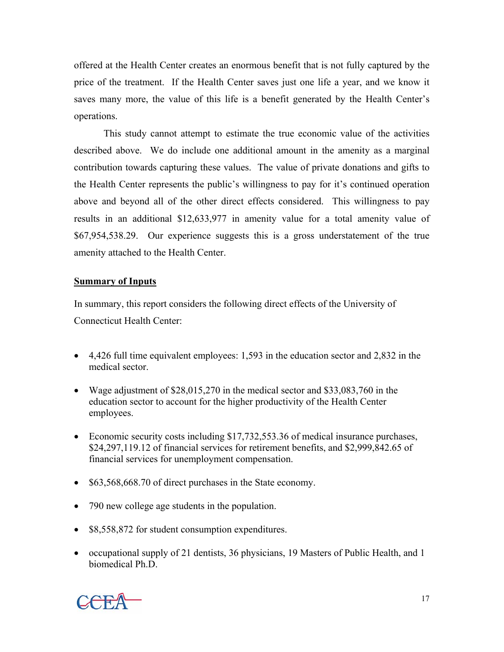offered at the Health Center creates an enormous benefit that is not fully captured by the price of the treatment. If the Health Center saves just one life a year, and we know it saves many more, the value of this life is a benefit generated by the Health Center's operations.

 This study cannot attempt to estimate the true economic value of the activities described above. We do include one additional amount in the amenity as a marginal contribution towards capturing these values. The value of private donations and gifts to the Health Center represents the public's willingness to pay for it's continued operation above and beyond all of the other direct effects considered. This willingness to pay results in an additional \$12,633,977 in amenity value for a total amenity value of \$67,954,538.29. Our experience suggests this is a gross understatement of the true amenity attached to the Health Center.

## **Summary of Inputs**

In summary, this report considers the following direct effects of the University of Connecticut Health Center:

- 4,426 full time equivalent employees: 1,593 in the education sector and 2,832 in the medical sector.
- Wage adjustment of \$28,015,270 in the medical sector and \$33,083,760 in the education sector to account for the higher productivity of the Health Center employees.
- Economic security costs including \$17,732,553.36 of medical insurance purchases, \$24,297,119.12 of financial services for retirement benefits, and \$2,999,842.65 of financial services for unemployment compensation.
- \$63,568,668.70 of direct purchases in the State economy.
- 790 new college age students in the population.
- \$8,558,872 for student consumption expenditures.
- occupational supply of 21 dentists, 36 physicians, 19 Masters of Public Health, and 1 biomedical Ph.D.

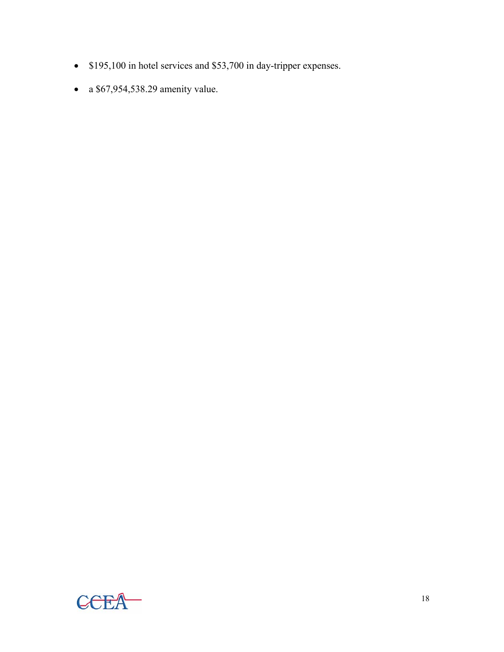- \$195,100 in hotel services and \$53,700 in day-tripper expenses.
- a \$67,954,538.29 amenity value.

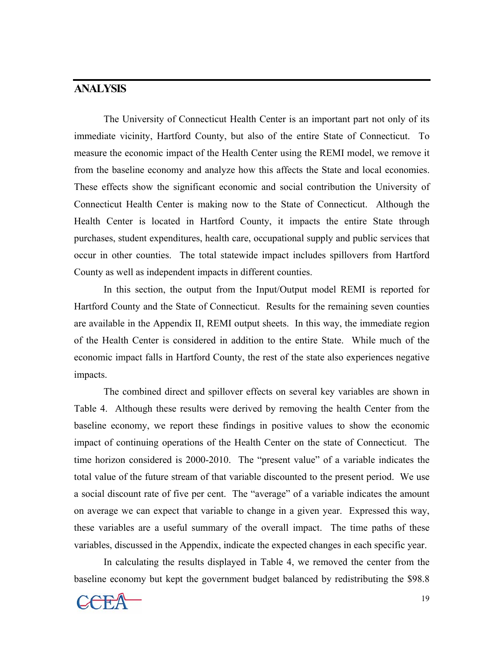## **ANALYSIS**

 The University of Connecticut Health Center is an important part not only of its immediate vicinity, Hartford County, but also of the entire State of Connecticut. To measure the economic impact of the Health Center using the REMI model, we remove it from the baseline economy and analyze how this affects the State and local economies. These effects show the significant economic and social contribution the University of Connecticut Health Center is making now to the State of Connecticut. Although the Health Center is located in Hartford County, it impacts the entire State through purchases, student expenditures, health care, occupational supply and public services that occur in other counties. The total statewide impact includes spillovers from Hartford County as well as independent impacts in different counties.

 In this section, the output from the Input/Output model REMI is reported for Hartford County and the State of Connecticut. Results for the remaining seven counties are available in the Appendix II, REMI output sheets. In this way, the immediate region of the Health Center is considered in addition to the entire State. While much of the economic impact falls in Hartford County, the rest of the state also experiences negative impacts.

The combined direct and spillover effects on several key variables are shown in Table 4. Although these results were derived by removing the health Center from the baseline economy, we report these findings in positive values to show the economic impact of continuing operations of the Health Center on the state of Connecticut. The time horizon considered is 2000-2010. The "present value" of a variable indicates the total value of the future stream of that variable discounted to the present period. We use a social discount rate of five per cent. The "average" of a variable indicates the amount on average we can expect that variable to change in a given year. Expressed this way, these variables are a useful summary of the overall impact. The time paths of these variables, discussed in the Appendix, indicate the expected changes in each specific year.

In calculating the results displayed in Table 4, we removed the center from the baseline economy but kept the government budget balanced by redistributing the \$98.8

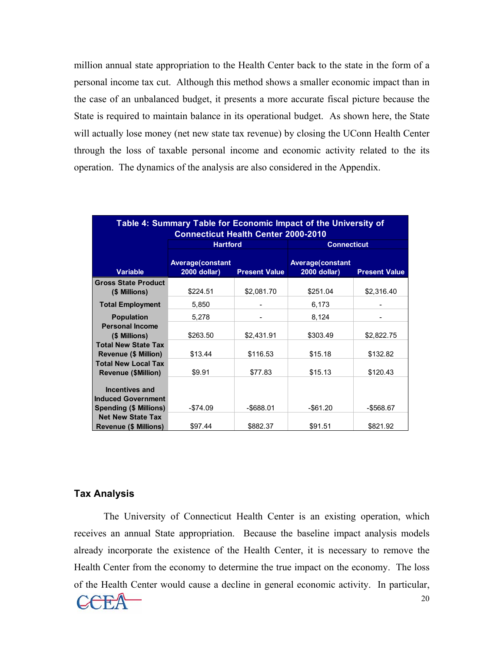million annual state appropriation to the Health Center back to the state in the form of a personal income tax cut. Although this method shows a smaller economic impact than in the case of an unbalanced budget, it presents a more accurate fiscal picture because the State is required to maintain balance in its operational budget. As shown here, the State will actually lose money (net new state tax revenue) by closing the UConn Health Center through the loss of taxable personal income and economic activity related to the its operation. The dynamics of the analysis are also considered in the Appendix.

| Table 4: Summary Table for Economic Impact of the University of<br><b>Connecticut Health Center 2000-2010</b> |                                         |                      |                                         |                      |  |  |  |
|---------------------------------------------------------------------------------------------------------------|-----------------------------------------|----------------------|-----------------------------------------|----------------------|--|--|--|
|                                                                                                               | <b>Hartford</b>                         |                      | <b>Connecticut</b>                      |                      |  |  |  |
| <b>Variable</b>                                                                                               | <b>Average(constant</b><br>2000 dollar) | <b>Present Value</b> | <b>Average(constant</b><br>2000 dollar) | <b>Present Value</b> |  |  |  |
| <b>Gross State Product</b><br>(\$ Millions)                                                                   | \$224.51                                | \$2,081.70           | \$251.04                                | \$2,316.40           |  |  |  |
| <b>Total Employment</b>                                                                                       | 5,850                                   |                      | 6,173                                   |                      |  |  |  |
| <b>Population</b>                                                                                             | 5,278                                   |                      | 8,124                                   |                      |  |  |  |
| <b>Personal Income</b><br>(\$ Millions)                                                                       | \$263.50                                | \$2,431.91           | \$303.49                                | \$2,822.75           |  |  |  |
| <b>Total New State Tax</b><br><b>Revenue (\$ Million)</b>                                                     | \$13.44                                 | \$116.53             | \$15.18                                 | \$132.82             |  |  |  |
| <b>Total New Local Tax</b><br><b>Revenue (\$Million)</b>                                                      | \$9.91                                  | \$77.83              | \$15.13                                 | \$120.43             |  |  |  |
| <b>Incentives and</b><br><b>Induced Government</b><br><b>Spending (\$ Millions)</b>                           | $-$74.09$                               | -\$688.01            | -\$61.20                                | $-$ \$568.67         |  |  |  |
| <b>Net New State Tax</b><br><b>Revenue (\$ Millions)</b>                                                      | \$97.44                                 | \$882.37             | \$91.51                                 | \$821.92             |  |  |  |

#### **Tax Analysis**

The University of Connecticut Health Center is an existing operation, which receives an annual State appropriation. Because the baseline impact analysis models already incorporate the existence of the Health Center, it is necessary to remove the Health Center from the economy to determine the true impact on the economy. The loss of the Health Center would cause a decline in general economic activity. In particular,

$$
\mathbf{CCEA} \qquad \qquad ^{20}
$$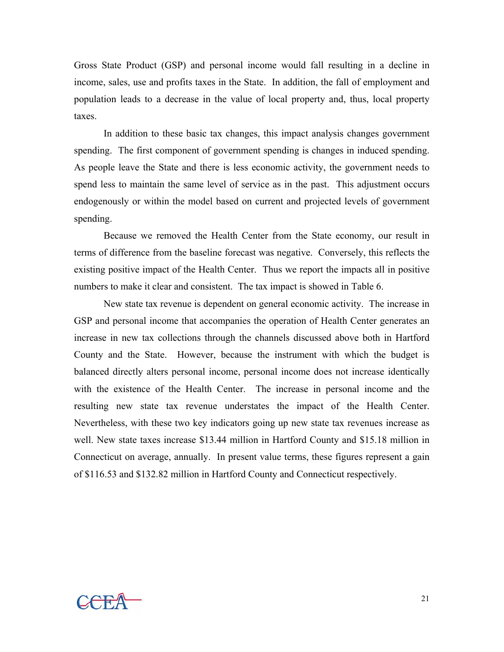Gross State Product (GSP) and personal income would fall resulting in a decline in income, sales, use and profits taxes in the State. In addition, the fall of employment and population leads to a decrease in the value of local property and, thus, local property taxes.

In addition to these basic tax changes, this impact analysis changes government spending. The first component of government spending is changes in induced spending. As people leave the State and there is less economic activity, the government needs to spend less to maintain the same level of service as in the past. This adjustment occurs endogenously or within the model based on current and projected levels of government spending.

Because we removed the Health Center from the State economy, our result in terms of difference from the baseline forecast was negative. Conversely, this reflects the existing positive impact of the Health Center. Thus we report the impacts all in positive numbers to make it clear and consistent. The tax impact is showed in Table 6.

New state tax revenue is dependent on general economic activity. The increase in GSP and personal income that accompanies the operation of Health Center generates an increase in new tax collections through the channels discussed above both in Hartford County and the State. However, because the instrument with which the budget is balanced directly alters personal income, personal income does not increase identically with the existence of the Health Center. The increase in personal income and the resulting new state tax revenue understates the impact of the Health Center. Nevertheless, with these two key indicators going up new state tax revenues increase as well. New state taxes increase \$13.44 million in Hartford County and \$15.18 million in Connecticut on average, annually. In present value terms, these figures represent a gain of \$116.53 and \$132.82 million in Hartford County and Connecticut respectively.

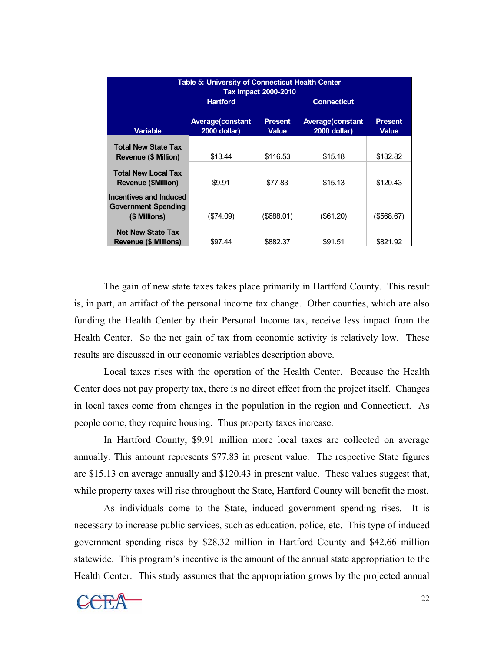| <b>Table 5: University of Connecticut Health Center</b><br><b>Tax Impact 2000-2010</b> |                                          |                         |                                                |                                |  |  |  |
|----------------------------------------------------------------------------------------|------------------------------------------|-------------------------|------------------------------------------------|--------------------------------|--|--|--|
|                                                                                        | <b>Hartford</b>                          |                         | <b>Connecticut</b>                             |                                |  |  |  |
| <b>Variable</b>                                                                        | <b>Average (constant</b><br>2000 dollar) | <b>Present</b><br>Value | <b>Average constant</b><br><b>2000 dollar)</b> | <b>Present</b><br><b>Value</b> |  |  |  |
| <b>Total New State Tax</b><br><b>Revenue (\$ Million)</b>                              | \$13.44                                  | \$116.53                | \$15.18                                        | \$132.82                       |  |  |  |
| <b>Total New Local Tax</b><br><b>Revenue (\$Million)</b>                               | \$9.91                                   | \$77.83                 | \$15.13                                        | \$120.43                       |  |  |  |
| Incentives and Induced<br><b>Government Spending</b><br>(\$ Millions)                  | (\$74.09)                                | $($ \$688.01)           | $($ \$61.20)                                   | $($ \$568.67)                  |  |  |  |
| <b>Net New State Tax</b><br><b>Revenue (\$ Millions)</b>                               | \$97.44                                  | \$882.37                | \$91.51                                        | \$821.92                       |  |  |  |

The gain of new state taxes takes place primarily in Hartford County. This result is, in part, an artifact of the personal income tax change. Other counties, which are also funding the Health Center by their Personal Income tax, receive less impact from the Health Center. So the net gain of tax from economic activity is relatively low. These results are discussed in our economic variables description above.

Local taxes rises with the operation of the Health Center. Because the Health Center does not pay property tax, there is no direct effect from the project itself. Changes in local taxes come from changes in the population in the region and Connecticut. As people come, they require housing. Thus property taxes increase.

In Hartford County, \$9.91 million more local taxes are collected on average annually. This amount represents \$77.83 in present value. The respective State figures are \$15.13 on average annually and \$120.43 in present value. These values suggest that, while property taxes will rise throughout the State, Hartford County will benefit the most.

As individuals come to the State, induced government spending rises. It is necessary to increase public services, such as education, police, etc. This type of induced government spending rises by \$28.32 million in Hartford County and \$42.66 million statewide. This program's incentive is the amount of the annual state appropriation to the Health Center. This study assumes that the appropriation grows by the projected annual

 $22$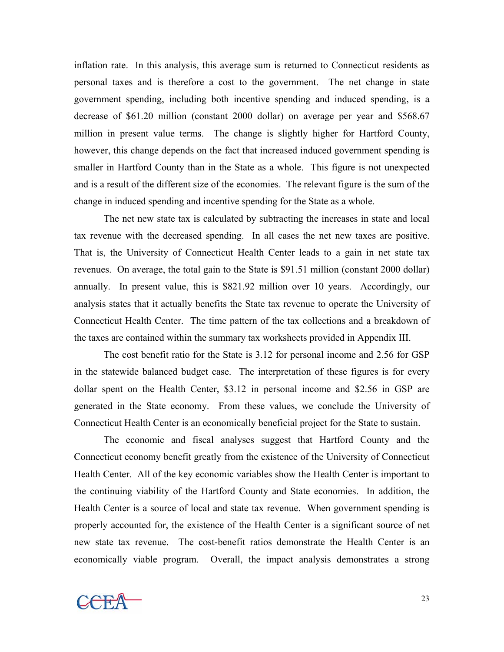inflation rate. In this analysis, this average sum is returned to Connecticut residents as personal taxes and is therefore a cost to the government. The net change in state government spending, including both incentive spending and induced spending, is a decrease of \$61.20 million (constant 2000 dollar) on average per year and \$568.67 million in present value terms. The change is slightly higher for Hartford County, however, this change depends on the fact that increased induced government spending is smaller in Hartford County than in the State as a whole. This figure is not unexpected and is a result of the different size of the economies. The relevant figure is the sum of the change in induced spending and incentive spending for the State as a whole.

 The net new state tax is calculated by subtracting the increases in state and local tax revenue with the decreased spending. In all cases the net new taxes are positive. That is, the University of Connecticut Health Center leads to a gain in net state tax revenues. On average, the total gain to the State is \$91.51 million (constant 2000 dollar) annually. In present value, this is \$821.92 million over 10 years. Accordingly, our analysis states that it actually benefits the State tax revenue to operate the University of Connecticut Health Center. The time pattern of the tax collections and a breakdown of the taxes are contained within the summary tax worksheets provided in Appendix III.

 The cost benefit ratio for the State is 3.12 for personal income and 2.56 for GSP in the statewide balanced budget case. The interpretation of these figures is for every dollar spent on the Health Center, \$3.12 in personal income and \$2.56 in GSP are generated in the State economy. From these values, we conclude the University of Connecticut Health Center is an economically beneficial project for the State to sustain.

The economic and fiscal analyses suggest that Hartford County and the Connecticut economy benefit greatly from the existence of the University of Connecticut Health Center. All of the key economic variables show the Health Center is important to the continuing viability of the Hartford County and State economies. In addition, the Health Center is a source of local and state tax revenue. When government spending is properly accounted for, the existence of the Health Center is a significant source of net new state tax revenue. The cost-benefit ratios demonstrate the Health Center is an economically viable program. Overall, the impact analysis demonstrates a strong

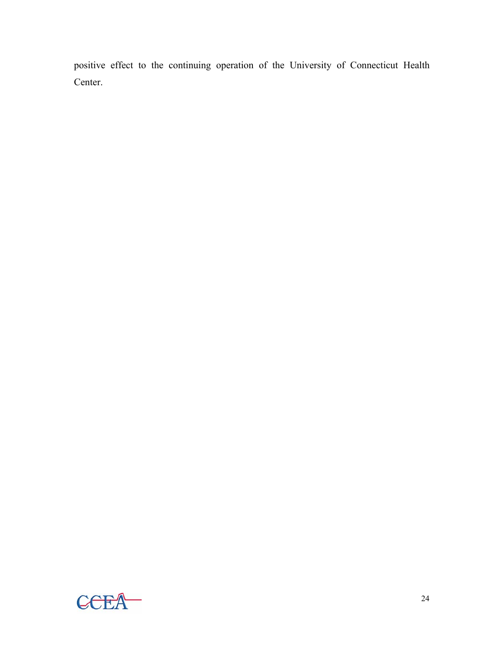positive effect to the continuing operation of the University of Connecticut Health Center.

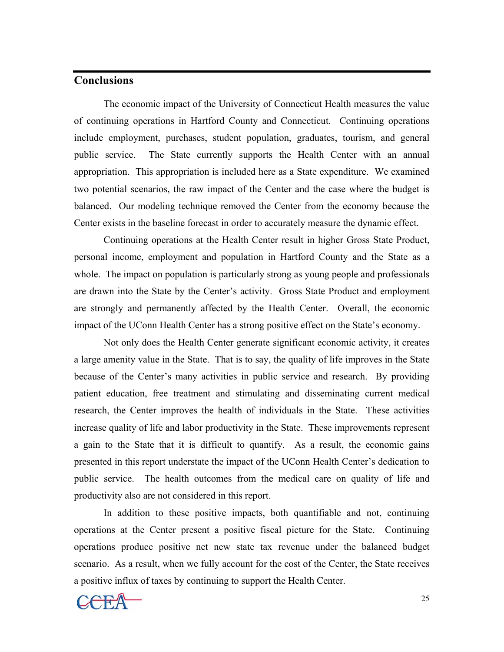## **Conclusions**

 The economic impact of the University of Connecticut Health measures the value of continuing operations in Hartford County and Connecticut. Continuing operations include employment, purchases, student population, graduates, tourism, and general public service. The State currently supports the Health Center with an annual appropriation. This appropriation is included here as a State expenditure. We examined two potential scenarios, the raw impact of the Center and the case where the budget is balanced. Our modeling technique removed the Center from the economy because the Center exists in the baseline forecast in order to accurately measure the dynamic effect.

 Continuing operations at the Health Center result in higher Gross State Product, personal income, employment and population in Hartford County and the State as a whole. The impact on population is particularly strong as young people and professionals are drawn into the State by the Center's activity. Gross State Product and employment are strongly and permanently affected by the Health Center. Overall, the economic impact of the UConn Health Center has a strong positive effect on the State's economy.

Not only does the Health Center generate significant economic activity, it creates a large amenity value in the State. That is to say, the quality of life improves in the State because of the Center's many activities in public service and research. By providing patient education, free treatment and stimulating and disseminating current medical research, the Center improves the health of individuals in the State. These activities increase quality of life and labor productivity in the State. These improvements represent a gain to the State that it is difficult to quantify. As a result, the economic gains presented in this report understate the impact of the UConn Health Center's dedication to public service. The health outcomes from the medical care on quality of life and productivity also are not considered in this report.

 In addition to these positive impacts, both quantifiable and not, continuing operations at the Center present a positive fiscal picture for the State. Continuing operations produce positive net new state tax revenue under the balanced budget scenario. As a result, when we fully account for the cost of the Center, the State receives a positive influx of taxes by continuing to support the Health Center.

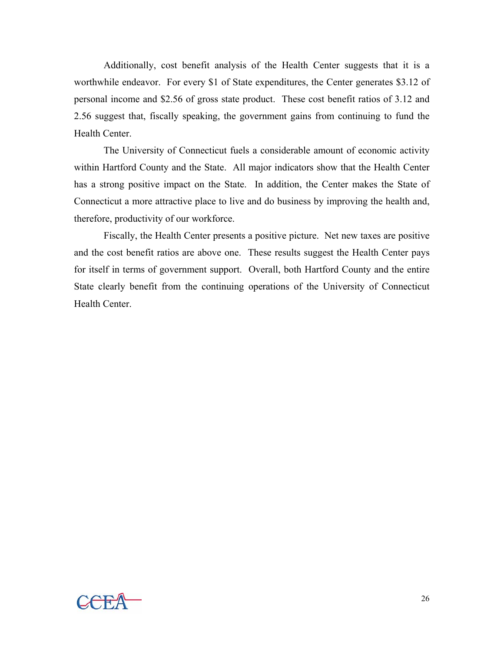Additionally, cost benefit analysis of the Health Center suggests that it is a worthwhile endeavor. For every \$1 of State expenditures, the Center generates \$3.12 of personal income and \$2.56 of gross state product. These cost benefit ratios of 3.12 and 2.56 suggest that, fiscally speaking, the government gains from continuing to fund the Health Center.

 The University of Connecticut fuels a considerable amount of economic activity within Hartford County and the State. All major indicators show that the Health Center has a strong positive impact on the State. In addition, the Center makes the State of Connecticut a more attractive place to live and do business by improving the health and, therefore, productivity of our workforce.

Fiscally, the Health Center presents a positive picture. Net new taxes are positive and the cost benefit ratios are above one. These results suggest the Health Center pays for itself in terms of government support. Overall, both Hartford County and the entire State clearly benefit from the continuing operations of the University of Connecticut Health Center.

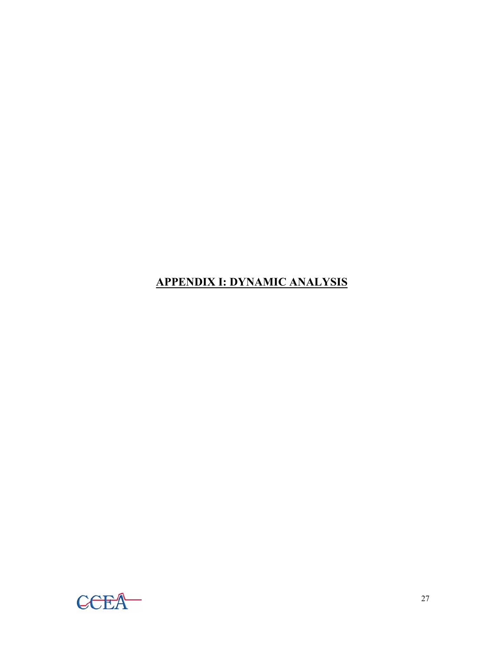# **APPENDIX I: DYNAMIC ANALYSIS**

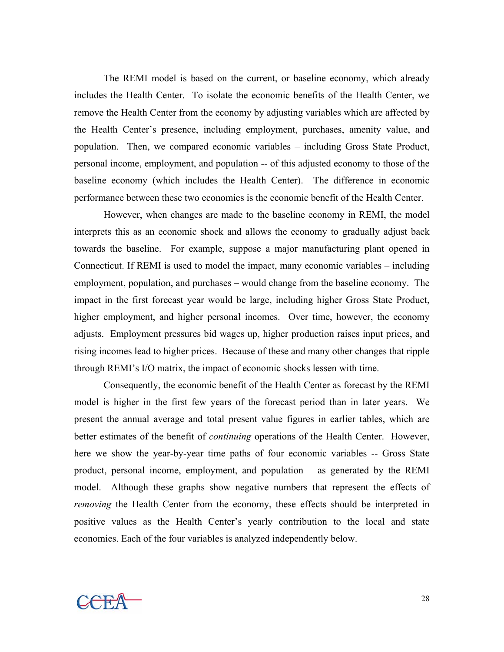The REMI model is based on the current, or baseline economy, which already includes the Health Center. To isolate the economic benefits of the Health Center, we remove the Health Center from the economy by adjusting variables which are affected by the Health Center's presence, including employment, purchases, amenity value, and population. Then, we compared economic variables – including Gross State Product, personal income, employment, and population -- of this adjusted economy to those of the baseline economy (which includes the Health Center). The difference in economic performance between these two economies is the economic benefit of the Health Center.

However, when changes are made to the baseline economy in REMI, the model interprets this as an economic shock and allows the economy to gradually adjust back towards the baseline. For example, suppose a major manufacturing plant opened in Connecticut. If REMI is used to model the impact, many economic variables – including employment, population, and purchases – would change from the baseline economy. The impact in the first forecast year would be large, including higher Gross State Product, higher employment, and higher personal incomes. Over time, however, the economy adjusts. Employment pressures bid wages up, higher production raises input prices, and rising incomes lead to higher prices. Because of these and many other changes that ripple through REMI's I/O matrix, the impact of economic shocks lessen with time.

Consequently, the economic benefit of the Health Center as forecast by the REMI model is higher in the first few years of the forecast period than in later years. We present the annual average and total present value figures in earlier tables, which are better estimates of the benefit of *continuing* operations of the Health Center. However, here we show the year-by-year time paths of four economic variables -- Gross State product, personal income, employment, and population – as generated by the REMI model. Although these graphs show negative numbers that represent the effects of *removing* the Health Center from the economy, these effects should be interpreted in positive values as the Health Center's yearly contribution to the local and state economies. Each of the four variables is analyzed independently below.

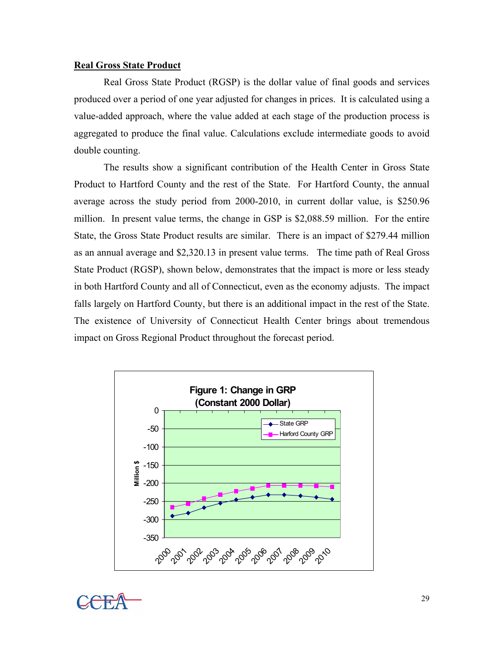#### **Real Gross State Product**

 Real Gross State Product (RGSP) is the dollar value of final goods and services produced over a period of one year adjusted for changes in prices. It is calculated using a value-added approach, where the value added at each stage of the production process is aggregated to produce the final value. Calculations exclude intermediate goods to avoid double counting.

The results show a significant contribution of the Health Center in Gross State Product to Hartford County and the rest of the State. For Hartford County, the annual average across the study period from 2000-2010, in current dollar value, is \$250.96 million. In present value terms, the change in GSP is \$2,088.59 million. For the entire State, the Gross State Product results are similar. There is an impact of \$279.44 million as an annual average and \$2,320.13 in present value terms. The time path of Real Gross State Product (RGSP), shown below, demonstrates that the impact is more or less steady in both Hartford County and all of Connecticut, even as the economy adjusts. The impact falls largely on Hartford County, but there is an additional impact in the rest of the State. The existence of University of Connecticut Health Center brings about tremendous impact on Gross Regional Product throughout the forecast period.



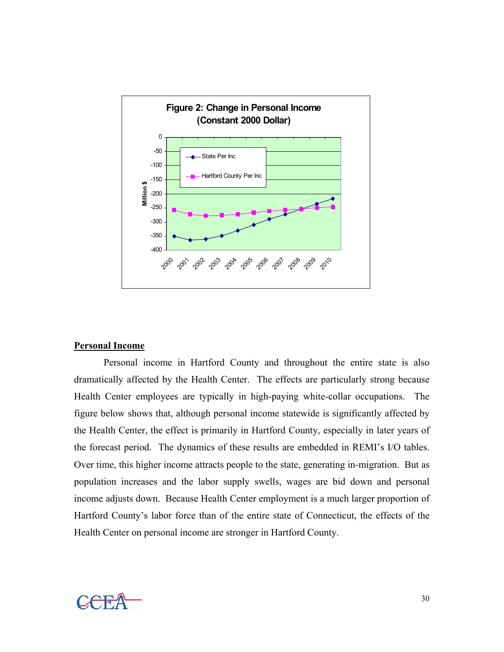

## **Personal Income**

Personal income in Hartford County and throughout the entire state is also dramatically affected by the Health Center. The effects are particularly strong because Health Center employees are typically in high-paying white-collar occupations. The figure below shows that, although personal income statewide is significantly affected by the Health Center, the effect is primarily in Hartford County, especially in later years of the forecast period. The dynamics of these results are embedded in REMI's I/O tables. Over time, this higher income attracts people to the state, generating in-migration. But as population increases and the labor supply swells, wages are bid down and personal income adjusts down. Because Health Center employment is a much larger proportion of Hartford County's labor force than of the entire state of Connecticut, the effects of the Health Center on personal income are stronger in Hartford County.

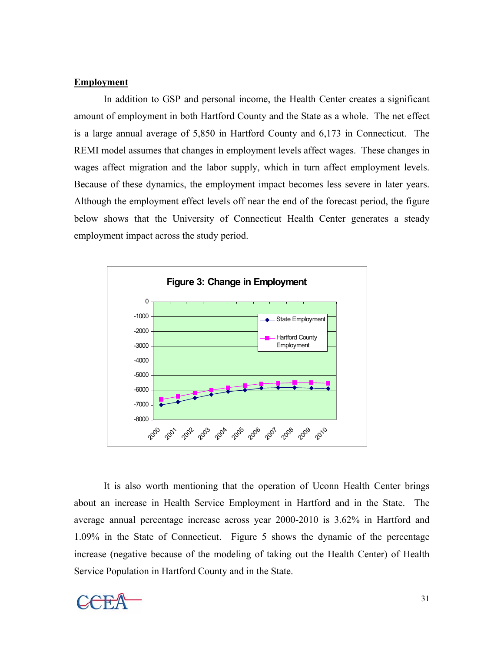### **Employment**

In addition to GSP and personal income, the Health Center creates a significant amount of employment in both Hartford County and the State as a whole. The net effect is a large annual average of 5,850 in Hartford County and 6,173 in Connecticut. The REMI model assumes that changes in employment levels affect wages. These changes in wages affect migration and the labor supply, which in turn affect employment levels. Because of these dynamics, the employment impact becomes less severe in later years. Although the employment effect levels off near the end of the forecast period, the figure below shows that the University of Connecticut Health Center generates a steady employment impact across the study period.



 It is also worth mentioning that the operation of Uconn Health Center brings about an increase in Health Service Employment in Hartford and in the State. The average annual percentage increase across year 2000-2010 is 3.62% in Hartford and 1.09% in the State of Connecticut. Figure 5 shows the dynamic of the percentage increase (negative because of the modeling of taking out the Health Center) of Health Service Population in Hartford County and in the State.

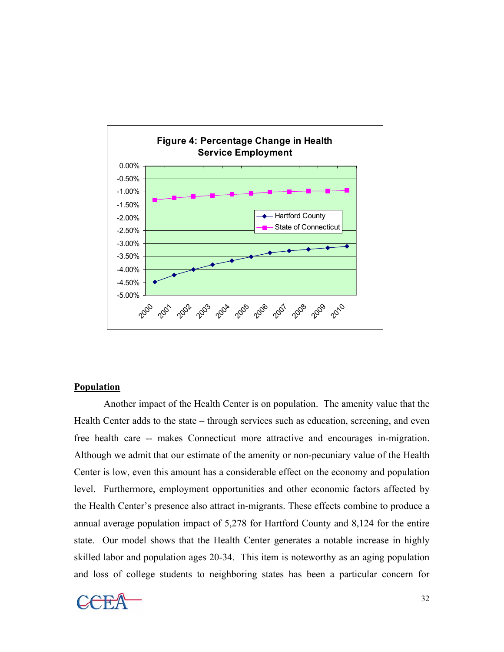

#### **Population**

Another impact of the Health Center is on population. The amenity value that the Health Center adds to the state – through services such as education, screening, and even free health care -- makes Connecticut more attractive and encourages in-migration. Although we admit that our estimate of the amenity or non-pecuniary value of the Health Center is low, even this amount has a considerable effect on the economy and population level. Furthermore, employment opportunities and other economic factors affected by the Health Center's presence also attract in-migrants. These effects combine to produce a annual average population impact of 5,278 for Hartford County and 8,124 for the entire state. Our model shows that the Health Center generates a notable increase in highly skilled labor and population ages 20-34. This item is noteworthy as an aging population and loss of college students to neighboring states has been a particular concern for

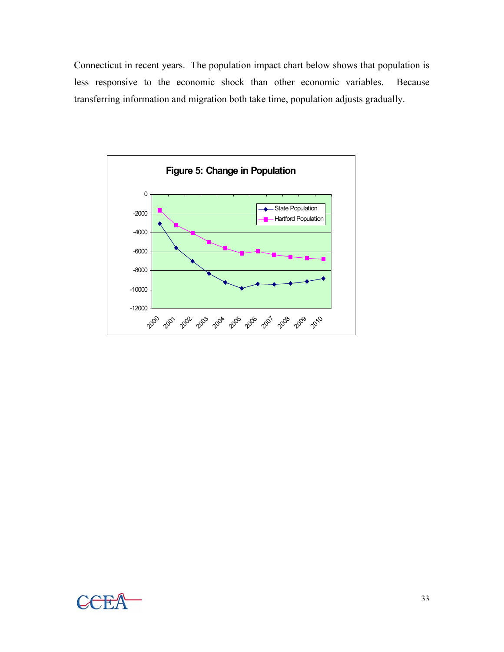Connecticut in recent years. The population impact chart below shows that population is less responsive to the economic shock than other economic variables. Because transferring information and migration both take time, population adjusts gradually.



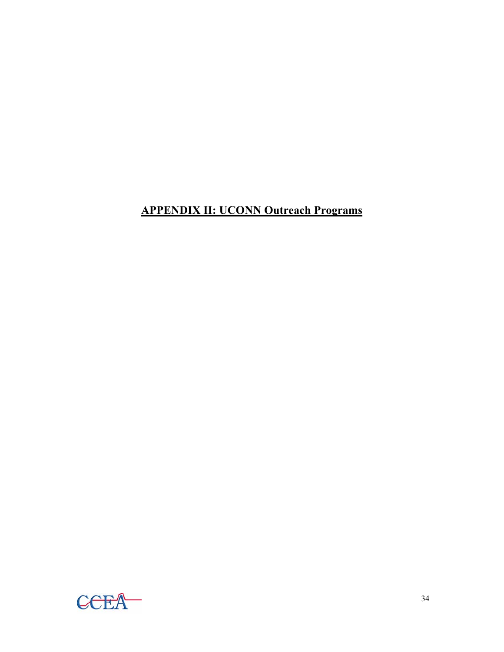# **APPENDIX II: UCONN Outreach Programs**

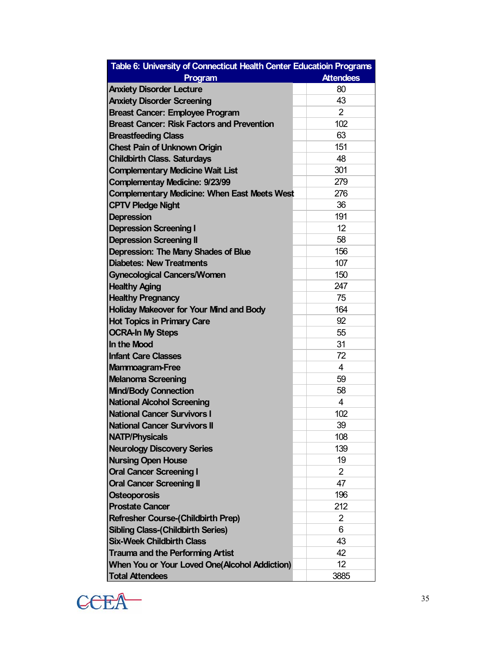| Table 6: University of Connecticut Health Center Educatioin Programs |                  |
|----------------------------------------------------------------------|------------------|
| Program                                                              | <b>Attendees</b> |
| <b>Anxiety Disorder Lecture</b>                                      | 80               |
| <b>Anxiety Disorder Screening</b>                                    | 43               |
| <b>Breast Cancer: Employee Program</b>                               | $\overline{2}$   |
| <b>Breast Cancer: Risk Factors and Prevention</b>                    | 102              |
| <b>Breastfeeding Class</b>                                           | 63               |
| <b>Chest Pain of Unknown Origin</b>                                  | 151              |
| <b>Childbirth Class. Saturdays</b>                                   | 48               |
| <b>Complementary Medicine Wait List</b>                              | 301              |
| <b>Complementay Medicine: 9/23/99</b>                                | 279              |
| <b>Complementary Medicine: When East Meets West</b>                  | 276              |
| <b>CPTV Pledge Night</b>                                             | 36               |
| <b>Depression</b>                                                    | 191              |
| <b>Depression Screening I</b>                                        | 12               |
| <b>Depression Screening II</b>                                       | 58               |
| Depression: The Many Shades of Blue                                  | 156              |
| Diabetes: New Treatments                                             | 107              |
| <b>Gynecological Cancers/Women</b>                                   | 150              |
| <b>Healthy Aging</b>                                                 | 247              |
| <b>Healthy Pregnancy</b>                                             | 75               |
| <b>Holiday Makeover for Your Mind and Body</b>                       | 164              |
| <b>Hot Topics in Primary Care</b>                                    | 92               |
| <b>OCRA-In My Steps</b>                                              | 55               |
| In the Mood                                                          | 31               |
| <b>Infant Care Classes</b>                                           | 72               |
| <b>Mammoagram-Free</b>                                               | 4                |
| <b>Melanoma Screening</b>                                            | 59               |
| <b>Mind/Body Connection</b>                                          | 58               |
| National Alcohol Screening                                           | 4                |
| National Cancer Survivors I                                          | 102              |
| <b>National Cancer Survivors II</b>                                  | 39               |
| <b>NATP/Physicals</b>                                                | 108              |
| <b>Neurology Discovery Series</b>                                    | 139              |
| <b>Nursing Open House</b>                                            | 19               |
| <b>Oral Cancer Screening I</b>                                       | 2                |
| <b>Oral Cancer Screening II</b>                                      | 47               |
| <b>Osteoporosis</b>                                                  | 196              |
| <b>Prostate Cancer</b>                                               | 212              |
| <b>Refresher Course-(Childbirth Prep)</b>                            | $\overline{2}$   |
| <b>Sibling Class-(Childbirth Series)</b>                             | 6                |
| <b>Six-Week Childbirth Class</b>                                     | 43               |
| <b>Trauma and the Performing Artist</b>                              | 42               |
| <b>When You or Your Loved One(Alcohol Addiction)</b>                 | 12               |
| <b>Total Attendees</b>                                               | 3885             |

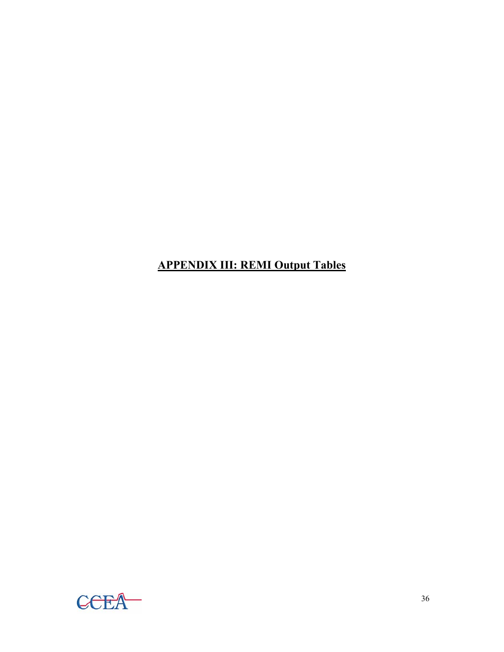# **APPENDIX III: REMI Output Tables**

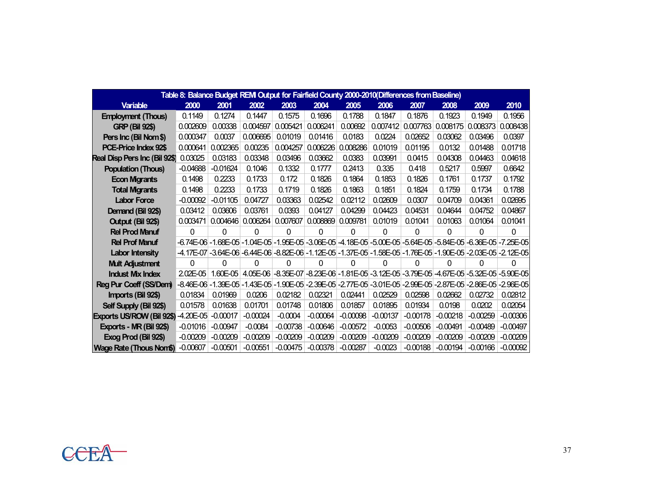| Table 8: Balance Budget REM Output for Fairfield County 2000-2010(Differences from Baseline) |                            |            |                                                                                                               |            |            |            |            |            |            |            |            |  |  |
|----------------------------------------------------------------------------------------------|----------------------------|------------|---------------------------------------------------------------------------------------------------------------|------------|------------|------------|------------|------------|------------|------------|------------|--|--|
| <b>Variable</b>                                                                              | 2000                       | 2001       | 2002                                                                                                          | 2003       | 2004       | 2005       | 2006       | 2007       | 2008       | 2009       | 2010       |  |  |
| <b>Employment (Thous)</b>                                                                    | 0.1149                     | 0.1274     | 0.1447                                                                                                        | 0.1575     | 0.1696     | 0.1788     | 0.1847     | 0.1876     | 0.1923     | 0.1949     | 0.1956     |  |  |
| <b>GRP (Bil 92\$)</b>                                                                        | 0.002609                   | 0.00338    | 0.004597                                                                                                      | 0.005421   | 0.006241   | 0.00692    | 0.007412   | 0.007763   | 0.008175   | 0.008373   | 0.008438   |  |  |
| Pers Inc (Bil Nom \$)                                                                        | 0.000347                   | 0.0037     | 0.006695                                                                                                      | 0.01019    | 0.01416    | 0.0183     | 0.0224     | 0.02652    | 0.03062    | 0.03496    | 0.0397     |  |  |
| <b>PCE-Price Index 92\$</b>                                                                  | 0.000641                   | 0.002365   | 0.00235                                                                                                       | 0.004257   | 0.006226   | 0.008286   | 0.01019    | 0.01195    | 0.0132     | 0.01488    | 0.01718    |  |  |
| <b>Real Disp Pers Inc (Bil 92\$)</b>                                                         | 0.03025                    | 0.03183    | 0.03348                                                                                                       | 0.03496    | 0.03662    | 0.0383     | 0.03991    | 0.0415     | 0.04308    | 0.04463    | 0.04618    |  |  |
| <b>Population (Thous)</b>                                                                    | $-0.04688$                 | $-0.01624$ | 0.1046                                                                                                        | 0.1332     | 0.1777     | 0.2413     | 0.335      | 0.418      | 0.5217     | 0.5997     | 0.6642     |  |  |
| <b>Econ Migrants</b>                                                                         | 0.1498                     | 0.2233     | 0.1733                                                                                                        | 0.172      | 0.1826     | 0.1864     | 0.1853     | 0.1826     | 0.1761     | 0.1737     | 0.1792     |  |  |
| <b>Total Migrants</b>                                                                        | 0.1498                     | 0.2233     | 0.1733                                                                                                        | 0.1719     | 0.1826     | 0.1863     | 0.1851     | 0.1824     | 0.1759     | 0.1734     | 0.1788     |  |  |
| <b>Labor Force</b>                                                                           | $-0.00092$                 | $-0.01105$ | 0.04727                                                                                                       | 0.03363    | 0.02542    | 0.02112    | 0.02609    | 0.0307     | 0.04709    | 0.04361    | 0.02695    |  |  |
| Demand (Bil 92\$)                                                                            | 0.03412                    | 0.03606    | 0.03761                                                                                                       | 0.0393     | 0.04127    | 0.04299    | 0.04423    | 0.04531    | 0.04644    | 0.04752    | 0.04867    |  |  |
| Output (Bil 92\$)                                                                            | 0.003471                   |            | $0.004646$ 0.006264                                                                                           | 0.007607   | 0.008869   | 0.009781   | 0.01019    | 0.01041    | 0.01063    | 0.01064    | 0.01041    |  |  |
| <b>Rel Prod Manuf</b>                                                                        | $\Omega$                   | 0          | 0                                                                                                             | 0          | 0          | 0          | 0          | 0          | $\Omega$   | 0          | 0          |  |  |
| <b>Rel Prof Manuf</b>                                                                        |                            |            | -6.74E-06 -1.68E-05 -1.04E-05 -1.95E-05 -3.06E-05 -4.18E-05 -5.00E-05 -5.64E-05 -5.84E-05 -6.36E-05 -7.25E-05 |            |            |            |            |            |            |            |            |  |  |
| <b>Labor Intensity</b>                                                                       |                            |            | -4.17E-07 -3.64E-06 -6.44E-06 -8.82E-06 -1.12E-05 -1.37E-05 -1.58E-05 -1.76E-05 -1.90E-05 -2.03E-05 -2.12E-05 |            |            |            |            |            |            |            |            |  |  |
| <b>Mult Adjustment</b>                                                                       | 0                          | 0          | 0                                                                                                             | 0          | 0          | 0          | 0          | 0          | O          | 0          | 0          |  |  |
| <b>Indust Mix Index</b>                                                                      | $2.02E - 05$               | $1.60E-05$ | 4.05E-06 -8.35E-07 -8.23E-06 -1.81E-05 -3.12E-05 -3.79E-05 -4.67E-05 -5.32E-05 -5.90E-05                      |            |            |            |            |            |            |            |            |  |  |
| Reg Pur Coeff (SS/Dem)                                                                       | $-8.46E - 06 - 1.39E - 05$ |            | -1.43E-05 -1.90E-05 -2.39E-05 -2.77E-05 -3.01E-05 -2.99E-05 -2.87E-05 -2.86E-05 -2.96E-05                     |            |            |            |            |            |            |            |            |  |  |
| Imports (Bil 92\$)                                                                           | 0.01834                    | 0.01969    | 0.0206                                                                                                        | 0.02182    | 0.02321    | 0.02441    | 0.02529    | 0.02598    | 0.02662    | 0.02732    | 0.02812    |  |  |
| Self Supply (Bil 92\$)                                                                       | 0.01578                    | 0.01638    | 0.01701                                                                                                       | 0.01748    | 0.01806    | 0.01857    | 0.01895    | 0.01934    | 0.0198     | 0.0202     | 0.02054    |  |  |
| Exports US/ROW (Bil 92\$)                                                                    | $-4.20E - 05$              | $-0.00017$ | $-0.00024$                                                                                                    | $-0.0004$  | $-0.00064$ | $-0.00098$ | $-0.00137$ | $-0.00178$ | $-0.00218$ | $-0.00259$ | $-0.00306$ |  |  |
| Exports - MR (Bil 92\$)                                                                      | $-0.01016$                 | $-0.00947$ | $-0.0084$                                                                                                     | $-0.00738$ | $-0.00646$ | $-0.00572$ | $-0.0053$  | $-0.00506$ | $-0.00491$ | $-0.00489$ | $-0.00497$ |  |  |
| Exog Prod (Bil 92\$)                                                                         | $-0.00209$                 | $-0.00209$ | $-0.00209$                                                                                                    | $-0.00209$ | $-0.00209$ | $-0.00209$ | $-0.00209$ | $-0.00209$ | $-0.00209$ | $-0.00209$ | $-0.00209$ |  |  |
| <b>Wage Rate (Thous Nom\$)</b>                                                               | $-0.00607$                 | $-0.00501$ | $-0.00551$                                                                                                    | $-0.00475$ | $-0.00378$ | $-0.00287$ | $-0.0023$  | $-0.00188$ | $-0.00194$ | $-0.00166$ | $-0.00092$ |  |  |

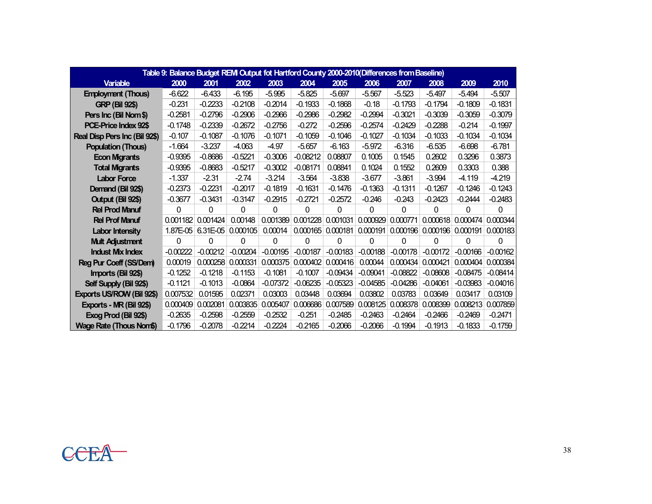| Table 9: Balance Budget REM Output fot Hartford County 2000-2010(Differences from Baseline) |            |            |            |            |            |                     |            |            |                                |            |            |  |  |
|---------------------------------------------------------------------------------------------|------------|------------|------------|------------|------------|---------------------|------------|------------|--------------------------------|------------|------------|--|--|
| <b>Variable</b>                                                                             | 2000       | 2001       | 2002       | 2003       | 2004       | 2005                | 2006       | 2007       | 2008                           | 2009       | 2010       |  |  |
| <b>Employment (Thous)</b>                                                                   | $-6.622$   | $-6.433$   | $-6.195$   | $-5.995$   | $-5.825$   | $-5.697$            | $-5.567$   | $-5.523$   | $-5.497$                       | $-5.494$   | $-5.507$   |  |  |
| <b>GRP (Bil 92\$)</b>                                                                       | $-0.231$   | $-0.2233$  | $-0.2108$  | $-0.2014$  | $-0.1933$  | $-0.1868$           | $-0.18$    | $-0.1793$  | $-0.1794$                      | $-0.1809$  | $-0.1831$  |  |  |
| Pers Inc (Bil Nom\$)                                                                        | $-0.2581$  | $-0.2796$  | $-0.2906$  | $-0.2966$  | $-0.2986$  | $-0.2982$           | $-0.2994$  | $-0.3021$  | $-0.3039$                      | $-0.3059$  | $-0.3079$  |  |  |
| PCE-Price Index 92\$                                                                        | $-0.1748$  | $-0.2339$  | $-0.2672$  | $-0.2756$  | $-0.272$   | $-0.2596$           | $-0.2574$  | $-0.2429$  | $-0.2288$                      | $-0.214$   | $-0.1997$  |  |  |
| Real Disp Pers Inc (Bil 92\$)                                                               | $-0.107$   | $-0.1087$  | $-0.1076$  | $-0.1071$  | $-0.1059$  | $-0.1046$           | $-0.1027$  | $-0.1034$  | $-0.1033$                      | $-0.1034$  | $-0.1034$  |  |  |
| <b>Population (Thous)</b>                                                                   | $-1.664$   | $-3.237$   | $-4.063$   | $-4.97$    | $-5.657$   | $-6.163$            | $-5.972$   | $-6.316$   | $-6.535$                       | $-6.698$   | $-6.781$   |  |  |
| <b>Econ Migrants</b>                                                                        | $-0.9395$  | $-0.8686$  | $-0.5221$  | $-0.3006$  | $-0.08212$ | 0.08807             | 0.1005     | 0.1545     | 0.2602                         | 0.3296     | 0.3873     |  |  |
| <b>Total Migrants</b>                                                                       | $-0.9395$  | $-0.8683$  | $-0.5217$  | $-0.3002$  | $-0.08171$ | 0.08841             | 0.1024     | 0.1552     | 0.2609                         | 0.3303     | 0.388      |  |  |
| <b>Labor Force</b>                                                                          | $-1.337$   | $-2.31$    | $-2.74$    | $-3.214$   | $-3.564$   | $-3.838$            | $-3.677$   | $-3.861$   | $-3.994$                       | -4.119     | $-4.219$   |  |  |
| Demand (Bil 92\$)                                                                           | $-0.2373$  | $-0.2231$  | $-0.2017$  | $-0.1819$  | $-0.1631$  | $-0.1476$           | $-0.1363$  | $-0.1311$  | $-0.1267$                      | $-0.1246$  | $-0.1243$  |  |  |
| Output (Bil 92\$)                                                                           | $-0.3677$  | $-0.3431$  | $-0.3147$  | $-0.2915$  | $-0.2721$  | $-0.2572$           | $-0.246$   | $-0.243$   | $-0.2423$                      | $-0.2444$  | $-0.2483$  |  |  |
| <b>Rel Prod Manuf</b>                                                                       | $\Omega$   | 0          | 0          | 0          | 0          | 0                   | $\Omega$   | $\Omega$   | 0                              | 0          | 0          |  |  |
| <b>Rel Prof Manuf</b>                                                                       | 0.001182   | 0.001424   | 0.00148    | 0.001389   | 0.001228   | 0.001031            | 0.000929   | 0.000771   | 0.000618                       | 0.000474   | 0.000344   |  |  |
| <b>Labor Intensity</b>                                                                      | 1.87E-05   | 6.31E-05   | 0.000105   | 0.00014    |            | $0.000165$ 0.000181 | 0.000191   |            | 0.000196   0.000196   0.000191 |            | 0.000183   |  |  |
| <b>Mult Adjustment</b>                                                                      | $\Omega$   | 0          | 0          | 0          | 0          | 0                   | 0          | 0          | 0                              | 0          | 0          |  |  |
| <b>Indust Mix Index</b>                                                                     | $-0.00222$ | $-0.00212$ | $-0.00204$ | $-0.00195$ | $-0.00187$ | $-0.00183$          | $-0.00188$ | $-0.00178$ | $-0.00172$                     | $-0.00166$ | $-0.00162$ |  |  |
| Reg Pur Coeff (SS/Dem)                                                                      | 0.00019    | 0.000258   | 0.000331   | 0.000375   | 0.000402   | 0.000416            | 0.00044    | 0.000434   | 0.000421                       | 0.000404   | 0.000384   |  |  |
| Imports (Bil 92\$)                                                                          | $-0.1252$  | $-0.1218$  | $-0.1153$  | $-0.1081$  | $-0.1007$  | $-0.09434$          | $-0.09041$ | $-0.08822$ | $-0.08608$                     | $-0.08475$ | $-0.08414$ |  |  |
| Self Supply (Bil 92\$)                                                                      | $-0.1121$  | $-0.1013$  | $-0.0864$  | $-0.07372$ | $-0.06235$ | $-0.05323$          | $-0.04585$ | $-0.04286$ | $-0.04061$                     | $-0.03983$ | $-0.04016$ |  |  |
| Exports US/ROW (Bil 92\$)                                                                   | 0.007532   | 0.01595    | 0.02371    | 0.03003    | 0.03448    | 0.03694             | 0.03802    | 0.03783    | 0.03649                        | 0.03417    | 0.03109    |  |  |
| Exports - MR (Bil 92\$)                                                                     | 0.000409   | 0.002081   | 0.003835   | 0.005407   | 0.006686   | 0.007589            | 0.008125   | 0.008378   | 0.008399                       | 0.008213   | 0.007859   |  |  |
| Exog Prod (Bil 92\$)                                                                        | $-0.2635$  | $-0.2598$  | $-0.2559$  | $-0.2532$  | $-0.251$   | $-0.2485$           | $-0.2463$  | $-0.2464$  | $-0.2466$                      | $-0.2469$  | $-0.2471$  |  |  |
| Wage Rate (Thous Nom\$)                                                                     | $-0.1796$  | $-0.2078$  | $-0.2214$  | $-0.2224$  | $-0.2165$  | $-0.2066$           | $-0.2066$  | $-0.1994$  | $-0.1913$                      | $-0.1833$  | $-0.1759$  |  |  |

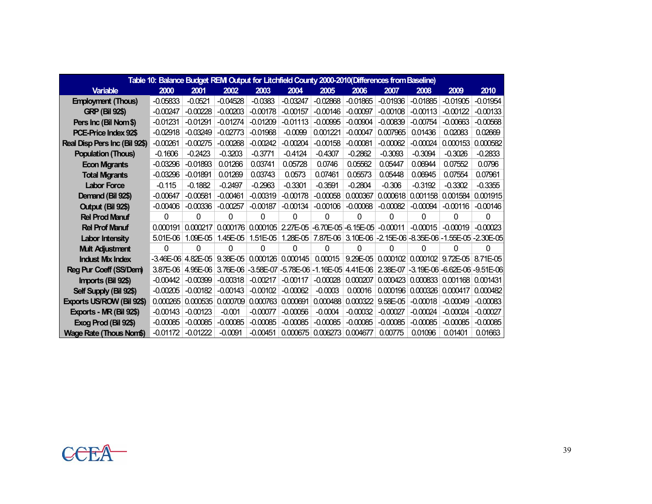| Table 10: Balance Budget REM Output for Litchfield County 2000-2010(Differences from Baseline) |            |                      |            |                                                    |            |                              |            |                                                                    |                     |                                       |            |  |  |  |
|------------------------------------------------------------------------------------------------|------------|----------------------|------------|----------------------------------------------------|------------|------------------------------|------------|--------------------------------------------------------------------|---------------------|---------------------------------------|------------|--|--|--|
| <b>Variable</b>                                                                                | 2000       | 2001                 | 2002       | 2003                                               | 2004       | 2005                         | 2006       | 2007                                                               | 2008                | 2009                                  | 2010       |  |  |  |
| <b>Employment (Thous)</b>                                                                      | $-0.05833$ | $-0.0521$            | $-0.04528$ | $-0.0383$                                          | $-0.03247$ | $-0.02868$                   | $-0.01865$ | $-0.01936$                                                         | $-0.01885$          | $-0.01905$                            | $-0.01954$ |  |  |  |
| <b>GRP (Bil 92\$)</b>                                                                          | $-0.00247$ | $-0.00228$           | $-0.00203$ | $-0.00178$                                         | $-0.00157$ | $-0.00146$                   | $-0.00097$ | $-0.00108$                                                         | $-0.00113$          | $-0.00122$                            | $-0.00133$ |  |  |  |
| Pers Inc (Bil Nom\$)                                                                           | $-0.01231$ | $-0.01291$           | $-0.01274$ | $-0.01209$                                         | $-0.01113$ | $-0.00995$                   | $-0.00904$ | $-0.00839$                                                         | $-0.00754$          | $-0.00663$                            | $-0.00568$ |  |  |  |
| PCE-Price Index 92\$                                                                           | $-0.02918$ | $-0.03249$           | $-0.02773$ | $-0.01968$                                         | $-0.0099$  | 0.001221                     | $-0.00047$ | 0.007965                                                           | 0.01436             | 0.02083                               | 0.02669    |  |  |  |
| Real Disp Pers Inc (Bil 92\$)                                                                  | $-0.00261$ | $-0.00275$           | $-0.00268$ | $-0.00242$                                         | $-0.00204$ | $-0.00158$                   | $-0.00081$ | $-0.00062$                                                         | $-0.00024$          | 0.000153                              | 0.000582   |  |  |  |
| <b>Population (Thous)</b>                                                                      | $-0.1606$  | $-0.2423$            | $-0.3203$  | $-0.3771$                                          | $-0.4124$  | $-0.4307$                    | $-0.2862$  | $-0.3093$                                                          | $-0.3094$           | $-0.3026$                             | $-0.2833$  |  |  |  |
| <b>Econ Migrants</b>                                                                           | $-0.03296$ | $-0.01893$           | 0.01266    | 0.03741                                            | 0.05728    | 0.0746                       | 0.05562    | 0.05447                                                            | 0.06944             | 0.07552                               | 0.0796     |  |  |  |
| <b>Total Migrants</b>                                                                          | $-0.03296$ | $-0.01891$           | 0.01269    | 0.03743                                            | 0.0573     | 0.07461                      | 0.05573    | 0.05448                                                            | 0.06945             | 0.07554                               | 0.07961    |  |  |  |
| <b>Labor Force</b>                                                                             | $-0.115$   | $-0.1882$            | $-0.2497$  | $-0.2963$                                          | $-0.3301$  | $-0.3591$                    | $-0.2804$  | $-0.306$                                                           | $-0.3192$           | $-0.3302$                             | $-0.3355$  |  |  |  |
| Demand (Bil 92\$)                                                                              | $-0.00647$ | $-0.00581$           | $-0.00461$ | $-0.00319$                                         | $-0.00178$ | $-0.00058$                   | 0.000367   | 0.000618                                                           | 0.001158            | 0.001584                              | 0.001915   |  |  |  |
| Output (Bil 92\$)                                                                              | $-0.00406$ | $-0.00336$           | $-0.00257$ | $-0.00187$                                         | $-0.00134$ | $-0.00106$                   | $-0.00068$ | $-0.00082$                                                         | $-0.00094$          | $-0.00116$                            | $-0.00146$ |  |  |  |
| <b>Rel Prod Manuf</b>                                                                          | 0          | 0                    | $\Omega$   | 0                                                  | 0          | 0                            | 0          | 0                                                                  | 0                   | 0                                     | 0          |  |  |  |
| <b>Rel Prof Manuf</b>                                                                          | 0.000191   | 0.000217             | 0.000176   | 0.000105                                           |            | 2.27E-05 -6.70E-05 -6.15E-05 |            | $-0.00011$                                                         | $-0.00015$          | $-0.00019$                            | $-0.00023$ |  |  |  |
| <b>Labor Intensity</b>                                                                         | $5.01E-06$ | 1.09E-05             | $1.45E-05$ | $1.51E-05$                                         |            |                              |            | 1.28E-05 7.87E-06 3.10E-06 -2.15E-06 -8.35E-06 -1.55E-05 -2.30E-05 |                     |                                       |            |  |  |  |
| <b>Mult Adjustment</b>                                                                         | 0          | 0                    | 0          | 0                                                  | 0          | 0                            | 0          | 0                                                                  | 0                   | 0                                     | 0          |  |  |  |
| <b>Indust Mix Index</b>                                                                        |            | $-3.46E-06$ 4.82E-05 |            | $9.38E-05$ 0.000126 0.000145                       |            | 0.00015                      | $9.29E-05$ |                                                                    |                     | $0.000102$ 0.000102 9.72E-05 8.71E-05 |            |  |  |  |
| Reg Pur Coeff (SS/Dem)                                                                         | 3.87E-06   | 4.95E-06             |            | 3.76E-06 - 3.58E-07 - 5.78E-06 - 1.16E-05 4.41E-06 |            |                              |            | 2.38E-07                                                           |                     | -3.19E-06 -6.62E-06 -9.51E-06         |            |  |  |  |
| Imports (Bil 92\$)                                                                             | $-0.00442$ | $-0.00399$           | $-0.00318$ | $-0.00217$                                         | $-0.00117$ | $-0.00028$                   | 0.000207   |                                                                    |                     | $0.000423$ 0.000833 0.001168          | 0.001431   |  |  |  |
| Self Supply (Bil 92\$)                                                                         | $-0.00205$ | $-0.00182$           | $-0.00143$ | $-0.00102$                                         | $-0.00062$ | $-0.0003$                    | 0.00016    |                                                                    | $0.000196$ 0.000326 | 0.000417                              | 0.000482   |  |  |  |
| Exports US/ROW (Bil 92\$)                                                                      | 0.000265   | 0.000535             | 0.000709   | 0.000763                                           | 0.000691   | 0.000488                     | 0.000322   | 9.58E-05                                                           | $-0.00018$          | $-0.00049$                            | $-0.00083$ |  |  |  |
| Exports - MR (Bil 92\$)                                                                        | $-0.00143$ | $-0.00123$           | $-0.001$   | $-0.00077$                                         | $-0.00056$ | $-0.0004$                    | $-0.00032$ | $-0.00027$                                                         | $-0.00024$          | $-0.00024$                            | $-0.00027$ |  |  |  |
| Exog Prod (Bil 92\$)                                                                           | $-0.00085$ | $-0.00085$           | $-0.00085$ | $-0.00085$                                         | $-0.00085$ | $-0.00085$                   | $-0.00085$ | $-0.00085$                                                         | $-0.00085$          | $-0.00085$                            | $-0.00085$ |  |  |  |
| <b>Wage Rate (Thous Nom\$)</b>                                                                 | $-0.01172$ | $-0.01222$           | $-0.0091$  | $-0.00451$                                         |            | $0.000675$ 0.006273          | 0.004677   | 0.00775                                                            | 0.01096             | 0.01401                               | 0.01663    |  |  |  |

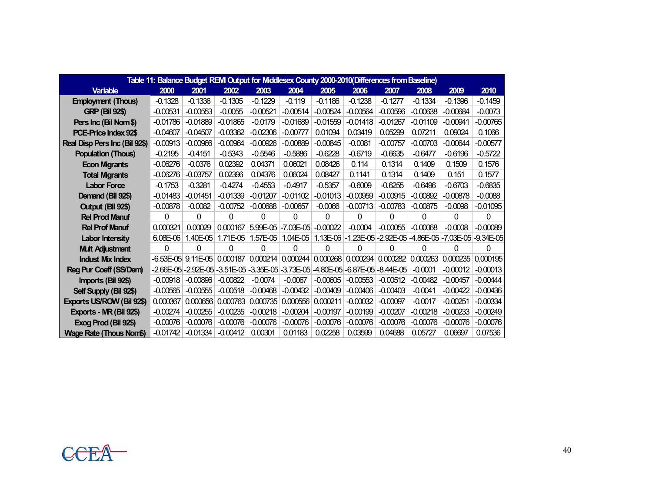| Table 11: Balance Budget REM Output for Middlesex County 2000-2010 (Differences from Baseline) |            |                                                                                 |            |            |                    |                                |            |                     |                                                            |            |            |  |  |  |
|------------------------------------------------------------------------------------------------|------------|---------------------------------------------------------------------------------|------------|------------|--------------------|--------------------------------|------------|---------------------|------------------------------------------------------------|------------|------------|--|--|--|
| <b>Variable</b>                                                                                | 2000       | 2001                                                                            | 2002       | 2003       | 2004               | 2005                           | 2006       | 2007                | 2008                                                       | 2009       | 2010       |  |  |  |
| <b>Employment (Thous)</b>                                                                      | $-0.1328$  | $-0.1336$                                                                       | $-0.1305$  | $-0.1229$  | $-0.119$           | $-0.1186$                      | $-0.1238$  | $-0.1277$           | $-0.1334$                                                  | $-0.1396$  | $-0.1459$  |  |  |  |
| <b>GRP (Bil 92\$)</b>                                                                          | $-0.00531$ | $-0.00553$                                                                      | $-0.0055$  | $-0.00521$ | $-0.00514$         | $-0.00524$                     | $-0.00564$ | $-0.00596$          | $-0.00638$                                                 | $-0.00684$ | $-0.0073$  |  |  |  |
| Pers Inc (Bil Nom\$)                                                                           | $-0.01786$ | $-0.01889$                                                                      | $-0.01865$ | $-0.0179$  | $-0.01689$         | $-0.01559$                     | $-0.01418$ | $-0.01267$          | $-0.01109$                                                 | $-0.00941$ | $-0.00765$ |  |  |  |
| PCE-Price Index 92\$                                                                           | $-0.04607$ | $-0.04507$                                                                      | $-0.03362$ | $-0.02306$ | $-0.00777$         | 0.01094                        | 0.03419    | 0.05299             | 0.07211                                                    | 0.09024    | 0.1066     |  |  |  |
| Real Disp Pers Inc (Bil 92\$)                                                                  | $-0.00913$ | $-0.00966$                                                                      | $-0.00964$ | $-0.00926$ | $-0.00889$         | $-0.00845$                     | $-0.0081$  | $-0.00757$          | $-0.00703$                                                 | $-0.00644$ | $-0.00577$ |  |  |  |
| <b>Population (Thous)</b>                                                                      | $-0.2195$  | $-0.4151$                                                                       | $-0.5343$  | $-0.5546$  | $-0.5886$          | $-0.6228$                      | $-0.6719$  | $-0.6635$           | $-0.6477$                                                  | $-0.6196$  | $-0.5722$  |  |  |  |
| <b>Econ Migrants</b>                                                                           | $-0.06276$ | $-0.0376$                                                                       | 0.02392    | 0.04371    | 0.06021            | 0.08426                        | 0.114      | 0.1314              | 0.1409                                                     | 0.1509     | 0.1576     |  |  |  |
| <b>Total Migrants</b>                                                                          | $-0.06276$ | $-0.03757$                                                                      | 0.02396    | 0.04376    | 0.06024            | 0.08427                        | 0.1141     | 0.1314              | 0.1409                                                     | 0.151      | 0.1577     |  |  |  |
| <b>Labor Force</b>                                                                             | $-0.1753$  | $-0.3281$                                                                       | $-0.4274$  | $-0.4553$  | $-0.4917$          | $-0.5357$                      | $-0.6009$  | $-0.6255$           | $-0.6496$                                                  | $-0.6703$  | $-0.6835$  |  |  |  |
| Demand (Bil 92\$)                                                                              | $-0.01483$ | $-0.01451$                                                                      | $-0.01339$ | $-0.01207$ | $-0.01102$         | $-0.01013$                     | $-0.00959$ | $-0.00915$          | $-0.00892$                                                 | $-0.00878$ | $-0.0088$  |  |  |  |
| Output (Bil 92\$)                                                                              | $-0.00878$ | $-0.0082$                                                                       | $-0.00752$ | $-0.00688$ | $-0.00657$         | $-0.0066$                      | $-0.00713$ | $-0.00783$          | $-0.00875$                                                 | $-0.0098$  | $-0.01095$ |  |  |  |
| <b>Rel Prod Manuf</b>                                                                          | 0          | 0                                                                               | 0          | $\Omega$   | 0                  | 0                              | 0          | 0                   | 0                                                          | $\Omega$   | 0          |  |  |  |
| <b>Rel Prof Manuf</b>                                                                          | 0.000321   | 0.00029                                                                         | 0.000167   |            | 5.99E-05 -7.03E-05 | $-0.00022$                     | $-0.0004$  | $-0.00055$          | $-0.00068$                                                 | $-0.0008$  | $-0.00089$ |  |  |  |
| <b>Labor Intensity</b>                                                                         | $6.08E-06$ | 1.40E-05                                                                        | $1.71E-05$ | $1.57E-05$ | $1.04E-05$         |                                |            |                     | 1.13E-06 -1.23E-05 -2.92E-05 -4.86E-05 -7.03E-05 -9.34E-05 |            |            |  |  |  |
| <b>Mult Adjustment</b>                                                                         | 0          | 0                                                                               | 0          | $\Omega$   | 0                  | 0                              | $\Omega$   | 0                   | 0                                                          | 0          | 0          |  |  |  |
| <b>Indust Mix Index</b>                                                                        |            | $-6.53E-05$ 9.11E-05 0.000187                                                   |            |            |                    | 0.000214   0.000244   0.000268 |            | 0.000294   0.000282 | 0.000263                                                   | 0.000235   | 0.000195   |  |  |  |
| Reg Pur Coeff (SS/Dem)                                                                         |            | -2.66E-05 -2.92E-05 -3.51E-05 -3.35E-05 -3.73E-05 -4.80E-05 -6.87E-05 -8.44E-05 |            |            |                    |                                |            |                     | $-0.0001$                                                  | $-0.00012$ | $-0.00013$ |  |  |  |
| Imports (Bil 92\$)                                                                             | $-0.00918$ | $-0.00896$                                                                      | $-0.00822$ | $-0.0074$  | $-0.0067$          | $-0.00605$                     | $-0.00553$ | $-0.00512$          | $-0.00482$                                                 | $-0.00457$ | $-0.00444$ |  |  |  |
| Self Supply (Bil 92\$)                                                                         | $-0.00565$ | $-0.00555$                                                                      | $-0.00518$ | $-0.00468$ | $-0.00432$         | $-0.00409$                     | $-0.00406$ | $-0.00403$          | $-0.0041$                                                  | $-0.00422$ | $-0.00436$ |  |  |  |
| Exports US/ROW (Bil 92\$)                                                                      | 0.000367   | 0.000656                                                                        | 0.000763   | 0.000735   | 0.000556           | 0.000211                       | $-0.00032$ | $-0.00097$          | $-0.0017$                                                  | $-0.00251$ | $-0.00334$ |  |  |  |
| Exports - NR (Bil 92\$)                                                                        | $-0.00274$ | $-0.00255$                                                                      | $-0.00235$ | $-0.00218$ | $-0.00204$         | $-0.00197$                     | $-0.00199$ | $-0.00207$          | $-0.00218$                                                 | $-0.00233$ | $-0.00249$ |  |  |  |
| Exog Prod (Bil 92\$)                                                                           | $-0.00076$ | $-0.00076$                                                                      | $-0.00076$ | $-0.00076$ | $-0.00076$         | $-0.00076$                     | $-0.00076$ | $-0.00076$          | $-0.00076$                                                 | $-0.00076$ | $-0.00076$ |  |  |  |
| Wage Rate (Thous Nom\$)                                                                        | $-0.01742$ | $-0.01334$                                                                      | $-0.00412$ | 0.00301    | 0.01183            | 0.02258                        | 0.03599    | 0.04688             | 0.05727                                                    | 0.06697    | 0.07536    |  |  |  |

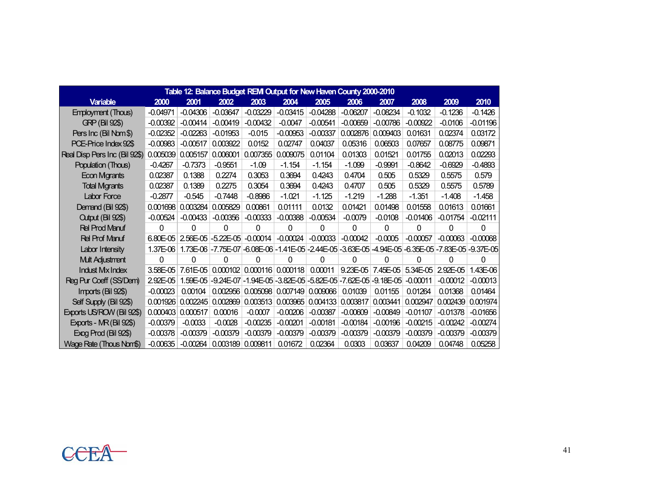| Table 12: Balance Budget REM Output for New Haven County 2000-2010 |              |            |                    |            |                              |                                |                                                                                                    |            |            |                                     |            |  |  |  |
|--------------------------------------------------------------------|--------------|------------|--------------------|------------|------------------------------|--------------------------------|----------------------------------------------------------------------------------------------------|------------|------------|-------------------------------------|------------|--|--|--|
| <b>Variable</b>                                                    | 2000         | 2001       | 2002               | 2003       | 2004                         | 2005                           | 2006                                                                                               | 2007       | 2008       | 2009                                | 2010       |  |  |  |
| <b>Employment (Thous)</b>                                          | $-0.04971$   | $-0.04306$ | $-0.03647$         | $-0.03229$ | $-0.03415$                   | $-0.04288$                     | $-0.06207$                                                                                         | $-0.08234$ | $-0.1032$  | $-0.1236$                           | $-0.1426$  |  |  |  |
| <b>GRP (Bil 92\$)</b>                                              | $-0.00392$   | $-0.00414$ | $-0.00419$         | $-0.00432$ | $-0.0047$                    | $-0.00541$                     | $-0.00659$                                                                                         | $-0.00786$ | $-0.00922$ | $-0.0106$                           | $-0.01196$ |  |  |  |
| Pers Inc (Bil Nom\$)                                               | $-0.02352$   | $-0.02263$ | $-0.01953$         | $-0.015$   | $-0.00953$                   | $-0.00337$                     | 0.002876                                                                                           | 0.009403   | 0.01631    | 0.02374                             | 0.03172    |  |  |  |
| PCE-Price Index 92\$                                               | $-0.00983$   | $-0.00517$ | 0.003922           | 0.0152     | 0.02747                      | 0.04037                        | 0.05316                                                                                            | 0.06503    | 0.07657    | 0.08775                             | 0.09871    |  |  |  |
| Real Disp Pers Inc (Bil 92\$)                                      | 0.005039     | 0.005157   | 0.006001           | 0.007355   | 0.009075                     | 0.01104                        | 0.01303                                                                                            | 0.01521    | 0.01755    | 0.02013                             | 0.02293    |  |  |  |
| Population (Thous)                                                 | $-0.4267$    | $-0.7373$  | $-0.9551$          | $-1.09$    | $-1.154$                     | $-1.154$                       | $-1.099$                                                                                           | $-0.9991$  | $-0.8642$  | $-0.6929$                           | $-0.4893$  |  |  |  |
| Econ Mgrants                                                       | 0.02387      | 0.1388     | 0.2274             | 0.3053     | 0.3694                       | 0.4243                         | 0.4704                                                                                             | 0.505      | 0.5329     | 0.5575                              | 0.579      |  |  |  |
| <b>Total Mgrants</b>                                               | 0.02387      | 0.1389     | 0.2275             | 0.3054     | 0.3694                       | 0.4243                         | 0.4707                                                                                             | 0.505      | 0.5329     | 0.5575                              | 0.5789     |  |  |  |
| Labor Force                                                        | $-0.2877$    | $-0.545$   | $-0.7448$          | $-0.8986$  | $-1.021$                     | $-1.125$                       | $-1.219$                                                                                           | $-1.288$   | $-1.351$   | $-1.408$                            | $-1.458$   |  |  |  |
| Demand (Bil 92\$)                                                  | 0.001698     | 0.003284   | 0.005829           | 0.00861    | 0.01111                      | 0.0132                         | 0.01421                                                                                            | 0.01498    | 0.01558    | 0.01613                             | 0.01661    |  |  |  |
| Cutput (Bil 92\$)                                                  | $-0.00524$   | $-0.00433$ | $-0.00356$         | $-0.00333$ | $-0.00388$                   | $-0.00534$                     | $-0.0079$                                                                                          | $-0.0108$  | $-0.01406$ | $-0.01754$                          | $-0.02111$ |  |  |  |
| <b>Rel Prod Manuf</b>                                              | 0            | $\Omega$   | $\Omega$           | 0          | 0                            | 0                              | 0                                                                                                  | 0          | 0          | $\Omega$                            | 0          |  |  |  |
| <b>Rel Prof Manuf</b>                                              | $6.80E - 05$ |            | 2.56E-05 -5.22E-05 | $-0.00014$ | $-0.00024$                   | $-0.00033$                     | $-0.00042$                                                                                         | $-0.0005$  | $-0.00057$ | $-0.00063$                          | $-0.00068$ |  |  |  |
| Labor Intensity                                                    | 1.37E-06     |            |                    |            |                              |                                | 1.73E-06 -7.75E-07 -6.08E-06 -1.41E-05 -2.44E-05 -3.63E-05 -4.94E-05 -6.35E-05 -7.83E-05 -9.37E-05 |            |            |                                     |            |  |  |  |
| <b>Mult Adjustment</b>                                             | 0            | $\Omega$   | 0                  | 0          | 0                            | 0                              | O                                                                                                  | 0          | 0          | 0                                   | n          |  |  |  |
| <b>Indust Mx Index</b>                                             | 3.58E-05     | 7.61E-05   |                    |            | $0.000102$ 0.000116 0.000118 | 0.00011                        |                                                                                                    |            |            | 9.23E-05 7.45E-05 5.34E-05 2.92E-05 | 1.43E-06   |  |  |  |
| Reg Pur Coeff (SS/Dem)                                             | 2.92E-05     | 1.59E-05   |                    |            |                              |                                | -9.24E-07 - 1.94E-05 - 3.82E-05 - 5.82E-05 - 7.62E-05 - 9.18E-05                                   |            | $-0.00011$ | $-0.00012$                          | $-0.00013$ |  |  |  |
| Imports (Bil 92\$)                                                 | $-0.00023$   | 0.00104    | 0.002956           |            | 0.005098   0.007149          | 0.009066                       | 0.01039                                                                                            | 0.01155    | 0.01264    | 0.01368                             | 0.01464    |  |  |  |
| Self Supply (Bil 92\$)                                             | 0.001926     | 0.002245   | 0.002869           |            |                              | 0.003513   0.003965   0.004133 | 0.003817                                                                                           | 0.003441   | 0.002947   | 0.002439                            | 0.001974   |  |  |  |
| Exports US/ROW (Bil 92\$)                                          | 0.000403     | 0.000517   | 0.00016            | $-0.0007$  | $-0.00206$                   | $-0.00387$                     | $-0.00609$                                                                                         | $-0.00849$ | $-0.01107$ | $-0.01378$                          | $-0.01656$ |  |  |  |
| Exports - MR (Bil 92\$)                                            | $-0.00379$   | $-0.0033$  | $-0.0028$          | $-0.00235$ | $-0.00201$                   | $-0.00181$                     | $-0.00184$                                                                                         | $-0.00196$ | $-0.00215$ | $-0.00242$                          | $-0.00274$ |  |  |  |
| Exog Prod (Bil 92\$)                                               | $-0.00378$   | $-0.00379$ | $-0.00379$         | $-0.00379$ | $-0.00379$                   | $-0.00379$                     | $-0.00379$                                                                                         | $-0.00379$ | $-0.00379$ | $-0.00379$                          | $-0.00379$ |  |  |  |
| Wage Rate (Thous Nom\$)                                            | $-0.00635$   | $-0.00264$ | 0.003189           | 0.009811   | 0.01672                      | 0.02364                        | 0.0303                                                                                             | 0.03637    | 0.04209    | 0.04748                             | 0.05258    |  |  |  |

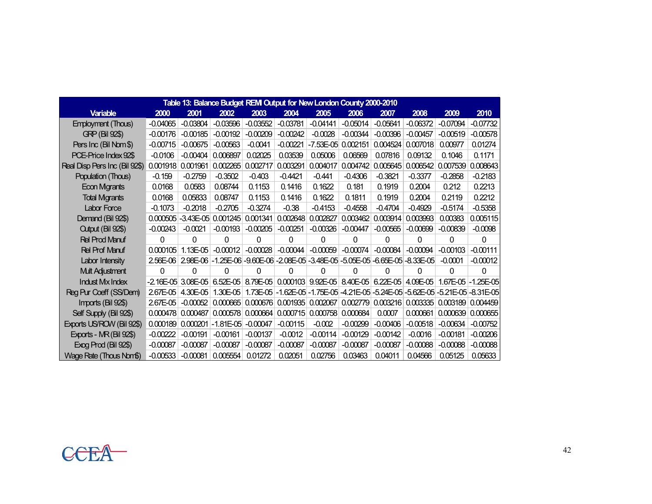| Table 13: Balance Budget REM Output for New London County 2000-2010 |            |                        |             |                              |            |                    |            |            |                                                                                |            |                       |  |  |
|---------------------------------------------------------------------|------------|------------------------|-------------|------------------------------|------------|--------------------|------------|------------|--------------------------------------------------------------------------------|------------|-----------------------|--|--|
| <b>Variable</b>                                                     | 2000       | 2001                   | 2002        | 2003                         | 2004       | 2005               | 2006       | 2007       | 2008                                                                           | 2009       | 2010                  |  |  |
| <b>Employment (Thous)</b>                                           | $-0.04065$ | $-0.03804$             | $-0.03596$  | $-0.03552$                   | $-0.03781$ | $-0.04141$         | $-0.05014$ | $-0.05641$ | $-0.06372$                                                                     | $-0.07094$ | $-0.07732$            |  |  |
| <b>GRP (Bil 92\$)</b>                                               | $-0.00176$ | $-0.00185$             | $-0.00192$  | $-0.00209$                   | $-0.00242$ | $-0.0028$          | $-0.00344$ | $-0.00396$ | $-0.00457$                                                                     | $-0.00519$ | $-0.00578$            |  |  |
| Pers Inc (Bil Nom\$)                                                | $-0.00715$ | $-0.00675$             | $-0.00563$  | $-0.0041$                    | $-0.00221$ | -7.53E-05 0.002151 |            | 0.004524   | 0.007018                                                                       | 0.00977    | 0.01274               |  |  |
| PCE-Price Index 92\$                                                | $-0.0106$  | $-0.00404$             | 0.006897    | 0.02025                      | 0.03539    | 0.05006            | 0.06569    | 0.07816    | 0.09132                                                                        | 0.1046     | 0.1171                |  |  |
| Real Disp Pers Inc (Bil 92\$)                                       | 0.001918   | 0.001961               | 0.002265    | 0.002717                     | 0.003291   | 0.004017           | 0.004742   | 0.005645   | 0.006542                                                                       | 0.007539   | 0.008643              |  |  |
| Population (Thous)                                                  | $-0.159$   | $-0.2759$              | $-0.3502$   | $-0.403$                     | $-0.4421$  | $-0.441$           | $-0.4306$  | $-0.3821$  | $-0.3377$                                                                      | $-0.2858$  | $-0.2183$             |  |  |
| Econ Mgrants                                                        | 0.0168     | 0.0583                 | 0.08744     | 0.1153                       | 0.1416     | 0.1622             | 0.181      | 0.1919     | 0.2004                                                                         | 0.212      | 0.2213                |  |  |
| <b>Total Mgrants</b>                                                | 0.0168     | 0.05833                | 0.08747     | 0.1153                       | 0.1416     | 0.1622             | 0.1811     | 0.1919     | 0.2004                                                                         | 0.2119     | 0.2212                |  |  |
| Labor Force                                                         | $-0.1073$  | $-0.2018$              | $-0.2705$   | $-0.3274$                    | $-0.38$    | $-0.4153$          | $-0.4558$  | $-0.4704$  | $-0.4929$                                                                      | $-0.5174$  | $-0.5358$             |  |  |
| Demand (Bil 92\$)                                                   | 0.000505   | $-3.43E - 05$          | 0.001245    | 0.001341                     | 0.002648   | 0.002827           | 0.003462   | 0.003914   | 0.003993                                                                       | 0.00383    | 0.005115              |  |  |
| Cutput (Bil 92\$)                                                   | $-0.00243$ | $-0.0021$              | $-0.00193$  | $-0.00205$                   | $-0.00251$ | $-0.00326$         | $-0.00447$ | $-0.00565$ | $-0.00699$                                                                     | $-0.00839$ | $-0.0098$             |  |  |
| <b>Rel Prod Manuf</b>                                               | 0          | 0                      | 0           | 0                            | 0          | 0                  | 0          | 0          | 0                                                                              | 0          | $\Omega$              |  |  |
| <b>Rel Prof Manuf</b>                                               | 0.000105   | $1.13F - 05$           | $-0.00012$  | $-0.00028$                   | $-0.00044$ | $-0.00059$         | $-0.00074$ | $-0.00084$ | $-0.00094$                                                                     | $-0.00103$ | $-0.00111$            |  |  |
| Labor Intensity                                                     | 2.56E-06   |                        |             |                              |            |                    |            |            | 2.98E-06 -1.25E-06 -9.60E-06 -2.08E-05 -3.48E-05 -5.05E-05 -6.65E-05 -8.33E-05 | $-0.0001$  | $-0.00012$            |  |  |
| Mult Adjustment                                                     | 0          | 0                      | 0           | 0                            | 0          | $\Omega$           | 0          | $\Omega$   | 0                                                                              | 0          | $\Omega$              |  |  |
| <b>Indust Mx Index</b>                                              |            | $-2.16E - 05$ 3.08E-05 |             |                              |            |                    |            |            | 6.52E-05 8.79E-05 0.000103 9.92E-05 8.40E-05 6.22E-05 4.09E-05                 |            | $1.67E-05$ - 1.25E-05 |  |  |
| Reg Pur Coeff (SS/Dem)                                              | 2.67E-05   | 4.30E-05               | 1.30E-05    |                              |            |                    |            |            | 1.73E-05 -1.62E-05 -1.75E-05 -4.21E-05 -5.24E-05 -5.62E-05 -5.21E-05 -8.31E-05 |            |                       |  |  |
| Imports (Bil 92\$)                                                  | 2.67E-05   | $-0.00052$             | 0.000665    | $0.000676$ 0.001935 0.002067 |            |                    | 0.002779   |            | $0.003216$ 0.003335                                                            | 0.003189   | 0.004459              |  |  |
| Self Supply (Bil 92\$)                                              | 0.000478   | 0.000487               | 0.000578    | 0.000664                     | 0.000715   | 0.000758           | 0.000684   | 0.0007     | 0.000661                                                                       | 0.000639   | 0.000655              |  |  |
| Exports US/ROW (Bil 92\$)                                           | 0.000189   | 0.000201               | $-1.81E-05$ | $-0.00047$                   | $-0.00115$ | $-0.002$           | $-0.00299$ | $-0.00406$ | $-0.00518$                                                                     | $-0.00634$ | $-0.00752$            |  |  |
| Exports - MR (Bil 92\$)                                             | $-0.00222$ | $-0.00191$             | $-0.00161$  | $-0.00137$                   | $-0.0012$  | $-0.00114$         | $-0.00129$ | $-0.00142$ | $-0.0016$                                                                      | $-0.00181$ | $-0.00206$            |  |  |
| Exog Prod (Bil 92\$)                                                | $-0.00087$ | $-0.00087$             | $-0.00087$  | $-0.00087$                   | $-0.00087$ | $-0.00087$         | $-0.00087$ | $-0.00087$ | $-0.00088$                                                                     | $-0.00088$ | $-0.00088$            |  |  |
| Wage Rate (Thous Nom\$)                                             | $-0.00533$ | $-0.00081$             | 0.005554    | 0.01272                      | 0.02051    | 0.02756            | 0.03463    | 0.04011    | 0.04566                                                                        | 0.05125    | 0.05633               |  |  |

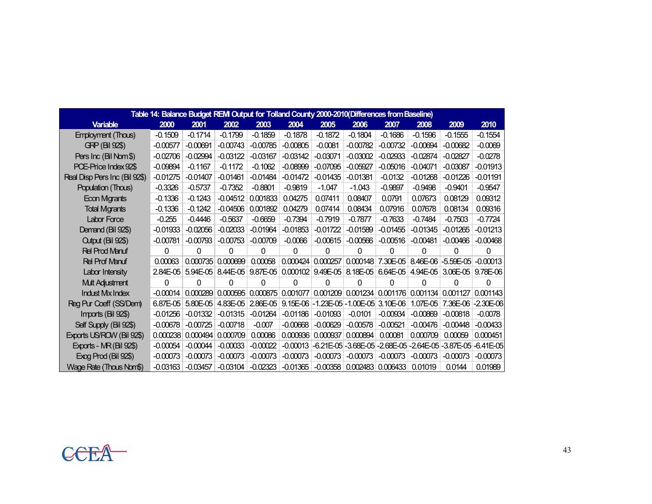| Table 14: Balance Budget REM Output for Tolland County 2000-2010(Differences from Baseline) |            |            |            |            |                   |                                           |                              |            |                                                   |                     |             |  |  |  |
|---------------------------------------------------------------------------------------------|------------|------------|------------|------------|-------------------|-------------------------------------------|------------------------------|------------|---------------------------------------------------|---------------------|-------------|--|--|--|
| <b>Variable</b>                                                                             | 2000       | 2001       | 2002       | 2003       | 2004              | 2005                                      | 2006                         | 2007       | 2008                                              | 2009                | 2010        |  |  |  |
| <b>Employment (Thous)</b>                                                                   | $-0.1509$  | $-0.1714$  | $-0.1799$  | $-0.1859$  | $-0.1878$         | $-0.1872$                                 | $-0.1804$                    | $-0.1686$  | $-0.1596$                                         | $-0.1555$           | $-0.1554$   |  |  |  |
| <b>GRP (Bil 92\$)</b>                                                                       | $-0.00577$ | $-0.00691$ | $-0.00743$ | $-0.00785$ | $-0.00805$        | $-0.0081$                                 | $-0.00782$                   | $-0.00732$ | $-0.00694$                                        | $-0.00682$          | $-0.0069$   |  |  |  |
| Pers Inc (Bil Nom \$)                                                                       | $-0.02706$ | $-0.02994$ | $-0.03122$ | $-0.03167$ | $-0.03142$        | $-0.03071$                                | $-0.03002$                   | $-0.02933$ | $-0.02874$                                        | $-0.02827$          | $-0.0278$   |  |  |  |
| PCE-Price Index 92\$                                                                        | $-0.09894$ | $-0.1167$  | $-0.1172$  | $-0.1062$  | $-0.08999$        | $-0.07095$                                | $-0.05927$                   | $-0.05016$ | $-0.04071$                                        | $-0.03087$          | $-0.01913$  |  |  |  |
| Real Disp Pers Inc (Bil 92\$)                                                               | $-0.01275$ | $-0.01407$ | $-0.01461$ | $-0.01484$ | $-0.01472$        | $-0.01435$                                | $-0.01381$                   | $-0.0132$  | $-0.01268$                                        | $-0.01226$          | $-0.01191$  |  |  |  |
| Population (Thous)                                                                          | $-0.3326$  | $-0.5737$  | $-0.7352$  | $-0.8801$  | $-0.9819$         | $-1.047$                                  | $-1.043$                     | $-0.9897$  | $-0.9498$                                         | $-0.9401$           | $-0.9547$   |  |  |  |
| <b>Econ Mgrants</b>                                                                         | $-0.1336$  | $-0.1243$  | $-0.04512$ | 0.001833   | 0.04275           | 0.07411                                   | 0.08407                      | 0.0791     | 0.07673                                           | 0.08129             | 0.09312     |  |  |  |
| <b>Total Mgrants</b>                                                                        | $-0.1336$  | $-0.1242$  | $-0.04506$ | 0.001892   | 0.04279           | 0.07414                                   | 0.08434                      | 0.07916    | 0.07678                                           | 0.08134             | 0.09316     |  |  |  |
| Labor Force                                                                                 | $-0.255$   | $-0.4446$  | $-0.5637$  | $-0.6659$  | $-0.7394$         | $-0.7919$                                 | $-0.7877$                    | $-0.7633$  | $-0.7484$                                         | $-0.7503$           | $-0.7724$   |  |  |  |
| Demand (Bil 92\$)                                                                           | $-0.01933$ | $-0.02056$ | $-0.02033$ | $-0.01964$ | $-0.01853$        | $-0.01722$                                | $-0.01589$                   | $-0.01455$ | $-0.01345$                                        | $-0.01265$          | $-0.01213$  |  |  |  |
| Cutput (Bil 92\$)                                                                           | $-0.00781$ | $-0.00793$ | $-0.00753$ | $-0.00709$ | $-0.0066$         | $-0.00615$                                | $-0.00566$                   | $-0.00516$ | $-0.00481$                                        | $-0.00466$          | $-0.00468$  |  |  |  |
| <b>Rel Prod Manuf</b>                                                                       | 0          | 0          | $\Omega$   | 0          | 0                 | 0                                         | 0                            | $\Omega$   | 0                                                 | 0                   | 0           |  |  |  |
| <b>Rel Prof Manuf</b>                                                                       | 0.00063    | 0.000735   | 0.000699   | 0.00058    | 0.000424          | 0.000257                                  | 0.000148                     | 7.30E-05   |                                                   | 8.46E-06 - 5.59E-05 | $-0.00013$  |  |  |  |
| Labor Intensity                                                                             | 2.84E-05   | $5.94E-05$ | $8.44E-05$ |            | 9.87E-05 0.000102 |                                           | $9.49E-05$ 8.18E-05 6.64E-05 |            | $4.94E-05$                                        | $3.06E - 05$        | 9.78E-06    |  |  |  |
| <b>Mult Adjustment</b>                                                                      | 0          | 0          | 0          | 0          | O                 | 0                                         | 0                            | 0          | 0                                                 | O                   | O           |  |  |  |
| <b>Indust Mx Index</b>                                                                      | $-0.00014$ | 0.000289   | 0.000595   |            | 0.000875 0.001077 |                                           | $0.001209$ 0.001234 0.001176 |            | 0.001134                                          | 0.001127            | 0.001143    |  |  |  |
| Reg Pur Coeff (SS/Dem)                                                                      | 6.87E-05   | 5.80E-05   | 4.83E-05   | $2.86E-05$ |                   | $9.15E-06$ - 1.23E-05 - 1.00E-05 3.10E-06 |                              |            | 1.07E-05                                          | 7.36E-06            | $-2.30E-06$ |  |  |  |
| Imports (Bil 92\$)                                                                          | $-0.01256$ | $-0.01332$ | $-0.01315$ | $-0.01264$ | $-0.01186$        | $-0.01093$                                | $-0.0101$                    | $-0.00934$ | $-0.00869$                                        | $-0.00818$          | $-0.0078$   |  |  |  |
| Self Supply (Bil 92\$)                                                                      | $-0.00678$ | $-0.00725$ | $-0.00718$ | $-0.007$   | $-0.00668$        | $-0.00629$                                | $-0.00578$                   | $-0.00521$ | $-0.00476$                                        | $-0.00448$          | $-0.00433$  |  |  |  |
| Exports US/ROW (Bil 92\$)                                                                   | 0.000238   | 0.000494   | 0.000709   | 0.00086    | 0.000936          | 0.000937                                  | 0.000894                     | 0.00081    | 0.000709                                          | 0.00059             | 0.000451    |  |  |  |
| Exports - MR (Bil 92\$)                                                                     | $-0.00054$ | $-0.00044$ | $-0.00033$ | $-0.00022$ | $-0.00013$        | $-6.21E - 05$                             |                              |            | -3.68E-05 -2.68E-05 -2.64E-05 -3.87E-05 -6.41E-05 |                     |             |  |  |  |
| Exog Prod (Bil 92\$)                                                                        | $-0.00073$ | $-0.00073$ | $-0.00073$ | $-0.00073$ | $-0.00073$        | $-0.00073$                                | $-0.00073$                   | $-0.00073$ | $-0.00073$                                        | $-0.00073$          | $-0.00073$  |  |  |  |
| Wage Rate (Thous Nom\$)                                                                     | $-0.03163$ | $-0.03457$ | $-0.03104$ | $-0.02323$ | $-0.01365$        |                                           | $-0.00358$ 0.002483 0.006433 |            | 0.01019                                           | 0.0144              | 0.01989     |  |  |  |

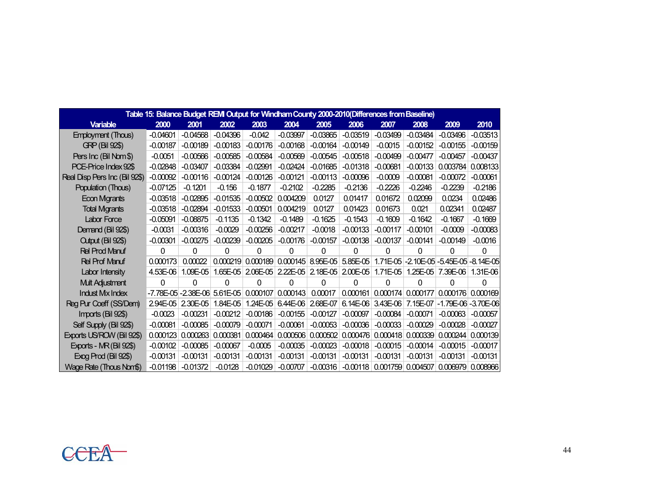| Table 15: Balance Budget REM Output for Windham County 2000-2010(Differences from Baseline) |            |                      |            |                            |                     |            |                   |            |            |            |                                           |  |  |
|---------------------------------------------------------------------------------------------|------------|----------------------|------------|----------------------------|---------------------|------------|-------------------|------------|------------|------------|-------------------------------------------|--|--|
| <b>Variable</b>                                                                             | 2000       | 2001                 | 2002       | 2003                       | 2004                | 2005       | 2006              | 2007       | 2008       | 2009       | 2010                                      |  |  |
| <b>Employment (Thous)</b>                                                                   | $-0.04601$ | $-0.04568$           | $-0.04396$ | $-0.042$                   | $-0.03997$          | $-0.03865$ | $-0.03519$        | $-0.03499$ | $-0.03484$ | $-0.03496$ | $-0.03513$                                |  |  |
| <b>GRP (Bil 92\$)</b>                                                                       | $-0.00187$ | $-0.00189$           | $-0.00183$ | $-0.00176$                 | $-0.00168$          | $-0.00164$ | $-0.00149$        | $-0.0015$  | $-0.00152$ | $-0.00155$ | $-0.00159$                                |  |  |
| Pers Inc (Bil Nom\$)                                                                        | $-0.0051$  | $-0.00566$           | $-0.00585$ | $-0.00584$                 | $-0.00569$          | $-0.00545$ | $-0.00518$        | $-0.00499$ | $-0.00477$ | $-0.00457$ | $-0.00437$                                |  |  |
| PCE-Price Index 92\$                                                                        | $-0.02848$ | $-0.03407$           | $-0.03384$ | $-0.02991$                 | $-0.02424$          | $-0.01685$ | $-0.01318$        | $-0.00681$ | $-0.00133$ | 0.003784   | 0.008133                                  |  |  |
| Real Disp Pers Inc (Bil 92\$)                                                               | $-0.00092$ | $-0.00116$           | $-0.00124$ | $-0.00126$                 | $-0.00121$          | $-0.00113$ | $-0.00096$        | $-0.0009$  | $-0.00081$ | $-0.00072$ | $-0.00061$                                |  |  |
| Population (Thous)                                                                          | $-0.07125$ | $-0.1201$            | $-0.156$   | $-0.1877$                  | $-0.2102$           | $-0.2285$  | $-0.2136$         | $-0.2226$  | $-0.2246$  | $-0.2239$  | $-0.2186$                                 |  |  |
| Econ Mgrants                                                                                | $-0.03518$ | $-0.02895$           | $-0.01535$ | $-0.00502$                 | 0.004209            | 0.0127     | 0.01417           | 0.01672    | 0.02099    | 0.0234     | 0.02486                                   |  |  |
| <b>Total Mgrants</b>                                                                        | $-0.03518$ | $-0.02894$           | $-0.01533$ | $-0.00501$                 | 0.004219            | 0.0127     | 0.01423           | 0.01673    | 0.021      | 0.02341    | 0.02487                                   |  |  |
| Labor Force                                                                                 | $-0.05091$ | $-0.08875$           | $-0.1135$  | $-0.1342$                  | $-0.1489$           | $-0.1625$  | $-0.1543$         | $-0.1609$  | $-0.1642$  | $-0.1667$  | $-0.1669$                                 |  |  |
| Demand (Bil 92\$)                                                                           | $-0.0031$  | $-0.00316$           | $-0.0029$  | $-0.00256$                 | $-0.00217$          | $-0.0018$  | $-0.00133$        | $-0.00117$ | $-0.00101$ | $-0.0009$  | $-0.00083$                                |  |  |
| Output (Bil 92\$)                                                                           | $-0.00301$ | $-0.00275$           | $-0.00239$ | $-0.00205$                 | $-0.00176$          | $-0.00157$ | $-0.00138$        | $-0.00137$ | $-0.00141$ | $-0.00149$ | $-0.0016$                                 |  |  |
| <b>Rel Prod Manuf</b>                                                                       | 0          | 0                    | 0          | 0                          | 0                   | $\Omega$   | 0                 | 0          | 0          | 0          | 0                                         |  |  |
| <b>Rel Prof Manuf</b>                                                                       | 0.000173   | 0.00022              | 0.000219   |                            | $0.000189$ 0.000145 | $8.95E-05$ | $5.85E-05$        |            |            |            | 1.71E-05 - 2.10E-05 - 5.45E-05 - 8.14E-05 |  |  |
| Labor Intensity                                                                             | 4.53E-06   | $1.09E-05$           |            | 1.65E-05 2.06E-05 2.22E-05 |                     |            | 2.18E-05 2.00E-05 |            |            |            | 1.71E-05 1.25E-05 7.39E-06 1.31E-06       |  |  |
| Mult Adjustment                                                                             | 0          | 0                    | 0          | 0                          | 0                   | $\Omega$   | 0                 | 0          | O          | 0          | 0                                         |  |  |
| <b>Indust Mx Index</b>                                                                      |            | -7.78E-05 - 2.38E-06 | 5.61E-05   | 0.000107                   | 0.000143            | 0.00017    | 0.000161          | 0.000174   | 0.000177   |            | $0.000176$ 0.000169                       |  |  |
| Reg Pur Coeff (SS/Dem)                                                                      | 2.94E-05   | 2.30E-05             | 1.84E-05   | $1.24E-05$                 | 6.44E-06            | 2.68E-07   | $6.14E-06$        | 3.43E-06   | 7.15E-07   |            | -1.79E-06 -3.70E-06                       |  |  |
| Imports (Bil 92\$)                                                                          | $-0.0023$  | $-0.00231$           | $-0.00212$ | $-0.00186$                 | $-0.00155$          | $-0.00127$ | $-0.00097$        | $-0.00084$ | $-0.00071$ | $-0.00063$ | $-0.00057$                                |  |  |
| Self Supply (Bil 92\$)                                                                      | $-0.00081$ | $-0.00085$           | $-0.00079$ | $-0.00071$                 | $-0.00061$          | $-0.00053$ | $-0.00036$        | $-0.00033$ | $-0.00029$ | $-0.00028$ | $-0.00027$                                |  |  |
| Exports US/ROW (Bil 92\$)                                                                   | 0.000123   | 0.000263             | 0.000381   | 0.000464                   | 0.000506            | 0.000502   | 0.000476          | 0.000418   | 0.000339   | 0.000244   | 0.000139                                  |  |  |
| Exports - MR (Bil 92\$)                                                                     | $-0.00102$ | $-0.00085$           | $-0.00067$ | $-0.0005$                  | $-0.00035$          | $-0.00023$ | $-0.00018$        | $-0.00015$ | $-0.00014$ | $-0.00015$ | $-0.00017$                                |  |  |
| Exog Prod (Bil 92\$)                                                                        | $-0.00131$ | $-0.00131$           | $-0.00131$ | $-0.00131$                 | $-0.00131$          | $-0.00131$ | $-0.00131$        | $-0.00131$ | $-0.00131$ | $-0.00131$ | $-0.00131$                                |  |  |
| Wage Rate (Thous Nom\$)                                                                     | $-0.01198$ | $-0.01372$           | $-0.0128$  | $-0.01029$                 | $-0.00707$          | $-0.00316$ | $-0.00118$        | 0.001759   | 0.004507   |            | $0.006979$ 0.008966                       |  |  |

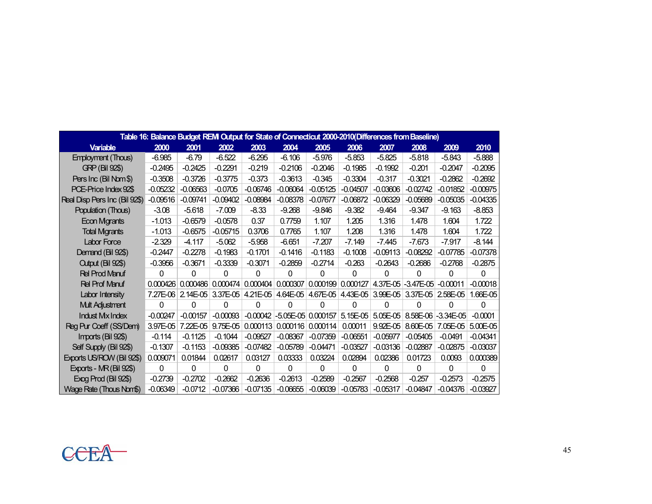| Table 16: Balance Budget REM Output for State of Connecticut 2000-2010(Differences from Baseline) |            |            |            |            |                     |                    |                   |                                                       |                     |                     |              |
|---------------------------------------------------------------------------------------------------|------------|------------|------------|------------|---------------------|--------------------|-------------------|-------------------------------------------------------|---------------------|---------------------|--------------|
| <b>Variable</b>                                                                                   | 2000       | 2001       | 2002       | 2003       | 2004                | 2005               | 2006              | 2007                                                  | 2008                | 2009                | 2010         |
| <b>Employment (Thous)</b>                                                                         | $-6.985$   | $-6.79$    | $-6.522$   | $-6.295$   | $-6.106$            | $-5.976$           | $-5.853$          | $-5.825$                                              | $-5.818$            | $-5.843$            | $-5.888$     |
| <b>GRP (Bil 92\$)</b>                                                                             | $-0.2495$  | $-0.2425$  | $-0.2291$  | $-0.219$   | $-0.2106$           | $-0.2046$          | $-0.1985$         | $-0.1992$                                             | $-0.201$            | $-0.2047$           | $-0.2095$    |
| Pers Inc (Bil Nom \$)                                                                             | $-0.3508$  | $-0.3726$  | $-0.3775$  | $-0.373$   | $-0.3613$           | $-0.345$           | $-0.3304$         | $-0.317$                                              | $-0.3021$           | $-0.2862$           | $-0.2692$    |
| PCE-Price Index 92\$                                                                              | $-0.05232$ | $-0.06563$ | $-0.0705$  | $-0.06746$ | $-0.06064$          | $-0.05125$         | $-0.04507$        | $-0.03606$                                            | $-0.02742$          | $-0.01852$          | $-0.00975$   |
| Real Disp Pers Inc (Bil 92\$)                                                                     | $-0.09516$ | $-0.09741$ | $-0.09402$ | $-0.08984$ | $-0.08378$          | $-0.07677$         | $-0.06872$        | $-0.06329$                                            | $-0.05689$          | $-0.05035$          | $-0.04335$   |
| Population (Thous)                                                                                | $-3.08$    | $-5.618$   | $-7.009$   | $-8.33$    | $-9.268$            | $-9.846$           | $-9.382$          | $-9.464$                                              | $-9.347$            | $-9.163$            | $-8.853$     |
| <b>Econ Mgrants</b>                                                                               | $-1.013$   | $-0.6579$  | $-0.0578$  | 0.37       | 0.7759              | 1.107              | 1.205             | 1.316                                                 | 1.478               | 1.604               | 1.722        |
| <b>Total Mgrants</b>                                                                              | $-1.013$   | $-0.6575$  | $-0.05715$ | 0.3706     | 0.7765              | 1.107              | 1.208             | 1.316                                                 | 1.478               | 1.604               | 1.722        |
| Labor Force                                                                                       | $-2.329$   | $-4.117$   | $-5.062$   | $-5.958$   | $-6.651$            | $-7.207$           | $-7.149$          | $-7.445$                                              | $-7.673$            | $-7.917$            | $-8.144$     |
| Demand (Bil 92\$)                                                                                 | $-0.2447$  | $-0.2278$  | $-0.1983$  | $-0.1701$  | $-0.1416$           | $-0.1183$          | $-0.1008$         | $-0.09113$                                            | $-0.08292$          | $-0.07785$          | $-0.07378$   |
| Cutput (Bil 92\$)                                                                                 | $-0.3956$  | $-0.3671$  | $-0.3339$  | $-0.3071$  | $-0.2859$           | $-0.2714$          | $-0.263$          | $-0.2643$                                             | $-0.2686$           | $-0.2768$           | $-0.2875$    |
| <b>Rel Prod Manuf</b>                                                                             | 0          | 0          | 0          | 0          | 0                   | 0                  | 0                 | 0                                                     | $\Omega$            | $\Omega$            | 0            |
| <b>Rel Prof Manuf</b>                                                                             | 0.000426   | 0.000486   | 0.000474   |            | $0.000404$ 0.000307 |                    | 0.000199 0.000127 |                                                       | 4.37E-05 - 3.47E-05 | $-0.00011$          | $-0.00018$   |
| Labor Intensity                                                                                   | 7.27E-06   | $2.14E-05$ |            |            |                     |                    |                   | 3.37E-05 4.21E-05 4.64E-05 4.67E-05 4.43E-05 3.99E-05 | $3.37E-05$          | $2.58E - 05$        | 1.66E-05     |
| <b>Mult Adjustment</b>                                                                            | 0          | 0          | 0          | 0          | 0                   | 0                  | 0                 | O                                                     | 0                   | 0                   | 0            |
| <b>Indust Mx Index</b>                                                                            | $-0.00247$ | $-0.00157$ | $-0.00093$ | $-0.00042$ |                     | -5.05E-05 0.000157 | $5.15E-05$        | $5.05E-05$                                            |                     | 8.58E-06 - 3.34E-05 | $-0.0001$    |
| Reg Pur Coeff (SS/Dem)                                                                            | 3.97E-05   | 7.22E-05   | 9.75E-05   |            | 0.000113   0.000116 | 0.000114           | 0.00011           | 9.92E-05                                              | 8.60E-05            | 7.05E-05            | 5.00E-05     |
| Imports (Bil 92\$)                                                                                | $-0.114$   | $-0.1125$  | $-0.1044$  | $-0.09527$ | $-0.08367$          | $-0.07359$         | $-0.06551$        | $-0.05977$                                            | $-0.05405$          | $-0.0491$           | $-0.04341$   |
| Self Supply (Bil 92\$)                                                                            | $-0.1307$  | $-0.1153$  | $-0.09385$ | $-0.07482$ | $-0.05789$          | $-0.04471$         | $-0.03527$        | $-0.03136$                                            | $-0.02887$          | $-0.02875$          | $-0.03037$   |
| Exports US/ROW (Bil 92\$)                                                                         | 0.009071   | 0.01844    | 0.02617    | 0.03127    | 0.03333             | 0.03224            | 0.02894           | 0.02386                                               | 0.01723             | 0.0093              | 0.000389     |
| Exports - MR (Bil 92\$)                                                                           | 0          | 0          | 0          | 0          | 0                   | $\Omega$           | $\mathbf{0}$      | $\Omega$                                              | $\Omega$            | $\Omega$            | $\mathbf{0}$ |
| Exog Prod (Bil 92\$)                                                                              | $-0.2739$  | $-0.2702$  | $-0.2662$  | $-0.2636$  | $-0.2613$           | $-0.2589$          | $-0.2567$         | $-0.2568$                                             | $-0.257$            | $-0.2573$           | $-0.2575$    |
| Wage Rate (Thous Nom\$)                                                                           | $-0.06349$ | $-0.0712$  | $-0.07366$ | $-0.07135$ | $-0.06655$          | $-0.06039$         | $-0.05783$        | $-0.05317$                                            | $-0.04847$          | $-0.04376$          | $-0.03927$   |

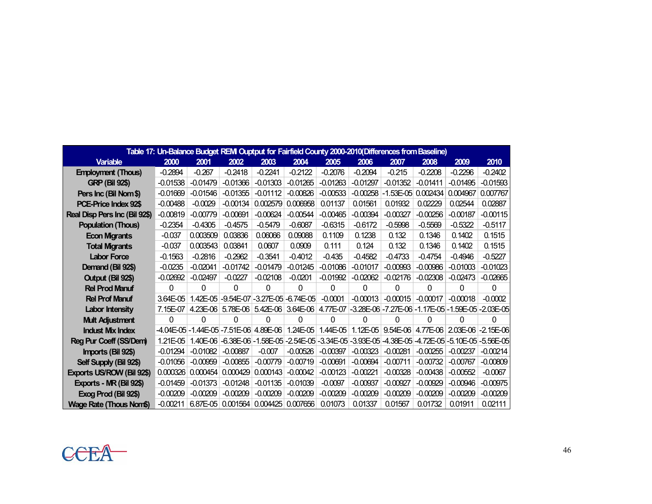|                               | Table 17: Un-Balance Budget REM Ouptput for Fairfield County 2000-2010(Differences from Baseline) |                                          |            |                                           |            |            |            |             |            |                                                                                                |            |  |  |
|-------------------------------|---------------------------------------------------------------------------------------------------|------------------------------------------|------------|-------------------------------------------|------------|------------|------------|-------------|------------|------------------------------------------------------------------------------------------------|------------|--|--|
| <b>Variable</b>               | 2000                                                                                              | 2001                                     | 2002       | 2003                                      | 2004       | 2005       | 2006       | 2007        | 2008       | 2009                                                                                           | 2010       |  |  |
| <b>Employment (Thous)</b>     | $-0.2894$                                                                                         | $-0.267$                                 | $-0.2418$  | $-0.2241$                                 | $-0.2122$  | $-0.2076$  | $-0.2094$  | $-0.215$    | $-0.2208$  | $-0.2296$                                                                                      | $-0.2402$  |  |  |
| <b>GRP (Bil 92\$)</b>         | $-0.01538$                                                                                        | $-0.01479$                               | $-0.01366$ | $-0.01303$                                | $-0.01265$ | $-0.01263$ | $-0.01297$ | $-0.01352$  | $-0.01411$ | $-0.01495$                                                                                     | $-0.01593$ |  |  |
| Pers Inc (Bil Nom \$)         | $-0.01669$                                                                                        | $-0.01546$                               | $-0.01355$ | $-0.01112$                                | $-0.00826$ | $-0.00533$ | $-0.00258$ | $-1.53E-05$ | 0.002434   | 0.004967                                                                                       | 0.007767   |  |  |
| PCE-Price Index 92\$          | $-0.00488$                                                                                        | $-0.0029$                                | $-0.00134$ | 0.002579                                  | 0.006958   | 0.01137    | 0.01561    | 0.01932     | 0.02229    | 0.02544                                                                                        | 0.02887    |  |  |
| Real Disp Pers Inc (Bil 92\$) | $-0.00819$                                                                                        | $-0.00779$                               | $-0.00691$ | $-0.00624$                                | $-0.00544$ | $-0.00465$ | $-0.00394$ | $-0.00327$  | $-0.00256$ | $-0.00187$                                                                                     | $-0.00115$ |  |  |
| <b>Population (Thous)</b>     | $-0.2354$                                                                                         | $-0.4305$                                | $-0.4575$  | $-0.5479$                                 | $-0.6087$  | $-0.6315$  | $-0.6172$  | $-0.5998$   | $-0.5569$  | $-0.5322$                                                                                      | $-0.5117$  |  |  |
| <b>Econ Migrants</b>          | $-0.037$                                                                                          | 0.003509                                 | 0.03836    | 0.06066                                   | 0.09088    | 0.1109     | 0.1238     | 0.132       | 0.1346     | 0.1402                                                                                         | 0.1515     |  |  |
| <b>Total Migrants</b>         | $-0.037$                                                                                          | 0.003543                                 | 0.03841    | 0.0607                                    | 0.0909     | 0.111      | 0.124      | 0.132       | 0.1346     | 0.1402                                                                                         | 0.1515     |  |  |
| <b>Labor Force</b>            | $-0.1563$                                                                                         | $-0.2816$                                | $-0.2962$  | $-0.3541$                                 | $-0.4012$  | $-0.435$   | $-0.4582$  | $-0.4733$   | $-0.4754$  | $-0.4946$                                                                                      | $-0.5227$  |  |  |
| Demand (Bil 92\$)             | $-0.0235$                                                                                         | $-0.02041$                               | $-0.01742$ | $-0.01479$                                | $-0.01245$ | $-0.01086$ | $-0.01017$ | $-0.00993$  | $-0.00986$ | $-0.01003$                                                                                     | $-0.01023$ |  |  |
| Output (Bil 92\$)             | $-0.02692$                                                                                        | $-0.02497$                               | $-0.0227$  | $-0.02108$                                | $-0.0201$  | $-0.01992$ | $-0.02062$ | $-0.02176$  | $-0.02308$ | $-0.02473$                                                                                     | $-0.02665$ |  |  |
| <b>Rel Prod Manuf</b>         | 0                                                                                                 | 0                                        | 0          | 0                                         | 0          | $\Omega$   | 0          | 0           | 0          | 0                                                                                              | $\Omega$   |  |  |
| <b>Rel Prof Manuf</b>         | 3.64E-05                                                                                          |                                          |            | 1.42E-05 - 9.54E-07 - 3.27E-05 - 6.74E-05 |            | $-0.0001$  | $-0.00013$ | $-0.00015$  | $-0.00017$ | $-0.00018$                                                                                     | $-0.0002$  |  |  |
| <b>Labor Intensity</b>        | $7.15E-07$                                                                                        |                                          |            |                                           |            |            |            |             |            | 4.23E-06 5.78E-06 5.42E-06 3.64E-06 4.77E-07 -3.28E-06 -7.27E-06 -1.17E-05 -1.59E-05 -2.03E-05 |            |  |  |
| <b>Mult Adjustment</b>        | 0                                                                                                 | 0                                        | 0          | 0                                         | 0          | 0          | 0          | 0           | 0          | 0                                                                                              | 0          |  |  |
| <b>Indust Mix Index</b>       |                                                                                                   | -4.04E-05 - 1.44E-05 - 7.51E-06 4.89E-06 |            |                                           | $1.24E-05$ | $1.44E-05$ |            |             |            | 1.12E-05 3.54E-06 4.77E-06 2.03E-06 -2.15E-06                                                  |            |  |  |
| Reg Pur Coeff (SS/Dem)        | 1.21E-05                                                                                          | 1.40E-06                                 |            |                                           |            |            |            |             |            | -6.38E-06 -1.58E-05 -2.54E-05 -3.34E-05 -3.93E-05 -4.38E-05 -4.72E-05 -5.10E-05 -5.56E-05      |            |  |  |
| Imports (Bil 92\$)            | $-0.01294$                                                                                        | $-0.01082$                               | $-0.00887$ | $-0.007$                                  | $-0.00526$ | $-0.00397$ | $-0.00323$ | $-0.00281$  | $-0.00255$ | $-0.00237$                                                                                     | $-0.00214$ |  |  |
| Self Supply (Bil 92\$)        | $-0.01056$                                                                                        | $-0.00959$                               | $-0.00855$ | $-0.00779$                                | $-0.00719$ | $-0.00691$ | $-0.00694$ | $-0.00711$  | $-0.00732$ | $-0.00767$                                                                                     | $-0.00809$ |  |  |
| Exports US/ROW (Bil 92\$)     | 0.000326                                                                                          | 0.000454                                 | 0.000429   | 0.000143                                  | $-0.00042$ | $-0.00123$ | $-0.00221$ | $-0.00328$  | $-0.00438$ | $-0.00552$                                                                                     | $-0.0067$  |  |  |
| Exports - MR (Bil 92\$)       | $-0.01459$                                                                                        | $-0.01373$                               | $-0.01248$ | $-0.01135$                                | $-0.01039$ | $-0.0097$  | $-0.00937$ | $-0.00927$  | $-0.00929$ | $-0.00946$                                                                                     | $-0.00975$ |  |  |
| Exog Prod (Bil 92\$)          | $-0.00209$                                                                                        | $-0.00209$                               | $-0.00209$ | $-0.00209$                                | $-0.00209$ | $-0.00209$ | $-0.00209$ | $-0.00209$  | $-0.00209$ | $-0.00209$                                                                                     | $-0.00209$ |  |  |
| Wage Rate (Thous Nom\$)       | $-0.00211$                                                                                        | $6.87E - 05$                             |            | 0.001564   0.004425   0.007656            |            | 0.01073    | 0.01337    | 0.01567     | 0.01732    | 0.01911                                                                                        | 0.02111    |  |  |

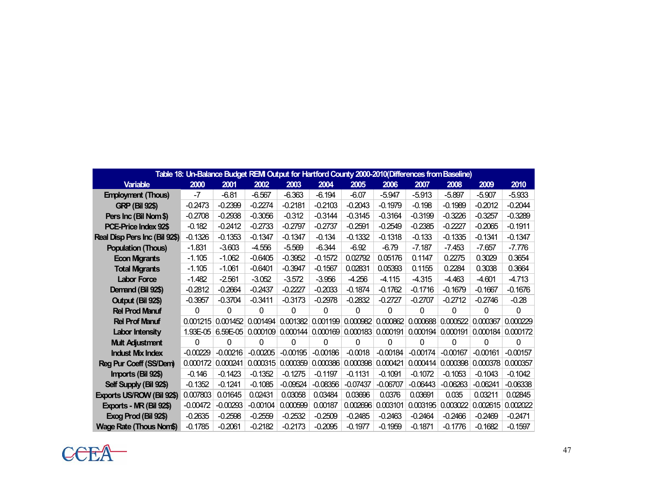| Table 18: Un-Balance Budget REM Output for Hartford County 2000-2010(Differences from Baseline) |            |            |            |            |            |                              |            |            |            |            |            |  |
|-------------------------------------------------------------------------------------------------|------------|------------|------------|------------|------------|------------------------------|------------|------------|------------|------------|------------|--|
| <b>Variable</b>                                                                                 | 2000       | 2001       | 2002       | 2003       | 2004       | 2005                         | 2006       | 2007       | 2008       | 2009       | 2010       |  |
| <b>Employment (Thous)</b>                                                                       | $-7$       | $-6.81$    | $-6.567$   | $-6.363$   | $-6.194$   | $-6.07$                      | $-5.947$   | $-5.913$   | $-5.897$   | $-5.907$   | $-5.933$   |  |
| <b>GRP (Bil 92\$)</b>                                                                           | $-0.2473$  | $-0.2399$  | $-0.2274$  | $-0.2181$  | $-0.2103$  | $-0.2043$                    | $-0.1979$  | $-0.198$   | $-0.1989$  | $-0.2012$  | $-0.2044$  |  |
| Pers Inc (Bil Nom\$)                                                                            | $-0.2708$  | $-0.2938$  | $-0.3056$  | $-0.312$   | $-0.3144$  | $-0.3145$                    | $-0.3164$  | $-0.3199$  | $-0.3226$  | $-0.3257$  | $-0.3289$  |  |
| PCE-Price Index 92\$                                                                            | $-0.182$   | $-0.2412$  | $-0.2733$  | $-0.2797$  | $-0.2737$  | $-0.2591$                    | $-0.2549$  | $-0.2385$  | $-0.2227$  | $-0.2065$  | $-0.1911$  |  |
| Real Disp Pers Inc (Bil 92\$)                                                                   | $-0.1326$  | $-0.1353$  | $-0.1347$  | $-0.1347$  | $-0.134$   | $-0.1332$                    | $-0.1318$  | $-0.133$   | $-0.1335$  | $-0.1341$  | $-0.1347$  |  |
| <b>Population (Thous)</b>                                                                       | $-1.831$   | $-3.603$   | $-4.556$   | $-5.569$   | $-6.344$   | $-6.92$                      | $-6.79$    | $-7.187$   | $-7.453$   | $-7.657$   | $-7.776$   |  |
| <b>Econ Migrants</b>                                                                            | $-1.105$   | $-1.062$   | $-0.6405$  | $-0.3952$  | $-0.1572$  | 0.02792                      | 0.05176    | 0.1147     | 0.2275     | 0.3029     | 0.3654     |  |
| <b>Total Migrants</b>                                                                           | $-1.105$   | $-1.061$   | $-0.6401$  | $-0.3947$  | $-0.1567$  | 0.02831                      | 0.05393    | 0.1155     | 0.2284     | 0.3038     | 0.3664     |  |
| <b>Labor Force</b>                                                                              | $-1.482$   | $-2.561$   | $-3.052$   | $-3.572$   | $-3.956$   | $-4.256$                     | $-4.115$   | $-4.315$   | $-4.463$   | $-4.601$   | $-4.713$   |  |
| Demand (Bil 92\$)                                                                               | $-0.2812$  | $-0.2664$  | $-0.2437$  | $-0.2227$  | $-0.2033$  | $-0.1874$                    | $-0.1762$  | $-0.1716$  | $-0.1679$  | $-0.1667$  | $-0.1676$  |  |
| Output (Bil 92\$)                                                                               | $-0.3957$  | $-0.3704$  | $-0.3411$  | $-0.3173$  | $-0.2978$  | $-0.2832$                    | $-0.2727$  | $-0.2707$  | $-0.2712$  | $-0.2746$  | $-0.28$    |  |
| <b>Rel Prod Manuf</b>                                                                           | 0          | 0          | 0          | 0          | 0          | 0                            | 0          | 0          | 0          | 0          | 0          |  |
| <b>Rel Prof Manuf</b>                                                                           | 0.001215   | 0.001452   | 0.001494   | 0.001382   |            | 0.001199   0.000982          | 0.000862   | 0.000688   | 0.000522   | 0.000367   | 0.000229   |  |
| <b>Labor Intensity</b>                                                                          | 1.93E-05   | 6.59E-05   | 0.000109   | 0.000144   |            | $0.000169$ 0.000183 0.000191 |            | 0.000194   | 0.000191   | 0.000184   | 0.000172   |  |
| <b>Mult Adjustment</b>                                                                          | 0          | 0          | 0          | 0          | 0          | 0                            | 0          | 0          | 0          | $\Omega$   | 0          |  |
| <b>Indust Mix Index</b>                                                                         | $-0.00229$ | $-0.00216$ | $-0.00205$ | $-0.00195$ | $-0.00186$ | $-0.0018$                    | $-0.00184$ | $-0.00174$ | $-0.00167$ | $-0.00161$ | $-0.00157$ |  |
| Reg Pur Coeff (SS/Dem)                                                                          | 0.000172   | 0.000241   | 0.000315   | 0.000359   | 0.000386   | 0.000398                     | 0.000421   | 0.000414   | 0.000398   | 0.000378   | 0.000357   |  |
| Imports (Bil 92\$)                                                                              | $-0.146$   | $-0.1423$  | $-0.1352$  | $-0.1275$  | $-0.1197$  | $-0.1131$                    | $-0.1091$  | $-0.1072$  | $-0.1053$  | $-0.1043$  | $-0.1042$  |  |
| Self Supply (Bil 92\$)                                                                          | $-0.1352$  | $-0.1241$  | $-0.1085$  | $-0.09524$ | $-0.08356$ | $-0.07437$                   | $-0.06707$ | $-0.06443$ | $-0.06263$ | $-0.06241$ | $-0.06338$ |  |
| Exports US/ROW (Bil 92\$)                                                                       | 0.007803   | 0.01645    | 0.02431    | 0.03058    | 0.03484    | 0.03696                      | 0.0376     | 0.03691    | 0.035      | 0.03211    | 0.02845    |  |
| Exports - MR (Bil 92\$)                                                                         | $-0.00472$ | $-0.00293$ | $-0.00104$ | 0.000599   | 0.00187    | 0.002696                     | 0.003101   | 0.003195   | 0.003022   | 0.002615   | 0.002022   |  |
| Exog Prod (Bil 92\$)                                                                            | $-0.2635$  | $-0.2598$  | $-0.2559$  | $-0.2532$  | $-0.2509$  | $-0.2485$                    | $-0.2463$  | $-0.2464$  | $-0.2466$  | $-0.2469$  | $-0.2471$  |  |
| Wage Rate (Thous Nom\$)                                                                         | $-0.1785$  | $-0.2061$  | $-0.2182$  | $-0.2173$  | $-0.2095$  | $-0.1977$                    | $-0.1959$  | $-0.1871$  | $-0.1776$  | $-0.1682$  | $-0.1597$  |  |

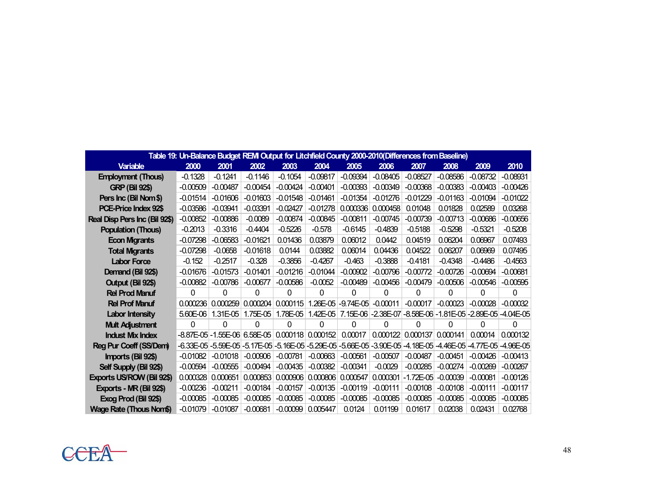|                                |            | Table 19: Un-Balance Budget REM Output for Litchfield County 2000-2010(Differences from Baseline) |            |            |            |             |            |                                                           |                            |             |               |
|--------------------------------|------------|---------------------------------------------------------------------------------------------------|------------|------------|------------|-------------|------------|-----------------------------------------------------------|----------------------------|-------------|---------------|
| <b>Variable</b>                | 2000       | 2001                                                                                              | 2002       | 2003       | 2004       | 2005        | 2006       | 2007                                                      | 2008                       | 2009        | 2010          |
| <b>Employment (Thous)</b>      | $-0.1328$  | $-0.1241$                                                                                         | $-0.1146$  | $-0.1054$  | $-0.09817$ | $-0.09394$  | $-0.08405$ | $-0.08527$                                                | $-0.08586$                 | $-0.08732$  | $-0.08931$    |
| <b>GRP (Bil 92\$)</b>          | $-0.00509$ | $-0.00487$                                                                                        | $-0.00454$ | $-0.00424$ | $-0.00401$ | $-0.00393$  | $-0.00349$ | $-0.00368$                                                | $-0.00383$                 | $-0.00403$  | $-0.00426$    |
| Pers Inc (Bil Nom \$)          | $-0.01514$ | $-0.01606$                                                                                        | $-0.01603$ | $-0.01548$ | $-0.01461$ | $-0.01354$  | $-0.01276$ | $-0.01229$                                                | $-0.01163$                 | $-0.01094$  | $-0.01022$    |
| PCE-Price Index 92\$           | $-0.03586$ | $-0.03941$                                                                                        | $-0.03391$ | $-0.02427$ | $-0.01278$ | 0.000336    | 0.000458   | 0.01048                                                   | 0.01828                    | 0.02589     | 0.03268       |
| Real Disp Pers Inc (Bil 92\$)  | $-0.00852$ | $-0.00886$                                                                                        | $-0.0089$  | $-0.00874$ | $-0.00845$ | $-0.00811$  | $-0.00745$ | $-0.00739$                                                | $-0.00713$                 | $-0.00686$  | $-0.00656$    |
| <b>Population (Thous)</b>      | $-0.2013$  | $-0.3316$                                                                                         | $-0.4404$  | $-0.5226$  | $-0.578$   | $-0.6145$   | $-0.4839$  | $-0.5188$                                                 | $-0.5298$                  | $-0.5321$   | $-0.5208$     |
| <b>Econ Migrants</b>           | $-0.07298$ | $-0.06583$                                                                                        | $-0.01621$ | 0.01436    | 0.03879    | 0.06012     | 0.0442     | 0.04519                                                   | 0.06204                    | 0.06967     | 0.07493       |
| <b>Total Migrants</b>          | $-0.07298$ | $-0.0658$                                                                                         | $-0.01618$ | 0.0144     | 0.03882    | 0.06014     | 0.04436    | 0.04522                                                   | 0.06207                    | 0.06969     | 0.07495       |
| <b>Labor Force</b>             | $-0.152$   | $-0.2517$                                                                                         | $-0.328$   | $-0.3856$  | $-0.4267$  | $-0.463$    | $-0.3888$  | $-0.4181$                                                 | $-0.4348$                  | $-0.4486$   | $-0.4563$     |
| Demand (Bil 92\$)              | $-0.01676$ | $-0.01573$                                                                                        | $-0.01401$ | $-0.01216$ | $-0.01044$ | $-0.00902$  | $-0.00796$ | $-0.00772$                                                | $-0.00726$                 | $-0.00694$  | $-0.00681$    |
| Output (Bil 92\$)              | $-0.00882$ | $-0.00786$                                                                                        | $-0.00677$ | $-0.00586$ | $-0.0052$  | $-0.00489$  | $-0.00456$ | $-0.00479$                                                | $-0.00506$                 | $-0.00546$  | $-0.00595$    |
| <b>Rel Prod Manuf</b>          | $\Omega$   | $\Omega$                                                                                          | 0          | 0          | $\Omega$   | 0           | $\Omega$   | 0                                                         | $\Omega$                   | 0           | 0             |
| <b>Rel Prof Manuf</b>          | 0.000236   | 0.000259                                                                                          | 0.000204   | 0.000115   | 1.26E-05   | $-9.74E-05$ | $-0.00011$ | $-0.00017$                                                | $-0.00023$                 | $-0.00028$  | $-0.00032$    |
| <b>Labor Intensity</b>         | $5.60E-06$ | 1.31E-05                                                                                          | 1.75E-05   | 1.78E-05   |            |             |            | 1.42E-05 7.15E-06 -2.38E-07 -8.58E-06 -1.81E-05 -2.89E-05 |                            |             | $-4.04E-05$   |
| <b>Mult Adjustment</b>         | 0          | 0                                                                                                 | 0          | 0          | 0          | 0           | 0          | O                                                         | 0                          | 0           | 0             |
| <b>Indust Mix Index</b>        |            | $-8.87E-05$ - 1.55E-06 6.58E-05 0.000118                                                          |            |            | 0.000152   | 0.00017     | 0.000122   | 0.000137                                                  | 0.000141                   | 0.00014     | 0.000132      |
| Reg Pur Coeff (SS/Dem)         |            | -6.33E-05 -5.59E-05 -5.17E-05 -5.16E-05 -5.29E-05 -5.66E-05 -3.90E-05                             |            |            |            |             |            |                                                           | $-4.18E - 05 - 4.46E - 05$ | $-4.77E-05$ | $-4.96E - 05$ |
| Imports (Bil 92\$)             | $-0.01082$ | $-0.01018$                                                                                        | $-0.00906$ | $-0.00781$ | $-0.00663$ | $-0.00561$  | $-0.00507$ | $-0.00487$                                                | $-0.00451$                 | $-0.00426$  | $-0.00413$    |
| Self Supply (Bil 92\$)         | $-0.00594$ | $-0.00555$                                                                                        | $-0.00494$ | $-0.00435$ | $-0.00382$ | $-0.00341$  | $-0.0029$  | $-0.00285$                                                | $-0.00274$                 | $-0.00269$  | $-0.00267$    |
| Exports US/ROW (Bil 92\$)      | 0.000328   | 0.000651                                                                                          | 0.000853   | 0.000906   | 0.000806   | 0.000547    | 0.000301   | $-1.72E - 05$                                             | $-0.00039$                 | $-0.00081$  | $-0.00126$    |
| Exports - MR (Bil 92\$)        | $-0.00236$ | $-0.00211$                                                                                        | $-0.00184$ | $-0.00157$ | $-0.00135$ | $-0.00119$  | $-0.00111$ | $-0.00108$                                                | $-0.00108$                 | $-0.00111$  | $-0.00117$    |
| Exog Prod (Bil 92\$)           | $-0.00085$ | $-0.00085$                                                                                        | $-0.00085$ | $-0.00085$ | $-0.00085$ | $-0.00085$  | $-0.00085$ | $-0.00085$                                                | $-0.00085$                 | $-0.00085$  | $-0.00085$    |
| <b>Wage Rate (Thous Nom\$)</b> | $-0.01079$ | $-0.01087$                                                                                        | $-0.00681$ | $-0.00099$ | 0.005447   | 0.0124      | 0.01199    | 0.01617                                                   | 0.02038                    | 0.02431     | 0.02768       |

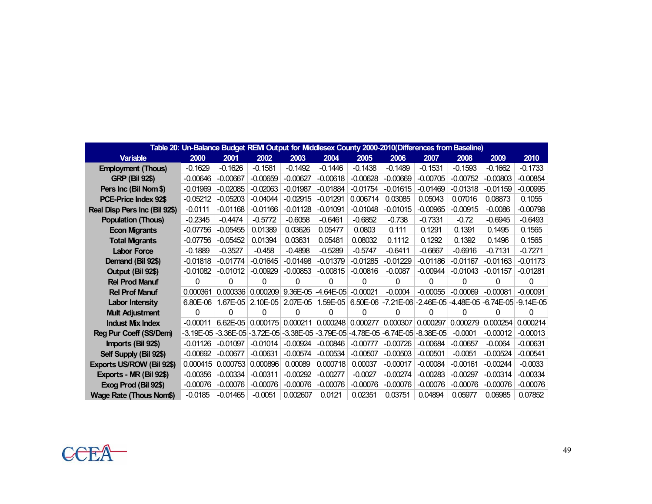|                               |               | Table 20: Un-Balance Budget REMI Output for Middlesex County 2000-2010(Differences from Baseline) |                                                                                     |            |             |            |            |            |            |            |                                                            |
|-------------------------------|---------------|---------------------------------------------------------------------------------------------------|-------------------------------------------------------------------------------------|------------|-------------|------------|------------|------------|------------|------------|------------------------------------------------------------|
| <b>Variable</b>               | 2000          | 2001                                                                                              | 2002                                                                                | 2003       | 2004        | 2005       | 2006       | 2007       | 2008       | 2009       | 2010                                                       |
| <b>Employment (Thous)</b>     | $-0.1629$     | $-0.1626$                                                                                         | $-0.1581$                                                                           | $-0.1492$  | $-0.1446$   | $-0.1438$  | $-0.1489$  | $-0.1531$  | $-0.1593$  | $-0.1662$  | $-0.1733$                                                  |
| <b>GRP (Bil 92\$)</b>         | $-0.00646$    | $-0.00667$                                                                                        | $-0.00659$                                                                          | $-0.00627$ | $-0.00618$  | $-0.00628$ | $-0.00669$ | $-0.00705$ | $-0.00752$ | $-0.00803$ | $-0.00854$                                                 |
| Pers Inc (Bil Nom \$)         | $-0.01969$    | $-0.02085$                                                                                        | $-0.02063$                                                                          | $-0.01987$ | $-0.01884$  | $-0.01754$ | $-0.01615$ | $-0.01469$ | $-0.01318$ | $-0.01159$ | $-0.00995$                                                 |
| PCE-Price Index 92\$          | $-0.05212$    | $-0.05203$                                                                                        | $-0.04044$                                                                          | $-0.02915$ | $-0.01291$  | 0.006714   | 0.03085    | 0.05043    | 0.07016    | 0.08873    | 0.1055                                                     |
| Real Disp Pers Inc (Bil 92\$) | $-0.0111$     | $-0.01168$                                                                                        | $-0.01166$                                                                          | $-0.01128$ | $-0.01091$  | $-0.01048$ | $-0.01015$ | $-0.00965$ | $-0.00915$ | $-0.0086$  | $-0.00798$                                                 |
| <b>Population (Thous)</b>     | $-0.2345$     | $-0.4474$                                                                                         | $-0.5772$                                                                           | $-0.6058$  | $-0.6461$   | $-0.6852$  | $-0.738$   | $-0.7331$  | $-0.72$    | $-0.6945$  | $-0.6493$                                                  |
| <b>Econ Migrants</b>          | $-0.07756$    | $-0.05455$                                                                                        | 0.01389                                                                             | 0.03626    | 0.05477     | 0.0803     | 0.111      | 0.1291     | 0.1391     | 0.1495     | 0.1565                                                     |
| <b>Total Migrants</b>         | $-0.07756$    | $-0.05452$                                                                                        | 0.01394                                                                             | 0.03631    | 0.05481     | 0.08032    | 0.1112     | 0.1292     | 0.1392     | 0.1496     | 0.1565                                                     |
| <b>Labor Force</b>            | $-0.1889$     | $-0.3527$                                                                                         | $-0.458$                                                                            | $-0.4898$  | $-0.5289$   | $-0.5747$  | $-0.6411$  | $-0.6667$  | $-0.6916$  | $-0.7131$  | $-0.7271$                                                  |
| Demand (Bil 92\$)             | $-0.01818$    | -0.01774                                                                                          | $-0.01645$                                                                          | $-0.01498$ | -0.01379    | $-0.01285$ | $-0.01229$ | $-0.01186$ | $-0.01167$ | $-0.01163$ | $-0.01173$                                                 |
| Output (Bil 92\$)             | $-0.01082$    | $-0.01012$                                                                                        | $-0.00929$                                                                          | $-0.00853$ | $-0.00815$  | $-0.00816$ | $-0.0087$  | $-0.00944$ | $-0.01043$ | $-0.01157$ | -0.01281                                                   |
| <b>Rel Prod Manuf</b>         | 0             | 0                                                                                                 | 0                                                                                   | 0          | 0           | 0          | 0          | 0          | 0          | 0          | 0                                                          |
| <b>Rel Prof Manuf</b>         | 0.000361      | 0.000336                                                                                          | 0.000209                                                                            | 9.36E-05   | $-4.64E-05$ | $-0.00021$ | $-0.0004$  | $-0.00055$ | $-0.00069$ | $-0.00081$ | $-0.00091$                                                 |
| <b>Labor Intensity</b>        | $6.80E-06$    | 1.67E-05                                                                                          | 2.10E-05                                                                            | 2.07E-05   | $1.59E-05$  |            |            |            |            |            | 6.50E-06 -7.21E-06 -2.46E-05 -4.48E-05 -6.74E-05 -9.14E-05 |
| <b>Mult Adjustment</b>        | 0             | 0                                                                                                 | 0                                                                                   | 0          | 0           | 0          | 0          | 0          | 0          | 0          | 0                                                          |
| <b>Indust Mix Index</b>       | $-0.00011$    | $6.62E - 05$                                                                                      | 0.000175                                                                            | 0.000211   | 0.000248    | 0.000277   | 0.000307   | 0.000297   | 0.000279   | 0.000254   | 0.000214                                                   |
| Reg Pur Coeff (SS/Dem)        | $-3.19E - 05$ |                                                                                                   | $-3.36E-05$ $-3.72E-05$ $-3.38E-05$ $-3.79E-05$ $-4.78E-05$ $-6.74E-05$ $-8.38E-05$ |            |             |            |            |            | $-0.0001$  | $-0.00012$ | $-0.00013$                                                 |
| Imports (Bil 92\$)            | $-0.01126$    | $-0.01097$                                                                                        | $-0.01014$                                                                          | $-0.00924$ | $-0.00846$  | $-0.00777$ | $-0.00726$ | $-0.00684$ | $-0.00657$ | $-0.0064$  | $-0.00631$                                                 |
| Self Supply (Bil 92\$)        | $-0.00692$    | $-0.00677$                                                                                        | $-0.00631$                                                                          | $-0.00574$ | $-0.00534$  | $-0.00507$ | $-0.00503$ | $-0.00501$ | $-0.0051$  | $-0.00524$ | $-0.00541$                                                 |
| Exports US/ROW (Bil 92\$)     | 0.000415      | 0.000753                                                                                          | 0.000896                                                                            | 0.00089    | 0.000718    | 0.00037    | $-0.00017$ | $-0.00084$ | $-0.00161$ | $-0.00244$ | $-0.0033$                                                  |
| Exports - MR (Bil 92\$)       | $-0.00356$    | $-0.00334$                                                                                        | $-0.00311$                                                                          | $-0.00292$ | $-0.00277$  | $-0.0027$  | $-0.00274$ | $-0.00283$ | $-0.00297$ | $-0.00314$ | $-0.00334$                                                 |
| Exog Prod (Bil 92\$)          | $-0.00076$    | $-0.00076$                                                                                        | $-0.00076$                                                                          | $-0.00076$ | $-0.00076$  | $-0.00076$ | $-0.00076$ | $-0.00076$ | $-0.00076$ | $-0.00076$ | $-0.00076$                                                 |
| Wage Rate (Thous Nom\$)       | $-0.0185$     | $-0.01465$                                                                                        | $-0.0051$                                                                           | 0.002607   | 0.0121      | 0.02351    | 0.03751    | 0.04894    | 0.05977    | 0.06985    | 0.07852                                                    |

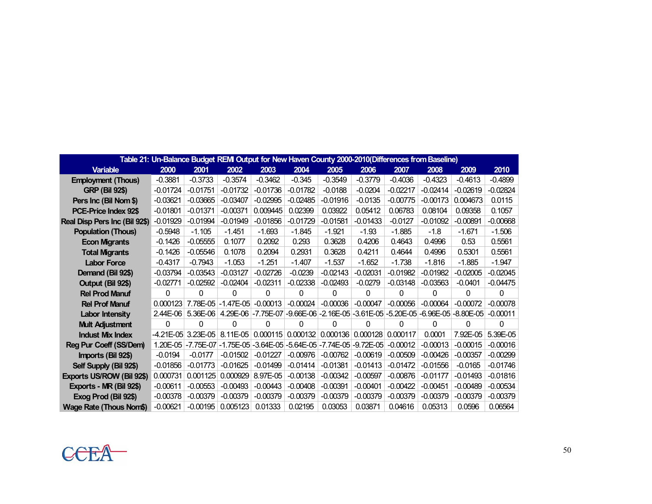|                                | Table 21: Un-Balance Budget REMI Output for New Haven County 2000-2010(Differences from Baseline) |                    |             |                                                                                |            |            |                     |            |            |            |            |
|--------------------------------|---------------------------------------------------------------------------------------------------|--------------------|-------------|--------------------------------------------------------------------------------|------------|------------|---------------------|------------|------------|------------|------------|
| <b>Variable</b>                | 2000                                                                                              | 2001               | 2002        | 2003                                                                           | 2004       | 2005       | 2006                | 2007       | 2008       | 2009       | 2010       |
| <b>Employment (Thous)</b>      | $-0.3881$                                                                                         | $-0.3733$          | $-0.3574$   | $-0.3462$                                                                      | $-0.345$   | $-0.3549$  | -0.3779             | $-0.4036$  | $-0.4323$  | $-0.4613$  | $-0.4899$  |
| <b>GRP (Bil 92\$)</b>          | $-0.01724$                                                                                        | $-0.01751$         | $-0.01732$  | $-0.01736$                                                                     | $-0.01782$ | $-0.0188$  | -0.0204             | $-0.02217$ | $-0.02414$ | -0.02619   | $-0.02824$ |
| Pers Inc (Bil Nom \$)          | $-0.03621$                                                                                        | $-0.03665$         | $-0.03407$  | $-0.02995$                                                                     | $-0.02485$ | $-0.01916$ | $-0.0135$           | $-0.00775$ | $-0.00173$ | 0.004673   | 0.0115     |
| PCE-Price Index 92\$           | $-0.01801$                                                                                        | $-0.01371$         | $-0.00371$  | 0.009445                                                                       | 0.02399    | 0.03922    | 0.05412             | 0.06783    | 0.08104    | 0.09358    | 0.1057     |
| Real Disp Pers Inc (Bil 92\$)  | $-0.01929$                                                                                        | $-0.01994$         | $-0.01949$  | $-0.01856$                                                                     | $-0.01729$ | $-0.01581$ | $-0.01433$          | $-0.0127$  | $-0.01092$ | $-0.00891$ | $-0.00668$ |
| <b>Population (Thous)</b>      | $-0.5948$                                                                                         | $-1.105$           | $-1.451$    | $-1.693$                                                                       | $-1.845$   | $-1.921$   | $-1.93$             | $-1.885$   | $-1.8$     | $-1.671$   | $-1.506$   |
| <b>Econ Migrants</b>           | $-0.1426$                                                                                         | $-0.05555$         | 0.1077      | 0.2092                                                                         | 0.293      | 0.3628     | 0.4206              | 0.4643     | 0.4996     | 0.53       | 0.5561     |
| <b>Total Migrants</b>          | $-0.1426$                                                                                         | $-0.05546$         | 0.1078      | 0.2094                                                                         | 0.2931     | 0.3628     | 0.4211              | 0.4644     | 0.4996     | 0.5301     | 0.5561     |
| <b>Labor Force</b>             | $-0.4317$                                                                                         | $-0.7943$          | $-1.053$    | $-1.251$                                                                       | $-1.407$   | $-1.537$   | $-1.652$            | $-1.738$   | $-1.816$   | $-1.885$   | $-1.947$   |
| Demand (Bil 92\$)              | $-0.03794$                                                                                        | $-0.03543$         | $-0.03127$  | $-0.02726$                                                                     | $-0.0239$  | $-0.02143$ | $-0.02031$          | $-0.01982$ | $-0.01982$ | $-0.02005$ | $-0.02045$ |
| Output (Bil 92\$)              | $-0.02771$                                                                                        | $-0.02592$         | $-0.02404$  | $-0.02311$                                                                     | $-0.02338$ | $-0.02493$ | $-0.0279$           | $-0.03148$ | $-0.03563$ | $-0.0401$  | $-0.04475$ |
| <b>Rel Prod Manuf</b>          | $\Omega$                                                                                          | 0                  | 0           | 0                                                                              | 0          | 0          | 0                   | $\Omega$   | 0          | 0          | 0          |
| <b>Rel Prof Manuf</b>          | 0.000123                                                                                          | 7.78E-05           | $-1.47E-05$ | $-0.00013$                                                                     | $-0.00024$ | $-0.00036$ | $-0.00047$          | $-0.00056$ | $-0.00064$ | $-0.00072$ | $-0.00078$ |
| <b>Labor Intensity</b>         | $2.44E-06$                                                                                        | $5.36E-06$         |             | 4.29E-06 -7.75E-07 -9.66E-06 -2.16E-05 -3.61E-05 -5.20E-05 -6.96E-05 -8.80E-05 |            |            |                     |            |            |            | $-0.00011$ |
| <b>Mult Adjustment</b>         | $\Omega$                                                                                          | 0                  | 0           | 0                                                                              | 0          | 0          | 0                   | 0          | $\Omega$   | 0          | 0          |
| <b>Indust Mix Index</b>        | $-4.21E - 05$                                                                                     | $3.23E-05$         | $8.11E-05$  | 0.000115                                                                       | 0.000132   |            | 0.000136   0.000128 | 0.000117   | 0.0001     | 7.92E-05   | 5.39E-05   |
| Reg Pur Coeff (SS/Dem)         |                                                                                                   | 1.20E-05 -7.75E-07 |             | $-1.75E-05$ $-3.64E-05$ $-5.64E-05$ $-7.74E-05$ $-9.72E-05$                    |            |            |                     | $-0.00012$ | $-0.00013$ | $-0.00015$ | $-0.00016$ |
| Imports (Bil 92\$)             | $-0.0194$                                                                                         | $-0.0177$          | $-0.01502$  | $-0.01227$                                                                     | $-0.00976$ | $-0.00762$ | $-0.00619$          | $-0.00509$ | $-0.00426$ | $-0.00357$ | $-0.00299$ |
| Self Supply (Bil 92\$)         | $-0.01856$                                                                                        | $-0.01773$         | $-0.01625$  | $-0.01499$                                                                     | $-0.01414$ | $-0.01381$ | $-0.01413$          | $-0.01472$ | $-0.01556$ | $-0.0165$  | $-0.01746$ |
| Exports US/ROW (Bil 92\$)      | 0.000731                                                                                          | 0.001125           | 0.000929    | 8.97E-05                                                                       | $-0.00138$ | $-0.00342$ | $-0.00597$          | $-0.00876$ | $-0.01177$ | $-0.01493$ | $-0.01816$ |
| Exports - MR (Bil 92\$)        | $-0.00611$                                                                                        | $-0.00553$         | $-0.00493$  | $-0.00443$                                                                     | $-0.00408$ | $-0.00391$ | $-0.00401$          | $-0.00422$ | $-0.00451$ | $-0.00489$ | $-0.00534$ |
| Exog Prod (Bil 92\$)           | $-0.00378$                                                                                        | $-0.00379$         | $-0.00379$  | $-0.00379$                                                                     | $-0.00379$ | $-0.00379$ | $-0.00379$          | $-0.00379$ | $-0.00379$ | $-0.00379$ | $-0.00379$ |
| <b>Wage Rate (Thous Nom\$)</b> | $-0.00621$                                                                                        | $-0.00195$         | 0.005123    | 0.01333                                                                        | 0.02195    | 0.03053    | 0.03871             | 0.04616    | 0.05313    | 0.0596     | 0.06564    |

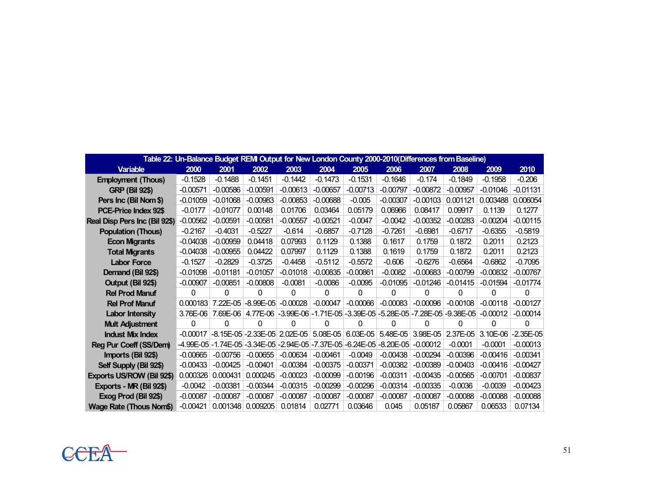|                               |            | Table 22: Un-Balance Budget REMI Output for New London County 2000-2010(Differences from Baseline) |               |                                                                      |            |                         |            |            |            |            |             |
|-------------------------------|------------|----------------------------------------------------------------------------------------------------|---------------|----------------------------------------------------------------------|------------|-------------------------|------------|------------|------------|------------|-------------|
| <b>Variable</b>               | 2000       | 2001                                                                                               | 2002          | 2003                                                                 | 2004       | 2005                    | 2006       | 2007       | 2008       | 2009       | 2010        |
| <b>Employment (Thous)</b>     | $-0.1528$  | $-0.1488$                                                                                          | $-0.1451$     | $-0.1442$                                                            | $-0.1473$  | $-0.1531$               | $-0.1646$  | $-0.174$   | $-0.1849$  | $-0.1958$  | $-0.206$    |
| <b>GRP (Bil 92\$)</b>         | $-0.00571$ | $-0.00586$                                                                                         | $-0.00591$    | $-0.00613$                                                           | $-0.00657$ | $-0.00713$              | $-0.00797$ | $-0.00872$ | $-0.00957$ | $-0.01046$ | $-0.01131$  |
| Pers Inc (Bil Nom \$)         | $-0.01059$ | $-0.01068$                                                                                         | $-0.00983$    | $-0.00853$                                                           | $-0.00688$ | $-0.005$                | $-0.00307$ | $-0.00103$ | 0.001121   | 0.003488   | 0.006054    |
| PCE-Price Index 92\$          | $-0.0177$  | $-0.01077$                                                                                         | 0.00148       | 0.01706                                                              | 0.03464    | 0.05179                 | 0.06966    | 0.08417    | 0.09917    | 0.1139     | 0.1277      |
| Real Disp Pers Inc (Bil 92\$) | $-0.00562$ | $-0.00591$                                                                                         | $-0.00581$    | $-0.00557$                                                           | $-0.00521$ | $-0.0047$               | $-0.0042$  | $-0.00352$ | $-0.00283$ | $-0.00204$ | $-0.00115$  |
| <b>Population (Thous)</b>     | $-0.2167$  | $-0.4031$                                                                                          | $-0.5227$     | $-0.614$                                                             | $-0.6857$  | $-0.7128$               | $-0.7261$  | $-0.6981$  | $-0.6717$  | $-0.6355$  | $-0.5819$   |
| <b>Econ Migrants</b>          | $-0.04038$ | $-0.00959$                                                                                         | 0.04418       | 0.07993                                                              | 0.1129     | 0.1388                  | 0.1617     | 0.1759     | 0.1872     | 0.2011     | 0.2123      |
| <b>Total Migrants</b>         | $-0.04038$ | $-0.00955$                                                                                         | 0.04422       | 0.07997                                                              | 0.1129     | 0.1388                  | 0.1619     | 0.1759     | 0.1872     | 0.2011     | 0.2123      |
| <b>Labor Force</b>            | $-0.1527$  | $-0.2829$                                                                                          | $-0.3725$     | $-0.4458$                                                            | $-0.5112$  | $-0.5572$               | $-0.606$   | $-0.6276$  | $-0.6564$  | $-0.6862$  | $-0.7095$   |
| Demand (Bil 92\$)             | $-0.01098$ | $-0.01181$                                                                                         | $-0.01057$    | $-0.01018$                                                           | $-0.00835$ | $-0.00861$              | $-0.0082$  | $-0.00683$ | $-0.00799$ | $-0.00832$ | $-0.00767$  |
| Output (Bil 92\$)             | $-0.00907$ | $-0.00851$                                                                                         | $-0.00808$    | $-0.0081$                                                            | $-0.0086$  | $-0.0095$               | $-0.01095$ | $-0.01246$ | $-0.01415$ | $-0.01594$ | $-0.01774$  |
| <b>Rel Prod Manuf</b>         | $\Omega$   | $\Omega$                                                                                           | $\Omega$      | 0                                                                    | 0          | $\Omega$                | 0          | 0          | 0          | $\Omega$   | 0           |
| <b>Rel Prof Manuf</b>         | 0.000183   | 7.22E-05                                                                                           | $-8.99E - 05$ | $-0.00028$                                                           | $-0.00047$ | $-0.00066$              | $-0.00083$ | $-0.00096$ | $-0.00108$ | $-0.00118$ | $-0.00127$  |
| <b>Labor Intensity</b>        | 3.76E-06   | 7.69E-06                                                                                           |               | 4.77E-06 -3.99E-06 -1.71E-05 -3.39E-05 -5.28E-05 -7.28E-05 -9.38E-05 |            |                         |            |            |            | $-0.00012$ | $-0.00014$  |
| <b>Mult Adjustment</b>        | 0          | 0                                                                                                  | 0             | 0                                                                    | 0          | 0                       | 0          | 0          | 0          | 0          | 0           |
| <b>Indust Mix Index</b>       | $-0.00017$ |                                                                                                    |               | $-8.15E-05$ $-2.33E-05$ 2.02E-05                                     | 5.08E-05   | $6.03E-05$              | 5.48E-05   | 3.98E-05   | 2.37E-05   | 3.10E-06   | $-2.35E-05$ |
| Reg Pur Coeff (SS/Dem)        |            | -4.99E-05 - 1.74E-05 - 3.34E-05 - 2.94E-05 - 7.37E-05                                              |               |                                                                      |            | $-6.24E-05$ $-8.20E-05$ |            | $-0.00012$ | $-0.0001$  | $-0.0001$  | $-0.00013$  |
| Imports (Bil 92\$)            | $-0.00665$ | $-0.00756$                                                                                         | $-0.00655$    | $-0.00634$                                                           | $-0.00461$ | $-0.0049$               | $-0.00438$ | $-0.00294$ | $-0.00396$ | $-0.00416$ | $-0.00341$  |
| Self Supply (Bil 92\$)        | $-0.00433$ | $-0.00425$                                                                                         | $-0.00401$    | $-0.00384$                                                           | $-0.00375$ | $-0.00371$              | $-0.00382$ | $-0.00389$ | $-0.00403$ | $-0.00416$ | $-0.00427$  |
| Exports US/ROW (Bil 92\$)     | 0.000326   | 0.000431                                                                                           | 0.000245      | $-0.00023$                                                           | $-0.00099$ | $-0.00196$              | $-0.00311$ | $-0.00435$ | $-0.00565$ | $-0.00701$ | $-0.00837$  |
| Exports - MR (Bil 92\$)       | $-0.0042$  | $-0.00381$                                                                                         | $-0.00344$    | $-0.00315$                                                           | $-0.00299$ | $-0.00296$              | $-0.00314$ | $-0.00335$ | $-0.0036$  | $-0.0039$  | $-0.00423$  |
| Exog Prod (Bil 92\$)          | $-0.00087$ | $-0.00087$                                                                                         | $-0.00087$    | $-0.00087$                                                           | $-0.00087$ | $-0.00087$              | $-0.00087$ | $-0.00087$ | $-0.00088$ | $-0.00088$ | $-0.00088$  |
| Wage Rate (Thous Nom\$)       | $-0.00421$ | 0.001348                                                                                           | 0.009205      | 0.01814                                                              | 0.02771    | 0.03646                 | 0.045      | 0.05187    | 0.05867    | 0.06533    | 0.07134     |

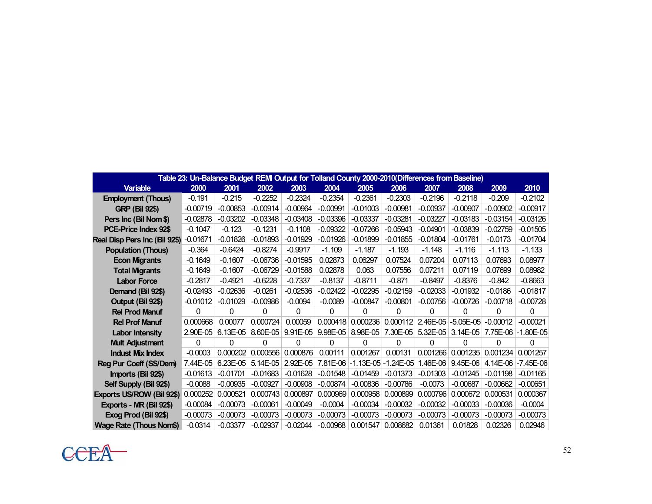|                               | Table 23: Un-Balance Budget REMI Output for Tolland County 2000-2010(Differences from Baseline) |            |            |            |            |            |                         |            |             |            |                     |
|-------------------------------|-------------------------------------------------------------------------------------------------|------------|------------|------------|------------|------------|-------------------------|------------|-------------|------------|---------------------|
| <b>Variable</b>               | 2000                                                                                            | 2001       | 2002       | 2003       | 2004       | 2005       | 2006                    | 2007       | 2008        | 2009       | 2010                |
| <b>Employment (Thous)</b>     | $-0.191$                                                                                        | $-0.215$   | $-0.2252$  | $-0.2324$  | $-0.2354$  | $-0.2361$  | $-0.2303$               | $-0.2196$  | $-0.2118$   | $-0.209$   | $-0.2102$           |
| <b>GRP (Bil 92\$)</b>         | $-0.00719$                                                                                      | $-0.00853$ | $-0.00914$ | $-0.00964$ | $-0.00991$ | $-0.01003$ | $-0.00981$              | $-0.00937$ | $-0.00907$  | $-0.00902$ | $-0.00917$          |
| Pers Inc (Bil Nom \$)         | $-0.02878$                                                                                      | $-0.03202$ | $-0.03348$ | $-0.03408$ | $-0.03396$ | $-0.03337$ | $-0.03281$              | $-0.03227$ | $-0.03183$  | $-0.03154$ | $-0.03126$          |
| PCE-Price Index 92\$          | $-0.1047$                                                                                       | $-0.123$   | $-0.1231$  | $-0.1108$  | $-0.09322$ | $-0.07266$ | $-0.05943$              | $-0.04901$ | $-0.03839$  | $-0.02759$ | $-0.01505$          |
| Real Disp Pers Inc (Bil 92\$) | $-0.01671$                                                                                      | $-0.01826$ | $-0.01893$ | $-0.01929$ | $-0.01926$ | $-0.01899$ | $-0.01855$              | $-0.01804$ | $-0.01761$  | $-0.0173$  | $-0.01704$          |
| <b>Population (Thous)</b>     | $-0.364$                                                                                        | $-0.6424$  | $-0.8274$  | $-0.9917$  | $-1.109$   | $-1.187$   | $-1.193$                | $-1.148$   | $-1.116$    | $-1.113$   | $-1.133$            |
| <b>Econ Migrants</b>          | $-0.1649$                                                                                       | $-0.1607$  | $-0.06736$ | $-0.01595$ | 0.02873    | 0.06297    | 0.07524                 | 0.07204    | 0.07113     | 0.07693    | 0.08977             |
| <b>Total Migrants</b>         | $-0.1649$                                                                                       | $-0.1607$  | $-0.06729$ | $-0.01588$ | 0.02878    | 0.063      | 0.07556                 | 0.07211    | 0.07119     | 0.07699    | 0.08982             |
| <b>Labor Force</b>            | $-0.2817$                                                                                       | $-0.4921$  | $-0.6228$  | $-0.7337$  | $-0.8137$  | $-0.8711$  | $-0.871$                | $-0.8497$  | $-0.8376$   | $-0.842$   | $-0.8663$           |
| Demand (Bil 92\$)             | $-0.02493$                                                                                      | $-0.02636$ | $-0.0261$  | $-0.02536$ | $-0.02422$ | $-0.02295$ | $-0.02159$              | $-0.02033$ | $-0.01932$  | $-0.0186$  | $-0.01817$          |
| Output (Bil 92\$)             | $-0.01012$                                                                                      | $-0.01029$ | $-0.00986$ | $-0.0094$  | $-0.0089$  | $-0.00847$ | $-0.00801$              | $-0.00756$ | $-0.00726$  | $-0.00718$ | $-0.00728$          |
| <b>Rel Prod Manuf</b>         | 0                                                                                               | $\Omega$   | 0          | 0          | 0          | 0          | 0                       | 0          | 0           | 0          | 0                   |
| <b>Rel Prof Manuf</b>         | 0.000668                                                                                        | 0.00077    | 0.000724   | 0.00059    | 0.000418   | 0.000236   | 0.000112                | 2.46E-05   | $-5.05E-05$ | $-0.00012$ | $-0.00021$          |
| Labor Intensity               | 2.90E-05                                                                                        | 6.13E-05   | 8.60E-05   | 9.91E-05   | 9.98E-05   | 8.98E-05   | 7.30E-05                | 5.32E-05   | $3.14E-05$  |            | 7.75E-06 - 1.80E-05 |
| <b>Mult Adjustment</b>        | 0                                                                                               | 0          | 0          | 0          | 0          | $\Omega$   | 0                       | 0          | 0           | 0          | 0                   |
| <b>Indust Mix Index</b>       | $-0.0003$                                                                                       | 0.000202   | 0.000556   | 0.000876   | 0.00111    | 0.001267   | 0.00131                 | 0.001266   | 0.001235    | 0.001234   | 0.001257            |
| Reg Pur Coeff (SS/Dem)        | 7.44E-05                                                                                        | 6.23E-05   | 5.14E-05   | 2.92E-05   | 7.81E-06   |            | $-1.13E-05$ $-1.24E-05$ | 1.46E-06   | 9.45E-06    |            | 4.14E-06 -7.45E-06  |
| Imports (Bil 92\$)            | $-0.01613$                                                                                      | $-0.01701$ | $-0.01683$ | $-0.01628$ | $-0.01548$ | $-0.01459$ | $-0.01373$              | $-0.01303$ | $-0.01245$  | $-0.01198$ | $-0.01165$          |
| Self Supply (Bil 92\$)        | $-0.0088$                                                                                       | $-0.00935$ | $-0.00927$ | $-0.00908$ | $-0.00874$ | $-0.00836$ | $-0.00786$              | $-0.0073$  | $-0.00687$  | $-0.00662$ | $-0.00651$          |
| Exports US/ROW (Bil 92\$)     | 0.000252                                                                                        | 0.000521   | 0.000743   | 0.000897   | 0.000969   | 0.000958   | 0.000899                | 0.000796   | 0.000672    | 0.000531   | 0.000367            |
| Exports - MR (Bil 92\$)       | $-0.00084$                                                                                      | $-0.00073$ | $-0.00061$ | $-0.00049$ | $-0.0004$  | $-0.00034$ | $-0.00032$              | $-0.00032$ | $-0.00033$  | $-0.00036$ | $-0.0004$           |
| Exog Prod (Bil 92\$)          | $-0.00073$                                                                                      | $-0.00073$ | $-0.00073$ | $-0.00073$ | $-0.00073$ | $-0.00073$ | $-0.00073$              | $-0.00073$ | $-0.00073$  | $-0.00073$ | $-0.00073$          |
| Wage Rate (Thous Nom\$)       | $-0.0314$                                                                                       | $-0.03377$ | $-0.02937$ | $-0.02044$ | $-0.00968$ | 0.001547   | 0.008682                | 0.01361    | 0.01828     | 0.02326    | 0.02946             |

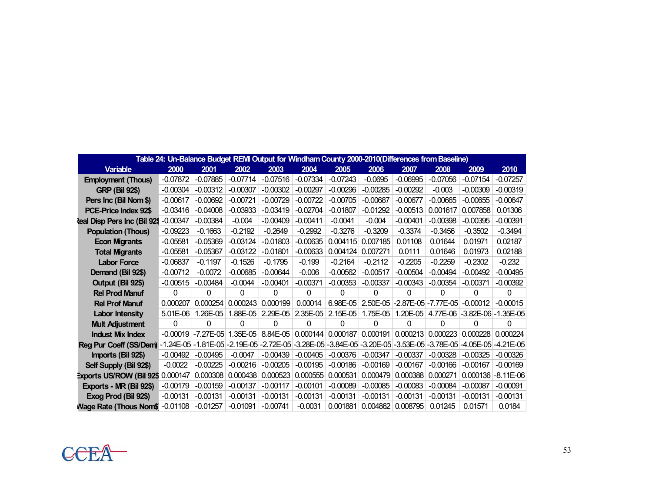|                                 |            | Table 24: Un-Balance Budget REMI Output for Windham County 2000-2010(Differences from Baseline) |            |            |            |            |            |            |                             |                            |             |
|---------------------------------|------------|-------------------------------------------------------------------------------------------------|------------|------------|------------|------------|------------|------------|-----------------------------|----------------------------|-------------|
| <b>Variable</b>                 | 2000       | 2001                                                                                            | 2002       | 2003       | 2004       | 2005       | 2006       | 2007       | 2008                        | 2009                       | 2010        |
| <b>Employment (Thous)</b>       | $-0.07872$ | $-0.07885$                                                                                      | $-0.07714$ | $-0.07516$ | $-0.07334$ | $-0.07243$ | $-0.0695$  | $-0.06995$ | $-0.07056$                  | $-0.07154$                 | $-0.07257$  |
| <b>GRP (Bil 92\$)</b>           | $-0.00304$ | $-0.00312$                                                                                      | $-0.00307$ | $-0.00302$ | $-0.00297$ | $-0.00296$ | $-0.00285$ | $-0.00292$ | $-0.003$                    | $-0.00309$                 | $-0.00319$  |
| Pers Inc (Bil Nom \$)           | $-0.00617$ | $-0.00692$                                                                                      | $-0.00721$ | $-0.00729$ | $-0.00722$ | $-0.00705$ | $-0.00687$ | $-0.00677$ | $-0.00665$                  | $-0.00655$                 | $-0.00647$  |
| PCE-Price Index 92\$            | $-0.03416$ | $-0.04008$                                                                                      | $-0.03933$ | $-0.03419$ | $-0.02704$ | $-0.01807$ | $-0.01292$ | $-0.00513$ | 0.001617                    | 0.007858                   | 0.01306     |
| teal Disp Pers Inc (Bil 929     | $-0.00347$ | $-0.00384$                                                                                      | $-0.004$   | $-0.00409$ | $-0.00411$ | $-0.0041$  | $-0.004$   | $-0.00401$ | $-0.00398$                  | $-0.00395$                 | $-0.00391$  |
| <b>Population (Thous)</b>       | $-0.09223$ | $-0.1663$                                                                                       | $-0.2192$  | $-0.2649$  | $-0.2992$  | $-0.3276$  | $-0.3209$  | $-0.3374$  | $-0.3456$                   | $-0.3502$                  | $-0.3494$   |
| <b>Econ Migrants</b>            | $-0.05581$ | $-0.05369$                                                                                      | $-0.03124$ | $-0.01803$ | $-0.00635$ | 0.004115   | 0.007185   | 0.01108    | 0.01644                     | 0.01971                    | 0.02187     |
| <b>Total Migrants</b>           | $-0.05581$ | $-0.05367$                                                                                      | $-0.03122$ | $-0.01801$ | $-0.00633$ | 0.004124   | 0.007271   | 0.0111     | 0.01646                     | 0.01973                    | 0.02188     |
| <b>Labor Force</b>              | $-0.06837$ | $-0.1197$                                                                                       | $-0.1526$  | $-0.1795$  | $-0.199$   | $-0.2164$  | $-0.2112$  | $-0.2205$  | $-0.2259$                   | $-0.2302$                  | $-0.232$    |
| Demand (Bil 92\$)               | $-0.00712$ | $-0.0072$                                                                                       | $-0.00685$ | $-0.00644$ | $-0.006$   | $-0.00562$ | $-0.00517$ | $-0.00504$ | $-0.00494$                  | $-0.00492$                 | $-0.00495$  |
| Output (Bil 92\$)               | $-0.00515$ | $-0.00484$                                                                                      | $-0.0044$  | $-0.00401$ | $-0.00371$ | $-0.00353$ | $-0.00337$ | $-0.00343$ | $-0.00354$                  | $-0.00371$                 | $-0.00392$  |
| <b>Rel Prod Manuf</b>           | 0          | 0                                                                                               | 0          | 0          | 0          | 0          | 0          | 0          | O                           | 0                          | 0           |
| <b>Rel Prof Manuf</b>           | 0.000207   | 0.000254                                                                                        | 0.000243   | 0.000199   | 0.00014    | 6.98E-05   | 2.50E-05   |            | $-2.87E - 05$ $-7.77E - 05$ | $-0.00012$                 | $-0.00015$  |
| <b>Labor Intensity</b>          | 5.01E-06   | 1.26E-05                                                                                        | 1.88E-05   | $2.29E-05$ | 2.35E-05   | 2.15E-05   | 1.75E-05   | 1.20E-05   | 4.77E-06                    | $-3.82E - 06 - 1.35E - 05$ |             |
| <b>Mult Adjustment</b>          | 0          | 0                                                                                               | 0          | 0          | 0          | 0          | 0          | O          | O                           | 0                          | 0           |
| <b>Indust Mix Index</b>         | $-0.00019$ | $-7.27E - 05$                                                                                   | $1.35E-05$ | 8.84E-05   | 0.000144   | 0.000187   | 0.000191   | 0.000213   | 0.000223                    | 0.000228                   | 0.000224    |
| <b>Reg Pur Coeff (SS/Dem)</b>   |            | -1.24E-05 -1.81E-05 -2.19E-05 -2.72E-05 -3.28E-05 -3.84E-05 -3.20E-05 -3.53E-05 -3.78E-05       |            |            |            |            |            |            |                             | $-4.05E - 05$              | $-4.21E-05$ |
| Imports (Bil 92\$)              | $-0.00492$ | $-0.00495$                                                                                      | $-0.0047$  | $-0.00439$ | $-0.00405$ | $-0.00376$ | $-0.00347$ | $-0.00337$ | $-0.00328$                  | $-0.00325$                 | $-0.00326$  |
| Self Supply (Bil 92\$)          | $-0.0022$  | $-0.00225$                                                                                      | $-0.00216$ | $-0.00205$ | $-0.00195$ | $-0.00186$ | $-0.00169$ | $-0.00167$ | $-0.00166$                  | $-0.00167$                 | $-0.00169$  |
| <b>Exports US/ROW (Bil 92\$</b> | 0.000147   | 0.000308                                                                                        | 0.000438   | 0.000523   | 0.000555   | 0.000531   | 0.000479   | 0.000388   | 0.000271                    | 0.000136                   | $-8.11E-06$ |
| Exports - MR (Bil 92\$)         | $-0.00179$ | $-0.00159$                                                                                      | $-0.00137$ | $-0.00117$ | $-0.00101$ | $-0.00089$ | $-0.00085$ | $-0.00083$ | $-0.00084$                  | $-0.00087$                 | $-0.00091$  |
| Exog Prod (Bil 92\$)            | $-0.00131$ | $-0.00131$                                                                                      | $-0.00131$ | $-0.00131$ | $-0.00131$ | $-0.00131$ | $-0.00131$ | $-0.00131$ | $-0.00131$                  | $-0.00131$                 | $-0.00131$  |
| Nage Rate (Thous Nom\$)         | $-0.01108$ | $-0.01257$                                                                                      | $-0.01091$ | $-0.00741$ | $-0.0031$  | 0.001881   | 0.004862   | 0.008795   | 0.01245                     | 0.01571                    | 0.0184      |

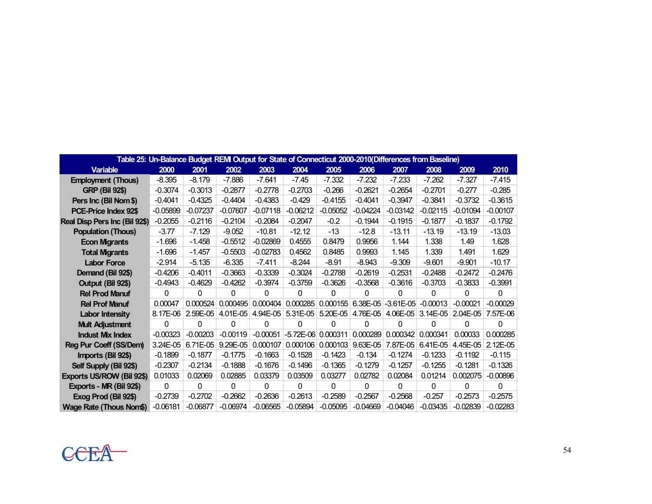|                                |            |            |            |            |             |            |            | Table 25: Un-Balance Budget REMI Output for State of Connecticut 2000-2010(Differences from Baseline) |            |            |            |
|--------------------------------|------------|------------|------------|------------|-------------|------------|------------|-------------------------------------------------------------------------------------------------------|------------|------------|------------|
| <b>Variable</b>                | 2000       | 2001       | 2002       | 2003       | 2004        | 2005       | 2006       | 2007                                                                                                  | 2008       | 2009       | 2010       |
| <b>Employment (Thous)</b>      | $-8.395$   | $-8.179$   | $-7.886$   | $-7.641$   | $-7.45$     | $-7.332$   | $-7.232$   | $-7.233$                                                                                              | $-7.262$   | $-7.327$   | $-7.415$   |
| <b>GRP (Bil 92\$)</b>          | $-0.3074$  | $-0.3013$  | $-0.2877$  | $-0.2778$  | $-0.2703$   | $-0.266$   | $-0.2621$  | $-0.2654$                                                                                             | $-0.2701$  | $-0.277$   | $-0.285$   |
| Pers Inc (Bil Nom \$)          | $-0.4041$  | $-0.4325$  | $-0.4404$  | $-0.4383$  | $-0.429$    | $-0.4155$  | $-0.4041$  | $-0.3947$                                                                                             | $-0.3841$  | $-0.3732$  | $-0.3615$  |
| PCE-Price Index 92\$           | $-0.05899$ | $-0.07237$ | $-0.07607$ | $-0.07118$ | $-0.06212$  | $-0.05052$ | $-0.04224$ | $-0.03142$                                                                                            | $-0.02115$ | $-0.01094$ | $-0.00107$ |
| Real Disp Pers Inc (Bil 92\$)  | $-0.2055$  | $-0.2116$  | $-0.2104$  | $-0.2084$  | $-0.2047$   | $-0.2$     | $-0.1944$  | $-0.1915$                                                                                             | $-0.1877$  | $-0.1837$  | $-0.1792$  |
| <b>Population (Thous)</b>      | $-3.77$    | $-7.129$   | $-9.052$   | $-10.81$   | $-12.12$    | $-13$      | $-12.8$    | $-13.11$                                                                                              | $-13.19$   | $-13.19$   | $-13.03$   |
| <b>Econ Migrants</b>           | $-1.696$   | $-1.458$   | $-0.5512$  | $-0.02869$ | 0.4555      | 0.8479     | 0.9956     | 1.144                                                                                                 | 1.338      | 1.49       | 1.628      |
| <b>Total Migrants</b>          | $-1.696$   | $-1.457$   | $-0.5503$  | $-0.02783$ | 0.4562      | 0.8485     | 0.9993     | 1.145                                                                                                 | 1.339      | 1.491      | 1.629      |
| <b>Labor Force</b>             | -2.914     | $-5.135$   | $-6.335$   | $-7.411$   | $-8.244$    | $-8.91$    | $-8.943$   | $-9.309$                                                                                              | $-9.601$   | $-9.901$   | $-10.17$   |
| Demand (Bil 92\$)              | $-0.4206$  | $-0.4011$  | $-0.3663$  | $-0.3339$  | $-0.3024$   | $-0.2788$  | $-0.2619$  | $-0.2531$                                                                                             | $-0.2488$  | $-0.2472$  | $-0.2476$  |
| Output (Bil 92\$)              | $-0.4943$  | $-0.4629$  | $-0.4262$  | $-0.3974$  | $-0.3759$   | $-0.3626$  | $-0.3568$  | $-0.3616$                                                                                             | $-0.3703$  | $-0.3833$  | $-0.3991$  |
| <b>Rel Prod Manuf</b>          | 0          | 0          | 0          | 0          | 0           | 0          | 0          | 0                                                                                                     | 0          | 0          | 0          |
| <b>Rel Prof Manuf</b>          | 0.00047    | 0.000524   | 0.000495   | 0.000404   | 0.000285    | 0.000155   | 6.38E-05   | $-3.61E-05$                                                                                           | $-0.00013$ | $-0.00021$ | $-0.00029$ |
| <b>Labor Intensity</b>         | 8.17E-06   | 2.59E-05   | 4.01E-05   | 4.94E-05   | 5.31E-05    | 5.20E-05   | 4.76E-05   | 4.06E-05                                                                                              | $3.14E-05$ | 2.04E-05   | 7.57E-06   |
| <b>Mult Adjustment</b>         | 0          | 0          | 0          | 0          | $\Omega$    | 0          | $\Omega$   | $\Omega$                                                                                              | $\Omega$   | 0          | 0          |
| <b>Indust Mix Index</b>        | $-0.00323$ | $-0.00203$ | $-0.00119$ | $-0.00051$ | $-5.72E-06$ | 0.000311   | 0.000289   | 0.000342                                                                                              | 0.000341   | 0.00033    | 0.000285   |
| Reg Pur Coeff (SS/Dem)         | 3.24E-05   | $6.71E-05$ | 9.29E-05   | 0.000107   | 0.000106    | 0.000103   | 9.63E-05   | 7.87E-05                                                                                              | $6.41E-05$ | 4.45E-05   | 2.12E-05   |
| Imports (Bil 92\$)             | $-0.1899$  | $-0.1877$  | $-0.1775$  | $-0.1663$  | $-0.1528$   | $-0.1423$  | $-0.134$   | $-0.1274$                                                                                             | $-0.1233$  | $-0.1192$  | $-0.115$   |
| Self Supply (Bil 92\$)         | $-0.2307$  | $-0.2134$  | $-0.1888$  | $-0.1676$  | $-0.1496$   | $-0.1365$  | $-0.1279$  | $-0.1257$                                                                                             | $-0.1255$  | $-0.1281$  | $-0.1326$  |
| Exports US/ROW (Bil 92\$)      | 0.01033    | 0.02069    | 0.02885    | 0.03379    | 0.03509     | 0.03277    | 0.02782    | 0.02084                                                                                               | 0.01214    | 0.002075   | $-0.00896$ |
| Exports - MR (Bil 92\$)        | 0          | 0          | 0          | 0          | 0           | 0          | 0          | $\Omega$                                                                                              | 0          | 0          | 0          |
| Exog Prod (Bil 92\$)           | $-0.2739$  | $-0.2702$  | $-0.2662$  | $-0.2636$  | $-0.2613$   | $-0.2589$  | $-0.2567$  | $-0.2568$                                                                                             | $-0.257$   | $-0.2573$  | $-0.2575$  |
| <b>Wage Rate (Thous Nom\$)</b> | $-0.06181$ | $-0.06877$ | $-0.06974$ | $-0.06565$ | $-0.05894$  | $-0.05095$ | $-0.04669$ | $-0.04046$                                                                                            | $-0.03435$ | $-0.02839$ | $-0.02283$ |

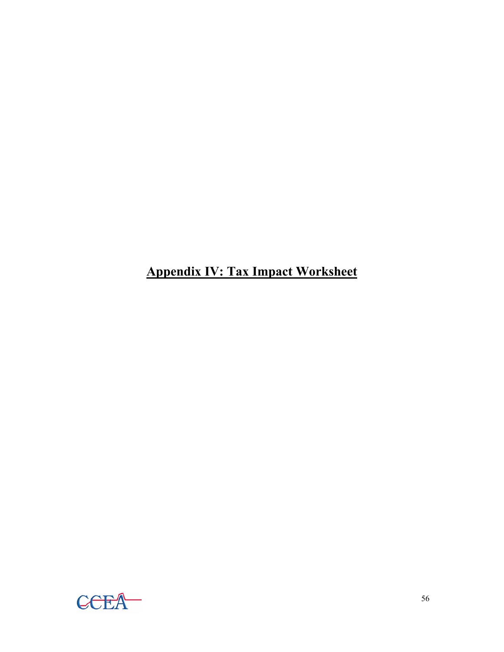**Appendix IV: Tax Impact Worksheet**

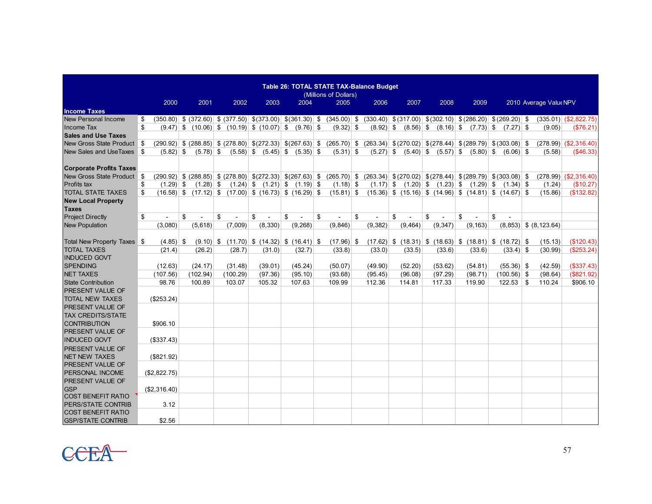|                                |                   |                                                                       |                                        |         |                                     | Table 26: TOTAL STATE TAX-Balance Budget<br>(Millions of Dollars)                                                                                         |          |                                                                  |                                |          |               |                           |                            |
|--------------------------------|-------------------|-----------------------------------------------------------------------|----------------------------------------|---------|-------------------------------------|-----------------------------------------------------------------------------------------------------------------------------------------------------------|----------|------------------------------------------------------------------|--------------------------------|----------|---------------|---------------------------|----------------------------|
|                                | 2000              | 2001                                                                  | 2002                                   | 2003    | 2004                                | 2005                                                                                                                                                      | 2006     | 2007                                                             | 2008                           | 2009     |               | 2010 Average Value NPV    |                            |
| <b>Income Taxes</b>            |                   |                                                                       |                                        |         |                                     |                                                                                                                                                           |          |                                                                  |                                |          |               |                           |                            |
| New Personal Income            | \$                |                                                                       |                                        |         |                                     | $(350.80)$ \$ $(372.60)$ \$ $(377.50)$ \$ $(373.00)$ \$ $(361.30)$ \$ $(345.00)$ \$ $(330.40)$ \$ $(317.00)$ \$ $(302.10)$ \$ $(286.20)$ \$ $(269.20)$ \$ |          |                                                                  |                                |          |               |                           | $(335.01)$ $($ \$2,822.75) |
| Income Tax                     | \$                | $(9.47)$ \$ $(10.06)$ \$ $(10.19)$ \$ $(10.07)$ \$ $(9.76)$ \$        |                                        |         |                                     | $(9.32)$ \$                                                                                                                                               |          | $(8.92)$ \$ $(8.56)$ \$ $(8.16)$ \$ $(7.73)$ \$ $(7.27)$ \$      |                                |          |               | (9.05)                    | (\$76.21)                  |
| <b>Sales and Use Taxes</b>     |                   |                                                                       |                                        |         |                                     |                                                                                                                                                           |          |                                                                  |                                |          |               |                           |                            |
| New Gross State Product \$     |                   | $(290.92)$ \$ $(288.85)$ \$ $(278.80)$ \$ $(272.33)$ \$ $(267.63)$ \$ |                                        |         |                                     | $(265.70)$ \$ $(263.34)$ \$ $(270.02)$ \$ $(278.44)$ \$ $(289.79)$ \$ $(303.08)$ \$                                                                       |          |                                                                  |                                |          |               |                           | $(278.99)$ $( $2,316.40)$  |
| New Sales and UseTaxes \$      | $(5.82)$ \$       | $(5.78)$ \$                                                           |                                        |         | $(5.58)$ \$ $(5.45)$ \$ $(5.35)$ \$ | $(5.31)$ \$                                                                                                                                               |          | $(5.27)$ \$ $(5.40)$ \$ $(5.57)$ \$ $(5.80)$ \$                  |                                |          | $(6.06)$ \$   | (5.58)                    | ( \$46.33)                 |
|                                |                   |                                                                       |                                        |         |                                     |                                                                                                                                                           |          |                                                                  |                                |          |               |                           |                            |
| <b>Corporate Profits Taxes</b> |                   |                                                                       |                                        |         |                                     |                                                                                                                                                           |          |                                                                  |                                |          |               |                           |                            |
| New Gross State Product \$     |                   |                                                                       |                                        |         |                                     | $(290.92)$ \$ $(288.85)$ \$ $(278.80)$ \$ $(272.33)$ \$ $(267.63)$ \$ $(265.70)$ \$ $(263.34)$ \$ $(270.02)$ \$ $(278.44)$ \$ $(289.79)$ \$ $(303.08)$ \$ |          |                                                                  |                                |          |               |                           | $(278.99)$ $( $2,316.40)$  |
| <b>Profits tax</b>             | \$<br>$(1.29)$ \$ | $(1.28)$ \$                                                           |                                        |         | $(1.24)$ \$ $(1.21)$ \$ $(1.19)$ \$ | $(1.18)$ \$                                                                                                                                               |          | $(1.17)$ \$ $(1.20)$ \$ $(1.23)$ \$ $(1.29)$ \$ $(1.34)$ \$      |                                |          |               | (1.24)                    | (\$10.27)                  |
| <b>TOTAL STATE TAXES</b>       | \$                | $(16.58)$ \$ $(17.12)$ \$ $(17.00)$ \$ $(16.73)$ \$ $(16.29)$ \$      |                                        |         |                                     | $(15.81)$ \$                                                                                                                                              |          | $(15.36)$ \$ $(15.16)$ \$ $(14.96)$ \$ $(14.81)$ \$ $(14.67)$ \$ |                                |          |               | (15.86)                   | (\$132.82)                 |
| <b>New Local Property</b>      |                   |                                                                       |                                        |         |                                     |                                                                                                                                                           |          |                                                                  |                                |          |               |                           |                            |
| <b>Taxes</b>                   |                   |                                                                       |                                        |         |                                     |                                                                                                                                                           |          |                                                                  |                                |          |               |                           |                            |
| <b>Project Directly</b>        | \$                | \$                                                                    | \$                                     | \$      | \$                                  | \$                                                                                                                                                        | \$       | \$                                                               | \$<br>$\overline{\phantom{a}}$ | \$       | \$<br>$\sim$  |                           |                            |
| <b>New Population</b>          | (3,080)           | (5,618)                                                               | (7,009)                                | (8,330) | (9,268)                             | (9,846)                                                                                                                                                   | (9, 382) | (9, 464)                                                         | (9, 347)                       | (9, 163) |               | $(8,853)$ \$ $(8,123.64)$ |                            |
|                                |                   |                                                                       |                                        |         |                                     |                                                                                                                                                           |          |                                                                  |                                |          |               |                           |                            |
| Total New Property Taxes \$    | $(4.85)$ \$       | $(9.10)$ \$                                                           | $(11.70)$ \$ $(14.32)$ \$ $(16.41)$ \$ |         |                                     | $(17.96)$ \$                                                                                                                                              |          | $(17.62)$ \$ $(18.31)$ \$ $(18.63)$ \$ $(18.81)$ \$ $(18.72)$ \$ |                                |          |               | (15.13)                   | (\$120.43)                 |
| <b>TOTAL TAXES</b>             | (21.4)            | (26.2)                                                                | (28.7)                                 | (31.0)  | (32.7)                              | (33.8)                                                                                                                                                    | (33.0)   | (33.5)                                                           | (33.6)                         | (33.6)   | $(33.4)$ \$   | (30.99)                   | (\$253.24)                 |
| <b>INDUCED GOVT</b>            |                   |                                                                       |                                        |         |                                     |                                                                                                                                                           |          |                                                                  |                                |          |               |                           |                            |
| <b>SPENDING</b>                | (12.63)           | (24.17)                                                               | (31.48)                                | (39.01) | (45.24)                             | (50.07)                                                                                                                                                   | (49.90)  | (52.20)                                                          | (53.62)                        | (54.81)  | $(55.36)$ \$  | (42.59)                   | (\$337.43)                 |
| <b>NET TAXES</b>               | (107.56)          | (102.94)                                                              | (100.29)                               | (97.36) | (95.10)                             | (93.68)                                                                                                                                                   | (95.45)  | (96.08)                                                          | (97.29)                        | (98.71)  | $(100.56)$ \$ | (98.64)                   | (\$821.92)                 |
| <b>State Contribution</b>      | 98.76             | 100.89                                                                | 103.07                                 | 105.32  | 107.63                              | 109.99                                                                                                                                                    | 112.36   | 114.81                                                           | 117.33                         | 119.90   | $122.53$ \ \$ | 110.24                    | \$906.10                   |
| <b>PRESENT VALUE OF</b>        |                   |                                                                       |                                        |         |                                     |                                                                                                                                                           |          |                                                                  |                                |          |               |                           |                            |
| <b>TOTAL NEW TAXES</b>         | (\$253.24)        |                                                                       |                                        |         |                                     |                                                                                                                                                           |          |                                                                  |                                |          |               |                           |                            |
| <b>PRESENT VALUE OF</b>        |                   |                                                                       |                                        |         |                                     |                                                                                                                                                           |          |                                                                  |                                |          |               |                           |                            |
| <b>TAX CREDITS/STATE</b>       |                   |                                                                       |                                        |         |                                     |                                                                                                                                                           |          |                                                                  |                                |          |               |                           |                            |
| <b>CONTRIBUTION</b>            | \$906.10          |                                                                       |                                        |         |                                     |                                                                                                                                                           |          |                                                                  |                                |          |               |                           |                            |
| <b>PRESENT VALUE OF</b>        |                   |                                                                       |                                        |         |                                     |                                                                                                                                                           |          |                                                                  |                                |          |               |                           |                            |
| <b>INDUCED GOVT</b>            | (\$337.43)        |                                                                       |                                        |         |                                     |                                                                                                                                                           |          |                                                                  |                                |          |               |                           |                            |
| <b>PRESENT VALUE OF</b>        |                   |                                                                       |                                        |         |                                     |                                                                                                                                                           |          |                                                                  |                                |          |               |                           |                            |
| <b>NET NEW TAXES</b>           | (\$821.92)        |                                                                       |                                        |         |                                     |                                                                                                                                                           |          |                                                                  |                                |          |               |                           |                            |
| <b>PRESENT VALUE OF</b>        |                   |                                                                       |                                        |         |                                     |                                                                                                                                                           |          |                                                                  |                                |          |               |                           |                            |
| PERSONAL INCOME                | (\$2,822.75)      |                                                                       |                                        |         |                                     |                                                                                                                                                           |          |                                                                  |                                |          |               |                           |                            |
| <b>PRESENT VALUE OF</b>        |                   |                                                                       |                                        |         |                                     |                                                                                                                                                           |          |                                                                  |                                |          |               |                           |                            |
| <b>GSP</b>                     | (\$2,316.40)      |                                                                       |                                        |         |                                     |                                                                                                                                                           |          |                                                                  |                                |          |               |                           |                            |
| <b>COST BENEFIT RATIO</b>      |                   |                                                                       |                                        |         |                                     |                                                                                                                                                           |          |                                                                  |                                |          |               |                           |                            |
| <b>PERS/STATE CONTRIB</b>      | 3.12              |                                                                       |                                        |         |                                     |                                                                                                                                                           |          |                                                                  |                                |          |               |                           |                            |
| <b>COST BENEFIT RATIO</b>      |                   |                                                                       |                                        |         |                                     |                                                                                                                                                           |          |                                                                  |                                |          |               |                           |                            |
| <b>GSP/STATE CONTRIB</b>       | \$2.56            |                                                                       |                                        |         |                                     |                                                                                                                                                           |          |                                                                  |                                |          |               |                           |                            |

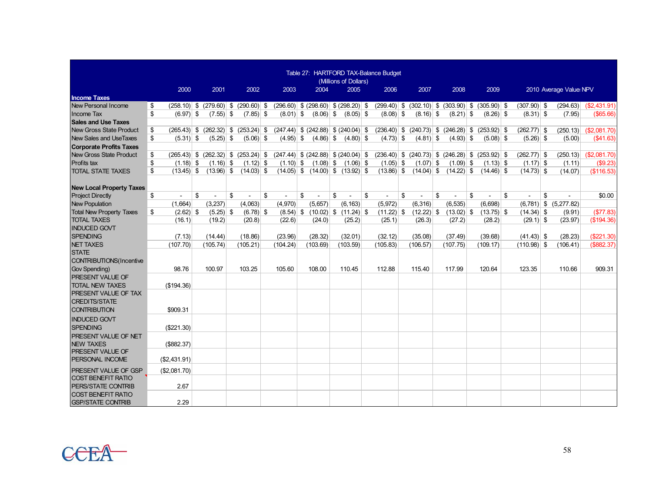|                                 |                     |                                           |                             |                                           |                                        | (Millions of Dollars) | Table 27: HARTFORD TAX-Balance Budget |                                                         |              |              |               |                           |                           |
|---------------------------------|---------------------|-------------------------------------------|-----------------------------|-------------------------------------------|----------------------------------------|-----------------------|---------------------------------------|---------------------------------------------------------|--------------|--------------|---------------|---------------------------|---------------------------|
|                                 | 2000                | 2001                                      | 2002                        | 2003                                      | 2004                                   | 2005                  | 2006                                  | 2007                                                    | 2008         | 2009         |               | 2010 Average Value: NPV   |                           |
| <b>Income Taxes</b>             |                     |                                           |                             |                                           |                                        |                       |                                       |                                                         |              |              |               |                           |                           |
| New Personal Income             | \$                  | $(258.10)$ \$ $(279.60)$ \$ $(290.60)$ \$ |                             | $(296.60)$ \$ $(298.60)$ \$ $(298.20)$ \$ |                                        |                       |                                       | $(299.40)$ \$ $(302.10)$ \$ $(303.90)$ \$ $(305.90)$ \$ |              |              | $(307.90)$ \$ | (294.63)                  | (S2,431.91)               |
| Income Tax                      | \$<br>$(6.97)$ \$   | $(7.55)$ \$                               | $(7.85)$ \$                 | $(8.01)$ \$                               | $(8.06)$ \$                            | $(8.05)$ \$           | $(8.08)$ \$                           | $(8.16)$ \$                                             | $(8.21)$ \$  | $(8.26)$ \$  | $(8.31)$ \$   | (7.95)                    | $($ \$65.66)              |
| <b>Sales and Use Taxes</b>      |                     |                                           |                             |                                           |                                        |                       |                                       |                                                         |              |              |               |                           |                           |
| <b>New Gross State Product</b>  | \$<br>$(265.43)$ \$ |                                           | $(262.32)$ \$ $(253.24)$ \$ | $(247.44)$ \$ $(242.88)$ \$ $(240.04)$ \$ |                                        |                       |                                       | $(236.40)$ \$ $(240.73)$ \$ $(246.28)$ \$ $(253.92)$ \$ |              |              | $(262.77)$ \$ | (250.13)                  | (S2,081,70)               |
| New Sales and UseTaxes          | \$<br>$(5.31)$ \$   | $(5.25)$ \$                               | $(5.06)$ \$                 | $(4.95)$ \$                               | $(4.86)$ \$                            | $(4.80)$ \$           | $(4.73)$ \$                           | $(4.81)$ \$                                             | $(4.93)$ \$  | $(5.08)$ \$  | $(5.26)$ \$   | (5.00)                    | (\$41.63)                 |
| <b>Corporate Profits Taxes</b>  |                     |                                           |                             |                                           |                                        |                       |                                       |                                                         |              |              |               |                           |                           |
| <b>New Gross State Product</b>  | \$                  | $(265.43)$ \$ $(262.32)$ \$ $(253.24)$ \$ |                             | $(247.44)$ \$ $(242.88)$ \$ $(240.04)$ \$ |                                        |                       |                                       | $(236.40)$ \$ $(240.73)$ \$ $(246.28)$ \$ $(253.92)$ \$ |              |              | $(262.77)$ \$ |                           | $(250.13)$ $( $2,081.70)$ |
| Profits tax                     | \$<br>$(1.18)$ \$   | $(1.16)$ \$                               | $(1.12)$ \$                 | $(1.10)$ \$                               | $(1.08)$ \$                            | $(1.06)$ \$           | $(1.05)$ \$                           | $(1.07)$ \$                                             | $(1.09)$ \$  | $(1.13)$ \$  | $(1.17)$ \$   | (1.11)                    | (\$9.23)                  |
| <b>TOTAL STATE TAXES</b>        | \$<br>$(13.45)$ \$  | $(13.96)$ \$                              | $(14.03)$ \$                |                                           | $(14.05)$ \$ $(14.00)$ \$ $(13.92)$ \$ |                       | $(13.86)$ \$                          | $(14.04)$ \$                                            | $(14.22)$ \$ | $(14.46)$ \$ | $(14.73)$ \$  | (14.07)                   | (\$116.53)                |
|                                 |                     |                                           |                             |                                           |                                        |                       |                                       |                                                         |              |              |               |                           |                           |
| <b>New Local Property Taxes</b> |                     |                                           |                             |                                           |                                        |                       |                                       |                                                         |              |              |               |                           |                           |
| <b>Project Directly</b>         | \$                  | \$                                        | \$                          | \$                                        | \$                                     | \$                    | \$                                    | \$                                                      | \$           | \$           | \$            | \$                        | \$0.00                    |
| <b>New Population</b>           | (1,664)             | (3,237)                                   | (4,063)                     | (4,970)                                   | (5,657)                                | (6, 163)              | (5,972)                               | (6, 316)                                                | (6, 535)     | (6,698)      |               | $(6,781)$ \$ $(5,277.82)$ |                           |
| <b>Total New Property Taxes</b> | $(2.62)$ \$<br>\$   | $(5.25)$ \$                               | $(6.78)$ \$                 | $(8.54)$ \$                               | $(10.02)$ \$ $(11.24)$ \$              |                       | $(11.22)$ \$                          | $(12.22)$ \$                                            | $(13.02)$ \$ | $(13.75)$ \$ | $(14.34)$ \$  | (9.91)                    | (\$77.83)                 |
| <b>TOTAL TAXES</b>              | (16.1)              | (19.2)                                    | (20.8)                      | (22.6)                                    | (24.0)                                 | (25.2)                | (25.1)                                | (26.3)                                                  | (27.2)       | (28.2)       | $(29.1)$ \$   | (23.97)                   | (\$194.36)                |
| <b>INDUCED GOVT</b>             |                     |                                           |                             |                                           |                                        |                       |                                       |                                                         |              |              |               |                           |                           |
| <b>SPENDING</b>                 | (7.13)              | (14.44)                                   | (18.86)                     | (23.96)                                   | (28.32)                                | (32.01)               | (32.12)                               | (35.08)                                                 | (37.49)      | (39.68)      | $(41.43)$ \$  | (28.23)                   | (\$221.30)                |
| <b>NET TAXES</b>                | (107.70)            | (105.74)                                  | (105.21)                    | (104.24)                                  | (103.69)                               | (103.59)              | (105.83)                              | (106.57)                                                | (107.75)     | (109.17)     | $(110.98)$ \$ | (106.41)                  | (\$882.37)                |
| <b>STATE</b>                    |                     |                                           |                             |                                           |                                        |                       |                                       |                                                         |              |              |               |                           |                           |
| CONTRIBUTIONS(Incentive         |                     |                                           |                             |                                           |                                        |                       |                                       |                                                         |              |              |               |                           |                           |
| Gov Spending)                   | 98.76               | 100.97                                    | 103.25                      | 105.60                                    | 108.00                                 | 110.45                | 112.88                                | 115.40                                                  | 117.99       | 120.64       | 123.35        | 110.66                    | 909.31                    |
| <b>PRESENT VALUE OF</b>         |                     |                                           |                             |                                           |                                        |                       |                                       |                                                         |              |              |               |                           |                           |
| <b>TOTAL NEW TAXES</b>          | (\$194.36)          |                                           |                             |                                           |                                        |                       |                                       |                                                         |              |              |               |                           |                           |
| PRESENT VALUE OF TAX            |                     |                                           |                             |                                           |                                        |                       |                                       |                                                         |              |              |               |                           |                           |
| <b>CREDITS/STATE</b>            |                     |                                           |                             |                                           |                                        |                       |                                       |                                                         |              |              |               |                           |                           |
| <b>CONTRIBUTION</b>             | \$909.31            |                                           |                             |                                           |                                        |                       |                                       |                                                         |              |              |               |                           |                           |
| <b>INDUCED GOVT</b>             |                     |                                           |                             |                                           |                                        |                       |                                       |                                                         |              |              |               |                           |                           |
| <b>SPENDING</b>                 | (\$221.30)          |                                           |                             |                                           |                                        |                       |                                       |                                                         |              |              |               |                           |                           |
| PRESENT VALUE OF NET            |                     |                                           |                             |                                           |                                        |                       |                                       |                                                         |              |              |               |                           |                           |
| <b>NEW TAXES</b>                | (\$882.37)          |                                           |                             |                                           |                                        |                       |                                       |                                                         |              |              |               |                           |                           |
| <b>PRESENT VALUE OF</b>         |                     |                                           |                             |                                           |                                        |                       |                                       |                                                         |              |              |               |                           |                           |
| PERSONAL INCOME                 | (\$2,431.91)        |                                           |                             |                                           |                                        |                       |                                       |                                                         |              |              |               |                           |                           |
| <b>PRESENT VALUE OF GSP</b>     | (\$2,081.70)        |                                           |                             |                                           |                                        |                       |                                       |                                                         |              |              |               |                           |                           |
| <b>COST BENEFIT RATIO</b>       |                     |                                           |                             |                                           |                                        |                       |                                       |                                                         |              |              |               |                           |                           |
| PERS/STATE CONTRIB              | 2.67                |                                           |                             |                                           |                                        |                       |                                       |                                                         |              |              |               |                           |                           |
| <b>COST BENEFIT RATIO</b>       |                     |                                           |                             |                                           |                                        |                       |                                       |                                                         |              |              |               |                           |                           |
| <b>GSP/STATE CONTRIB</b>        | 2.29                |                                           |                             |                                           |                                        |                       |                                       |                                                         |              |              |               |                           |                           |

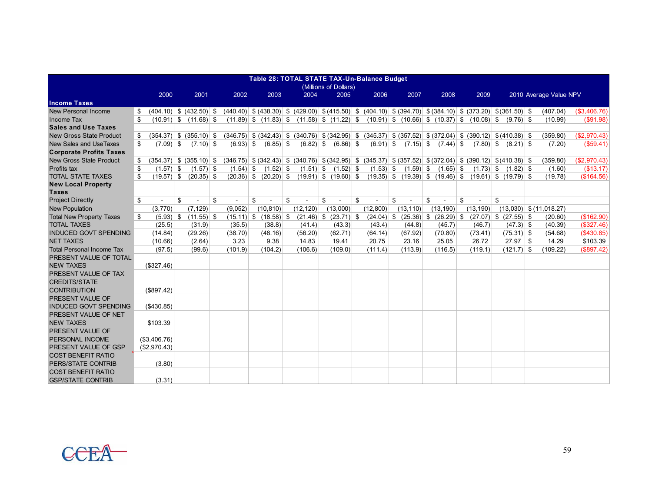|                                           | Table 28: TOTAL STATE TAX-Un-Balance Budget |                             |    |         |                                                     |    |           |                           |    |             |                                                                                                                                                           |              |    |           |                           |             |                           |              |
|-------------------------------------------|---------------------------------------------|-----------------------------|----|---------|-----------------------------------------------------|----|-----------|---------------------------|----|-------------|-----------------------------------------------------------------------------------------------------------------------------------------------------------|--------------|----|-----------|---------------------------|-------------|---------------------------|--------------|
|                                           |                                             |                             |    |         |                                                     |    |           | (Millions of Dollars)     |    |             |                                                                                                                                                           |              |    |           |                           |             |                           |              |
|                                           | 2000                                        | 2001                        |    | 2002    | 2003                                                |    | 2004      | 2005                      |    | 2006        | 2007                                                                                                                                                      | 2008         |    | 2009      |                           |             | 2010 Average Value NPV    |              |
| <b>Income Taxes</b>                       |                                             |                             |    |         |                                                     |    |           |                           |    |             |                                                                                                                                                           |              |    |           |                           |             |                           |              |
| New Personal Income                       |                                             |                             |    |         |                                                     |    |           |                           |    |             | $(404.10)$ \$ $(432.50)$ \$ $(440.40)$ \$ $(438.30)$ \$ $(429.00)$ \$ $(415.50)$ \$ $(404.10)$ \$ $(394.70)$ \$ $(384.10)$ \$ $(373.20)$ \$ $(361.50)$ \$ |              |    |           |                           |             | (407.04)                  | (S3, 406.76) |
| Income Tax                                | \$                                          | $(10.91)$ \$ $(11.68)$ \$   |    |         |                                                     |    |           |                           |    |             | $(11.89)$ \$ $(11.83)$ \$ $(11.58)$ \$ $(11.22)$ \$ $(10.91)$ \$ $(10.66)$ \$ $(10.37)$ \$ $(10.08)$ \$ $(9.76)$ \$                                       |              |    |           |                           |             | (10.99)                   | (\$91.98)    |
| <b>Sales and Use Taxes</b>                |                                             |                             |    |         |                                                     |    |           |                           |    |             |                                                                                                                                                           |              |    |           |                           |             |                           |              |
| New Gross State Product                   | \$                                          | $(354.37)$ \$ $(355.10)$ \$ |    |         |                                                     |    |           |                           |    |             | $(346.75)$ \$ $(342.43)$ \$ $(340.76)$ \$ $(342.95)$ \$ $(345.37)$ \$ $(357.52)$ \$ $(372.04)$ \$ $(390.12)$ \$ $(410.38)$ \$                             |              |    |           |                           |             | (359.80)                  | (S2, 970.43) |
| New Sales and UseTaxes                    | \$<br>$(7.09)$ \$                           | $(7.10)$ \$                 |    |         | $(6.93)$ \$ $(6.85)$ \$                             |    |           | $(6.82)$ \$ $(6.86)$ \$   |    | $(6.91)$ \$ | $(7.15)$ \$                                                                                                                                               | $(7.44)$ \$  |    |           | $(7.80)$ \$ $(8.21)$ \$   |             | (7.20)                    | (S59.41)     |
| <b>Corporate Profits Taxes</b>            |                                             |                             |    |         |                                                     |    |           |                           |    |             |                                                                                                                                                           |              |    |           |                           |             |                           |              |
| <b>New Gross State Product</b>            | \$                                          |                             |    |         |                                                     |    |           |                           |    |             | $(354.37)$ \$ $(355.10)$ \$ $(346.75)$ \$ $(342.43)$ \$ $(340.76)$ \$ $(342.95)$ \$ $(345.37)$ \$ $(357.52)$ \$ $(372.04)$ \$ $(390.12)$ \$ $(410.38)$ \$ |              |    |           |                           |             | (359.80)                  | (\$2,970.43) |
| Profits tax                               | \$<br>$(1.57)$ \$                           | $(1.57)$ \$                 |    |         | $(1.54)$ \$ $(1.52)$ \$ $(1.51)$ \$ $(1.52)$ \$     |    |           |                           |    |             | $(1.53)$ \$ $(1.59)$ \$ $(1.65)$ \$                                                                                                                       |              |    |           | $(1.73)$ \$ $(1.82)$ \$   |             | (1.60)                    | (\$13.17)    |
| <b>TOTAL STATE TAXES</b>                  | $(19.57)$ \$<br>\$                          | $(20.35)$ \$                |    |         | $(20.36)$ \$ $(20.20)$ \$ $(19.91)$ \$ $(19.60)$ \$ |    |           |                           |    |             | $(19.35)$ \$ $(19.39)$ \$ $(19.46)$ \$ $(19.61)$ \$ $(19.79)$ \$                                                                                          |              |    |           |                           |             | (19.78)                   | (\$164.56)   |
| <b>New Local Property</b><br><b>Taxes</b> |                                             |                             |    |         |                                                     |    |           |                           |    |             |                                                                                                                                                           |              |    |           |                           |             |                           |              |
| <b>Project Directly</b>                   | \$                                          | \$                          | \$ | ٠       | \$                                                  | \$ |           | \$                        | \$ |             | \$                                                                                                                                                        | \$           | \$ |           | \$<br>$\sim$              |             |                           |              |
| <b>New Population</b>                     | (3,770)                                     | (7, 129)                    |    | (9,052) | (10, 810)                                           |    | (12, 120) | (13,000)                  |    | (12, 800)   | (13, 110)                                                                                                                                                 | (13, 190)    |    | (13, 190) |                           |             | $(13,030)$ \$ (11,018.27) |              |
| <b>Total New Property Taxes</b>           | \$<br>$(5.93)$ \$                           | $(11.55)$ \$                |    |         | $(15.11)$ \$ $(18.58)$ \$                           |    |           | $(21.46)$ \$ $(23.71)$ \$ |    | (24.04)     | \$<br>$(25.36)$ \$                                                                                                                                        | $(26.29)$ \$ |    |           | $(27.07)$ \$ $(27.55)$ \$ |             | (20.60)                   | (\$162.90)   |
| <b>TOTAL TAXES</b>                        | (25.5)                                      | (31.9)                      |    | (35.5)  | (38.8)                                              |    | (41.4)    | (43.3)                    |    | (43.4)      | (44.8)                                                                                                                                                    | (45.7)       |    | (46.7)    |                           | $(47.3)$ \$ | (40.39)                   | (\$327.46)   |
| <b>INDUCED GOVT SPENDING</b>              | (14.84)                                     | (29.26)                     |    | (38.70) | (48.16)                                             |    | (56.20)   | (62.71)                   |    | (64.14)     | (67.92)                                                                                                                                                   | (70.80)      |    | (73.41)   | $(75.31)$ \$              |             | (54.68)                   | (\$430.85)   |
| <b>NET TAXES</b>                          | (10.66)                                     | (2.64)                      |    | 3.23    | 9.38                                                |    | 14.83     | 19.41                     |    | 20.75       | 23.16                                                                                                                                                     | 25.05        |    | 26.72     | $27.97$ \$                |             | 14.29                     | \$103.39     |
| <b>Total Personal Income Tax</b>          | (97.5)                                      | (99.6)                      |    | (101.9) | (104.2)                                             |    | (106.6)   | (109.0)                   |    | (111.4)     | (113.9)                                                                                                                                                   | (116.5)      |    | (119.1)   | $(121.7)$ \$              |             | (109.22)                  | (\$897.42)   |
| <b>PRESENT VALUE OF TOTAL</b>             |                                             |                             |    |         |                                                     |    |           |                           |    |             |                                                                                                                                                           |              |    |           |                           |             |                           |              |
| <b>NEW TAXES</b>                          | (\$327.46)                                  |                             |    |         |                                                     |    |           |                           |    |             |                                                                                                                                                           |              |    |           |                           |             |                           |              |
| PRESENT VALUE OF TAX                      |                                             |                             |    |         |                                                     |    |           |                           |    |             |                                                                                                                                                           |              |    |           |                           |             |                           |              |
| <b>CREDITS/STATE</b>                      |                                             |                             |    |         |                                                     |    |           |                           |    |             |                                                                                                                                                           |              |    |           |                           |             |                           |              |
| <b>CONTRIBUTION</b>                       | (\$897.42)                                  |                             |    |         |                                                     |    |           |                           |    |             |                                                                                                                                                           |              |    |           |                           |             |                           |              |
| <b>PRESENT VALUE OF</b>                   |                                             |                             |    |         |                                                     |    |           |                           |    |             |                                                                                                                                                           |              |    |           |                           |             |                           |              |
| <b>INDUCED GOVT SPENDING</b>              | (\$430.85)                                  |                             |    |         |                                                     |    |           |                           |    |             |                                                                                                                                                           |              |    |           |                           |             |                           |              |
| PRESENT VALUE OF NET                      |                                             |                             |    |         |                                                     |    |           |                           |    |             |                                                                                                                                                           |              |    |           |                           |             |                           |              |
| <b>NEW TAXES</b>                          | \$103.39                                    |                             |    |         |                                                     |    |           |                           |    |             |                                                                                                                                                           |              |    |           |                           |             |                           |              |
| <b>PRESENT VALUE OF</b>                   |                                             |                             |    |         |                                                     |    |           |                           |    |             |                                                                                                                                                           |              |    |           |                           |             |                           |              |
| PERSONAL INCOME                           | (\$3,406.76)                                |                             |    |         |                                                     |    |           |                           |    |             |                                                                                                                                                           |              |    |           |                           |             |                           |              |
| <b>PRESENT VALUE OF GSP</b>               | (\$2,970.43)                                |                             |    |         |                                                     |    |           |                           |    |             |                                                                                                                                                           |              |    |           |                           |             |                           |              |
| <b>COST BENEFIT RATIO</b>                 |                                             |                             |    |         |                                                     |    |           |                           |    |             |                                                                                                                                                           |              |    |           |                           |             |                           |              |
| PERS/STATE CONTRIB                        | (3.80)                                      |                             |    |         |                                                     |    |           |                           |    |             |                                                                                                                                                           |              |    |           |                           |             |                           |              |
| <b>COST BENEFIT RATIO</b>                 |                                             |                             |    |         |                                                     |    |           |                           |    |             |                                                                                                                                                           |              |    |           |                           |             |                           |              |
| <b>GSP/STATE CONTRIB</b>                  | (3.31)                                      |                             |    |         |                                                     |    |           |                           |    |             |                                                                                                                                                           |              |    |           |                           |             |                           |              |

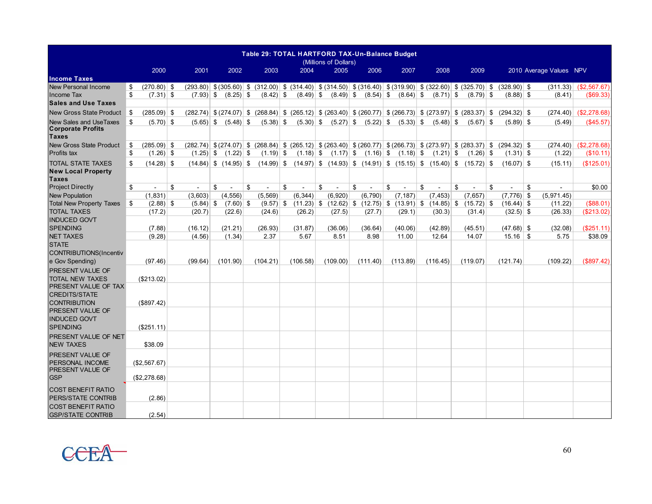|                                                                           |                     |              |                           |                      |             | Table 29: TOTAL HARTFORD TAX-Un-Balance Budget<br>(Millions of Dollars)                                                                     |              |             |              |              |               |                         |                           |
|---------------------------------------------------------------------------|---------------------|--------------|---------------------------|----------------------|-------------|---------------------------------------------------------------------------------------------------------------------------------------------|--------------|-------------|--------------|--------------|---------------|-------------------------|---------------------------|
|                                                                           | 2000                | 2001         | 2002                      | 2003                 | 2004        | 2005                                                                                                                                        | 2006         | 2007        | 2008         | 2009         |               | 2010 Average Values NPV |                           |
| <b>Income Taxes</b>                                                       |                     |              |                           |                      |             |                                                                                                                                             |              |             |              |              |               |                         |                           |
| <b>New Personal Income</b>                                                | \$<br>$(270.80)$ \$ |              |                           |                      |             | $(293.80)$ \$ $(305.60)$ \$ $(312.00)$ \$ $(314.40)$ \$ $(314.50)$ \$ $(316.40)$ \$ $(319.90)$ \$ $(322.60)$ \$ $(325.70)$ \$ $(328.90)$ \$ |              |             |              |              |               | (311.33)                | (\$2,567.67)              |
| Income Tax                                                                | \$<br>$(7.31)$ \$   | $(7.93)$ \$  | $(8.25)$ \$               | $(8.42)$ \$          | $(8.49)$ \$ | $(8.49)$ \$ $(8.54)$ \$                                                                                                                     |              | $(8.64)$ \$ | $(8.71)$ \$  | $(8.79)$ \$  | $(8.88)$ \$   | (8.41)                  | $($ \$69.33 $)$           |
| <b>Sales and Use Taxes</b>                                                |                     |              |                           |                      |             |                                                                                                                                             |              |             |              |              |               |                         |                           |
| <b>New Gross State Product</b>                                            | \$<br>$(285.09)$ \$ |              |                           |                      |             | $(282.74)$ \$ $(274.07)$ \$ $(268.84)$ \$ $(265.12)$ \$ $(263.40)$ \$ $(260.77)$ \$ $(266.73)$ \$ $(273.97)$ \$ $(283.37)$ \$               |              |             |              |              | $(294.32)$ \$ | (274.40)                | (\$2,278.68)              |
| <b>New Sales and UseTaxes</b><br><b>Corporate Profits</b><br><b>Taxes</b> | \$<br>$(5.70)$ \$   | $(5.65)$ \$  | $(5.48)$ \$               | $(5.38)$ \$          | $(5.30)$ \$ | $(5.27)$ \$                                                                                                                                 | $(5.22)$ \$  | $(5.33)$ \$ | $(5.48)$ \$  | $(5.67)$ \$  | $(5.89)$ \$   | (5.49)                  | (\$45.57)                 |
| <b>New Gross State Product</b>                                            | \$<br>$(285.09)$ \$ |              |                           |                      |             | $(282.74)$ \$ $(274.07)$ \$ $(268.84)$ \$ $(265.12)$ \$ $(263.40)$ \$ $(260.77)$ \$ $(266.73)$ \$ $(273.97)$ \$ $(283.37)$ \$ $(294.32)$ \$ |              |             |              |              |               |                         | $(274.40)$ $( $2,278.68)$ |
| Profits tax                                                               | \$<br>$(1.26)$ \$   | $(1.25)$ \$  | $(1.22)$ \$               | $(1.19)$ \$          |             | $(1.18)$ \$ $(1.17)$ \$ $(1.16)$ \$ $(1.18)$ \$ $(1.21)$ \$                                                                                 |              |             |              | $(1.26)$ \$  | $(1.31)$ \$   | (1.22)                  | (\$10.11)                 |
| <b>TOTAL STATE TAXES</b>                                                  | \$<br>$(14.28)$ \$  |              | $(14.84)$ \$ $(14.95)$ \$ |                      |             | $(14.99)$ \$ $(14.97)$ \$ $(14.93)$ \$ $(14.91)$ \$ $(15.15)$ \$ $(15.40)$ \$ $(15.72)$ \$                                                  |              |             |              |              | $(16.07)$ \$  | (15.11)                 | (\$125.01)                |
| <b>New Local Property</b>                                                 |                     |              |                           |                      |             |                                                                                                                                             |              |             |              |              |               |                         |                           |
| <b>Taxes</b>                                                              |                     |              |                           |                      |             |                                                                                                                                             |              |             |              |              |               |                         |                           |
| <b>Project Directly</b>                                                   | \$<br>ä,            | \$<br>$\sim$ | \$                        | \$<br>$\blacksquare$ | \$          | \$                                                                                                                                          | \$<br>$\sim$ | \$          | \$           | \$<br>$\sim$ | \$            | \$<br>$\blacksquare$    | \$0.00                    |
| <b>New Population</b>                                                     | (1, 831)            | (3,603)      | (4, 556)                  | (5, 569)             | (6, 344)    | (6,920)                                                                                                                                     | (6,790)      | (7, 187)    | (7, 453)     | (7,657)      | $(7,776)$ \$  | (5,971.45)              |                           |
| <b>Total New Property Taxes</b>                                           | \$<br>$(2.88)$ \$   | $(5.84)$ \$  | $(7.60)$ \$               | $(9.57)$ \$          |             | $(11.23)$ \$ $(12.62)$ \$ $(12.75)$ \$ $(13.91)$ \$                                                                                         |              |             | $(14.85)$ \$ | $(15.72)$ \$ | $(16.44)$ \$  | (11.22)                 | (\$88.01)                 |
| <b>TOTAL TAXES</b>                                                        | (17.2)              | (20.7)       | (22.6)                    | (24.6)               | (26.2)      | (27.5)                                                                                                                                      | (27.7)       | (29.1)      | (30.3)       | (31.4)       | $(32.5)$ \$   | (26.33)                 | (\$213.02)                |
| <b>INDUCED GOVT</b>                                                       |                     |              |                           |                      |             |                                                                                                                                             |              |             |              |              |               |                         |                           |
| <b>SPENDING</b>                                                           | (7.88)              | (16.12)      | (21.21)                   | (26.93)              | (31.87)     | (36.06)                                                                                                                                     | (36.64)      | (40.06)     | (42.89)      | (45.51)      | $(47.68)$ \$  | (32.08)                 | (\$251.11)                |
| <b>NET TAXES</b>                                                          | (9.28)              | (4.56)       | (1.34)                    | 2.37                 | 5.67        | 8.51                                                                                                                                        | 8.98         | 11.00       | 12.64        | 14.07        |               | 5.75                    | \$38.09                   |
| <b>STATE</b>                                                              |                     |              |                           |                      |             |                                                                                                                                             |              |             |              |              |               |                         |                           |
| CONTRIBUTIONS(Incentiv<br>e Gov Spending)                                 |                     | (99.64)      | (101.90)                  |                      | (106.58)    | (109.00)                                                                                                                                    |              | (113.89)    |              | (119.07)     |               | (109.22)                | (\$897.42)                |
|                                                                           | (97.46)             |              |                           | (104.21)             |             |                                                                                                                                             | (111.40)     |             | (116.45)     |              | (121.74)      |                         |                           |
| PRESENT VALUE OF<br><b>TOTAL NEW TAXES</b>                                |                     |              |                           |                      |             |                                                                                                                                             |              |             |              |              |               |                         |                           |
| PRESENT VALUE OF TAX                                                      | (\$213.02)          |              |                           |                      |             |                                                                                                                                             |              |             |              |              |               |                         |                           |
| <b>CREDITS/STATE</b>                                                      |                     |              |                           |                      |             |                                                                                                                                             |              |             |              |              |               |                         |                           |
| <b>CONTRIBUTION</b>                                                       | (\$897.42)          |              |                           |                      |             |                                                                                                                                             |              |             |              |              |               |                         |                           |
| PRESENT VALUE OF                                                          |                     |              |                           |                      |             |                                                                                                                                             |              |             |              |              |               |                         |                           |
| <b>INDUCED GOVT</b>                                                       |                     |              |                           |                      |             |                                                                                                                                             |              |             |              |              |               |                         |                           |
| <b>SPENDING</b>                                                           | (\$251.11)          |              |                           |                      |             |                                                                                                                                             |              |             |              |              |               |                         |                           |
| PRESENT VALUE OF NET                                                      |                     |              |                           |                      |             |                                                                                                                                             |              |             |              |              |               |                         |                           |
| <b>NEW TAXES</b>                                                          | \$38.09             |              |                           |                      |             |                                                                                                                                             |              |             |              |              |               |                         |                           |
| PRESENT VALUE OF                                                          |                     |              |                           |                      |             |                                                                                                                                             |              |             |              |              |               |                         |                           |
| PERSONAL INCOME                                                           | (\$2,567.67)        |              |                           |                      |             |                                                                                                                                             |              |             |              |              |               |                         |                           |
| PRESENT VALUE OF                                                          |                     |              |                           |                      |             |                                                                                                                                             |              |             |              |              |               |                         |                           |
| <b>GSP</b>                                                                | (\$2,278.68)        |              |                           |                      |             |                                                                                                                                             |              |             |              |              |               |                         |                           |
| <b>COST BENEFIT RATIO</b>                                                 |                     |              |                           |                      |             |                                                                                                                                             |              |             |              |              |               |                         |                           |
| PERS/STATE CONTRIB                                                        | (2.86)              |              |                           |                      |             |                                                                                                                                             |              |             |              |              |               |                         |                           |
| <b>COST BENEFIT RATIO</b>                                                 |                     |              |                           |                      |             |                                                                                                                                             |              |             |              |              |               |                         |                           |
| <b>GSP/STATE CONTRIB</b>                                                  | (2.54)              |              |                           |                      |             |                                                                                                                                             |              |             |              |              |               |                         |                           |

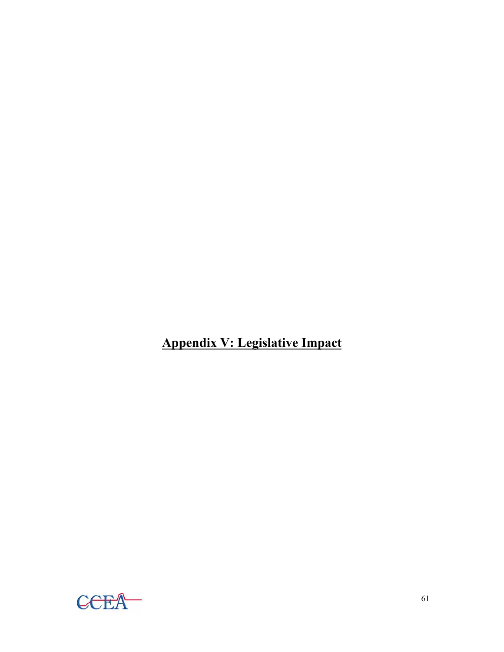**Appendix V: Legislative Impact**

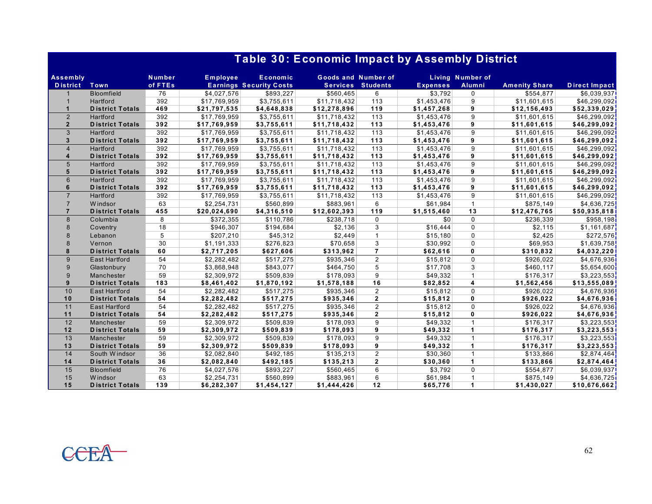|                                    |                        |                   |                 | Table 30: Economic Impact by Assembly District |                     |                          |                 |                            |                      |                      |
|------------------------------------|------------------------|-------------------|-----------------|------------------------------------------------|---------------------|--------------------------|-----------------|----------------------------|----------------------|----------------------|
| <b>Assembly</b><br><b>District</b> | Town                   | Number<br>of FTEs | <b>Employee</b> | Economic<br><b>Earnings Security Costs</b>     | Goods and Number of | <b>Services Students</b> | <b>Expenses</b> | Living Number of<br>Alumni | <b>Amenity Share</b> | <b>Direct Impact</b> |
|                                    | <b>Bloomfield</b>      | 76                | \$4,027,576     | \$893,227                                      | \$560,465           | 6                        | \$3,792         | $\mathbf 0$                | \$554,877            | \$6,039,937          |
|                                    | Hartford               | 392               | \$17,769,959    | \$3,755,611                                    | \$11,718,432        | 113                      | \$1,453,476     | 9                          | \$11,601,615         | \$46,299,092]        |
| $\mathbf{1}$                       | <b>District Totals</b> | 469               | \$21,797,535    | \$4,648,838                                    | \$12,278,896        | 119                      | \$1,457,268     | 9                          | \$12,156,493         | \$52,339,029         |
| $\overline{2}$                     | Hartford               | 392               | \$17,769,959    | \$3,755,611                                    | \$11,718,432        | 113                      | \$1,453,476     | 9                          | \$11,601,615         | \$46,299,092         |
| $\overline{2}$                     | <b>District Totals</b> | 392               | \$17,769,959    | \$3,755,611                                    | \$11,718,432        | 113                      | \$1,453,476     | 9                          | \$11,601,615         | \$46,299,092         |
| 3                                  | Hartford               | 392               | \$17,769,959    | \$3,755,611                                    | \$11,718,432        | 113                      | \$1,453,476     | 9                          | \$11,601,615         | \$46,299,092         |
| 3                                  | <b>District Totals</b> | 392               | \$17,769,959    | \$3,755,611                                    | \$11,718,432        | $113$                    | \$1,453,476     | 9                          | \$11,601,615         | \$46,299,092         |
| $\overline{4}$                     | Hartford               | 392               | \$17,769,959    | \$3,755,611                                    | \$11,718,432        | 113                      | \$1,453,476     | 9                          | \$11,601,615         | \$46,299,092         |
| $\overline{\mathbf{4}}$            | <b>District Totals</b> | 392               | \$17,769,959    | \$3,755,611                                    | \$11,718,432        | 113                      | \$1,453,476     | 9                          | \$11,601,615         | \$46,299,092         |
| 5                                  | Hartford               | 392               | \$17,769,959    | \$3,755,611                                    | \$11,718,432        | 113                      | \$1,453,476     | 9                          | \$11,601,615         | \$46,299,092         |
| 5                                  | <b>District Totals</b> | 392               | \$17,769,959    | \$3,755,611                                    | \$11,718,432        | $113$                    | \$1,453,476     | 9                          | \$11,601,615         | \$46,299,092         |
| $6\phantom{1}$                     | Hartford               | 392               | \$17,769,959    | \$3,755,611                                    | \$11,718,432        | 113                      | \$1,453,476     | 9                          | \$11,601,615         | \$46,299,092         |
| 6                                  | <b>District Totals</b> | 392               | \$17,769,959    | \$3,755,611                                    | \$11,718,432        | $113$                    | \$1,453,476     | 9                          | \$11,601,615         | \$46,299,092         |
| $\overline{7}$                     | Hartford               | 392               | \$17,769,959    | \$3,755,611                                    | \$11,718,432        | 113                      | \$1,453,476     | 9                          | \$11,601,615         | \$46,299,092         |
| $\overline{7}$                     | <b>Windsor</b>         | 63                | \$2,254,731     | \$560,899                                      | \$883,961           | 6                        | \$61,984        | $\mathbf{1}$               | \$875,149            | \$4,636,725          |
| $\overline{7}$                     | <b>District Totals</b> | 455               | \$20,024,690    | \$4,316,510                                    | \$12,602,393        | 119                      | \$1,515,460     | 13                         | \$12,476,765         | \$50,935,818         |
| 8                                  | Columbia               | 8                 | \$372,355       | \$110,786                                      | \$238,718           | $\Omega$                 | \$0             | $\mathbf 0$                | \$236,339            | \$958,198            |
| 8                                  | Coventry               | 18                | \$946,307       | \$194,684                                      | \$2,136             | 3                        | \$16,444        | $\mathbf 0$                | \$2,115              | \$1,161,687          |
| $\mathbf{8}$                       | Lebanon                | 5                 | \$207,210       | \$45,312                                       | \$2,449             | $\mathbf{1}$             | \$15,180        | $\Omega$                   | \$2,425              | \$272,576            |
| 8                                  | Vernon                 | 30                | \$1,191,333     | \$276,823                                      | \$70,658            | 3                        | \$30,992        | $\mathbf 0$                | \$69,953             | \$1,639,758          |
| 8                                  | <b>District Totals</b> | 60                | \$2,717,205     | \$627,606                                      | \$313,962           | $\overline{7}$           | \$62,616        | 0                          | \$310,832            | \$4,032,220          |
| 9                                  | <b>East Hartford</b>   | 54                | \$2,282,482     | \$517,275                                      | \$935,346           | $\overline{2}$           | \$15,812        | $\Omega$                   | \$926,022            | \$4,676,936          |
| 9                                  | Glastonbury            | 70                | \$3,868,948     | \$843,077                                      | \$464,750           | 5                        | \$17,708        | 3                          | \$460,117            | \$5,654,600          |
| 9                                  | Manchester             | 59                | \$2,309,972     | \$509,839                                      | \$178,093           | 9                        | \$49,332        | $\overline{1}$             | \$176,317            | \$3,223,553          |
| 9                                  | <b>District Totals</b> | 183               | \$8,461,402     | \$1,870,192                                    | \$1,578,188         | 16                       | \$82,852        | 4                          | \$1,562,456          | \$13,555,089         |
| 10                                 | <b>East Hartford</b>   | 54                | \$2,282,482     | \$517,275                                      | \$935,346           | $\overline{2}$           | \$15,812        | $\Omega$                   | \$926,022            | \$4,676,936          |
| 10                                 | <b>District Totals</b> | 54                | \$2,282,482     | \$517,275                                      | \$935,346           | $\mathbf{2}$             | \$15,812        | 0                          | \$926,022            | \$4,676,936          |
| 11                                 | <b>East Hartford</b>   | 54                | \$2,282,482     | \$517,275                                      | \$935,346           | $\overline{2}$           | \$15,812        | $\Omega$                   | \$926,022            | \$4,676,936          |
| 11                                 | <b>District Totals</b> | 54                | \$2,282,482     | \$517,275                                      | \$935,346           | $\overline{2}$           | \$15,812        | $\mathbf{0}$               | \$926,022            | \$4,676,936          |
| 12                                 | Manchester             | 59                | \$2,309,972     | \$509,839                                      | \$178,093           | 9                        | \$49,332        | $\mathbf{1}$               | \$176,317            | \$3,223,553          |
| $12$                               | <b>District Totals</b> | 59                | \$2,309,972     | \$509,839                                      | \$178,093           | 9                        | \$49,332        | $\mathbf{1}$               | \$176,317            | \$3,223,553          |
| 13                                 | Manchester             | 59                | \$2,309,972     | \$509,839                                      | \$178,093           | 9                        | \$49,332        | $\mathbf{1}$               | \$176,317            | \$3,223,553          |
| 13                                 | <b>District Totals</b> | 59                | \$2,309,972     | \$509,839                                      | \$178,093           | 9                        | \$49,332        | $\mathbf{1}$               | \$176,317            | \$3,223,553          |
| 14                                 | South Windsor          | 36                | \$2,082,840     | \$492,185                                      | \$135,213           | $\overline{2}$           | \$30,360        | $\mathbf{1}$               | \$133,866            | \$2,874,464          |
| 14                                 | <b>District Totals</b> | 36                | \$2,082,840     | \$492,185                                      | \$135,213           | $\mathbf{2}$             | \$30,360        | $\mathbf{1}$               | \$133,866            | \$2,874,464          |
| 15                                 | <b>Bloomfield</b>      | 76                | \$4,027,576     | \$893,227                                      | \$560,465           | 6                        | \$3,792         | $\mathbf 0$                | \$554,877            | \$6,039,937          |
| 15                                 | Windsor                | 63                | \$2,254,731     | \$560,899                                      | \$883,961           | 6                        | \$61,984        |                            | \$875,149            | \$4,636,725          |
| 15                                 | <b>District Totals</b> | 139               | \$6,282,307     | \$1,454,127                                    | \$1,444,426         | 12                       | \$65,776        | 1                          | \$1,430,027          | \$10,676,662         |

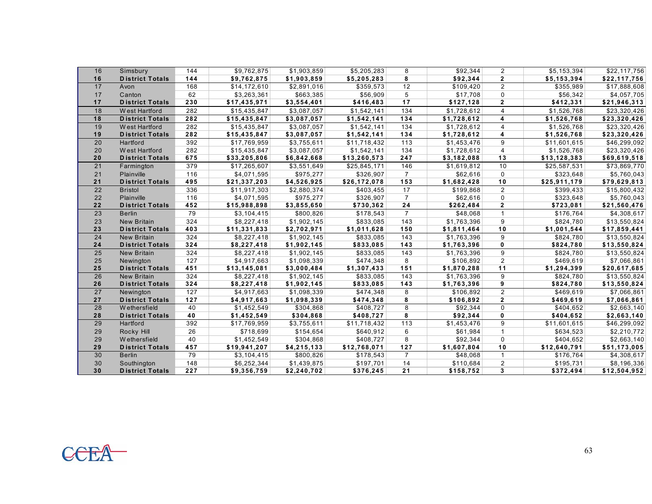| 16              | Simsbury               | 144   | \$9,762,875             | \$1,903,859 | \$5,205,283  | 8              | \$92,344    | $\overline{2}$ | \$5,153,394  | \$22,117,756 |
|-----------------|------------------------|-------|-------------------------|-------------|--------------|----------------|-------------|----------------|--------------|--------------|
| 16              | <b>District Totals</b> | 144   | \$9,762,875             | \$1,903,859 | \$5,205,283  | 8              | \$92,344    | $\mathbf{2}$   | \$5,153,394  | \$22,117,756 |
| 17              | Avon                   | 168   | \$14,172,610            | \$2,891,016 | \$359,573    | 12             | \$109,420   | $\overline{2}$ | \$355,989    | \$17,888,608 |
| 17              | Canton                 | 62    | \$3,263,361             | \$663,385   | \$56,909     | 5              | \$17,708    | $\mathbf 0$    | \$56,342     | \$4,057,705  |
| 17              | <b>District Totals</b> | 230   | \$17,435,971            | \$3,554,401 | \$416,483    | 17             | \$127,128   | $\mathbf{2}$   | \$412,331    | \$21,946,313 |
| 18              | West Hartford          | 282   | \$15,435,847            | \$3,087,057 | \$1,542,141  | 134            | \$1,728,612 | $\overline{4}$ | \$1,526,768  | \$23,320,426 |
| 18              | <b>District Totals</b> | 282   | \$15,435,847            | \$3,087,057 | \$1,542,141  | 134            | \$1,728,612 | 4              | \$1,526,768  | \$23,320,426 |
| 19              | West Hartford          | 282   | \$15,435,847            | \$3,087,057 | \$1,542,141  | 134            | \$1,728,612 | 4              | \$1,526,768  | \$23,320,426 |
| 19              | <b>District Totals</b> | 282   | \$15,435,847            | \$3,087,057 | \$1,542,141  | 134            | \$1,728,612 | 4              | \$1,526,768  | \$23,320,426 |
| 20              | Hartford               | 392   | \$17,769,959            | \$3,755,611 | \$11,718,432 | 113            | \$1,453,476 | 9              | \$11,601,615 | \$46,299,092 |
| 20              | West Hartford          | 282   | \$15,435,847            | \$3,087,057 | \$1,542,141  | 134            | \$1,728,612 | 4              | \$1,526,768  | \$23,320,426 |
| 20              | <b>District Totals</b> | 675   | \$33,205,806            | \$6,842,668 | \$13,260,573 | 247            | \$3,182,088 | 13             | \$13,128,383 | \$69,619,518 |
| 21              | Farmington             | 379   | \$17,265,607            | \$3,551,649 | \$25,845,171 | 146            | \$1,619,812 | 10             | \$25,587,531 | \$73,869,770 |
| 21              | Plainville             | 116   | \$4,071,595             | \$975,277   | \$326,907    | $\overline{7}$ | \$62,616    | $\mathbf 0$    | \$323,648    | \$5,760,043  |
| 21              | <b>District Totals</b> | 495   | \$21,337,203            | \$4,526,925 | \$26,172,078 | 153            | \$1,682,428 | 10             | \$25,911,179 | \$79,629,813 |
| 22              | <b>Bristol</b>         | 336   | \$11,917,303            | \$2,880,374 | \$403,455    | 17             | \$199,868   | $\overline{2}$ | \$399,433    | \$15,800,432 |
| 22              | Plainville             | 116   | \$4,071,595             | \$975,277   | \$326,907    | $\overline{7}$ | \$62,616    | $\mathbf 0$    | \$323,648    | \$5,760,043  |
| 22              | <b>District Totals</b> | 452   | \$15,988,898            | \$3,855,650 | \$730,362    | 24             | \$262,484   | $\mathbf{2}$   | \$723,081    | \$21,560,476 |
| 23              | <b>Berlin</b>          | 79    | \$3,104,415             | \$800,826   | \$178,543    | $\overline{7}$ | \$48,068    | $\mathbf{1}$   | \$176,764    | \$4,308,617  |
| 23              | <b>New Britain</b>     | 324   | \$8,227,418             | \$1,902,145 | \$833,085    | 143            | \$1,763,396 | 9              | \$824,780    | \$13,550,824 |
| 23              | <b>District Totals</b> | 403   | \$11,331,833            | \$2,702,971 | \$1,011,628  | 150            | \$1,811,464 | 10             | \$1,001,544  | \$17,859,441 |
| 24              | <b>New Britain</b>     | 324   | \$8,227,418             | \$1,902,145 | \$833,085    | 143            | \$1,763,396 | 9              | \$824,780    | \$13,550,824 |
| 24              | <b>District Totals</b> | 324   | \$8,227,418             | \$1,902,145 | \$833,085    | 143            | \$1,763,396 | $\mathbf{0}$   | \$824,780    | \$13,550,824 |
| 25              | <b>New Britain</b>     | 324   | \$8,227,418             | \$1,902,145 | \$833,085    | 143            | \$1,763,396 | 9              | \$824,780    | \$13,550,824 |
| 25              | Newington              | 127   | \$4,917,663             | \$1,098,339 | \$474,348    | 8              | \$106,892   | 2              | \$469,619    | \$7,066,861  |
| 25              | <b>District Totals</b> | 451   | \$13,145,081            | \$3,000,484 | \$1,307,433  | 151            | \$1,870,288 | 11             | \$1,294,399  | \$20,617,685 |
| 26              | <b>New Britain</b>     | 324   | $\overline{$8,227,418}$ | \$1,902,145 | \$833,085    | 143            | \$1,763,396 | 9              | \$824.780    | \$13,550,824 |
| 26              | <b>District Totals</b> | 324   | \$8,227,418             | \$1,902,145 | \$833,085    | 143            | \$1,763,396 | 9              | \$824,780    | \$13,550,824 |
| $\overline{27}$ | Newington              | 127   | \$4,917,663             | \$1,098,339 | \$474,348    | 8              | \$106,892   | $\overline{2}$ | \$469,619    | \$7,066,861  |
| 27              | <b>District Totals</b> | $127$ | \$4,917,663             | \$1,098,339 | \$474,348    | 8              | \$106,892   | $\mathbf{2}$   | \$469,619    | \$7,066,861  |
| 28              | W ethersfield          | 40    | \$1,452,549             | \$304,868   | \$408.727    | 8              | \$92,344    | $\Omega$       | \$404,652    | \$2,663,140  |
| 28              | <b>District Totals</b> | 40    | \$1,452,549             | \$304,868   | \$408,727    | 8              | \$92,344    | 0              | \$404,652    | \$2,663,140  |
| 29              | Hartford               | 392   | \$17,769,959            | \$3,755,611 | \$11,718,432 | 113            | \$1,453,476 | 9              | \$11,601,615 | \$46,299,092 |
| 29              | Rocky Hill             | 26    | \$718,699               | \$154,654   | \$640,912    | 6              | \$61,984    | $\mathbf{1}$   | \$634,523    | \$2,210,772  |
| 29              | W ethersfield          | 40    | \$1,452,549             | \$304,868   | \$408,727    | 8              | \$92,344    | $\Omega$       | \$404,652    | \$2,663,140  |
| 29              | <b>District Totals</b> | 457   | \$19,941,207            | \$4,215,133 | \$12,768,071 | 127            | \$1,607,804 | 10             | \$12,640,791 | \$51,173,005 |
| 30              | <b>Berlin</b>          | 79    | \$3,104,415             | \$800,826   | \$178,543    | $\overline{7}$ | \$48,068    | $\mathbf{1}$   | \$176,764    | \$4,308,617  |
| 30              | Southington            | 148   | \$6,252,344             | \$1,439,875 | \$197,701    | 14             | \$110,684   | $\overline{2}$ | \$195,731    | \$8,196,336  |
| 30              | <b>District Totals</b> | 227   | \$9,356,759             | \$2,240,702 | \$376,245    | 21             | \$158,752   | 3              | \$372,494    | \$12,504,952 |

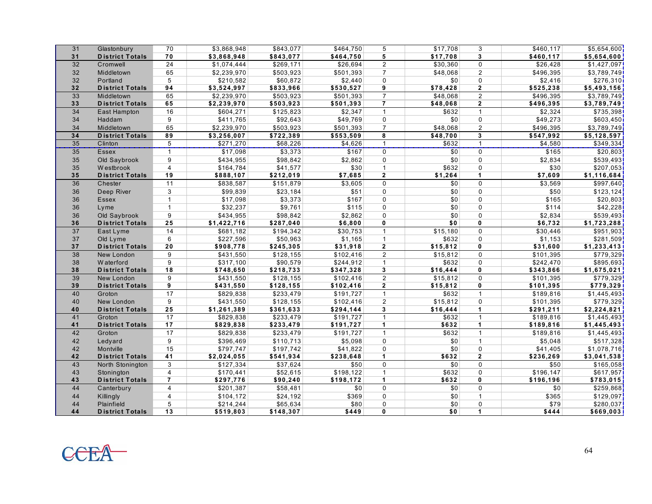| 31              | Glastonbury            | 70             | \$3,868,948 | \$843,077             | \$464,750 | 5                       | \$17,708 | 3                       | \$460,117 | \$5,654,600           |
|-----------------|------------------------|----------------|-------------|-----------------------|-----------|-------------------------|----------|-------------------------|-----------|-----------------------|
| 31              | <b>District Totals</b> | 70             | \$3,868,948 | \$843,077             | \$464,750 | 5                       | \$17,708 | $\mathbf{3}$            | \$460,117 | \$5,654,600           |
| 32              | Cromwell               | 24             | \$1,074,444 | \$269,171             | \$26,694  | $\overline{2}$          | \$30,360 | $\mathbf 0$             | \$26,428  | \$1,427,097           |
| 32              | Middletown             | 65             | \$2,239,970 | \$503,923             | \$501,393 | $\overline{7}$          | \$48.068 | $\overline{2}$          | \$496,395 | \$3,789,749           |
| 32              | Portland               | 5              | \$210,582   | \$60,872              | \$2,440   | $\Omega$                | \$0      | $\Omega$                | \$2,416   | \$276,310             |
| 32              | <b>District Totals</b> | 94             | \$3,524,997 | \$833,966             | \$530,527 | 9                       | \$78,428 | $\overline{2}$          | \$525,238 | \$5,493,156           |
| 33              | Middletown             | 65             | \$2,239,970 | \$503,923             | \$501,393 | $\overline{7}$          | \$48.068 | $\overline{2}$          | \$496,395 | \$3,789,749           |
| 33              | <b>District Totals</b> | 65             | \$2,239,970 | \$503,923             | \$501,393 | $\overline{7}$          | \$48,068 | $\mathbf{2}$            | \$496,395 | \$3,789,749           |
| 34              | East Hampton           | 16             | \$604,271   | \$125,823             | \$2,347   | $\mathbf{1}$            | \$632    | $\mathbf{1}$            | \$2,324   | $\overline{$}735,398$ |
| 34              | Haddam                 | 9              | \$411,765   | \$92,643              | \$49,769  | $\Omega$                | \$0      | $\mathbf 0$             | \$49,273  | \$603,450]            |
| 34              | Middletown             | 65             | \$2,239,970 | \$503,923             | \$501,393 | $\overline{7}$          | \$48,068 | 2                       | \$496,395 | \$3,789,749           |
| 34              | <b>District Totals</b> | 89             | \$3,256,007 | \$722,389             | \$553,509 | $\overline{\mathbf{8}}$ | \$48,700 | $\overline{\mathbf{3}}$ | \$547,992 | \$5,128,597           |
| 35              | Clinton                | 5              | \$271,270   | \$68,226              | \$4,626   | $\mathbf{1}$            | \$632    | $\mathbf{1}$            | \$4,580   | \$349,334             |
| $\overline{35}$ | Essex                  | $\mathbf{1}$   | \$17,098    | \$3,373               | \$167     | $\Omega$                | \$0      | $\Omega$                | \$165     | \$20,803              |
| 35              | Old Saybrook           | 9              | \$434,955   | \$98,842              | \$2,862   | $\Omega$                | \$0      | $\Omega$                | \$2,834   | \$539,493]            |
| 35              | W estbrook             | $\overline{4}$ | \$164,784   | \$41,577              | \$30      | $\mathbf{1}$            | \$632    | $\mathbf 0$             | \$30      | \$207,053]            |
| 35              | <b>District Totals</b> | 19             | \$888,107   | \$212,019             | \$7,685   | $\overline{2}$          | \$1,264  | $\mathbf{1}$            | \$7,609   | \$1,116,684           |
| 36              | Chester                | 11             | \$838,587   | \$151,879             | \$3,605   | $\Omega$                | \$0      | $\mathbf 0$             | \$3,569   | \$997,640             |
| 36              | Deep River             | 3              | \$99,839    | \$23,184              | \$51      | $\mathbf 0$             | \$0      | $\mathbf 0$             | \$50      | \$123,124             |
| 36              | <b>Essex</b>           | $\mathbf{1}$   | \$17,098    | \$3,373               | \$167     | $\Omega$                | \$0      | $\Omega$                | \$165     | \$20,803              |
| 36              | Lyme                   | $\mathbf{1}$   | \$32,237    | \$9,761               | \$115     | $\Omega$                | \$0      | $\Omega$                | \$114     | \$42,228              |
| 36              | Old Saybrook           | 9              | \$434,955   | \$98,842              | \$2,862   | $\Omega$                | \$0      | $\Omega$                | \$2,834   | \$539,493             |
| 36              | <b>District Totals</b> | 25             | \$1,422,716 | \$287,040             | \$6,800   | $\mathbf{0}$            | \$0      | 0                       | \$6,732   | \$1,723,288           |
| 37              | East Lyme              | 14             | \$681,182   | \$194,342             | \$30,753  | $\mathbf{1}$            | \$15,180 | $\Omega$                | \$30,446  | \$951,903             |
| 37              | Old Lyme               | 6              | \$227,596   | \$50,963              | \$1,165   | $\mathbf{1}$            | \$632    | $\mathbf 0$             | \$1,153   | \$281,509             |
| 37              | <b>District Totals</b> | 20             | \$908,778   | \$245,305             | \$31,918  | $\mathbf{2}$            | \$15,812 | $\mathbf{0}$            | \$31,600  | \$1,233,413           |
| 38              | New London             | 9              | \$431,550   | $\overline{$128,155}$ | \$102,416 | $\overline{2}$          | \$15,812 | 0                       | \$101,395 | \$779,329             |
| 38              | W aterford             | 9              | \$317,100   | \$90,579              | \$244,912 | $\mathbf{1}$            | \$632    | $\Omega$                | \$242,470 | \$895,693             |
| 38              | <b>District Totals</b> | 18             | \$748,650   | \$218,733             | \$347,328 | 3                       | \$16,444 | 0                       | \$343,866 | \$1,675,021           |
| 39              | New London             | 9              | \$431,550   | \$128,155             | \$102,416 | $\overline{2}$          | \$15,812 | 0                       | \$101,395 | $\frac{1}{15779,329}$ |
| 39              | <b>District Totals</b> | 9              | \$431,550   | \$128,155             | \$102,416 | $\mathbf{2}$            | \$15,812 | 0                       | \$101,395 | \$779,329             |
| 40              | Groton                 | 17             | \$829,838   | $\overline{$233,479}$ | \$191,727 | $\mathbf{1}$            | \$632    | $\overline{1}$          | \$189,816 | \$1,445,493           |
| 40              | New London             | 9              | \$431,550   | \$128, 155            | \$102,416 | $\overline{2}$          | \$15,812 | $\mathbf 0$             | \$101,395 | \$779,329             |
| 40              | <b>District Totals</b> | 25             | \$1,261,389 | \$361,633             | \$294,144 | $\mathbf{3}$            | \$16,444 | $\mathbf{1}$            | \$291,211 | \$2,224,821           |
| 41              | Groton                 | 17             | \$829,838   | \$233,479             | \$191,727 | $\mathbf{1}$            | \$632    | $\mathbf{1}$            | \$189,816 | \$1,445,493           |
| 41              | <b>District Totals</b> | 17             | \$829,838   | \$233,479             | \$191,727 | $\mathbf{1}$            | \$632    | $\mathbf{1}$            | \$189,816 | \$1,445,493           |
| 42              | Groton                 | 17             | \$829,838   | \$233,479             | \$191,727 | $\mathbf{1}$            | \$632    | $\mathbf{1}$            | \$189,816 | \$1,445,493           |
| 42              | Ledyard                | 9              | \$396,469   | \$110,713             | \$5,098   | $\Omega$                | \$0      | $\mathbf{1}$            | \$5,048   | \$517,328             |
| 42              | Montville              | 15             | \$797,747   | \$197,742             | \$41,822  | $\Omega$                | \$0      | $\mathbf 0$             | \$41,405  | \$1,078,716           |
| 42              | <b>District Totals</b> | 41             | \$2,024,055 | \$541,934             | \$238,648 | $\mathbf{1}$            | \$632    | $\overline{2}$          | \$236,269 | \$3,041,538           |
| 43              | North Stonington       | 3              | \$127,334   | \$37,624              | \$50      | $\Omega$                | \$0      | $\Omega$                | \$50      | \$165,058]            |
| 43              | Stonington             | $\overline{4}$ | \$170,441   | \$52,615              | \$198,122 | $\mathbf{1}$            | \$632    | $\Omega$                | \$196,147 | \$617,957             |
| 43              | <b>District Totals</b> | $\overline{7}$ | \$297,776   | \$90,240              | \$198,172 | $\mathbf{1}$            | \$632    | 0                       | \$196,196 | \$783,015             |
| 44              | Canterbury             | $\overline{4}$ | \$201,387   | \$58,481              | \$0       | 0                       | \$0      | $\Omega$                | \$0       | \$259,868             |
| 44              | Killingly              | $\overline{4}$ | \$104,172   | \$24,192              | \$369     | $\Omega$                | \$0      | $\overline{1}$          | \$365     | \$129,097             |
| 44              | Plainfield             | 5              | \$214,244   | \$65,634              | \$80      | $\Omega$                | \$0      | 0                       | \$79      | \$280,037             |
| 44              | <b>District Totals</b> | 13             | \$519,803   | \$148,307             | \$449     | $\mathbf{0}$            | \$0      | $\mathbf{1}$            | \$444     | \$669,003]            |

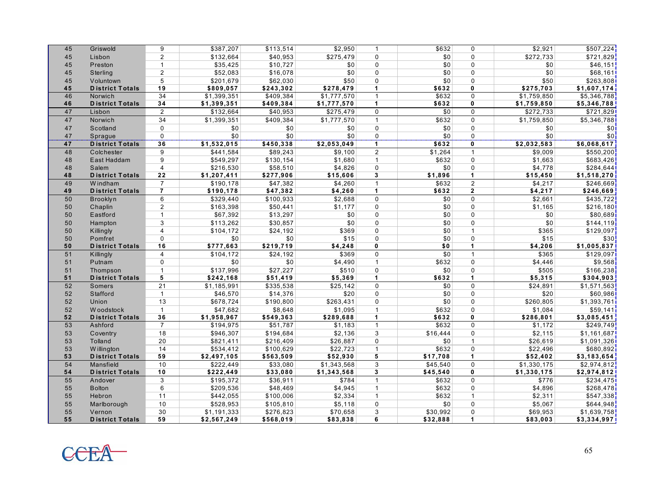| 45 | Griswold               | 9               | \$387,207   | \$113,514 | \$2,950     | $\mathbf{1}$   | \$632    | $\Omega$             | \$2,921     | \$507,224          |
|----|------------------------|-----------------|-------------|-----------|-------------|----------------|----------|----------------------|-------------|--------------------|
| 45 | Lisbon                 | $\overline{2}$  | \$132,664   | \$40,953  | \$275,479   | $\Omega$       | \$0      | $\Omega$             | \$272,733   | \$721,829          |
| 45 | Preston                | $\mathbf{1}$    | \$35,425    | \$10,727  | \$0         | $\Omega$       | \$0      | $\mathbf 0$          | \$0         | \$46,151           |
| 45 | Sterling               | $\overline{2}$  | \$52,083    | \$16,078  | \$0         | $\Omega$       | \$0      | $\Omega$             | \$0         | \$68,161]          |
| 45 | Voluntown              | 5               | \$201,679   | \$62,030  | \$50        | $\Omega$       | \$0      | $\Omega$             | \$50        | \$263,808          |
| 45 | <b>District Totals</b> | 19              | \$809,057   | \$243,302 | \$278,479   | $\mathbf{1}$   | \$632    | $\mathbf{0}$         | \$275,703   | \$1,607,174        |
| 46 | Norwich                | 34              | \$1,399,351 | \$409,384 | \$1,777,570 | $\mathbf{1}$   | \$632    | $\Omega$             | \$1,759,850 | \$5,346,788        |
| 46 | <b>District Totals</b> | 34              | \$1,399,351 | \$409,384 | \$1,777,570 | $\mathbf{1}$   | \$632    | $\mathbf{0}$         | \$1,759,850 | \$5,346,788        |
| 47 | Lisbon                 | $\overline{2}$  | \$132,664   | \$40,953  | \$275,479   | $\Omega$       | \$0      | $\Omega$             | \$272,733   | \$721,829          |
| 47 | Norwich                | 34              | \$1,399,351 | \$409,384 | \$1,777,570 | $\mathbf{1}$   | \$632    | $\mathbf 0$          | \$1,759,850 | \$5,346,788        |
| 47 | Scotland               | $\Omega$        | \$0         | \$0       | \$0         | $\Omega$       | \$0      | $\Omega$             | \$0         | \$0 <sub>i</sub>   |
| 47 | Sprague                | 0               | \$0         | \$0       | \$0         | $\mathbf 0$    | \$0      | 0                    | \$0         | \$0                |
| 47 | <b>District Totals</b> | 36              | \$1,532,015 | \$450,338 | \$2,053,049 | $\mathbf{1}$   | \$632    | $\mathbf{0}$         | \$2,032,583 | \$6,068,617        |
| 48 | Colchester             | 9               | \$441,584   | \$89,243  | \$9,100     | 2              | \$1,264  | $\mathbf{1}$         | \$9,009     | \$550,200          |
| 48 | East Haddam            | 9               | \$549,297   | \$130,154 | \$1,680     | $\mathbf{1}$   | \$632    | $\mathbf 0$          | \$1,663     | \$683,426          |
| 48 | Salem                  | $\overline{4}$  | \$216,530   | \$58,510  | \$4,826     | $\Omega$       | \$0      | $\Omega$             | \$4,778     | \$284,644          |
| 48 | <b>District Totals</b> | 22              | \$1,207,411 | \$277,906 | \$15,606    | $\mathbf{3}$   | \$1,896  | $\mathbf{1}$         | \$15,450    | \$1,518,270        |
| 49 | W indham               | $\overline{7}$  | \$190,178   | \$47,382  | \$4,260     | $\mathbf{1}$   | \$632    | $\overline{2}$       | \$4,217     | \$246,669          |
| 49 | <b>District Totals</b> | $\overline{7}$  | \$190,178   | \$47,382  | \$4,260     | $\mathbf 1$    | \$632    | $\overline{2}$       | \$4,217     | \$246,669          |
| 50 | Brooklyn               | 6               | \$329,440   | \$100,933 | \$2,688     | $\Omega$       | \$0      | $\Omega$             | \$2,661     | \$435,722          |
| 50 | Chaplin                | $\overline{2}$  | \$163,398   | \$50,441  | \$1,177     | $\Omega$       | \$0      | $\Omega$             | \$1,165     | \$216,180]         |
| 50 | Eastford               | $\mathbf{1}$    | \$67,392    | \$13,297  | \$0         | $\Omega$       | \$0      | $\Omega$             | \$0         | \$80,689]          |
| 50 | Hampton                | 3               | \$113,262   | \$30,857  | \$0         | $\Omega$       | \$0      | $\Omega$             | \$0         | \$144,119          |
| 50 | Killingly              | $\overline{4}$  | \$104,172   | \$24,192  | \$369       | $\Omega$       | \$0      | $\overline{1}$       | \$365       | \$129,097          |
| 50 | Pomfret                | $\Omega$        | \$0         | \$0       | \$15        | $\Omega$       | \$0      | $\Omega$             | \$15        | \$30               |
| 50 | <b>District Totals</b> | 16              | \$777,663   | \$219,719 | \$4,248     | $\mathbf{0}$   | \$0      | $\mathbf{1}$         | \$4,206     | \$1,005,837        |
| 51 | Killingly              | $\overline{4}$  | \$104,172   | \$24,192  | \$369       | $\Omega$       | \$0      | $\mathbf{1}$         | \$365       | \$129,097          |
| 51 | Putnam                 | $\Omega$        | \$0         | \$0       | \$4,490     | $\mathbf{1}$   | \$632    | $\mathbf 0$          | \$4,446     | \$9,568            |
| 51 | Thompson               | $\mathbf{1}$    | \$137,996   | \$27,227  | \$510       | $\Omega$       | \$0      | $\Omega$             | \$505       | \$166,238          |
| 51 | <b>District Totals</b> | 5               | \$242,168   | \$51,419  | \$5,369     | $\mathbf{1}$   | \$632    | $\blacktriangleleft$ | \$5,315     | \$304,903          |
| 52 | Somers                 | $\overline{21}$ | \$1,185,991 | \$335,538 | \$25,142    | $\Omega$       | \$0      | $\Omega$             | \$24,891    | \$1,571,563        |
| 52 | Stafford               | $\mathbf{1}$    | \$46,570    | \$14,376  | \$20        | $\Omega$       | \$0      | $\Omega$             | \$20        | \$60,986           |
| 52 | Union                  | 13              | \$678,724   | \$190,800 | \$263,431   | $\Omega$       | \$0      | $\Omega$             | \$260,805   | \$1,393,761        |
| 52 | W oodstock             | $\mathbf{1}$    | \$47,682    | \$8,648   | \$1,095     | $\mathbf{1}$   | \$632    | $\Omega$             | \$1,084     | \$59,141           |
| 52 | <b>District Totals</b> | 36              | \$1,958,967 | \$549,363 | \$289,688   | $\mathbf{1}$   | \$632    | $\mathbf 0$          | \$286,801   | \$3,085,451        |
| 53 | Ashford                | $\overline{7}$  | \$194,975   | \$51,787  | \$1,183     | $\mathbf{1}$   | \$632    | $\Omega$             | \$1,172     | \$249,749          |
| 53 | Coventry               | 18              | \$946,307   | \$194,684 | \$2,136     | 3              | \$16,444 | $\mathbf 0$          | \$2,115     | \$1,161,687        |
| 53 | Tolland                | 20              | \$821,411   | \$216,409 | \$26,887    | $\Omega$       | \$0      | $\mathbf{1}$         | \$26,619    | $\sqrt{1,091,326}$ |
| 53 | W illington            | 14              | \$534,412   | \$100,629 | \$22.723    | $\mathbf{1}$   | \$632    | $\Omega$             | \$22,496    | \$680.892          |
| 53 | <b>District Totals</b> | 59              | \$2,497,105 | \$563,509 | \$52,930    | 5              | \$17,708 | $\mathbf{1}$         | \$52,402    | \$3,183,654        |
| 54 | Mansfield              | 10              | \$222,449   | \$33,080  | \$1,343,568 | 3              | \$45,540 | $\Omega$             | \$1,330,175 | \$2,974,812        |
| 54 | <b>District Totals</b> | 10              | \$222,449   | \$33,080  | \$1,343,568 | $\mathbf{3}$   | \$45,540 | $\mathbf{0}$         | \$1,330,175 | \$2,974,812        |
| 55 | Andover                | 3               | \$195,372   | \$36,911  | \$784       | $\overline{1}$ | \$632    | $\Omega$             | \$776       | \$234,475          |
| 55 | <b>Bolton</b>          | 6               | \$209,536   | \$48,469  | \$4,945     | $\mathbf{1}$   | \$632    | $\mathbf 0$          | \$4,896     | \$268,478          |
| 55 | Hebron                 | 11              | \$442,055   | \$100,006 | \$2,334     | $\mathbf{1}$   | \$632    | $\mathbf{1}$         | \$2,311     | \$547,338          |
| 55 | Marlborough            | 10              | \$528,953   | \$105,810 | \$5,118     | $\mathbf{0}$   | \$0      | $\mathbf 0$          | \$5,067     | \$644,948          |
| 55 | Vernon                 | 30              | \$1,191,333 | \$276,823 | \$70,658    | 3              | \$30,992 | $\Omega$             | \$69,953    | \$1,639,758        |
| 55 | <b>District Totals</b> | 59              | \$2,567,249 | \$568,019 | \$83,838    | 6              | \$32,888 | $\blacktriangleleft$ | \$83,003    | \$3,334,997        |

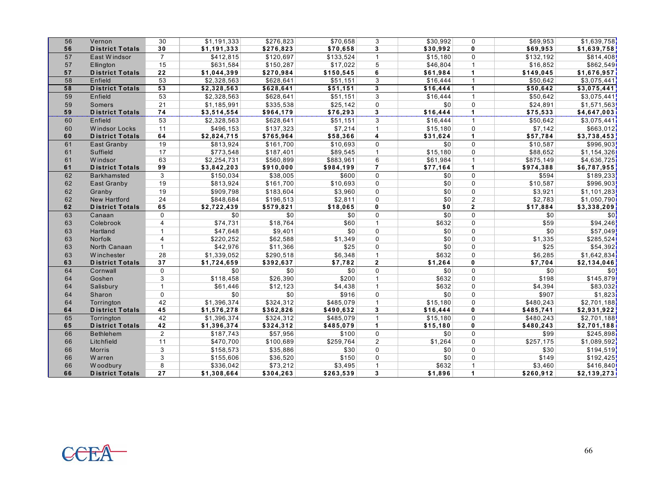| 56 |                        |                 |             |                       |                      |                |                  |                |           |             |
|----|------------------------|-----------------|-------------|-----------------------|----------------------|----------------|------------------|----------------|-----------|-------------|
|    | Vernon                 | 30              | \$1,191,333 | \$276,823             | \$70,658             | 3              | \$30,992         | $\Omega$       | \$69,953  | \$1,639,758 |
| 56 | <b>District Totals</b> | 30              | \$1,191,333 | \$276,823             | \$70,658             | $\mathbf{3}$   | \$30,992         | $\mathbf 0$    | \$69,953  | \$1,639,758 |
| 57 | East Windsor           | $\overline{7}$  | \$412,815   | \$120,697             | \$133,524            | $\mathbf{1}$   | \$15,180         | $\Omega$       | \$132,192 | \$814,408   |
| 57 | Ellington              | 15              | \$631,584   | \$150,287             | \$17,022             | 5              | \$46,804         | $\overline{1}$ | \$16,852  | \$862,549   |
| 57 | <b>District Totals</b> | 22              | \$1,044,399 | \$270,984             | \$150,545            | 6              | \$61,984         | $\overline{1}$ | \$149,045 | \$1,676,957 |
| 58 | Enfield                | 53              | \$2,328,563 | \$628,641             | \$51.151             | 3              | \$16.444         | $\overline{1}$ | \$50.642  | \$3,075,441 |
| 58 | <b>District Totals</b> | $\overline{53}$ | \$2,328,563 | \$628,641             | \$51.151             | 3              | \$16,444         | $\mathbf{1}$   | \$50,642  | \$3,075,441 |
| 59 | Enfield                | 53              | \$2,328,563 | \$628,641             | \$51,151             | 3              | \$16,444         | $\mathbf{1}$   | \$50,642  | \$3,075,441 |
| 59 | Somers                 | 21              | \$1,185,991 | \$335,538             | \$25,142             | $\Omega$       | \$0              | $\mathbf 0$    | \$24,891  | \$1,571,563 |
| 59 | <b>District Totals</b> | 74              | \$3,514,554 | \$964,179             | \$76,293             | $\mathbf{3}$   | \$16,444         | $\overline{1}$ | \$75,533  | \$4,647,003 |
| 60 | Enfield                | 53              | \$2,328,563 | \$628,641             | \$51,151             | 3              | \$16,444         | $\mathbf{1}$   | \$50,642  | \$3,075,441 |
| 60 | <b>Windsor Locks</b>   | 11              | \$496,153   | \$137,323             | \$7,214              | $\mathbf{1}$   | \$15,180         | $\Omega$       | \$7,142   | \$663,012   |
| 60 | <b>District Totals</b> | 64              | \$2,824,715 | \$765,964             | \$58,366             | 4              | \$31,624         | $\overline{1}$ | \$57,784  | \$3,738,453 |
| 61 | East Granby            | 19              | \$813,924   | \$161,700             | \$10,693             | $\Omega$       | \$0              | $\Omega$       | \$10,587  | \$996,903   |
| 61 | Suffield               | 17              | \$773,548   | \$187,401             | \$89,545             | $\mathbf{1}$   | \$15,180         | $\mathbf 0$    | \$88,652  | \$1,154,326 |
| 61 | <b>Windsor</b>         | 63              | \$2,254,731 | \$560,899             | \$883,961            | 6              | \$61,984         | $\mathbf{1}$   | \$875,149 | \$4,636,725 |
| 61 | <b>District Totals</b> | 99              | \$3,842,203 | \$910,000             | \$984,199            | $\overline{7}$ | \$77,164         | $\overline{1}$ | \$974,388 | \$6,787,955 |
| 62 | <b>Barkhamsted</b>     | 3               | \$150,034   | \$38,005              | \$600                | $\Omega$       | \$0              | $\Omega$       | \$594     | \$189,233   |
| 62 | East Granby            | 19              | \$813.924   | \$161,700             | \$10,693             | $\mathbf 0$    | \$0              | $\mathbf 0$    | \$10,587  | \$996,903   |
| 62 | Granby                 | 19              | \$909,798   | \$183,604             | \$3,960              | $\Omega$       | \$0              | $\Omega$       | \$3,921   | \$1,101,283 |
| 62 | <b>New Hartford</b>    | 24              | \$848,684   | \$196,513             | \$2,811              | $\mathbf{0}$   | \$0              | $\overline{2}$ | \$2,783   | \$1,050,790 |
| 62 | <b>District Totals</b> | 65              | \$2,722,439 | \$579,821             | \$18,065             | $\mathbf{0}$   | \$0              | $\mathbf{2}$   | \$17,884  | \$3,338,209 |
|    |                        |                 |             |                       |                      |                |                  |                |           |             |
| 63 | Canaan                 | $\Omega$        | \$0         | \$0                   | \$0                  | $\mathbf{0}$   | \$0              | $\Omega$       | \$0       | \$0         |
| 63 | Colebrook              | $\overline{4}$  | \$74,731    | \$18,764              | \$60                 | $\mathbf{1}$   | \$632            | $\Omega$       | \$59      | \$94,246    |
| 63 | Hartland               | $\mathbf{1}$    | \$47,648    | \$9,401               | \$0                  | $\Omega$       | \$0              | $\Omega$       | \$0       | \$57,049    |
| 63 | Norfolk                | 4               | \$220,252   | \$62,588              | \$1,349              | $\Omega$       | \$0              | $\Omega$       | \$1,335   | \$285,524   |
| 63 | North Canaan           | $\mathbf{1}$    | \$42,976    | \$11,366              | \$25                 | $\Omega$       | \$0              | $\Omega$       | \$25      | \$54,392    |
| 63 | Winchester             | 28              | \$1,339,052 | \$290,518             | \$6,348              | $\mathbf{1}$   | \$632            | $\Omega$       | \$6,285   | \$1,642,834 |
| 63 | <b>District Totals</b> | 37              | \$1,724,659 | \$392,637             | \$7,782              | $\mathbf{2}$   | \$1,264          | 0              | \$7,704   | \$2,134,046 |
| 64 | Cornwall               | 0               | \$0         | \$0                   | \$0                  | $\mathbf 0$    | \$0              | $\Omega$       | \$0       | \$0         |
| 64 | Goshen                 | 3               | \$118,458   | \$26,390              | \$200                | $\mathbf{1}$   | \$632            | $\Omega$       | \$198     | \$145,879   |
| 64 | Salisbury              | $\mathbf{1}$    | \$61,446    | \$12,123              | \$4,438              | $\mathbf{1}$   | \$632            | 0              | \$4,394   | \$83,032    |
| 64 | Sharon                 | $\Omega$        | \$0         | \$0                   | \$916                | $\Omega$       | \$0              | $\Omega$       | \$907     | \$1,823     |
| 64 | Torrington             | 42              | \$1,396,374 | \$324,312             | \$485,079            | $\mathbf{1}$   | \$15,180         | $\Omega$       | \$480,243 | \$2,701,188 |
| 64 | <b>District Totals</b> | 45              | \$1,576,278 | \$362,826             | \$490,632            | 3              | \$16,444         | $\mathbf{0}$   | \$485,741 | \$2,931,922 |
| 65 | Torrington             | 42              | \$1,396,374 | \$324,312             | \$485,079            | $\mathbf{1}$   | \$15,180         | $\Omega$       | \$480,243 | \$2,701,188 |
| 65 | <b>District Totals</b> | 42              | \$1,396,374 | \$324,312             | \$485,079            | $\mathbf{1}$   | \$15,180         | 0              | \$480,243 | \$2,701,188 |
| 66 | <b>Bethlehem</b>       | $\overline{2}$  | \$187,743   | \$57,956              | \$100                | $\mathbf 0$    | \$0              | $\Omega$       | \$99      | \$245,898   |
| 66 | Litchfield             | 11              | \$470,700   | \$100,689             | \$259,764            | $\overline{2}$ | \$1,264          | $\Omega$       | \$257,175 | \$1,089,592 |
| 66 | <b>Morris</b>          | 3               | \$158,573   | \$35,886              | \$30                 | $\mathbf{0}$   | \$0              | $\Omega$       | \$30      | \$194,519   |
| 66 | Warren                 | 3               | \$155,606   | \$36,520              | \$150                | $\Omega$       | \$0              | $\Omega$       | \$149     | \$192,425   |
| 66 | W oodbury              | 8<br>27         | \$336,042   | \$73,212<br>\$304,263 | \$3,495<br>\$263,539 | $\mathbf 1$    | \$632<br>\$1,896 | 1              | \$3,460   | \$416,840   |

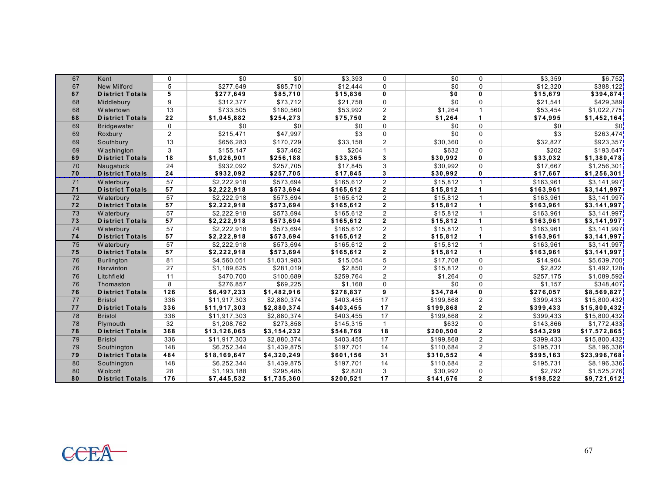| 67 | Kent                   | 0               | \$0          | \$0                     | \$3,393   | $\Omega$       | \$0       | $\Omega$                | \$3,359   | \$6,752      |
|----|------------------------|-----------------|--------------|-------------------------|-----------|----------------|-----------|-------------------------|-----------|--------------|
| 67 | <b>New Milford</b>     | 5               | \$277,649    | \$85,710                | \$12,444  | $\mathbf{0}$   | \$0       | $\Omega$                | \$12,320  | \$388,122    |
| 67 | <b>District Totals</b> | 5               | \$277,649    | \$85,710                | \$15,836  | $\mathbf{0}$   | \$0       | 0                       | \$15,679  | \$394,874    |
| 68 | Middlebury             | 9               | \$312,377    | \$73,712                | \$21,758  | $\mathbf{0}$   | \$0       | $\Omega$                | \$21,541  | \$429,389    |
| 68 | W atertown             | 13              | \$733,505    | \$180,560               | \$53,992  | $\overline{2}$ | \$1,264   | $\overline{1}$          | \$53,454  | \$1,022,775  |
| 68 | <b>District Totals</b> | 22              | \$1,045,882  | \$254,273               | \$75,750  | $\mathbf{2}$   | \$1,264   | $\blacktriangleleft$    | \$74,995  | \$1,452,164  |
| 69 | <b>Bridgewater</b>     | 0               | \$0          | \$0                     | \$0       | $\Omega$       | \$0       | $\Omega$                | \$0       | \$0          |
| 69 | Roxbury                | $\overline{2}$  | \$215,471    | \$47,997                | \$3       | $\mathbf 0$    | \$0       | $\mathbf 0$             | \$3       | \$263,474    |
| 69 | Southbury              | 13              | \$656,283    | \$170.729               | \$33,158  | $\overline{2}$ | \$30.360  | $\mathbf 0$             | \$32,827  | \$923.357    |
| 69 | W ashington            | 3               | \$155.147    | \$37,462                | \$204     | $\overline{1}$ | \$632     | $\Omega$                | \$202     | \$193.647    |
| 69 | <b>District Totals</b> | 18              | \$1,026,901  | \$256,188               | \$33,365  | $\mathbf{3}$   | \$30,992  | 0                       | \$33,032  | \$1,380,478  |
| 70 | Naugatuck              | 24              | \$932,092    | \$257,705               | \$17,845  | 3              | \$30,992  | $\Omega$                | \$17,667  | \$1,256,301  |
| 70 | <b>District Totals</b> | 24              | \$932,092    | \$257,705               | \$17,845  | $\mathbf{3}$   | \$30,992  | 0                       | \$17,667  | \$1,256,301  |
| 71 | W aterbury             | 57              | \$2,222,918  | \$573,694               | \$165,612 | $\overline{2}$ | \$15,812  | $\overline{1}$          | \$163,961 | \$3,141,997  |
| 71 | <b>District Totals</b> | 57              | \$2,222,918  | \$573,694               | \$165,612 | $\overline{2}$ | \$15,812  | 1                       | \$163,961 | \$3,141,997  |
| 72 | W aterbury             | 57              | \$2,222,918  | \$573,694               | \$165,612 | $\overline{2}$ | \$15.812  | $\mathbf{1}$            | \$163,961 | \$3,141,997  |
| 72 | <b>District Totals</b> | 57              | \$2,222,918  | \$573,694               | \$165,612 | $\mathbf{2}$   | \$15,812  | 1                       | \$163,961 | \$3,141,997  |
| 73 | W aterbury             | 57              | \$2,222,918  | \$573,694               | \$165,612 | $\overline{2}$ | \$15,812  | $\mathbf 1$             | \$163,961 | \$3,141,997  |
| 73 | <b>District Totals</b> | 57              | \$2,222,918  | \$573,694               | \$165,612 | $\mathbf{2}$   | \$15,812  | $\blacktriangleleft$    | \$163,961 | \$3,141,997  |
| 74 | W aterbury             | 57              | \$2,222,918  | \$573,694               | \$165,612 | $\overline{2}$ | \$15,812  | $\mathbf{1}$            | \$163,961 | \$3,141,997  |
| 74 | <b>District Totals</b> | 57              | \$2,222,918  | \$573,694               | \$165,612 | $\mathbf{2}$   | \$15,812  | $\mathbf{1}$            | \$163,961 | \$3,141,997  |
| 75 | W aterbury             | $\overline{57}$ | \$2,222,918  | \$573,694               | \$165,612 | 2              | \$15,812  | $\mathbf{1}$            | \$163,961 | \$3,141,997  |
| 75 | <b>District Totals</b> | 57              | \$2,222,918  | \$573,694               | \$165,612 | $\overline{2}$ | \$15,812  | $\blacktriangleleft$    | \$163,961 | \$3,141,997  |
| 76 | <b>Burlington</b>      | 81              | \$4,560,051  | \$1,031,983             | \$15,054  | 5              | \$17,708  | $\Omega$                | \$14,904  | \$5,639,700  |
| 76 | Harwinton              | 27              | \$1,189,625  | \$281,019               | \$2,850   | $\overline{2}$ | \$15,812  | 0                       | \$2,822   | \$1,492,128  |
| 76 | Litchfield             | 11              | \$470,700    | \$100,689               | \$259,764 | $\overline{2}$ | \$1,264   | $\Omega$                | \$257,175 | \$1,089,592  |
| 76 | Thomaston              | 8               | \$276,857    | \$69,225                | \$1,168   | $\mathbf 0$    | \$0       | 0                       | \$1,157   | \$348,407    |
| 76 | <b>District Totals</b> | $126$           | \$6,497,233  | \$1,482,916             | \$278,837 | $\overline{9}$ | \$34,784  | 0                       | \$276,057 | \$8,569,827  |
| 77 | <b>Bristol</b>         | 336             | \$11,917,303 | \$2,880,374             | \$403,455 | 17             | \$199,868 | $\overline{2}$          | \$399,433 | \$15,800,432 |
| 77 | <b>District Totals</b> | 336             | \$11,917,303 | \$2,880,374             | \$403,455 | 17             | \$199,868 | $\mathbf{2}$            | \$399,433 | \$15,800,432 |
| 78 | <b>Bristol</b>         | 336             | \$11,917,303 | \$2,880,374             | \$403,455 | 17             | \$199,868 | $\overline{2}$          | \$399,433 | \$15,800,432 |
| 78 | Plymouth               | 32              | \$1,208,762  | \$273,858               | \$145,315 | $\mathbf{1}$   | \$632     | $\mathbf 0$             | \$143,866 | \$1,772,433  |
| 78 | <b>District Totals</b> | 368             | \$13,126,065 | \$3,154,232             | \$548,769 | 18             | \$200,500 | $\overline{\mathbf{2}}$ | \$543,299 | \$17,572,865 |
| 79 | <b>Bristol</b>         | 336             | \$11,917,303 | $\overline{$2,880,374}$ | \$403,455 | 17             | \$199,868 | 2                       | \$399,433 | \$15,800,432 |
| 79 | Southington            | 148             | \$6,252,344  | \$1,439,875             | \$197,701 | 14             | \$110,684 | $\overline{2}$          | \$195,731 | \$8,196,336  |
| 79 | <b>District Totals</b> | 484             | \$18,169,647 | \$4,320,249             | \$601,156 | 31             | \$310,552 | 4                       | \$595,163 | \$23,996,768 |
| 80 | Southington            | 148             | \$6,252,344  | \$1,439,875             | \$197,701 | 14             | \$110,684 | $\overline{2}$          | \$195,731 | \$8,196,336  |
| 80 | W olcott               | 28              | \$1,193,188  | \$295,485               | \$2,820   | 3              | \$30,992  | 0                       | \$2,792   | \$1,525,276  |
| 80 | <b>District Totals</b> | 176             | \$7,445,532  | \$1,735,360             | \$200,521 | 17             | \$141,676 | $\mathbf{2}$            | \$198,522 | \$9,721,612  |

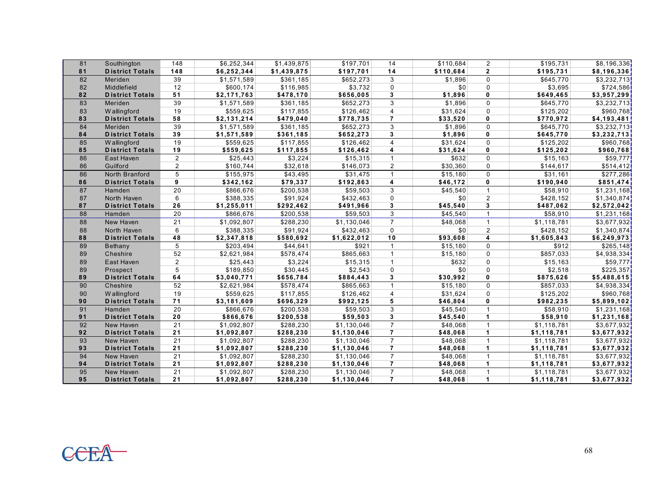| 81       | Southington                         | 148             | \$6,252,344                | \$1,439,875            | \$197,701                  | 14                               | \$110,684            | $\overline{2}$ | \$195,731                  | \$8,196,336                 |
|----------|-------------------------------------|-----------------|----------------------------|------------------------|----------------------------|----------------------------------|----------------------|----------------|----------------------------|-----------------------------|
| 81       | <b>District Totals</b>              | 148             | \$6,252,344                | \$1,439,875            | \$197,701                  | 14                               | \$110,684            | $\mathbf{2}$   | \$195,731                  | \$8,196,336                 |
| 82       | Meriden                             | 39              | \$1,571,589                | \$361,185              | \$652,273                  | 3                                | \$1,896              | $\Omega$       | \$645,770                  | \$3,232,713                 |
| 82       | Middlefield                         | 12              | \$600,174                  | \$116,985              | \$3,732                    | 0                                | \$0                  | $\mathbf 0$    | \$3,695                    | \$724,586                   |
| 82       | <b>District Totals</b>              | 51              | \$2,171,763                | \$478,170              | \$656,005                  | 3                                | \$1,896              | $\mathbf{0}$   | \$649,465                  | \$3,957,299                 |
| 83       | Meriden                             | 39              | \$1,571,589                | \$361,185              | \$652,273                  | 3                                | \$1,896              | $\Omega$       | \$645,770                  | \$3,232,713                 |
| 83       | Wallingford                         | 19              | \$559,625                  | \$117,855              | \$126,462                  | $\overline{4}$                   | \$31,624             | $\mathbf 0$    | \$125,202                  | \$960,768                   |
| 83       | <b>District Totals</b>              | 58              | \$2,131,214                | \$479,040              | \$778,735                  | $\overline{7}$                   | \$33,520             | $\mathbf{0}$   | \$770,972                  | \$4,193,481                 |
| 84       | Meriden                             | 39              | \$1,571,589                | \$361,185              | \$652,273                  | 3                                | \$1,896              | $\Omega$       | \$645,770                  | \$3,232,713                 |
| 84       | <b>District Totals</b>              | 39              | \$1,571,589                | \$361,185              | \$652,273                  | 3                                | \$1,896              | 0              | \$645,770                  | \$3,232,713                 |
| 85       | W allingford                        | 19              | \$559,625                  | \$117,855              | \$126,462                  | $\overline{4}$                   | \$31,624             | $\Omega$       | \$125,202                  | \$960,768                   |
| 85       | <b>District Totals</b>              | 19              | \$559,625                  | \$117,855              | \$126,462                  | 4                                | \$31,624             | 0              | \$125,202                  | \$960,768                   |
| 86       | East Haven                          | $\overline{2}$  | \$25,443                   | \$3,224                | \$15,315                   | $\mathbf{1}$                     | \$632                | $\Omega$       | \$15,163                   | \$59,777                    |
| 86       | Guilford                            | 2               | \$160,744                  | \$32,618               | \$146,073                  | $\overline{2}$                   | \$30,360             | $\Omega$       | \$144,617                  | \$514,412                   |
| 86       | North Branford                      | 5               | \$155,975                  | \$43,495               | \$31,475                   | $\mathbf{1}$                     | \$15,180             | $\Omega$       | $\overline{\$31,161}$      | \$277.286                   |
| 86       | <b>District Totals</b>              | 9               | \$342,162                  | \$79,337               | \$192,863                  | 4                                | \$46,172             | 0              | \$190,940                  | \$851,474]                  |
| 87       | Hamden                              | $\overline{20}$ | \$866,676                  | \$200,538              | $\overline{$}59,503$       | 3                                | \$45.540             |                | \$58,910                   | $\overline{1,231,168}$      |
| 87       | North Haven                         | 6               | \$388,335                  | \$91,924               | \$432,463                  | $\Omega$                         | \$0                  | 2              | \$428,152                  | \$1,340,874                 |
| 87       | <b>District Totals</b>              | 26              | \$1,255,011                | \$292,462              | \$491,966                  | 3                                | \$45,540             | 3              | \$487,062                  | \$2,572,042]                |
| 88       | Hamden                              | 20              | \$866,676                  | \$200,538              | \$59,503                   | 3                                | \$45,540             | $\mathbf{1}$   | \$58,910                   | \$1,231,168                 |
| 88       | New Haven                           | 21              | \$1,092,807                | \$288,230              | \$1,130,046                | $\overline{7}$                   | \$48,068             | $\mathbf{1}$   | \$1,118,781                | \$3,677,932                 |
| 88       | North Haven                         | 6               | \$388,335                  | \$91,924               | \$432,463                  | $\mathbf 0$                      | \$0                  | $\overline{2}$ | \$428,152                  | \$1,340,874                 |
| 88       | <b>District Totals</b>              | 48              | \$2,347,818                | \$580,692              | \$1,622,012                | 10                               | \$93,608             | 4              | \$1,605,843                | \$6,249,973                 |
| 89       | Bethany                             | 5               | \$203,494                  | \$44,641               | \$921                      | $\mathbf{1}$                     | \$15,180             | $\mathbf 0$    | \$912                      | \$265,148                   |
| 89       | Cheshire                            | 52              |                            |                        |                            |                                  |                      |                |                            |                             |
| 89       |                                     |                 | \$2,621,984                | \$578,474              | \$865,663                  | $\mathbf{1}$                     | \$15,180             | $\mathbf 0$    | \$857,033                  | \$4,938,334                 |
|          | East Haven                          | 2               | \$25,443                   | \$3,224                | \$15,315                   | $\mathbf{1}$                     | \$632                | $\Omega$       | \$15,163                   | \$59,777]                   |
| 89       | Prospect                            | 5               | \$189,850                  | \$30,445               | \$2,543                    | $\Omega$                         | \$0                  | $\Omega$       | \$2,518                    | \$225,357                   |
| 89       | <b>District Totals</b>              | 64              | \$3,040,771                | \$656,784              | \$884,443                  | 3                                | \$30,992             | 0              | \$875,626                  | \$5,488,615                 |
| 90       | Cheshire                            | 52              | \$2,621,984                | \$578,474              | \$865,663                  | $\mathbf{1}$                     | \$15,180             | $\Omega$       | \$857,033                  | \$4,938,334                 |
| 90       | Wallingford                         | 19              | \$559,625                  | \$117,855              | \$126,462                  | $\overline{4}$                   | \$31,624             | $\Omega$       | \$125,202                  | \$960,768                   |
| 90       | <b>District Totals</b>              | 71              | \$3,181,609                | \$696,329              | \$992,125                  | 5                                | \$46,804             | 0              | \$982,235                  | \$5,899,102                 |
| 91       | Hamden                              | 20              | \$866,676                  | \$200,538              | \$59,503                   | 3                                | \$45,540             | $\mathbf{1}$   | \$58,910                   | \$1,231,168                 |
| 91       | <b>District Totals</b>              | 20              | \$866,676                  | \$200,538              | \$59,503                   | 3                                | \$45,540             | 1              | \$58,910                   | \$1,231,168                 |
| 92       | New Haven                           | 21              | \$1,092,807                | \$288,230              | \$1,130,046                | $\overline{7}$                   | \$48,068             | $\overline{1}$ | \$1,118,781                | \$3,677,932                 |
| 92       | <b>District Totals</b>              | 21              | \$1,092,807                | \$288,230              | \$1,130,046                | $\overline{7}$                   | \$48,068             | 1              | \$1,118,781                | \$3,677,932                 |
| 93       | New Haven                           | 21              | \$1,092,807                | \$288,230              | \$1,130,046                | $\overline{7}$                   | \$48,068             | $\overline{1}$ | \$1,118,781                | \$3,677,932                 |
| 93       | <b>District Totals</b>              | 21              | \$1,092,807                | \$288,230              | \$1,130,046                | $\overline{7}$                   | \$48,068             | 1              | \$1,118,781                | \$3,677,932                 |
| 94       | New Haven                           | $\overline{21}$ | \$1,092,807                | \$288,230              | \$1,130,046                | $\overline{7}$                   | \$48,068             | $\mathbf{1}$   | \$1,118,781                | \$3,677,932                 |
| 94       | <b>District Totals</b>              | 21              | \$1,092,807                | \$288,230              | \$1,130,046                | $\overline{7}$                   | \$48,068             | 1              | \$1,118,781                | \$3,677,932                 |
| 95<br>95 | New Haven<br><b>District Totals</b> | 21<br>21        | \$1,092,807<br>\$1,092,807 | \$288,230<br>\$288,230 | \$1,130,046<br>\$1,130,046 | $\overline{7}$<br>$\overline{7}$ | \$48,068<br>\$48,068 | 1              | \$1,118,781<br>\$1,118,781 | \$3,677,932]<br>\$3,677,932 |

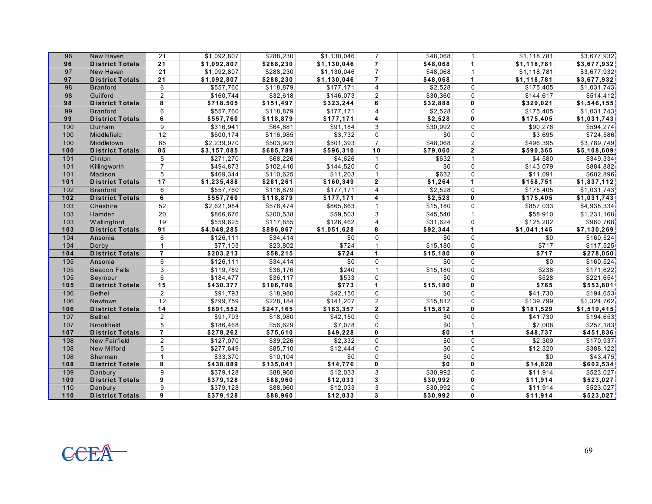| 96               | New Haven                         | 21                  | \$1,092,807            | \$288,230            | \$1,130,046          | $\overline{7}$       | \$48,068             | $\mathbf{1}$                | \$1,118,781          | \$3,677,932                            |
|------------------|-----------------------------------|---------------------|------------------------|----------------------|----------------------|----------------------|----------------------|-----------------------------|----------------------|----------------------------------------|
| 96               | <b>District Totals</b>            | 21                  | \$1,092,807            | \$288,230            | \$1,130,046          | $\overline{7}$       | \$48,068             | $\blacktriangleleft$        | \$1,118,781          | \$3,677,932                            |
| 97               | New Haven                         | 21                  | \$1,092,807            | \$288,230            | \$1,130,046          | $\overline{7}$       | \$48,068             | $\mathbf{1}$                | \$1,118,781          | \$3,677,932                            |
| 97               | <b>District Totals</b>            | 21                  | \$1,092,807            | \$288,230            | \$1,130,046          | $\overline{7}$       | \$48,068             | $\mathbf 1$                 | \$1,118,781          | \$3,677,932                            |
| 98               | <b>Branford</b>                   | 6                   | \$557,760              | \$118,879            | \$177,171            | $\overline{4}$       | \$2,528              | $\Omega$                    | \$175,405            | \$1,031,743                            |
| 98               | Guilford                          | $\overline{2}$      | \$160,744              | \$32,618             | \$146,073            | $\overline{2}$       | \$30,360             | $\mathbf 0$                 | \$144,617            | \$514,412                              |
| 98               | <b>District Totals</b>            | 8                   | \$718,505              | \$151,497            | \$323,244            | 6                    | \$32,888             | $\mathbf{0}$                | \$320,021            | \$1,546,155                            |
| 99               | <b>Branford</b>                   | 6                   | \$557,760              | \$118,879            | \$177,171            | $\overline{4}$       | \$2,528              | $\Omega$                    | \$175,405            | \$1,031,743                            |
| 99               | <b>District Totals</b>            | 6                   | \$557,760              | \$118,879            | \$177,171            | 4                    | \$2,528              | $\mathbf 0$                 | \$175,405            | \$1,031,743                            |
| 100              | Durham                            | 9                   | \$316,941              | \$64,881             | \$91,184             | 3                    | \$30,992             | $\Omega$                    | \$90,276             | \$594,274                              |
| 100              | Middlefield                       | 12                  | \$600,174              | \$116,985            | \$3,732              | $\mathbf 0$          | \$0                  | $\mathbf 0$                 | \$3,695              | \$724,586                              |
| 100              | Middletown                        | 65                  | \$2,239,970            | \$503,923            | \$501,393            | $\overline{7}$       | \$48,068             | $\overline{2}$              | \$496,395            | \$3,789,749                            |
| 100              | <b>District Totals</b>            | 85                  | \$3,157,085            | \$685,789            | \$596,310            | 10                   | \$79,060             | $\mathbf{2}$                | \$590,365            | \$5,108,609                            |
| 101              | Clinton                           | 5                   | \$271,270              | \$68,226             | \$4,626              | $\mathbf{1}$         | \$632                | $\overline{1}$              | \$4,580              | \$349,334                              |
| 101              | Killingworth                      | $\overline{7}$      | \$494,873              | \$102,410            | \$144,520            | $\Omega$             | \$0                  | $\Omega$                    | \$143,079            | \$884,882                              |
| 101              | Madison                           | 5                   | \$469,344              | \$110,625            | \$11,203             | $\mathbf{1}$         | \$632                | $\Omega$                    | \$11,091             | \$602,896                              |
| 101              | <b>District Totals</b>            | 17                  | \$1,235,488            | \$281,261            | \$160,349            | $\mathbf{2}$         | \$1,264              | $\mathbf{1}$                | \$158,751            | \$1,837,112                            |
| 102              | <b>Branford</b>                   | 6                   | \$557,760              | \$118,879            | \$177,171            | $\overline{4}$       | \$2,528              | $\Omega$                    | \$175,405            | \$1,031,743                            |
| $\overline{102}$ | <b>District Totals</b>            | 6                   | \$557,760              | \$118,879            | \$177,171            | 4                    | \$2,528              | $\mathbf 0$                 | \$175,405            | \$1,031,743                            |
| 103              | Cheshire                          | 52                  | \$2,621,984            | \$578,474            | \$865,663            | $\mathbf{1}$         | \$15,180             | $\Omega$                    | \$857,033            | \$4,938,334                            |
| 103              | Hamden                            | 20                  | \$866,676              | \$200,538            | \$59,503             | 3                    | \$45,540             | $\mathbf{1}$                | \$58,910             | \$1,231,168                            |
| 103              | Wallingford                       | 19                  | \$559,625              | \$117,855            | \$126,462            | $\overline{4}$       | \$31,624             | $\Omega$                    | \$125,202            | \$960,768                              |
|                  | <b>District Totals</b>            | 91                  | \$4,048,285            | \$896,867            | \$1,051,628          |                      |                      | $\mathbf{1}$                |                      |                                        |
| 103              |                                   |                     |                        |                      |                      | 8                    | \$92,344             |                             | \$1,041,145          | \$7,130,269                            |
| 104              | Ansonia                           | 6                   | \$126, 111             | \$34,414             | \$0                  | $\Omega$             | \$0                  | $\Omega$                    | \$0                  | \$160,524                              |
| 104              | Derby                             | $\mathbf{1}$        | \$77,103               | \$23,802             | \$724                | $\mathbf{1}$         | \$15,180             | $\Omega$                    | \$717                | \$117,525]                             |
| $\overline{104}$ | <b>District Totals</b>            | $\overline{7}$      | \$203,213              | \$58,215             | \$724                | $\blacktriangleleft$ | \$15, 180            | $\mathbf{0}$                | \$717                | \$278,050                              |
| 105              | Ansonia                           | 6                   | \$126,111              | \$34,414             | \$0                  | $\mathbf 0$          | \$0                  | $\mathbf 0$                 | \$0                  | \$160,524                              |
| 105              | <b>Beacon Falls</b>               | 3                   | \$119,789              | \$36,176             | \$240                | $\mathbf{1}$         | \$15,180             | $\Omega$                    | \$238                |                                        |
| 105              | Seymour                           | 6                   | \$184,477              | \$36,117             | \$533                | $\Omega$             | \$0                  | $\Omega$                    | \$528                | \$221,654                              |
| 105              | <b>District Totals</b>            | 15                  | \$430,377              | \$106,706            | \$773                | $\blacktriangleleft$ | \$15,180             | $\mathbf{0}$                | \$765                | \$553,801                              |
| 106              | <b>Bethel</b>                     | $\overline{2}$      | \$91,793               | \$18,980             | \$42,150             | $\Omega$             | \$0                  | $\Omega$                    | \$41,730             |                                        |
| 106              | Newtown                           | 12                  | \$799,759              | \$228,184            | \$141,207            | $\overline{2}$       | \$15,812             | 0                           | \$139,799            | \$171,622<br>\$194,653]<br>\$1,324,762 |
| 106              | <b>District Totals</b>            | 14                  | \$891,552              | \$247,165            | \$183,357            | $\overline{2}$       | \$15,812             | $\mathbf{0}$                | \$181,529            | \$1,519,415                            |
| 107              | <b>Bethel</b>                     | 2                   | \$91,793               | \$18,980             | \$42,150             | $\Omega$             | \$0                  | $\Omega$                    | \$41,730             | \$194,653                              |
| 107              | <b>Brookfield</b>                 | 5                   | \$186,468              | \$56,629             | \$7,078              | $\Omega$             | \$0                  | $\mathbf{1}$                | \$7,008              | \$257,183]                             |
| 107              | <b>District Totals</b>            | $\overline{7}$      | \$278,262              | \$75,610             | \$49,228             | 0                    | \$0                  | $\mathbf{1}$                | \$48,737             | \$451,836                              |
| 108              | <b>New Fairfield</b>              | $\overline{2}$      | \$127,070              | \$39,226             | \$2,332              | $\Omega$             | \$0                  | $\Omega$                    | \$2,309              | \$170,937                              |
| 108              | New Milford                       | 5                   | \$277,649              | \$85,710             | \$12,444             | $\Omega$             | \$0                  | $\Omega$                    | \$12,320             | \$388,122                              |
| 108              | Sherman                           | $\mathbf{1}$        | \$33,370               | \$10,104             | \$0                  | $\Omega$             | \$0                  | $\Omega$                    | \$0                  | \$43,475                               |
| 108              | <b>District Totals</b>            | 8                   | \$438,089              | \$135,041            | \$14,776             | $\mathbf 0$          | \$0                  | $\mathbf 0$                 | \$14,628             | \$602,534                              |
| 109              | Danbury                           | 9                   | \$379,128              | \$88,960             | \$12,033             | 3                    | \$30,992             | $\Omega$                    | \$11,914             | \$523,027                              |
| 109              | <b>District Totals</b>            | $\overline{9}$      | \$379,128              | \$88,960             | \$12,033             | 3                    | \$30,992             | $\mathbf{0}$                | \$11,914             | \$523,027                              |
| 110<br>110       | Danbury<br><b>District Totals</b> | 9<br>$\overline{9}$ | \$379,128<br>\$379,128 | \$88,960<br>\$88,960 | \$12,033<br>\$12,033 | 3<br>3               | \$30,992<br>\$30,992 | $\mathbf 0$<br>$\mathbf{0}$ | \$11,914<br>\$11,914 | \$523,027<br>\$523,027                 |

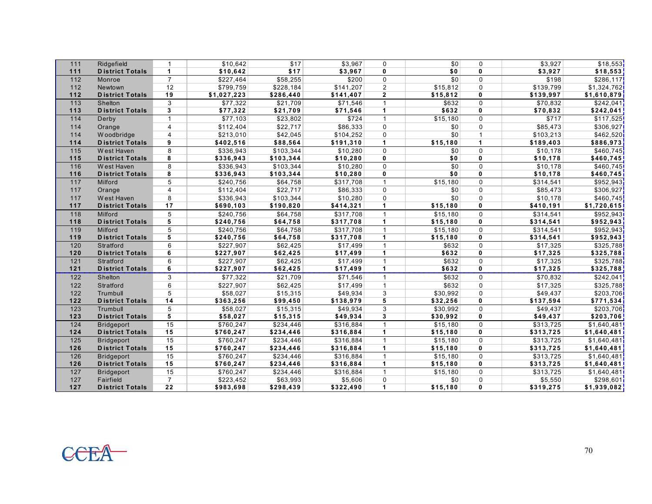| 111   | Ridgefield             | 1               | \$10,642              | \$17      | \$3,967   | $\mathbf 0$    | \$0      | $\mathbf 0$  | \$3,927   | \$18,553     |
|-------|------------------------|-----------------|-----------------------|-----------|-----------|----------------|----------|--------------|-----------|--------------|
| 111   | <b>District Totals</b> | $\mathbf{1}$    | \$10,642              | \$17      | \$3,967   | $\mathbf{0}$   | \$0      | $\mathbf{0}$ | \$3,927   | \$18,553     |
| 112   | Monroe                 | $\overline{7}$  | $\overline{$}227,464$ | \$58,255  | \$200     | $\Omega$       | \$0      | $\Omega$     | \$198     | \$286,117    |
| 112   | Newtown                | 12              | \$799,759             | \$228,184 | \$141,207 | $\overline{2}$ | \$15,812 | $\Omega$     | \$139,799 | \$1,324,762  |
| 112   | <b>District Totals</b> | 19              | \$1,027,223           | \$286,440 | \$141,407 | $\mathbf{2}$   | \$15,812 | $\mathbf{0}$ | \$139,997 | \$1,610,879  |
| 113   | Shelton                | 3               | \$77,322              | \$21,709  | \$71,546  |                | \$632    | $\Omega$     | \$70,832  | \$242,041    |
| 113   | <b>District Totals</b> | 3               | \$77,322              | \$21,709  | \$71,546  | $\mathbf{1}$   | \$632    | $\mathbf{0}$ | \$70,832  | \$242,041    |
| 114   | Derby                  | $\mathbf{1}$    | \$77,103              | \$23,802  | \$724     | $\mathbf 1$    | \$15,180 | $\Omega$     | \$717     | \$117,525    |
| 114   | Orange                 | $\overline{4}$  | \$112,404             | \$22,717  | \$86,333  | $\Omega$       | \$0      | $\Omega$     | \$85,473  | \$306,927    |
| 114   | W oodbridge            | $\overline{4}$  | \$213,010             | \$42,045  | \$104,252 | $\mathbf 0$    | \$0      | $\mathbf{1}$ | \$103,213 | \$462,520    |
| 114   | <b>District Totals</b> | 9               | \$402,516             | \$88,564  | \$191,310 | 1              | \$15,180 | $\mathbf{1}$ | \$189,403 | \$886,973    |
| 115   | West Haven             | 8               | \$336,943             | \$103,344 | \$10,280  | $\Omega$       | \$0      | $\mathbf 0$  | \$10,178  | \$460,745    |
| 115   | <b>District Totals</b> | 8               | \$336,943             | \$103,344 | \$10,280  | 0              | \$0      | $\mathbf{0}$ | \$10,178  | \$460,745    |
| 116   | West Haven             | 8               | \$336,943             | \$103,344 | \$10,280  | $\Omega$       | \$0      | $\Omega$     | \$10,178  | \$460,745    |
| 116   | <b>District Totals</b> | 8               | \$336,943             | \$103,344 | \$10,280  | $\mathbf{0}$   | \$0      | 0            | \$10,178  | \$460,745    |
| 117   | Milford                | 5               | \$240,756             | \$64,758  | \$317,708 | $\mathbf{1}$   | \$15,180 | $\Omega$     | \$314,541 | \$952,943    |
| 117   | Orange                 | $\overline{4}$  | \$112,404             | \$22,717  | \$86,333  | 0              | \$0      | $\mathbf 0$  | \$85,473  | \$306,927    |
| 117   | West Haven             | 8               | \$336,943             | \$103,344 | \$10,280  | $\Omega$       | \$0      | $\Omega$     | \$10,178  | \$460,745    |
| 117   | <b>District Totals</b> | 17              | \$690,103             | \$190,820 | \$414,321 | 1              | \$15,180 | $\mathbf{0}$ | \$410,191 | \$1,720,615  |
| 118   | Milford                | 5               | \$240,756             | \$64,758  | \$317,708 | $\mathbf{1}$   | \$15,180 | $\Omega$     | \$314,541 | \$952,943]   |
| 118   | <b>District Totals</b> | $\overline{5}$  | \$240,756             | \$64,758  | \$317,708 | $\mathbf{1}$   | \$15.180 | 0            | \$314,541 | \$952,943    |
| 119   | Milford                | 5               | \$240,756             | \$64,758  | \$317,708 | $\mathbf 1$    | \$15,180 | $\Omega$     | \$314,541 | \$952,943    |
| 119   | <b>District Totals</b> | 5               | \$240,756             | \$64,758  | \$317,708 | 1              | \$15,180 | 0            | \$314,541 | \$952,943    |
| 120   | Stratford              | 6               | \$227,907             | \$62,425  | \$17,499  | $\mathbf{1}$   | \$632    | $\Omega$     | \$17,325  | \$325,788    |
| 120   | <b>District Totals</b> | 6               | \$227,907             | \$62,425  | \$17,499  | $\mathbf{1}$   | \$632    | 0            | \$17,325  | \$325,788    |
| 121   | Stratford              | 6               | \$227,907             | \$62,425  | \$17,499  | $\mathbf{1}$   | \$632    | $\mathbf 0$  | \$17,325  | \$325,788    |
| 121   | <b>District Totals</b> | $6\overline{6}$ | \$227,907             | \$62,425  | \$17,499  | $\mathbf{1}$   | \$632    | 0            | \$17,325  | \$325,788    |
| 122   | Shelton                | 3               | \$77,322              | \$21,709  | \$71,546  | $\mathbf{1}$   | \$632    | $\mathbf 0$  | \$70,832  | \$242,041    |
| 122   | Stratford              | 6               | \$227,907             | \$62,425  | \$17,499  | $\mathbf{1}$   | \$632    | $\mathbf 0$  | \$17,325  | \$325,788    |
| 122   | Trumbull               | 5               | \$58,027              | \$15,315  | \$49,934  | 3              | \$30,992 | $\Omega$     | \$49,437  | \$203,706    |
| $122$ | <b>District Totals</b> | 14              | \$363,256             | \$99,450  | \$138,979 | 5              | \$32,256 | 0            | \$137,594 | \$771,534    |
| 123   | Trumbull               | 5               | \$58,027              | \$15,315  | \$49,934  | 3              | \$30,992 | $\Omega$     | \$49,437  | \$203,706    |
| 123   | <b>District Totals</b> | $5\overline{)}$ | \$58,027              | \$15,315  | \$49,934  | 3              | \$30,992 | 0            | \$49,437  | \$203,706    |
| 124   | <b>Bridgeport</b>      | 15              | \$760,247             | \$234,446 | \$316,884 | $\mathbf{1}$   | \$15,180 | $\mathbf 0$  | \$313,725 | \$1,640,481  |
| 124   | <b>District Totals</b> | 15              | \$760,247             | \$234,446 | \$316,884 | 1              | \$15,180 | 0            | \$313,725 | \$1,640,481] |
| 125   | <b>Bridgeport</b>      | 15              | \$760,247             | \$234,446 | \$316,884 | $\mathbf{1}$   | \$15,180 | $\mathbf 0$  | \$313,725 | \$1,640,481  |
| 126   | <b>District Totals</b> | 15              | \$760,247             | \$234,446 | \$316,884 | $\mathbf{1}$   | \$15,180 | 0            | \$313,725 | \$1,640,481  |
| 126   | <b>Bridgeport</b>      | 15              | \$760,247             | \$234,446 | \$316,884 | $\mathbf{1}$   | \$15,180 | $\mathbf 0$  | \$313,725 | \$1,640,481  |
| 126   | <b>District Totals</b> | 15              | \$760,247             | \$234,446 | \$316,884 | $\mathbf{1}$   | \$15,180 | 0            | \$313,725 | \$1,640,481  |
| 127   | <b>Bridgeport</b>      | 15              | \$760,247             | \$234,446 | \$316,884 | 1              | \$15,180 | $\Omega$     | \$313,725 | \$1,640,481  |
| 127   | Fairfield              | $\overline{7}$  | \$223,452             | \$63,993  | \$5,606   | $\mathbf 0$    | \$0      | $\Omega$     | \$5,550   | \$298,601    |
| 127   | <b>District Totals</b> | $\overline{22}$ | \$983,698             | \$298,439 | \$322,490 | $\mathbf{1}$   | \$15,180 | $\mathbf{0}$ | \$319,275 | \$1,939,082  |

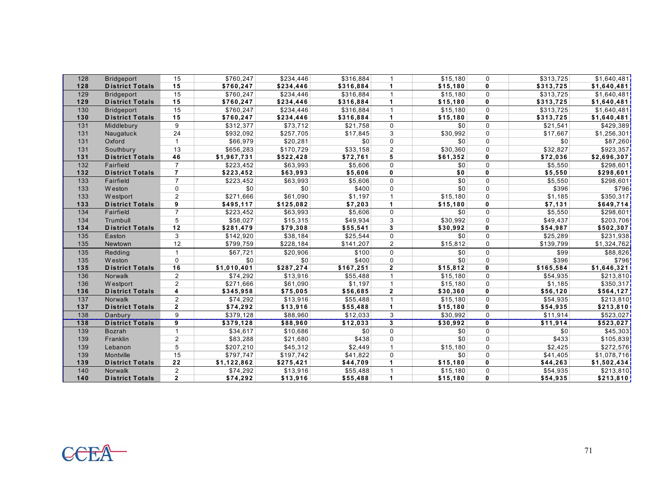| 128 | <b>Bridgeport</b>      | 15                      | \$760,247   | \$234,446 | \$316,884 | $\mathbf 1$          | \$15,180 | $\mathbf 0$  | \$313,725 | \$1,640,481             |
|-----|------------------------|-------------------------|-------------|-----------|-----------|----------------------|----------|--------------|-----------|-------------------------|
| 128 | <b>District Totals</b> | 15                      | \$760,247   | \$234,446 | \$316,884 |                      | \$15,180 | $\mathbf{0}$ | \$313,725 | \$1,640,481             |
| 129 | <b>Bridgeport</b>      | 15                      | \$760,247   | \$234,446 | \$316,884 |                      | \$15,180 | $\mathbf 0$  | \$313,725 | $\overline{$1,640,481}$ |
| 129 | <b>District Totals</b> | 15                      | \$760,247   | \$234,446 | \$316,884 | $\blacktriangleleft$ | \$15,180 | $\mathbf{0}$ | \$313,725 | \$1,640,481]            |
| 130 | <b>Bridgeport</b>      | 15                      | \$760,247   | \$234,446 | \$316,884 | 1                    | \$15,180 | $\mathbf 0$  | \$313,725 | \$1,640,481             |
| 130 | <b>District Totals</b> | 15                      | \$760,247   | \$234,446 | \$316,884 | 1                    | \$15,180 | $\mathbf 0$  | \$313,725 | \$1,640,481             |
| 131 | Middlebury             | 9                       | \$312,377   | \$73,712  | \$21,758  | 0                    | \$0      | $\mathbf 0$  | \$21,541  | \$429,389               |
| 131 | Naugatuck              | 24                      | \$932,092   | \$257,705 | \$17,845  | 3                    | \$30,992 | $\mathbf 0$  | \$17,667  | \$1,256,301             |
| 131 | Oxford                 | $\mathbf{1}$            | \$66,979    | \$20,281  | \$0       | $\Omega$             | \$0      | $\Omega$     | \$0       | \$87,260                |
| 131 | Southbury              | 13                      | \$656,283   | \$170,729 | \$33,158  | $\overline{2}$       | \$30,360 | $\Omega$     | \$32,827  | \$923,357               |
| 131 | <b>District Totals</b> | 46                      | \$1,967,731 | \$522,428 | \$72,761  | 5                    | \$61,352 | $\mathbf{0}$ | \$72,036  | \$2,696,307             |
| 132 | Fairfield              | $\overline{7}$          | \$223,452   | \$63,993  | \$5,606   | $\Omega$             | \$0      | $\Omega$     | \$5,550   | \$298,601               |
| 132 | <b>District Totals</b> | $\overline{7}$          | \$223,452   | \$63,993  | \$5,606   | $\mathbf{0}$         | \$0      | $\mathbf{0}$ | \$5,550   | \$298,601               |
| 133 | Fairfield              | $\overline{7}$          | \$223,452   | \$63,993  | \$5,606   | $\Omega$             | \$0      | $\mathbf 0$  | \$5,550   | \$298,601]              |
| 133 | W eston                | 0                       | \$0         | \$0       | \$400     | $\mathbf 0$          | \$0      | $\mathbf 0$  | \$396     | \$796]                  |
| 133 | W estport              | $\overline{2}$          | \$271,666   | \$61,090  | \$1,197   | $\mathbf{1}$         | \$15,180 | $\mathbf 0$  | \$1,185   | \$350,317               |
| 133 | <b>District Totals</b> | $\overline{9}$          | \$495,117   | \$125,082 | \$7,203   | $\mathbf{1}$         | \$15,180 | $\mathbf{0}$ | \$7,131   | \$649,714               |
| 134 | Fairfield              | $\overline{7}$          | \$223,452   | \$63,993  | \$5,606   | $\Omega$             | \$0      | $\mathbf 0$  | \$5,550   | \$298,601               |
| 134 | Trumbull               | 5                       | \$58,027    | \$15,315  | \$49,934  | 3                    | \$30.992 | $\mathbf 0$  | \$49,437  | \$203,706]              |
| 134 | <b>District Totals</b> | 12                      | \$281,479   | \$79,308  | \$55,541  | 3                    | \$30,992 | $\mathbf{0}$ | \$54,987  | \$502,307               |
| 135 | Easton                 | 3                       | \$142,920   | \$38,184  | \$25,544  | 0                    | \$0      | $\mathbf 0$  | \$25,289  | \$231,938               |
| 135 | Newtown                | 12                      | \$799,759   | \$228,184 | \$141,207 | $\overline{2}$       | \$15,812 | $\mathbf 0$  | \$139,799 | \$1,324,762             |
| 135 | Redding                | $\mathbf{1}$            | \$67,721    | \$20,906  | \$100     | $\mathbf 0$          | \$0      | $\Omega$     | \$99      | \$88,826                |
| 135 | W eston                | $\mathbf 0$             | \$0         | \$0       | \$400     | $\mathbf 0$          | \$0      | $\mathbf 0$  | \$396     | \$796                   |
| 135 | <b>District Totals</b> | 16                      | \$1,010,401 | \$287,274 | \$167,251 | $\mathbf{2}$         | \$15,812 | $\mathbf{0}$ | \$165,584 | \$1,646,321             |
| 136 | Norwalk                | $\overline{2}$          | \$74,292    | \$13,916  | \$55,488  |                      | \$15,180 | $\mathbf 0$  | \$54,935  | \$213,810               |
| 136 | W estport              | $\overline{2}$          | \$271,666   | \$61,090  | \$1,197   |                      | \$15,180 | $\mathbf 0$  | \$1,185   | \$350,317               |
| 136 | <b>District Totals</b> | $\overline{\mathbf{4}}$ | \$345,958   | \$75,005  | \$56,685  | $\mathbf{2}$         | \$30,360 | $\mathbf{0}$ | \$56,120  | \$564,127               |
| 137 | <b>Norwalk</b>         | $\overline{2}$          | \$74,292    | \$13,916  | \$55,488  | $\mathbf{1}$         | \$15,180 | $\mathbf 0$  | \$54,935  | \$213,810               |
| 137 | <b>District Totals</b> | $\mathbf{2}$            | \$74,292    | \$13,916  | \$55,488  | 1                    | \$15,180 | 0            | \$54,935  | \$213,810               |
| 138 | Danbury                | 9                       | \$379,128   | \$88,960  | \$12,033  | 3                    | \$30,992 | $\Omega$     | \$11,914  | \$523,027               |
| 138 | <b>District Totals</b> | $\overline{9}$          | \$379,128   | \$88,960  | \$12,033  | 3                    | \$30,992 | $\mathbf{0}$ | \$11,914  | \$523,027               |
| 139 | <b>Bozrah</b>          | $\mathbf{1}$            | \$34,617    | \$10,686  | \$0       | $\mathbf 0$          | \$0      | $\mathbf 0$  | \$0       | \$45,303                |
| 139 | Franklin               | $\mathbf 2$             | \$83,288    | \$21,680  | \$438     | $\mathbf 0$          | \$0      | $\mathbf 0$  | \$433     | \$105,839               |
| 139 | Lebanon                | 5                       | \$207,210   | \$45,312  | \$2,449   |                      | \$15,180 | $\Omega$     | \$2,425   | \$272,576               |
| 139 | Montville              | 15                      | \$797,747   | \$197,742 | \$41,822  | 0                    | \$0      | $\Omega$     | \$41,405  | \$1,078,716             |
| 139 | <b>District Totals</b> | 22                      | \$1,122,862 | \$275,421 | \$44,709  | 1                    | \$15,180 | $\mathbf 0$  | \$44,263  | \$1,502,434             |
| 140 | Norwalk                | $\overline{2}$          | \$74.292    | \$13,916  | \$55,488  |                      | \$15,180 | $\mathbf 0$  | \$54,935  | \$213,810               |
| 140 | <b>District Totals</b> | $\mathbf{2}$            | \$74,292    | \$13,916  | \$55,488  | 1                    | \$15,180 | $\mathbf{0}$ | \$54,935  | \$213,810               |

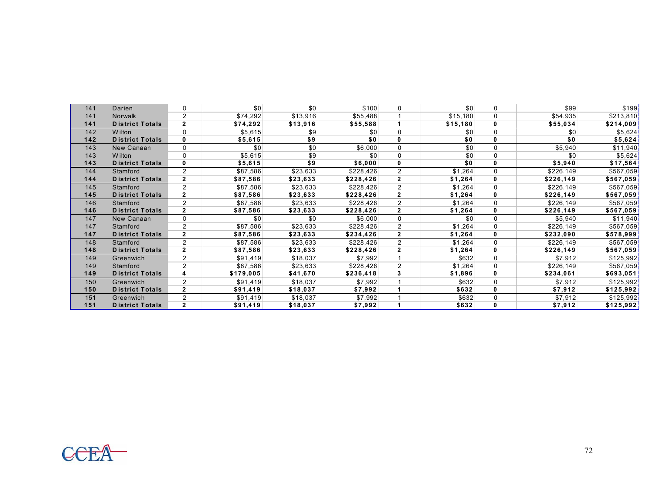| 141 | Darien                 | 0              | \$0       | \$0      | \$100     | 0              | \$0      | 0 | \$99       | \$199     |
|-----|------------------------|----------------|-----------|----------|-----------|----------------|----------|---|------------|-----------|
| 141 | <b>Norwalk</b>         | $\overline{2}$ | \$74,292  | \$13,916 | \$55,488  |                | \$15,180 | 0 | \$54,935   | \$213,810 |
| 141 | <b>District Totals</b> | $\mathbf{2}$   | \$74,292  | \$13,916 | \$55,588  |                | \$15,180 | 0 | \$55,034   | \$214,009 |
| 142 | W ilton                | $\mathbf 0$    | \$5,615   | \$9      | \$0       | 0              | \$0      | 0 | \$0        | \$5,624   |
| 142 | <b>District Totals</b> | 0              | \$5,615   | \$9      | \$0       | 0              | \$0      | 0 | \$0        | \$5,624   |
| 143 | New Canaan             | $\Omega$       | \$0       | \$0      | \$6,000   | $\mathbf 0$    | \$0      | 0 | \$5,940    | \$11,940  |
| 143 | W ilton                | 0              | \$5,615   | \$9      | \$0       | $\mathbf 0$    | \$0      | 0 | \$0        | \$5,624   |
| 143 | <b>District Totals</b> | 0              | \$5,615   | \$9      | \$6,000   | 0              | \$0      | 0 | \$5,940    | \$17,564  |
| 144 | Stamford               | $\overline{2}$ | \$87,586  | \$23,633 | \$228,426 | $\overline{2}$ | \$1,264  | 0 | \$226,149  | \$567,059 |
| 144 | <b>District Totals</b> | $\mathbf{2}$   | \$87,586  | \$23,633 | \$228,426 | $\mathbf{2}$   | \$1,264  | 0 | \$226,149  | \$567,059 |
| 145 | Stamford               | $\overline{2}$ | \$87,586  | \$23,633 | \$228,426 | $\overline{2}$ | \$1,264  | 0 | \$226,149  | \$567,059 |
| 145 | <b>District Totals</b> | $\mathbf{2}$   | \$87,586  | \$23,633 | \$228,426 | $\mathbf{2}$   | \$1,264  | 0 | \$226,149  | \$567,059 |
| 146 | Stamford               | $\overline{2}$ | \$87,586  | \$23,633 | \$228,426 | 2              | \$1,264  | 0 | \$226,149  | \$567,059 |
| 146 | <b>District Totals</b> | $\mathbf{2}$   | \$87,586  | \$23,633 | \$228,426 | $\mathbf{2}$   | \$1,264  | 0 | \$226,149  | \$567,059 |
| 147 | New Canaan             | $\mathbf 0$    | \$0       | \$0      | \$6,000   | $\mathbf 0$    | \$0      | 0 | \$5,940    | \$11,940  |
| 147 | Stamford               | $\overline{2}$ | \$87,586  | \$23,633 | \$228,426 | $\overline{2}$ | \$1,264  | 0 | \$226,149  | \$567,059 |
| 147 | <b>District Totals</b> | $\mathbf{2}$   | \$87,586  | \$23,633 | \$234,426 | $\mathbf{2}$   | \$1,264  | 0 | \$232,090∣ | \$578,999 |
| 148 | Stamford               | $\overline{2}$ | \$87,586  | \$23,633 | \$228,426 | 2              | \$1,264  | 0 | \$226,149  | \$567,059 |
| 148 | <b>District Totals</b> | $\mathbf{2}$   | \$87,586  | \$23,633 | \$228,426 | $\overline{2}$ | \$1,264  | 0 | \$226,149  | \$567,059 |
| 149 | Greenwich              | $\overline{2}$ | \$91,419  | \$18,037 | \$7,992   |                | \$632    | 0 | \$7,912    | \$125,992 |
| 149 | Stamford               | $\overline{2}$ | \$87,586  | \$23,633 | \$228,426 | $\overline{2}$ | \$1,264  | 0 | \$226,149  | \$567,059 |
| 149 | <b>District Totals</b> | 4              | \$179,005 | \$41,670 | \$236,418 | 3              | \$1,896  | 0 | \$234,061  | \$693,051 |
| 150 | Greenwich              | 2              | \$91,419  | \$18,037 | \$7,992   |                | \$632    | 0 | \$7,912    | \$125,992 |
| 150 | <b>District Totals</b> | $\mathbf{2}$   | \$91,419  | \$18,037 | \$7,992   |                | \$632    | 0 | \$7,912    | \$125,992 |
| 151 | Greenwich              | $\overline{2}$ | \$91,419  | \$18,037 | \$7,992   |                | \$632    | 0 | \$7,912    | \$125,992 |
| 151 | <b>District Totals</b> | $\mathbf{2}$   | \$91,419  | \$18,037 | \$7,992   |                | \$632    | 0 | \$7,912    | \$125,992 |
|     |                        |                |           |          |           |                |          |   |            |           |

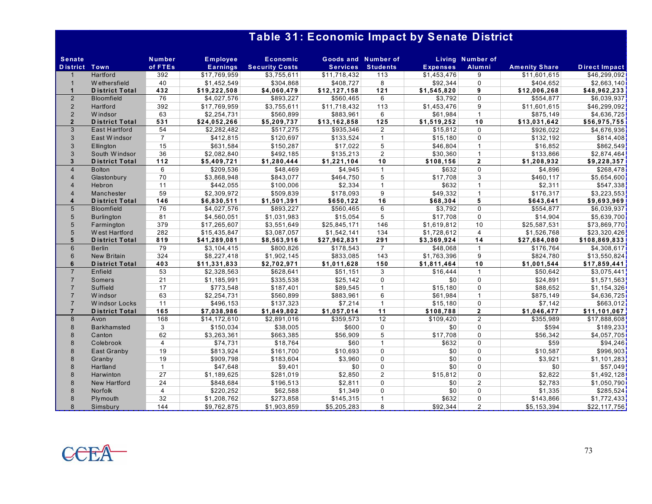## **Table 31: Economic Impact by Senate District**

| <b>Senate</b>        |                       | <b>Number</b>  | <b>Employee</b> | <b>Economic</b>        | Goods and Number of |                 |                 | <b>Living Number of</b> |                       |                      |
|----------------------|-----------------------|----------------|-----------------|------------------------|---------------------|-----------------|-----------------|-------------------------|-----------------------|----------------------|
| <b>District Town</b> |                       | of FTEs        | <b>Earnings</b> | <b>Security Costs</b>  | <b>Services</b>     | <b>Students</b> | <b>Expenses</b> | Alumni                  | <b>Amenity Share</b>  | <b>Direct Impact</b> |
|                      | Hartford              | 392            | \$17,769,959    | \$3,755,611            | \$11,718,432        | 113             | \$1,453,476     | 9                       | \$11,601,615          | \$46,299,092         |
| $\overline{1}$       | W ethersfield         | 40             | \$1,452,549     | \$304.868              | \$408.727           | 8               | \$92.344        | $\Omega$                | \$404.652             | \$2,663,140          |
| $\overline{1}$       | <b>District Total</b> | 432            | \$19,222,508    | \$4,060,479            | \$12,127,158        | 121             | \$1,545,820     | 9                       | \$12,006,268          | \$48,962,233         |
| 2                    | <b>Bloomfield</b>     | 76             | \$4,027,576     | \$893,227              | \$560,465           | 6               | \$3,792         | $\Omega$                | \$554,877             | \$6,039,937          |
| $\overline{2}$       | Hartford              | 392            | \$17,769,959    | \$3,755,611            | \$11,718,432        | 113             | \$1,453,476     | 9                       | \$11,601,615          | \$46,299,092         |
| 2                    | W indsor              | 63             | \$2,254,731     | \$560,899              | \$883,961           | 6               | \$61,984        | $\mathbf{1}$            | \$875.149             | \$4,636,725          |
| $\overline{2}$       | <b>District Total</b> | 531            | \$24,052,266    | \$5,209,737            | \$13,162,858        | $125$           | \$1,519,252     | 10                      | \$13,031,642          | \$56,975,755         |
| 3                    | <b>East Hartford</b>  | 54             | \$2,282,482     | \$517,275              | \$935,346           | $\overline{2}$  | \$15,812        | $\Omega$                | \$926,022             | \$4,676,936          |
| $\mathbf{3}$         | East Windsor          | $\overline{7}$ | \$412,815       | \$120,697              | \$133,524           | $\overline{1}$  | \$15,180        | $\Omega$                | \$132,192             | \$814,408            |
| 3                    | Ellington             | 15             | \$631,584       | \$150,287              | \$17,022            | 5               | \$46,804        | $\mathbf{1}$            | \$16,852              | \$862,549            |
| 3                    | South Windsor         | 36             | \$2.082.840     | \$492.185              | \$135.213           | $\overline{2}$  | \$30.360        | $\mathbf{1}$            | \$133.866             | \$2,874,464          |
| $\overline{3}$       | <b>District Total</b> | $112$          | \$5,409,721     | \$1,280,444            | \$1,221,104         | 10              | \$108,156       | $\overline{2}$          | \$1,208,932           | \$9,228,357          |
| $\overline{4}$       | <b>Bolton</b>         | 6              | \$209,536       | \$48,469               | \$4,945             | $\overline{1}$  | \$632           | $\Omega$                | \$4,896               | \$268,478            |
| $\overline{4}$       | Glastonbury           | 70             | \$3,868,948     | \$843,077              | \$464,750           | 5               | \$17,708        | 3                       | \$460,117             | \$5,654,600          |
| $\overline{4}$       | Hebron                | 11             | \$442.055       | \$100,006              | \$2.334             | $\overline{1}$  | \$632           | $\mathbf{1}$            | \$2,311               | \$547,338            |
| $\overline{4}$       | Manchester            | 59             | \$2,309,972     | \$509,839              | \$178,093           | 9               | \$49,332        | $\mathbf{1}$            | \$176,317             | \$3,223,553          |
| $\boldsymbol{4}$     | <b>District Total</b> | 146            | \$6,830,511     | \$1,501,391            | \$650,122           | 16              | \$68,304        | 5                       | \$643,641             | \$9,693,969          |
| 5                    | <b>Bloomfield</b>     | 76             | \$4,027,576     | \$893,227              | \$560,465           | 6               | \$3,792         | $\Omega$                | $\overline{$}554,877$ | \$6,039,937          |
| 5                    | <b>Burlington</b>     | 81             | \$4,560,051     | $\overline{1,031,983}$ | \$15,054            | 5               | \$17,708        | $\Omega$                | \$14,904              | \$5,639,700          |
| 5                    | Farmington            | 379            | \$17,265,607    | \$3,551,649            | \$25,845,171        | 146             | \$1,619,812     | 10                      | \$25,587,531          | \$73,869,770         |
| 5                    | West Hartford         | 282            | \$15,435,847    | \$3,087,057            | \$1,542,141         | 134             | \$1,728,612     | $\overline{4}$          | \$1,526,768           | \$23,320,426         |
| 5                    | <b>District Total</b> | 819            | \$41,289,081    | \$8,563,916            | \$27,962,831        | 291             | \$3,369,924     | 14                      | \$27,684,080          | \$108,869,833        |
| 6                    | <b>Berlin</b>         | 79             | \$3,104,415     | \$800,826              | \$178,543           | $\overline{7}$  | \$48,068        | $\mathbf{1}$            | \$176,764             | \$4,308,617          |
| 6                    | <b>New Britain</b>    | 324            | \$8,227,418     | \$1,902,145            | \$833,085           | 143             | \$1,763,396     | 9                       | \$824,780             | \$13,550,824         |
| 6                    | <b>District Total</b> | 403            | \$11,331,833    | \$2,702,971            | \$1,011,628         | 150             | \$1,811,464     | 10                      | \$1,001,544           | \$17,859,441         |
| $\overline{7}$       | Enfield               | 53             | \$2,328,563     | \$628,641              | \$51,151            | 3               | \$16.444        | $\mathbf{1}$            | \$50,642              | \$3,075,441          |
| $\overline{7}$       | Somers                | 21             | \$1,185,991     | \$335,538              | \$25,142            | $\mathbf 0$     | \$0             | $\Omega$                | \$24,891              | \$1,571,563          |
| $\overline{7}$       | Suffield              | 17             | \$773,548       | \$187,401              | \$89,545            | $\overline{1}$  | \$15,180        | $\Omega$                | \$88,652              | \$1,154,326          |
| $\overline{7}$       | W indsor              | 63             | \$2,254,731     | \$560,899              | \$883,961           | 6               | \$61,984        | $\mathbf{1}$            | \$875,149             | \$4,636,725          |
| $\overline{7}$       | <b>Windsor Locks</b>  | 11             | \$496,153       | \$137.323              | \$7,214             | $\overline{1}$  | \$15,180        | $\Omega$                | \$7,142               | \$663,012            |
| $\overline{7}$       | <b>District Total</b> | 165            | \$7,038,986     | \$1,849,802            | \$1,057,014         | 11              | \$108,788       | $\mathbf{2}$            | \$1,046,477           | \$11,101,067         |
| 8                    | Avon                  | 168            | \$14,172,610    | \$2,891,016            | \$359,573           | 12              | \$109,420       | 2                       | \$355,989             | \$17,888,608         |
| 8                    | <b>Barkhamsted</b>    | 3              | \$150,034       | \$38,005               | \$600               | $\Omega$        | \$0             | $\Omega$                | \$594                 | \$189,233            |
| 8                    | Canton                | 62             | \$3,263,361     | \$663,385              | \$56,909            | 5               | \$17,708        | $\Omega$                | \$56,342              | \$4,057,705          |
| 8                    | Colebrook             | $\overline{4}$ | \$74,731        | \$18,764               | \$60                | $\overline{1}$  | \$632           | $\Omega$                | \$59                  | \$94,246             |
| 8                    | East Granby           | 19             | \$813,924       | \$161,700              | \$10,693            | $\Omega$        | \$0             | $\Omega$                | \$10,587              | \$996,903            |
| 8                    | Granby                | 19             | \$909,798       | \$183,604              | \$3.960             | $\Omega$        | \$0             | $\Omega$                | \$3.921               | \$1,101,283          |
| 8                    | Hartland              | $\mathbf{1}$   | \$47,648        | \$9,401                | \$0                 | $\Omega$        | \$0             | $\Omega$                | \$0                   | \$57,049             |
| 8                    | Harwinton             | 27             | \$1,189,625     | \$281,019              | \$2,850             | $\overline{2}$  | \$15,812        | $\Omega$                | \$2,822               | \$1,492,128          |
| 8                    | New Hartford          | 24             | \$848,684       | \$196,513              | \$2,811             | $\Omega$        | \$0             | 2                       | \$2,783               | \$1,050,790          |
| 8                    | Norfolk               | 4              | \$220,252       | \$62,588               | \$1,349             | $\Omega$        | \$0             | $\Omega$                | \$1,335               | \$285,524            |
| $\mathcal{B}$        | Plymouth              | 32             | \$1,208,762     | \$273,858              | \$145,315           | $\overline{1}$  | \$632           | $\Omega$                | \$143,866             | \$1,772,433          |
| 8                    | Simsbury              | 144            | \$9,762,875     | \$1,903,859            | \$5,205,283         | 8               | \$92,344        | $\overline{2}$          | \$5,153,394           | \$22,117,756         |

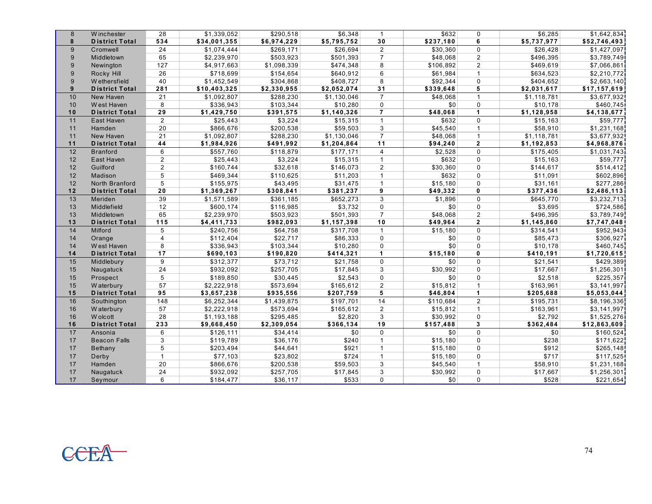| 8  | Winchester            | 28             | \$1,339,052  | \$290.518   | \$6.348     | $\mathbf{1}$         | \$632     | $\mathbf{0}$   | \$6.285              | \$1,642,834  |
|----|-----------------------|----------------|--------------|-------------|-------------|----------------------|-----------|----------------|----------------------|--------------|
| 8  | <b>District Total</b> | 534            | \$34,001,355 | \$6,974,229 | \$5,795,752 | 30                   | \$237,180 | 6              | \$5,737,977          | \$52,746,493 |
| 9  | Cromwell              | 24             | \$1,074,444  | \$269,171   | \$26.694    | $\overline{2}$       | \$30.360  | 0              | \$26.428             | \$1,427,097  |
| 9  | Middletown            | 65             | \$2,239,970  | \$503,923   | \$501,393   | $\overline{7}$       | \$48,068  | $\overline{2}$ | \$496,395            | \$3,789,749  |
| 9  | Newington             | 127            | \$4,917,663  | \$1,098,339 | \$474,348   | 8                    | \$106,892 | $\overline{2}$ | \$469,619            | \$7,066,861  |
| 9  | Rocky Hill            | 26             | \$718,699    | \$154,654   | \$640,912   | 6                    | \$61,984  | $\mathbf{1}$   | \$634,523            | \$2,210,772  |
| 9  | W ethersfield         | 40             | \$1,452,549  | \$304,868   | \$408,727   | 8                    | \$92,344  | $\Omega$       | \$404,652            | \$2,663,140  |
| 9  | <b>District Total</b> | 281            | \$10,403,325 | \$2,330,955 | \$2,052,074 | 31                   | \$339,648 | 5              | \$2,031,617          | \$17,157,619 |
| 10 | New Haven             | 21             | \$1,092,807  | \$288,230   | \$1,130,046 | $\overline{7}$       | \$48,068  | $\overline{1}$ | \$1,118,781          | \$3,677,932  |
| 10 | West Haven            | 8              | \$336,943    | \$103,344   | \$10,280    | $\mathbf 0$          | \$0       | $\mathbf 0$    | \$10,178             | \$460,745    |
| 10 | <b>District Total</b> | 29             | \$1,429,750  | \$391,575   | \$1,140,326 | $\overline{7}$       | \$48,068  | $\mathbf{1}$   | \$1,128,958          | \$4,138,677  |
| 11 | East Haven            | $\overline{2}$ | \$25,443     | \$3,224     | \$15,315    | $\overline{1}$       | \$632     | $\Omega$       | \$15,163             | \$59,777     |
| 11 | Hamden                | 20             | \$866,676    | \$200,538   | \$59,503    | 3                    | \$45,540  | $\mathbf{1}$   | \$58,910             | \$1,231,168  |
| 11 | New Haven             | 21             | \$1,092,807  | \$288,230   | \$1,130,046 | $\overline{7}$       | \$48,068  | $\mathbf{1}$   | \$1,118,781          | \$3,677,932  |
| 11 | <b>District Total</b> | 44             | \$1,984,926  | \$491,992   | \$1,204,864 | 11                   | \$94,240  | $\mathbf{2}$   | \$1,192,853          | \$4,968,876  |
| 12 | <b>Branford</b>       | 6              | \$557,760    | \$118,879   | \$177,171   | $\overline{4}$       | \$2,528   | $\Omega$       | \$175,405            | \$1,031,743  |
| 12 | East Haven            | $\overline{2}$ | \$25,443     | \$3,224     | \$15,315    | $\mathbf{1}$         | \$632     | $\mathbf{0}$   | \$15,163             | \$59,777     |
| 12 | Guilford              | $\overline{2}$ | \$160,744    | \$32,618    | \$146,073   | $\overline{2}$       | \$30,360  | $\Omega$       | \$144,617            | \$514,412    |
| 12 | Madison               | 5              | \$469,344    | \$110,625   | \$11,203    | $\overline{1}$       | \$632     | $\Omega$       | \$11,091             | \$602,896    |
| 12 | North Branford        | 5              | \$155,975    | \$43,495    | \$31,475    | $\overline{1}$       | \$15,180  | $\Omega$       | \$31,161             | \$277,286    |
| 12 | <b>District Total</b> | 20             | \$1,369,267  | \$308,841   | \$381,237   | 9                    | \$49,332  | $\mathbf{0}$   | \$377,436            | \$2,486,113  |
| 13 | Meriden               | 39             | \$1,571,589  | \$361,185   | \$652,273   | 3                    | \$1,896   | $\Omega$       | \$645,770            | \$3,232,713  |
| 13 | Middlefield           | 12             | \$600,174    | \$116,985   | \$3.732     | $\mathbf 0$          | \$0       | 0              | \$3,695              | \$724,586    |
| 13 | Middletown            | 65             | \$2,239,970  | \$503,923   | \$501,393   | $\overline{7}$       | \$48,068  | $\overline{2}$ | \$496,395            | \$3,789,749  |
| 13 | <b>District Total</b> | 115            | \$4,411,733  | \$982,093   | \$1,157,398 | 10                   | \$49,964  | $\overline{2}$ | \$1,145,860          | \$7,747,048  |
| 14 | Milford               | 5              | \$240,756    | \$64,758    | \$317.708   | $\overline{1}$       | \$15,180  | $\Omega$       | \$314,541            | \$952.943    |
| 14 | Orange                | $\overline{4}$ | \$112,404    | \$22,717    | \$86,333    | $\mathbf 0$          | \$0       | $\Omega$       | \$85,473             | \$306,927    |
| 14 | West Haven            | 8              | \$336,943    | \$103,344   | \$10,280    | $\mathbf{0}$         | \$0       | $\Omega$       | \$10,178             | \$460,745    |
| 14 | <b>District Total</b> | 17             | \$690,103    | \$190,820   | \$414,321   | $\blacktriangleleft$ | \$15,180  | 0              | \$410,191            | \$1,720,615  |
| 15 | Middlebury            | 9              | \$312,377    | \$73,712    | \$21,758    | $\mathbf 0$          | \$0       | $\Omega$       | $\overline{$21,541}$ | \$429,389    |
| 15 | Naugatuck             | 24             | \$932,092    | \$257,705   | \$17,845    | 3                    | \$30,992  | $\Omega$       | \$17,667             | \$1,256,301  |
| 15 | Prospect              | 5              | \$189,850    | \$30,445    | \$2,543     | $\mathbf{0}$         | \$0       | $\Omega$       | \$2,518              | \$225,357    |
| 15 | W aterbury            | 57             | \$2,222,918  | \$573,694   | \$165,612   | 2                    | \$15,812  | $\mathbf{1}$   | \$163,961            | \$3,141,997  |
| 15 | <b>District Total</b> | 95             | \$3,657,238  | \$935,556   | \$207,759   | $5\overline{5}$      | \$46,804  | $\mathbf{1}$   | \$205,688            | \$5,053,044  |
| 16 | Southington           | 148            | \$6,252,344  | \$1,439,875 | \$197,701   | 14                   | \$110,684 | $\overline{2}$ | \$195,731            | \$8,196,336  |
| 16 | W aterbury            | 57             | \$2,222,918  | \$573,694   | \$165,612   | $\overline{2}$       | \$15,812  | $\mathbf{1}$   | \$163,961            | \$3,141,997  |
| 16 | <b>Wolcott</b>        | 28             | \$1,193,188  | \$295,485   | \$2,820     | 3                    | \$30,992  | $\Omega$       | \$2,792              | \$1,525,276  |
| 16 | <b>District Total</b> | 233            | \$9,668,450  | \$2,309,054 | \$366,134   | 19                   | \$157,488 | 3              | \$362,484            | \$12,863,609 |
| 17 | Ansonia               | 6              | \$126,111    | \$34,414    | \$0         | $\mathbf 0$          | \$0       | $\Omega$       | \$0                  | \$160,524    |
| 17 | <b>Beacon Falls</b>   | 3              | \$119,789    | \$36,176    | \$240       | $\mathbf{1}$         | \$15,180  | $\Omega$       | \$238                | \$171,622    |
| 17 | Bethany               | 5              | \$203,494    | \$44,641    | \$921       | $\overline{1}$       | \$15,180  | $\Omega$       | \$912                | \$265,148    |
| 17 | Derby                 | $\mathbf{1}$   | \$77,103     | \$23,802    | \$724       | $\mathbf{1}$         | \$15,180  | 0              | \$717                | \$117,525    |
| 17 | Hamden                | 20             | \$866,676    | \$200,538   | \$59,503    | 3                    | \$45,540  | $\mathbf{1}$   | \$58,910             | \$1,231,168  |
| 17 | Naugatuck             | 24             | \$932,092    | \$257,705   | \$17,845    | 3                    | \$30,992  | $\Omega$       | \$17,667             | \$1,256,301  |
| 17 | Seymour               | 6              | \$184,477    | \$36,117    | \$533       | $\mathbf 0$          | \$0       | $\mathbf 0$    | \$528                | \$221,654    |

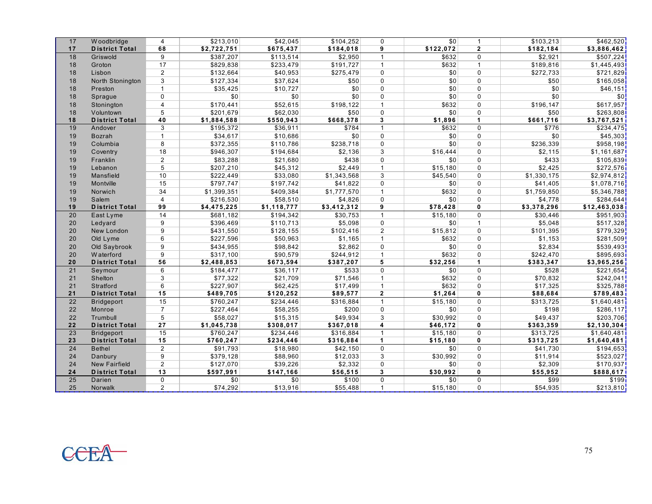| 17 | Woodbridge            | $\overline{4}$  | \$213,010   | \$42,045    | \$104,252   | $\mathbf 0$    | \$0       | $\mathbf{1}$ | \$103,213   | \$462,520    |
|----|-----------------------|-----------------|-------------|-------------|-------------|----------------|-----------|--------------|-------------|--------------|
| 17 | <b>District Total</b> | 68              | \$2,722,751 | \$675,437   | \$184,018   | 9              | \$122,072 | $\mathbf{2}$ | \$182,184   | \$3,886,462  |
| 18 | Griswold              | 9               | \$387,207   | \$113,514   | \$2,950     | $\mathbf{1}$   | \$632     | $\mathbf{0}$ | \$2,921     | \$507,224    |
| 18 | Groton                | 17              | \$829,838   | \$233,479   | \$191,727   | $\overline{1}$ | \$632     | $\mathbf{1}$ | \$189,816   | \$1,445,493  |
| 18 | Lisbon                | $\overline{c}$  | \$132,664   | \$40,953    | \$275,479   | $\Omega$       | \$0       | $\Omega$     | \$272,733   | \$721,829    |
| 18 | North Stonington      | 3               | \$127,334   | \$37,624    | \$50        | $\mathbf{0}$   | \$0       | $\Omega$     | \$50        | \$165,058    |
| 18 | Preston               | $\mathbf{1}$    | \$35,425    | \$10,727    | \$0         | $\mathbf 0$    | \$0       | $\mathbf{0}$ | \$0         | \$46,151     |
| 18 | Sprague               | $\Omega$        | \$0         | \$0         | \$0         | $\Omega$       | \$0       | $\Omega$     | \$0         | \$0          |
| 18 | Stonington            | 4               | \$170,441   | \$52,615    | \$198,122   | $\overline{1}$ | \$632     | $\mathbf{0}$ | \$196,147   | \$617,957    |
| 18 | Voluntown             | 5               | \$201,679   | \$62,030    | \$50        | $\Omega$       | \$0       | $\mathbf{0}$ | \$50        | \$263,808    |
| 18 | <b>District Total</b> | 40              | \$1,884,588 | \$550,943   | \$668,378   | 3              | \$1,896   | $\mathbf{1}$ | \$661,716   | \$3,767,521  |
| 19 | Andover               | 3               | \$195,372   | \$36,911    | \$784       | $\overline{1}$ | \$632     | $\Omega$     | \$776       | \$234,475    |
| 19 | Bozrah                | $\mathbf{1}$    | \$34,617    | \$10,686    | \$0         | $\mathbf 0$    | \$0       | $\mathbf{0}$ | \$0         | \$45,303     |
| 19 | Columbia              | 8               | \$372,355   | \$110,786   | \$238,718   | $\Omega$       | \$0       | $\Omega$     | \$236,339   | \$958,198    |
| 19 | Coventry              | 18              | \$946,307   | \$194,684   | \$2,136     | 3              | \$16,444  | $\Omega$     | \$2,115     | \$1,161,687  |
| 19 | Franklin              | $\overline{2}$  | \$83,288    | \$21,680    | \$438       | $\Omega$       | \$0       | $\mathbf{0}$ | \$433       | \$105,839    |
| 19 | Lebanon               | 5               | \$207,210   | \$45,312    | \$2,449     | $\mathbf{1}$   | \$15,180  | $\Omega$     | \$2,425     | \$272,576    |
| 19 | Mansfield             | 10              | \$222,449   | \$33,080    | \$1,343,568 | 3              | \$45,540  | $\Omega$     | \$1,330,175 | \$2,974,812  |
| 19 | Montville             | 15              | \$797,747   | \$197,742   | \$41,822    | $\Omega$       | \$0       | $\Omega$     | \$41,405    | \$1,078,716  |
| 19 | Norwich               | 34              | \$1,399,351 | \$409,384   | \$1,777,570 | $\mathbf{1}$   | \$632     | $\Omega$     | \$1,759,850 | \$5,346,788  |
| 19 | Salem                 | $\overline{4}$  | \$216,530   | \$58,510    | \$4,826     | $\mathbf 0$    | \$0       | $\mathbf{0}$ | \$4,778     | \$284,644    |
| 19 | <b>District Total</b> | 99              | \$4,475,225 | \$1,118,777 | \$3,412,312 | 9              | \$78,428  | $\mathbf 0$  | \$3,378,296 | \$12,463,038 |
| 20 | East Lyme             | 14              | \$681,182   | \$194,342   | \$30,753    | $\mathbf{1}$   | \$15,180  | $\mathbf{0}$ | \$30,446    | \$951,903    |
| 20 | Ledyard               | 9               | \$396,469   | \$110,713   | \$5,098     | $\mathbf 0$    | \$0       | $\mathbf{1}$ | \$5,048     | \$517,328    |
| 20 | New London            | 9               | \$431,550   | \$128,155   | \$102,416   | $\overline{2}$ | \$15,812  | $\Omega$     | \$101,395   | \$779,329    |
| 20 | Old Lyme              | 6               | \$227,596   | \$50,963    | \$1,165     | $\mathbf{1}$   | \$632     | $\Omega$     | \$1,153     | \$281,509    |
| 20 | Old Saybrook          | 9               | \$434,955   | \$98,842    | \$2,862     | $\mathbf{0}$   | \$0       | $\Omega$     | \$2,834     | \$539,493    |
| 20 | W aterford            | 9               | \$317,100   | \$90,579    | \$244,912   | $\mathbf{1}$   | \$632     | $\mathbf{0}$ | \$242,470   | \$895,693    |
| 20 | <b>District Total</b> | 56              | \$2,488,853 | \$673,594   | \$387,207   | 5              | \$32,256  | $\mathbf{1}$ | \$383,347   | \$3,965,256  |
| 21 | Seymour               | 6               | \$184,477   | \$36,117    | \$533       | $\Omega$       | \$0       | $\Omega$     | \$528       | \$221,654    |
| 21 | Shelton               | 3               | \$77,322    | \$21,709    | \$71,546    | $\mathbf{1}$   | \$632     | $\mathbf{0}$ | \$70,832    | \$242,041    |
| 21 | Stratford             | 6               | \$227,907   | \$62,425    | \$17,499    | $\mathbf{1}$   | \$632     | $\Omega$     | \$17.325    | \$325,788    |
| 21 | <b>District Total</b> | 15              | \$489,705   | \$120,252   | \$89,577    | $\overline{2}$ | \$1,264   | $\mathbf{0}$ | \$88,684    | \$789,483    |
| 22 | <b>Bridgeport</b>     | 15              | \$760,247   | \$234,446   | \$316,884   | $\mathbf{1}$   | \$15,180  | $\Omega$     | \$313,725   | \$1,640,481  |
| 22 | Monroe                | $\overline{7}$  | \$227,464   | \$58,255    | \$200       | $\mathbf 0$    | \$0       | $\Omega$     | \$198       | \$286,117    |
| 22 | Trumbull              | 5               | \$58,027    | \$15,315    | \$49,934    | 3              | \$30,992  | $\mathbf{0}$ | \$49,437    | \$203,706    |
| 22 | <b>District Total</b> | 27              | \$1,045,738 | \$308,017   | \$367,018   | 4              | \$46,172  | $\mathbf{0}$ | \$363,359   | \$2,130,304  |
| 23 | <b>Bridgeport</b>     | 15              | \$760.247   | \$234,446   | \$316,884   | $\overline{1}$ | \$15,180  | $\Omega$     | \$313,725   | \$1,640,481  |
| 23 | <b>District Total</b> | 15              | \$760,247   | \$234,446   | \$316,884   | $\mathbf{1}$   | \$15,180  | $\mathbf 0$  | \$313,725   | \$1,640,481  |
| 24 | <b>Bethel</b>         | $\overline{2}$  | \$91,793    | \$18,980    | \$42,150    | $\mathbf{0}$   | \$0       | $\mathbf{0}$ | \$41,730    | \$194,653    |
| 24 | Danbury               | 9               | \$379,128   | \$88,960    | \$12,033    | 3              | \$30,992  | $\mathbf 0$  | \$11,914    | \$523,027    |
| 24 | <b>New Fairfield</b>  | $\overline{2}$  | \$127,070   | \$39,226    | \$2,332     | $\mathbf 0$    | \$0       | $\mathbf{0}$ | \$2,309     | \$170,937    |
| 24 | <b>District Total</b> | $\overline{13}$ | \$597,991   | \$147,166   | \$56,515    | 3              | \$30,992  | $\mathbf 0$  | \$55,952    | \$888,617    |
| 25 | Darien                | 0               | \$0         | \$0         | \$100       | $\mathbf{0}$   | \$0       | $\mathbf 0$  | \$99        | \$199]       |
| 25 | Norwalk               | $\overline{2}$  | \$74,292    | \$13,916    | \$55,488    | $\mathbf{1}$   | \$15,180  | $\Omega$     | \$54,935    | \$213,810    |

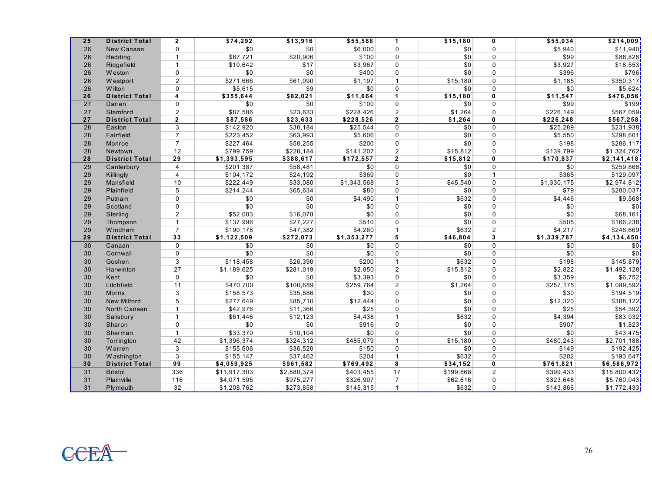| 25 | <b>District Total</b> | $\overline{2}$  | \$74,292          | \$13,916    | \$55,588    | 1              | \$15,180  | 0              | \$55,034    | \$214,009    |
|----|-----------------------|-----------------|-------------------|-------------|-------------|----------------|-----------|----------------|-------------|--------------|
| 26 | New Canaan            | $\Omega$        | 30                | \$0         | \$6,000     | $\Omega$       | \$0       | $\Omega$       | \$5,940     | \$11,940     |
| 26 | Redding               | $\mathbf{1}$    | \$67,721          | \$20,906    | \$100       | $\Omega$       | \$0       | $\Omega$       | \$99        | \$88,826     |
| 26 | Ridgefield            | $\mathbf{1}$    | \$10,642          | \$17        | \$3,967     | $\Omega$       | \$0       | $\Omega$       | \$3,927     | \$18,553     |
| 26 | <b>Weston</b>         | $\Omega$        | \$0               | \$0         | \$400       | $\Omega$       | \$0       | 0              | \$396       | \$796]       |
| 26 | <b>Westport</b>       | $\overline{2}$  | \$271,666         | \$61,090    | \$1,197     | $\mathbf{1}$   | \$15,180  | 0              | \$1,185     | \$350,317    |
| 26 | W ilton               | $\mathbf 0$     | \$5,615           | \$9         | \$0         | $\mathbf{0}$   | \$0       | $\Omega$       | \$0         | \$5,624      |
| 26 | <b>District Total</b> | 4               | \$355,644         | \$82,021    | \$11,664    | $\mathbf{1}$   | \$15,180  | $\mathbf{0}$   | \$11,547    | \$476,056    |
| 27 | Darien                | $\Omega$        | \$0               | \$0         | \$100       | $\mathbf{0}$   | \$0       | $\Omega$       | \$99        | \$199        |
| 27 | Stamford              | $\overline{2}$  | \$87,586          | \$23,633    | \$228,426   | $\overline{2}$ | \$1,264   | $\Omega$       | \$226,149   | \$567,059    |
| 27 | <b>District Total</b> | $\mathbf{2}$    | \$87,586          | \$23,633    | \$228,526   | $\mathbf{2}$   | \$1,264   | 0              | \$226,248   | \$567,258    |
| 28 | Easton                | 3               | \$142,920         | \$38,184    | \$25,544    | $\mathbf{0}$   | \$0       | 0              | \$25,289    | \$231,938    |
| 28 | Fairfield             | $\overline{7}$  | \$223,452         | \$63,993    | \$5,606     | $\Omega$       | \$0       | 0              | \$5,550     | \$298,601    |
| 28 | Monroe                | $\overline{7}$  | \$227,464         | \$58,255    | \$200       | $\mathbf 0$    | \$0       | 0              | \$198       | \$286,117]   |
| 28 | Newtown               | 12              | \$799,759         | \$228,184   | \$141,207   | $\overline{2}$ | \$15,812  | 0              | \$139,799   | \$1,324,762] |
| 28 | <b>District Total</b> | $\overline{29}$ | \$1,393,595       | \$388,617   | \$172,557   | $\overline{2}$ | \$15,812  | 0              | \$170,837   | \$2,141,418  |
| 29 | Canterbury            | $\overline{4}$  | $\sqrt{$201,387}$ | \$58,481    | \$0         | $\mathbf 0$    | \$0       | 0              | \$0         | \$259,868    |
| 29 | Killingly             | $\overline{4}$  | \$104,172         | \$24,192    | \$369       | $\mathbf 0$    | \$0       | $\mathbf{1}$   | \$365       | \$129,097    |
| 29 | Mansfield             | 10              | \$222,449         | \$33,080    | \$1,343,568 | 3              | \$45,540  | $\Omega$       | \$1,330,175 | \$2,974,812  |
| 29 | Plainfield            | 5               | \$214,244         | \$65,634    | \$80        | $\mathbf{0}$   | \$0       | $\Omega$       | \$79        | \$280,037    |
| 29 | Putnam                | $\Omega$        | \$0               | \$0         | \$4,490     | $\mathbf{1}$   | \$632     | $\Omega$       | \$4,446     | \$9,568      |
| 29 | Scotland              | $\Omega$        | \$0               | \$0         | \$0         | $\mathbf{0}$   | \$0       | 0              | \$0         | \$0i         |
| 29 | Sterling              | $\overline{2}$  | \$52,083          | \$16,078    | \$0         | $\Omega$       | \$0       | 0              | \$0         | \$68,161     |
| 29 | Thompson              | $\mathbf{1}$    | \$137,996         | \$27,227    | \$510       | $\mathbf{0}$   | \$0       | $\Omega$       | \$505       | \$166,238    |
| 29 | Windham               | $\overline{7}$  | \$190,178         | \$47,382    | \$4,260     | $\mathbf{1}$   | \$632     | $\overline{2}$ | \$4,217     | \$246,669    |
| 29 | <b>District Total</b> | 33              | \$1,122,509       | \$272,073   | \$1,353,277 | 5              | \$46,804  | 3              | \$1,339,787 | \$4,134,450  |
| 30 | Canaan                | $\mathbf 0$     | \$0               | \$0         | \$0         | $\mathbf 0$    | \$0       | 0              | \$0         | \$0          |
| 30 | Cornwall              | $\mathbf 0$     | \$0               | \$0         | \$0         | $\mathbf 0$    | \$0       | 0              | \$0         | \$0]         |
| 30 | Goshen                | 3               | \$118,458         | \$26,390    | \$200       | $\mathbf{1}$   | \$632     | 0              | \$198       | \$145,879    |
| 30 | Harwinton             | 27              | \$1,189,625       | \$281,019   | \$2,850     | $\overline{2}$ | \$15,812  | 0              | \$2,822     | \$1,492,128  |
| 30 | Kent                  | $\mathbf 0$     | \$0               | \$0         | \$3,393     | $\Omega$       | \$0       | $\Omega$       | \$3,359     | \$6,752      |
| 30 | Litchfield            | 11              | \$470,700         | \$100,689   | \$259,764   | $\overline{2}$ | \$1,264   | $\Omega$       | \$257,175   | \$1,089,592  |
| 30 | <b>Morris</b>         | 3               | \$158,573         | \$35,886    | \$30        | $\mathbf{0}$   | \$0       | $\Omega$       | \$30        | \$194,519    |
| 30 | <b>New Milford</b>    | 5               | \$277,649         | \$85,710    | \$12,444    | $\mathbf{0}$   | \$0       | $\Omega$       | \$12,320    | \$388,122]   |
| 30 | North Canaan          | $\overline{1}$  | \$42,976          | \$11,366    | \$25        | $\Omega$       | \$0       | $\Omega$       | \$25        | \$54,392     |
| 30 | Salisbury             | $\overline{1}$  | \$61,446          | \$12,123    | \$4,438     | $\mathbf{1}$   | \$632     | 0              | \$4,394     | \$83,032     |
| 30 | Sharon                | $\mathbf 0$     | \$0               | \$0         | \$916       | $\Omega$       | \$0       | $\Omega$       | \$907       | \$1,823      |
| 30 | Sherman               | $\mathbf{1}$    | \$33,370          | \$10,104    | \$0         | $\Omega$       | \$0       | $\Omega$       | \$0         | \$43,475]    |
| 30 | Torrington            | 42              | \$1,396,374       | \$324,312   | \$485,079   | $\mathbf 1$    | \$15,180  | $\Omega$       | \$480,243   | \$2,701,188  |
| 30 | Warren                | 3               | \$155,606         | \$36,520    | \$150       | $\mathbf{0}$   | \$0       | $\Omega$       | \$149       | \$192,425    |
| 30 | W ashington           | 3               | \$155,147         | \$37,462    | \$204       | $\mathbf{1}$   | \$632     | $\Omega$       | \$202       | \$193,647    |
| 30 | <b>District Total</b> | 99              | \$4,059,925       | \$961,582   | \$769,492   | 8              | \$34,152  | 0              | \$761,821   | \$6,586,972  |
| 31 | <b>Bristol</b>        | 336             | \$11,917,303      | \$2,880,374 | \$403,455   | 17             | \$199,868 | $\overline{2}$ | \$399,433   | \$15,800,432 |
| 31 | Plainville            | 116             | \$4,071,595       | \$975,277   | \$326,907   | $\overline{7}$ | \$62,616  | 0              | \$323,648   | \$5,760,043] |
| 31 | Plymouth              | 32              | \$1,208,762       | \$273,858   | \$145,315   | $\mathbf{1}$   | \$632     | $\Omega$       | \$143,866   | \$1,772,433  |

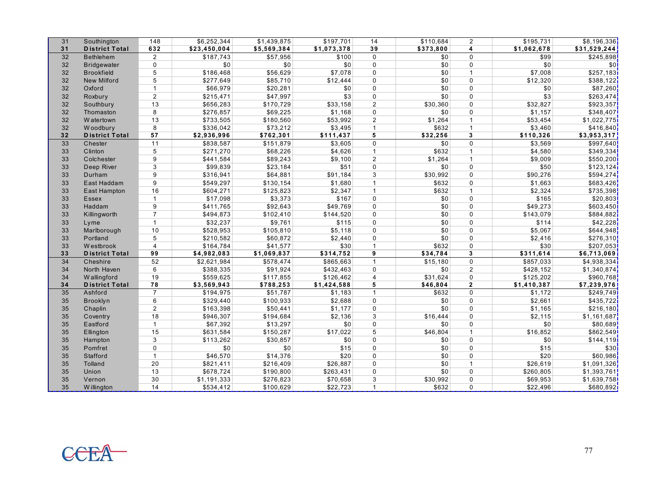| 31 | Southington           | 148            | \$6,252,344  | \$1,439,875 | \$197,701   | 14             | \$110,684 | $\overline{2}$ | \$195,731   | \$8,196,336  |
|----|-----------------------|----------------|--------------|-------------|-------------|----------------|-----------|----------------|-------------|--------------|
| 31 | <b>District Total</b> | 632            | \$23,450,004 | \$5,569,384 | \$1,073,378 | 39             | \$373,800 | 4              | \$1,062,678 | \$31,529,244 |
| 32 | <b>Bethlehem</b>      | $\overline{2}$ | \$187.743    | \$57,956    | \$100       | $\Omega$       | \$0       | $\mathbf{0}$   | \$99        | \$245,898    |
| 32 | <b>Bridgewater</b>    | 0              | \$0          | \$0         | \$0         | $\mathbf 0$    | \$0       | $\mathbf{0}$   | \$0         | \$0          |
| 32 | <b>Brookfield</b>     | 5              | \$186,468    | \$56,629    | \$7,078     | $\Omega$       | \$0       | $\mathbf{1}$   | \$7,008     | \$257,183    |
| 32 | <b>New Milford</b>    | 5              | \$277,649    | \$85,710    | \$12,444    | $\Omega$       | \$0       | $\mathbf{0}$   | \$12,320    | \$388,122    |
| 32 | Oxford                | $\mathbf{1}$   | \$66,979     | \$20,281    | \$0         | $\Omega$       | \$0       | $\mathbf{0}$   | \$0         | \$87,260     |
| 32 | Roxbury               | $\overline{2}$ | \$215,471    | \$47,997    | \$3         | $\Omega$       | \$0       | $\Omega$       | \$3         | \$263,474    |
| 32 | Southbury             | 13             | \$656,283    | \$170,729   | \$33,158    | $\overline{2}$ | \$30,360  | $\mathbf{0}$   | \$32,827    | \$923,357    |
| 32 | Thomaston             | 8              | \$276,857    | \$69,225    | \$1,168     | $\Omega$       | \$0       | $\mathbf{0}$   | \$1,157     | \$348,407    |
| 32 | W atertown            | 13             | \$733,505    | \$180,560   | \$53,992    | $\overline{2}$ | \$1,264   | $\mathbf{1}$   | \$53,454    | \$1,022,775  |
| 32 | Woodbury              | 8              | \$336,042    | \$73,212    | \$3,495     | $\overline{1}$ | \$632     | $\mathbf{1}$   | \$3,460     | \$416,840    |
| 32 | <b>District Total</b> | 57             | \$2,936,996  | \$762,301   | \$111,437   | 5              | \$32,256  | 3              | \$110,326   | \$3,953,317  |
| 33 | Chester               | 11             | \$838,587    | \$151,879   | \$3,605     | $\Omega$       | \$0       | $\Omega$       | \$3,569     | \$997,640    |
| 33 | Clinton               | 5              | \$271,270    | \$68,226    | \$4,626     | $\overline{1}$ | \$632     | $\mathbf{1}$   | \$4,580     | \$349,334    |
| 33 | Colchester            | 9              | \$441,584    | \$89,243    | \$9,100     | $\overline{2}$ | \$1,264   | $\mathbf{1}$   | \$9,009     | \$550,200    |
| 33 | Deep River            | 3              | \$99,839     | \$23,184    | \$51        | $\mathbf 0$    | \$0       | $\mathbf{0}$   | \$50        | \$123,124    |
| 33 | Durham                | 9              | \$316,941    | \$64,881    | \$91,184    | 3              | \$30,992  | $\mathbf{0}$   | \$90,276    | \$594,274    |
| 33 | East Haddam           | 9              | \$549,297    | \$130,154   | \$1,680     | $\overline{1}$ | \$632     | $\Omega$       | \$1,663     | \$683,426    |
| 33 | East Hampton          | 16             | \$604,271    | \$125,823   | \$2,347     | $\overline{1}$ | \$632     | $\mathbf{1}$   | \$2,324     | \$735,398    |
| 33 | Essex                 | $\mathbf{1}$   | \$17,098     | \$3,373     | \$167       | $\mathbf 0$    | \$0       | $\mathbf{0}$   | \$165       | \$20,803     |
| 33 | Haddam                | 9              | \$411,765    | \$92,643    | \$49,769    | $\Omega$       | \$0       | $\mathbf{0}$   | \$49,273    | \$603,450    |
| 33 | Killingworth          | $\overline{7}$ | \$494,873    | \$102,410   | \$144,520   | $\mathbf 0$    | \$0       | $\mathbf{0}$   | \$143,079   | \$884,882    |
| 33 | Lyme                  | $\mathbf{1}$   | \$32,237     | \$9,761     | \$115       | $\mathbf 0$    | \$0       | $\mathbf{0}$   | \$114       | \$42,228     |
| 33 | Marlborough           | 10             | \$528,953    | \$105,810   | \$5,118     | $\mathbf 0$    | \$0       | $\mathbf{0}$   | \$5,067     | \$644,948    |
| 33 | Portland              | 5              | \$210,582    | \$60,872    | \$2,440     | $\Omega$       | \$0       | $\mathbf{0}$   | \$2,416     | \$276,310    |
| 33 | <b>Westbrook</b>      | $\overline{4}$ | \$164,784    | \$41,577    | \$30        | $\overline{1}$ | \$632     | $\Omega$       | \$30        | \$207,053    |
| 33 | <b>District Total</b> | 99             | \$4,982,083  | \$1,069,837 | \$314,752   | 9              | \$34,784  | $\mathbf{3}$   | \$311,614   | \$6,713,069  |
| 34 | Cheshire              | 52             | \$2,621,984  | \$578,474   | \$865,663   | $\overline{1}$ | \$15.180  | $\mathbf{0}$   | \$857,033   | \$4,938,334  |
| 34 | North Haven           | 6              | \$388,335    | \$91,924    | \$432,463   | $\Omega$       | \$0       | $\overline{2}$ | \$428,152   | \$1,340,874  |
| 34 | Wallingford           | 19             | \$559,625    | \$117,855   | \$126,462   | $\overline{4}$ | \$31,624  | $\mathbf{0}$   | \$125,202   | \$960,768    |
| 34 | <b>District Total</b> | 78             | \$3,569,943  | \$788,253   | \$1,424,588 | 5              | \$46,804  | $\overline{2}$ | \$1,410,387 | \$7,239,976  |
| 35 | Ashford               | $\overline{7}$ | \$194,975    | \$51,787    | \$1,183     | $\overline{1}$ | \$632     | $\Omega$       | \$1,172     | \$249,749    |
| 35 | Brooklyn              | 6              | \$329,440    | \$100,933   | \$2,688     | $\Omega$       | \$0       | $\Omega$       | \$2,661     | \$435,722    |
| 35 | Chaplin               | $\overline{2}$ | \$163,398    | \$50,441    | \$1,177     | $\Omega$       | \$0       | $\Omega$       | \$1,165     | \$216,180    |
| 35 | Coventry              | 18             | \$946,307    | \$194,684   | \$2,136     | 3              | \$16,444  | $\mathbf{0}$   | \$2,115     | \$1,161,687  |
| 35 | Eastford              | $\mathbf{1}$   | \$67,392     | \$13,297    | \$0         | $\Omega$       | \$0       | $\Omega$       | \$0         | \$80,689     |
| 35 | Ellington             | 15             | \$631,584    | \$150,287   | \$17,022    | 5              | \$46,804  | $\mathbf{1}$   | \$16,852    | \$862,549    |
| 35 | Hampton               | 3              | \$113,262    | \$30,857    | \$0         | $\Omega$       | \$0       | $\mathbf{0}$   | \$0         | \$144,119    |
| 35 | Pomfret               | $\mathbf 0$    | \$0          | \$0         | \$15        | $\Omega$       | \$0       | $\mathbf{0}$   | \$15        | \$30         |
| 35 | Stafford              | $\mathbf{1}$   | \$46,570     | \$14,376    | \$20        | $\Omega$       | \$0       | $\mathbf{0}$   | \$20        | \$60,986     |
| 35 | Tolland               | 20             | \$821,411    | \$216,409   | \$26,887    | $\mathbf 0$    | \$0       | $\mathbf{1}$   | \$26,619    | \$1,091,326  |
| 35 | Union                 | 13             | \$678,724    | \$190,800   | \$263,431   | $\Omega$       | \$0       | $\mathbf{0}$   | \$260,805   | \$1,393,761  |
| 35 | Vernon                | 30             | \$1,191,333  | \$276,823   | \$70,658    | 3              | \$30,992  | $\mathbf{0}$   | \$69,953    | \$1,639,758  |
| 35 | <b>Willington</b>     | 14             | \$534,412    | \$100,629   | \$22,723    | $\overline{1}$ | \$632     | $\mathbf 0$    | \$22,496    | \$680,892]   |